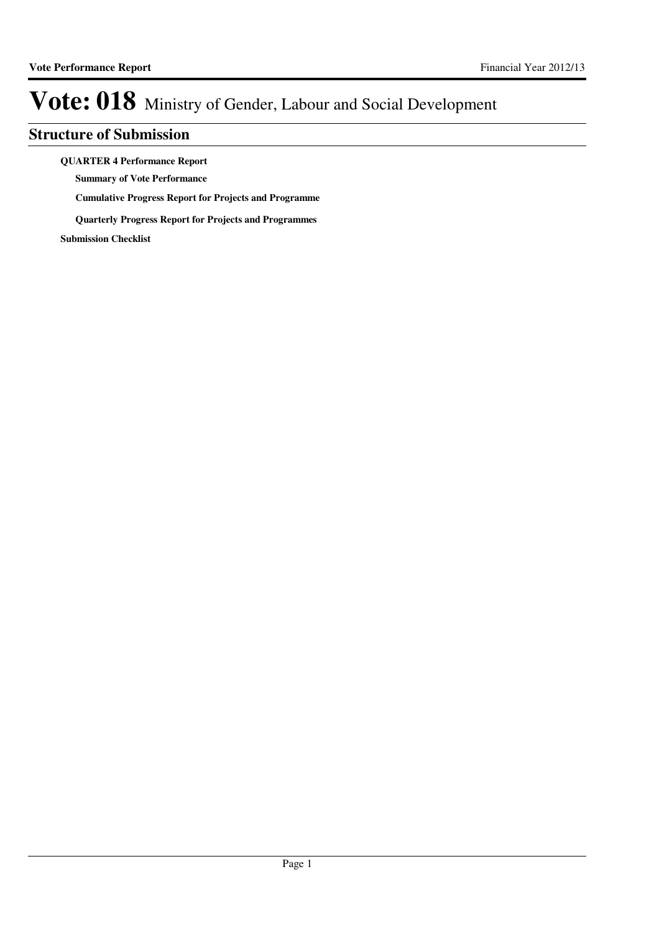### **Structure of Submission**

**QUARTER 4 Performance Report**

**Summary of Vote Performance**

**Cumulative Progress Report for Projects and Programme**

**Quarterly Progress Report for Projects and Programmes**

**Submission Checklist**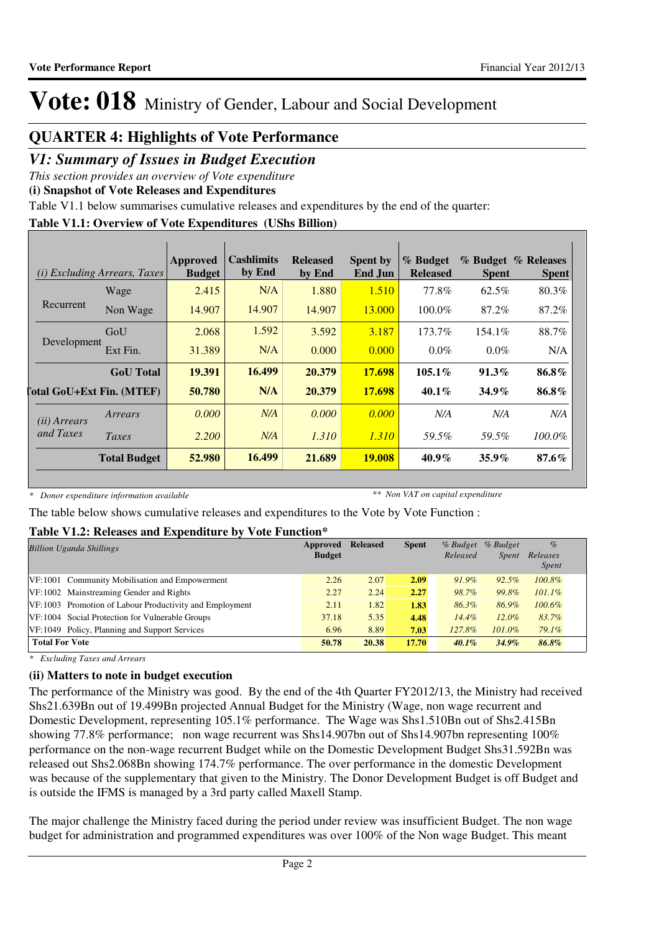### **QUARTER 4: Highlights of Vote Performance**

### *V1: Summary of Issues in Budget Execution*

*This section provides an overview of Vote expenditure*

**(i) Snapshot of Vote Releases and Expenditures**

Table V1.1 below summarises cumulative releases and expenditures by the end of the quarter:

### **Table V1.1: Overview of Vote Expenditures (UShs Billion)**

|                                  | <i>(i)</i> Excluding Arrears, Taxes | Approved<br><b>Budget</b> | <b>Cashlimits</b><br>by End | <b>Released</b><br>by End | <b>Spent by</b><br>End Jun | % Budget<br><b>Released</b> | <b>Spent</b> | % Budget % Releases<br><b>Spent</b> |
|----------------------------------|-------------------------------------|---------------------------|-----------------------------|---------------------------|----------------------------|-----------------------------|--------------|-------------------------------------|
|                                  | Wage                                | 2.415                     | N/A                         | 1.880                     | 1.510                      | 77.8%                       | 62.5%        | 80.3%                               |
| Recurrent                        | Non Wage                            | 14.907                    | 14.907                      | 14.907                    | 13.000                     | $100.0\%$                   | 87.2%        | 87.2%                               |
|                                  | GoU                                 | 2.068                     | 1.592                       | 3.592                     | 3.187                      | 173.7%                      | 154.1%       | 88.7%                               |
| Development                      | Ext Fin.                            | 31.389                    | N/A                         | 0.000                     | 0.000                      | $0.0\%$                     | $0.0\%$      | N/A                                 |
|                                  | <b>GoU</b> Total                    | 19.391                    | 16.499                      | 20.379                    | 17.698                     | $105.1\%$                   | $91.3\%$     | 86.8%                               |
| <b>Total GoU+Ext Fin. (MTEF)</b> |                                     | 50.780                    | N/A                         | 20.379                    | 17.698                     | $40.1\%$                    | $34.9\%$     | 86.8%                               |
| ( <i>ii</i> ) Arrears            | Arrears                             | 0.000                     | N/A                         | 0.000                     | 0.000                      | N/A                         | N/A          | N/A                                 |
| and Taxes                        | Taxes                               | 2.200                     | N/A                         | 1.310                     | 1.310                      | 59.5%                       | 59.5%        | 100.0%                              |
|                                  | <b>Total Budget</b>                 | 52.980                    | 16.499                      | 21.689                    | <b>19.008</b>              | $40.9\%$                    | $35.9\%$     | 87.6%                               |

*\* Donor expenditure information available*

*\*\* Non VAT on capital expenditure*

The table below shows cumulative releases and expenditures to the Vote by Vote Function :

### **Table V1.2: Releases and Expenditure by Vote Function\***

| <b>Billion Uganda Shillings</b>                         | Approved<br><b>Budget</b> | <b>Released</b> | <b>Spent</b> | $%$ Budget<br>Released | % Budget<br><i>Spent</i> | $\%$<br>Releases<br><i>Spent</i> |
|---------------------------------------------------------|---------------------------|-----------------|--------------|------------------------|--------------------------|----------------------------------|
| VF:1001 Community Mobilisation and Empowerment          | 2.26                      | 2.07            | 2.09         | $91.9\%$               | $92.5\%$                 | 100.8%                           |
| VF:1002 Mainstreaming Gender and Rights                 | 2.27                      | 2.24            | 2.27         | 98.7%                  | 99.8%                    | $101.1\%$                        |
| VF:1003 Promotion of Labour Productivity and Employment | 2.11                      | 1.82            | 1.83         | 86.3%                  | 86.9%                    | $100.6\%$                        |
| VF:1004 Social Protection for Vulnerable Groups         | 37.18                     | 5.35            | 4.48         | $14.4\%$               | $12.0\%$                 | 83.7%                            |
| VF: 1049 Policy, Planning and Support Services          | 6.96                      | 8.89            | 7.03         | 127.8%                 | 101.0%                   | 79.1%                            |
| <b>Total For Vote</b>                                   | 50.78                     | 20.38           | 17.70        | $40.1\%$               | $34.9\%$                 | 86.8%                            |

*\* Excluding Taxes and Arrears*

### **(ii) Matters to note in budget execution**

The performance of the Ministry was good. By the end of the 4th Quarter FY2012/13, the Ministry had received Shs21.639Bn out of 19.499Bn projected Annual Budget for the Ministry (Wage, non wage recurrent and Domestic Development, representing 105.1% performance. The Wage was Shs1.510Bn out of Shs2.415Bn showing 77.8% performance; non wage recurrent was Shs14.907bn out of Shs14.907bn representing 100% performance on the non-wage recurrent Budget while on the Domestic Development Budget Shs31.592Bn was released out Shs2.068Bn showing 174.7% performance. The over performance in the domestic Development was because of the supplementary that given to the Ministry. The Donor Development Budget is off Budget and is outside the IFMS is managed by a 3rd party called Maxell Stamp.

The major challenge the Ministry faced during the period under review was insufficient Budget. The non wage budget for administration and programmed expenditures was over 100% of the Non wage Budget. This meant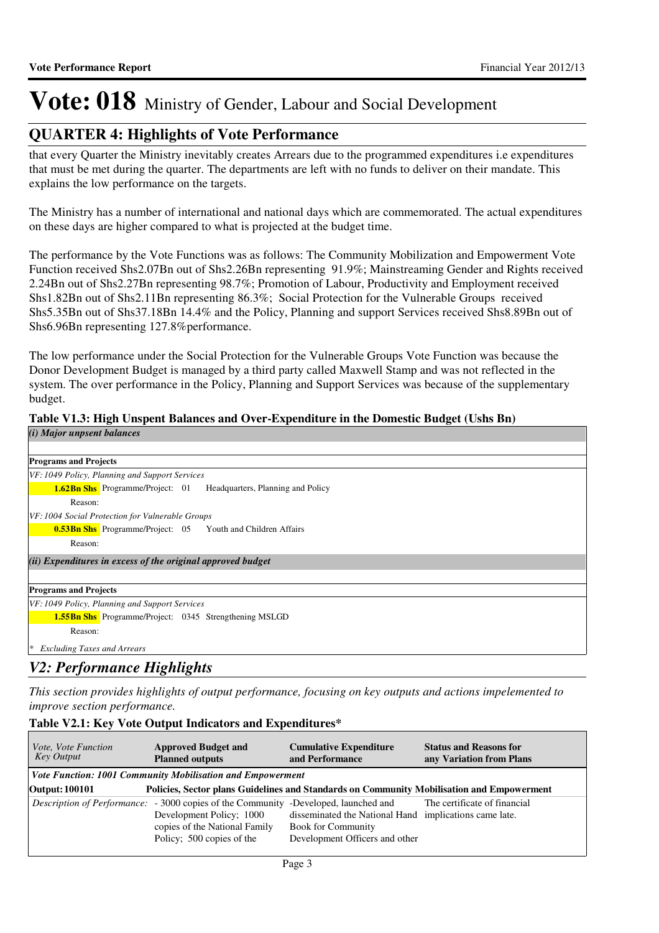### **QUARTER 4: Highlights of Vote Performance**

that every Quarter the Ministry inevitably creates Arrears due to the programmed expenditures i.e expenditures that must be met during the quarter. The departments are left with no funds to deliver on their mandate. This explains the low performance on the targets.

The Ministry has a number of international and national days which are commemorated. The actual expenditures on these days are higher compared to what is projected at the budget time.

The performance by the Vote Functions was as follows: The Community Mobilization and Empowerment Vote Function received Shs2.07Bn out of Shs2.26Bn representing 91.9%; Mainstreaming Gender and Rights received 2.24Bn out of Shs2.27Bn representing 98.7%; Promotion of Labour, Productivity and Employment received Shs1.82Bn out of Shs2.11Bn representing 86.3%; Social Protection for the Vulnerable Groups received Shs5.35Bn out of Shs37.18Bn 14.4% and the Policy, Planning and support Services received Shs8.89Bn out of Shs6.96Bn representing 127.8%performance.

The low performance under the Social Protection for the Vulnerable Groups Vote Function was because the Donor Development Budget is managed by a third party called Maxwell Stamp and was not reflected in the system. The over performance in the Policy, Planning and Support Services was because of the supplementary budget.

### **Table V1.3: High Unspent Balances and Over-Expenditure in the Domestic Budget (Ushs Bn)**

| ( <i>i</i> ) Major unpsent balances                                       |
|---------------------------------------------------------------------------|
|                                                                           |
| <b>Programs and Projects</b>                                              |
| VF: 1049 Policy, Planning and Support Services                            |
| <b>1.62Bn Shs</b> Programme/Project: 01 Headquarters, Planning and Policy |
| Reason:                                                                   |
| VF: 1004 Social Protection for Vulnerable Groups                          |
| <b>0.53Bn Shs</b> Programme/Project: 05 Youth and Children Affairs        |
| Reason:                                                                   |
| (ii) Expenditures in excess of the original approved budget               |
|                                                                           |
| <b>Programs and Projects</b>                                              |
| VF: 1049 Policy, Planning and Support Services                            |
| <b>1.55Bn Shs</b> Programme/Project: 0345 Strengthening MSLGD             |
| Reason:                                                                   |
| <b>Excluding Taxes and Arrears</b><br>  ≭                                 |
| <b>TT: 1 1: 1</b><br><b>TAD A</b>                                         |

### *V2: Performance Highlights*

*This section provides highlights of output performance, focusing on key outputs and actions impelemented to improve section performance.*

### **Table V2.1: Key Vote Output Indicators and Expenditures\***

| Vote, Vote Function<br>Key Output | <b>Approved Budget and</b><br><b>Planned outputs</b>                                                                                                                                 | <b>Cumulative Expenditure</b><br>and Performance                                                                      | <b>Status and Reasons for</b><br>any Variation from Plans |  |  |  |  |
|-----------------------------------|--------------------------------------------------------------------------------------------------------------------------------------------------------------------------------------|-----------------------------------------------------------------------------------------------------------------------|-----------------------------------------------------------|--|--|--|--|
|                                   | Vote Function: 1001 Community Mobilisation and Empowerment                                                                                                                           |                                                                                                                       |                                                           |  |  |  |  |
| <b>Output: 100101</b>             | Policies, Sector plans Guidelines and Standards on Community Mobilisation and Empowerment                                                                                            |                                                                                                                       |                                                           |  |  |  |  |
|                                   | <i>Description of Performance:</i> - 3000 copies of the Community -Developed, launched and<br>Development Policy; 1000<br>copies of the National Family<br>Policy; 500 copies of the | disseminated the National Hand implications came late.<br><b>Book for Community</b><br>Development Officers and other | The certificate of financial                              |  |  |  |  |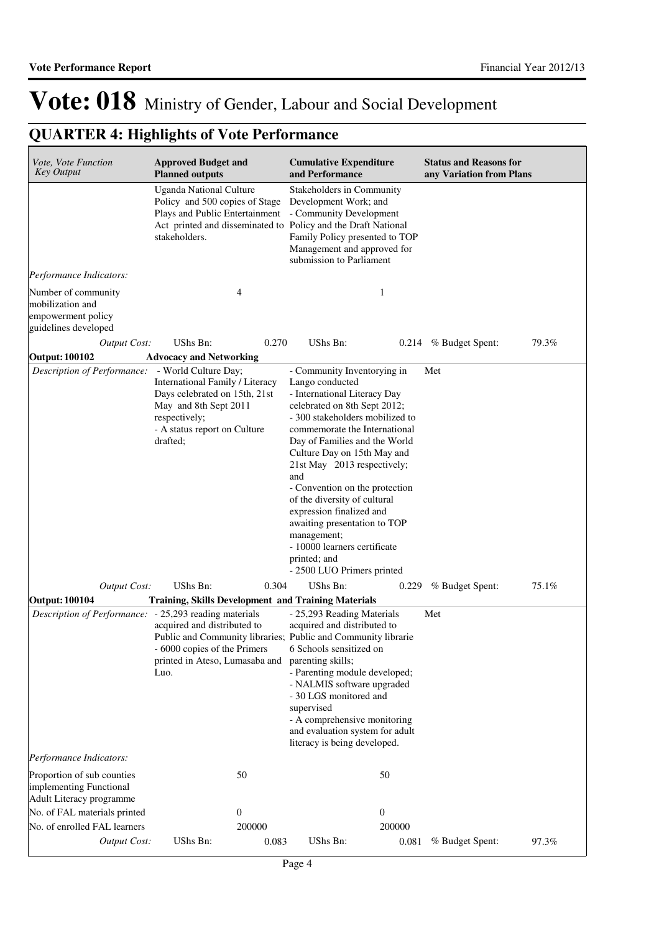| Vote, Vote Function<br><b>Key Output</b>                                              | <b>Approved Budget and</b><br><b>Planned outputs</b>                                                                                                                                 | <b>Cumulative Expenditure</b><br>and Performance                                                                                                                                                                                                                                                                                                                                                                                                                                                                    | <b>Status and Reasons for</b><br>any Variation from Plans |  |
|---------------------------------------------------------------------------------------|--------------------------------------------------------------------------------------------------------------------------------------------------------------------------------------|---------------------------------------------------------------------------------------------------------------------------------------------------------------------------------------------------------------------------------------------------------------------------------------------------------------------------------------------------------------------------------------------------------------------------------------------------------------------------------------------------------------------|-----------------------------------------------------------|--|
|                                                                                       | <b>Uganda National Culture</b><br>Policy and 500 copies of Stage<br>Plays and Public Entertainment<br>Act printed and disseminated to Policy and the Draft National<br>stakeholders. | Stakeholders in Community<br>Development Work; and<br>- Community Development<br>Family Policy presented to TOP<br>Management and approved for<br>submission to Parliament                                                                                                                                                                                                                                                                                                                                          |                                                           |  |
| Performance Indicators:                                                               |                                                                                                                                                                                      |                                                                                                                                                                                                                                                                                                                                                                                                                                                                                                                     |                                                           |  |
| Number of community<br>mobilization and<br>empowerment policy<br>guidelines developed | 4                                                                                                                                                                                    | $\mathbf{1}$                                                                                                                                                                                                                                                                                                                                                                                                                                                                                                        |                                                           |  |
| <b>Output Cost:</b>                                                                   | UShs Bn:<br>0.270                                                                                                                                                                    | UShs Bn:<br>0.214                                                                                                                                                                                                                                                                                                                                                                                                                                                                                                   | 79.3%<br>% Budget Spent:                                  |  |
| <b>Output: 100102</b>                                                                 | <b>Advocacy and Networking</b>                                                                                                                                                       |                                                                                                                                                                                                                                                                                                                                                                                                                                                                                                                     |                                                           |  |
| Description of Performance:                                                           | - World Culture Day;<br>International Family / Literacy<br>Days celebrated on 15th, 21st<br>May and 8th Sept 2011<br>respectively;<br>- A status report on Culture<br>drafted;       | - Community Inventorying in<br>Lango conducted<br>- International Literacy Day<br>celebrated on 8th Sept 2012;<br>- 300 stakeholders mobilized to<br>commemorate the International<br>Day of Families and the World<br>Culture Day on 15th May and<br>21st May 2013 respectively;<br>and<br>- Convention on the protection<br>of the diversity of cultural<br>expression finalized and<br>awaiting presentation to TOP<br>management;<br>- 10000 learners certificate<br>printed; and<br>- 2500 LUO Primers printed | Met                                                       |  |
| <b>Output Cost:</b>                                                                   | UShs Bn:<br>0.304                                                                                                                                                                    | UShs Bn:<br>0.229                                                                                                                                                                                                                                                                                                                                                                                                                                                                                                   | 75.1%<br>% Budget Spent:                                  |  |
| <b>Output: 100104</b><br>Description of Performance: - 25,293 reading materials       | <b>Training, Skills Development and Training Materials</b><br>acquired and distributed to<br>- 6000 copies of the Primers<br>printed in Ateso, Lumasaba and<br>Luo.                  | - 25,293 Reading Materials<br>acquired and distributed to<br>Public and Community libraries; Public and Community librarie<br>6 Schools sensitized on<br>parenting skills;<br>- Parenting module developed;<br>- NALMIS software upgraded<br>- 30 LGS monitored and<br>supervised<br>- A comprehensive monitoring<br>and evaluation system for adult<br>literacy is being developed.                                                                                                                                | Met                                                       |  |
| Performance Indicators:                                                               |                                                                                                                                                                                      |                                                                                                                                                                                                                                                                                                                                                                                                                                                                                                                     |                                                           |  |
| Proportion of sub counties<br>implementing Functional<br>Adult Literacy programme     | 50                                                                                                                                                                                   | 50                                                                                                                                                                                                                                                                                                                                                                                                                                                                                                                  |                                                           |  |
| No. of FAL materials printed                                                          | $\theta$                                                                                                                                                                             | $\mathbf{0}$                                                                                                                                                                                                                                                                                                                                                                                                                                                                                                        |                                                           |  |
| No. of enrolled FAL learners                                                          | 200000                                                                                                                                                                               | 200000                                                                                                                                                                                                                                                                                                                                                                                                                                                                                                              |                                                           |  |
| Output Cost:                                                                          | UShs Bn:<br>0.083                                                                                                                                                                    | UShs Bn:<br>0.081                                                                                                                                                                                                                                                                                                                                                                                                                                                                                                   | % Budget Spent:<br>97.3%                                  |  |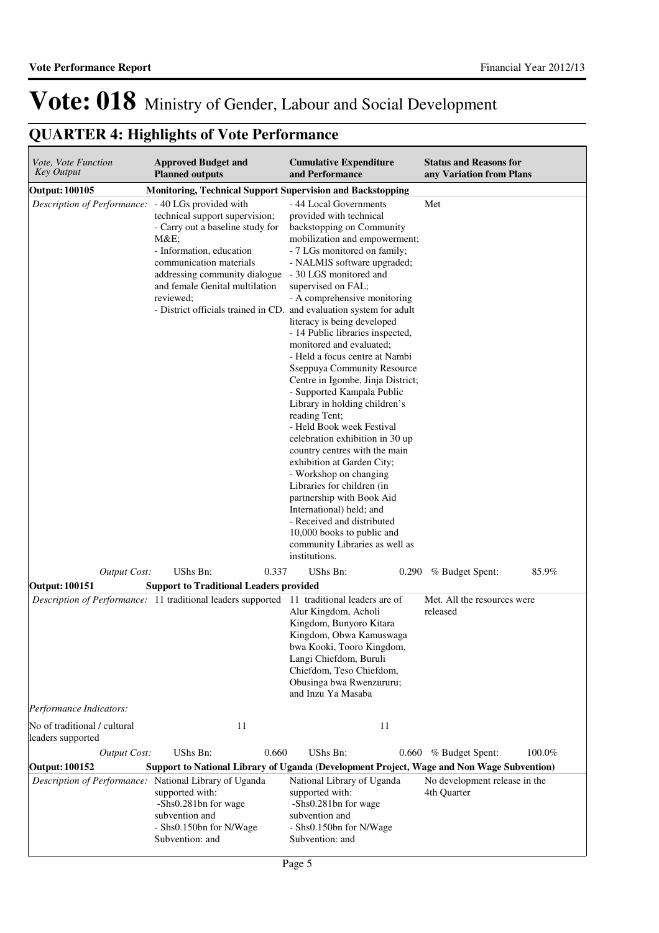| Vote, Vote Function<br><b>Key Output</b>               | <b>Approved Budget and</b><br><b>Planned outputs</b>                                                                                                                                                                 | <b>Cumulative Expenditure</b><br>and Performance                                                                                                                                                                                                                                                                                                                                                                                                                                                                                                                                                                                                                                                                                                                                                                                                                                                                                                                                          | <b>Status and Reasons for</b><br>any Variation from Plans |
|--------------------------------------------------------|----------------------------------------------------------------------------------------------------------------------------------------------------------------------------------------------------------------------|-------------------------------------------------------------------------------------------------------------------------------------------------------------------------------------------------------------------------------------------------------------------------------------------------------------------------------------------------------------------------------------------------------------------------------------------------------------------------------------------------------------------------------------------------------------------------------------------------------------------------------------------------------------------------------------------------------------------------------------------------------------------------------------------------------------------------------------------------------------------------------------------------------------------------------------------------------------------------------------------|-----------------------------------------------------------|
| Output: 100105                                         | <b>Monitoring, Technical Support Supervision and Backstopping</b>                                                                                                                                                    |                                                                                                                                                                                                                                                                                                                                                                                                                                                                                                                                                                                                                                                                                                                                                                                                                                                                                                                                                                                           |                                                           |
| Description of Performance: - 40 LGs provided with     | technical support supervision;<br>- Carry out a baseline study for<br>$M&E$ ;<br>- Information, education<br>communication materials<br>addressing community dialogue<br>and female Genital multilation<br>reviewed; | - 44 Local Governments<br>provided with technical<br>backstopping on Community<br>mobilization and empowerment;<br>- 7 LGs monitored on family;<br>- NALMIS software upgraded;<br>- 30 LGS monitored and<br>supervised on FAL;<br>- A comprehensive monitoring<br>- District officials trained in CD. and evaluation system for adult<br>literacy is being developed<br>- 14 Public libraries inspected,<br>monitored and evaluated;<br>- Held a focus centre at Nambi<br>Sseppuya Community Resource<br>Centre in Igombe, Jinja District;<br>- Supported Kampala Public<br>Library in holding children's<br>reading Tent;<br>- Held Book week Festival<br>celebration exhibition in 30 up<br>country centres with the main<br>exhibition at Garden City;<br>- Workshop on changing<br>Libraries for children (in<br>partnership with Book Aid<br>International) held; and<br>- Received and distributed<br>10,000 books to public and<br>community Libraries as well as<br>institutions. | Met                                                       |
| <b>Output Cost:</b>                                    | UShs Bn:<br>0.337                                                                                                                                                                                                    | UShs Bn:<br>0.290                                                                                                                                                                                                                                                                                                                                                                                                                                                                                                                                                                                                                                                                                                                                                                                                                                                                                                                                                                         | % Budget Spent:<br>85.9%                                  |
| Output: 100151                                         | <b>Support to Traditional Leaders provided</b>                                                                                                                                                                       |                                                                                                                                                                                                                                                                                                                                                                                                                                                                                                                                                                                                                                                                                                                                                                                                                                                                                                                                                                                           |                                                           |
|                                                        | Description of Performance: 11 traditional leaders supported 11 traditional leaders are of                                                                                                                           | Alur Kingdom, Acholi<br>Kingdom, Bunyoro Kitara<br>Kingdom, Obwa Kamuswaga<br>bwa Kooki, Tooro Kingdom,<br>Langi Chiefdom, Buruli<br>Chiefdom, Teso Chiefdom,<br>Obusinga bwa Rwenzururu;<br>and Inzu Ya Masaba                                                                                                                                                                                                                                                                                                                                                                                                                                                                                                                                                                                                                                                                                                                                                                           | Met. All the resources were<br>released                   |
| Performance Indicators:                                |                                                                                                                                                                                                                      |                                                                                                                                                                                                                                                                                                                                                                                                                                                                                                                                                                                                                                                                                                                                                                                                                                                                                                                                                                                           |                                                           |
| No of traditional / cultural<br>leaders supported      | 11                                                                                                                                                                                                                   | 11                                                                                                                                                                                                                                                                                                                                                                                                                                                                                                                                                                                                                                                                                                                                                                                                                                                                                                                                                                                        |                                                           |
| <b>Output Cost:</b>                                    | UShs Bn:<br>0.660                                                                                                                                                                                                    | UShs Bn:<br>0.660                                                                                                                                                                                                                                                                                                                                                                                                                                                                                                                                                                                                                                                                                                                                                                                                                                                                                                                                                                         | 100.0%<br>% Budget Spent:                                 |
| Output: 100152                                         |                                                                                                                                                                                                                      | Support to National Library of Uganda (Development Project, Wage and Non Wage Subvention)                                                                                                                                                                                                                                                                                                                                                                                                                                                                                                                                                                                                                                                                                                                                                                                                                                                                                                 |                                                           |
| Description of Performance: National Library of Uganda | supported with:<br>-Shs0.281bn for wage<br>subvention and<br>- Shs0.150bn for N/Wage<br>Subvention: and                                                                                                              | National Library of Uganda<br>supported with:<br>-Shs0.281bn for wage<br>subvention and<br>- Shs0.150bn for N/Wage<br>Subvention: and                                                                                                                                                                                                                                                                                                                                                                                                                                                                                                                                                                                                                                                                                                                                                                                                                                                     | No development release in the<br>4th Quarter              |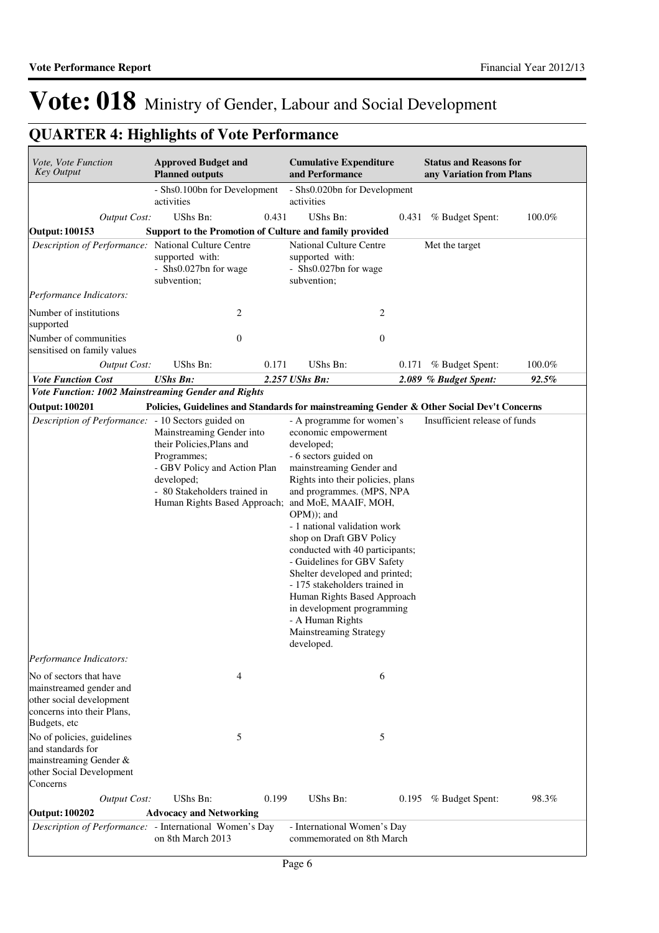| Vote, Vote Function<br><b>Key Output</b>                                                                                     | <b>Approved Budget and</b><br><b>Planned outputs</b>                                                                                                |       | <b>Cumulative Expenditure</b><br>and Performance                                                                                                                                                                                                                                                                                                                                                                                                                                                                                                                                    | <b>Status and Reasons for</b><br>any Variation from Plans |        |
|------------------------------------------------------------------------------------------------------------------------------|-----------------------------------------------------------------------------------------------------------------------------------------------------|-------|-------------------------------------------------------------------------------------------------------------------------------------------------------------------------------------------------------------------------------------------------------------------------------------------------------------------------------------------------------------------------------------------------------------------------------------------------------------------------------------------------------------------------------------------------------------------------------------|-----------------------------------------------------------|--------|
|                                                                                                                              | - Shs0.100bn for Development<br>activities                                                                                                          |       | - Shs0.020bn for Development<br>activities                                                                                                                                                                                                                                                                                                                                                                                                                                                                                                                                          |                                                           |        |
| <b>Output Cost:</b>                                                                                                          | UShs Bn:                                                                                                                                            | 0.431 | <b>UShs Bn:</b>                                                                                                                                                                                                                                                                                                                                                                                                                                                                                                                                                                     | 0.431 % Budget Spent:                                     | 100.0% |
| <b>Output: 100153</b>                                                                                                        | Support to the Promotion of Culture and family provided                                                                                             |       |                                                                                                                                                                                                                                                                                                                                                                                                                                                                                                                                                                                     |                                                           |        |
| Description of Performance: National Culture Centre                                                                          | supported with:<br>- Shs0.027bn for wage<br>subvention;                                                                                             |       | <b>National Culture Centre</b><br>supported with:<br>- Shs0.027bn for wage<br>subvention;                                                                                                                                                                                                                                                                                                                                                                                                                                                                                           | Met the target                                            |        |
| Performance Indicators:                                                                                                      |                                                                                                                                                     |       |                                                                                                                                                                                                                                                                                                                                                                                                                                                                                                                                                                                     |                                                           |        |
| Number of institutions<br>supported                                                                                          | 2                                                                                                                                                   |       | 2                                                                                                                                                                                                                                                                                                                                                                                                                                                                                                                                                                                   |                                                           |        |
| Number of communities<br>sensitised on family values                                                                         | $\boldsymbol{0}$                                                                                                                                    |       | $\boldsymbol{0}$                                                                                                                                                                                                                                                                                                                                                                                                                                                                                                                                                                    |                                                           |        |
| <b>Output Cost:</b>                                                                                                          | UShs Bn:                                                                                                                                            | 0.171 | UShs Bn:                                                                                                                                                                                                                                                                                                                                                                                                                                                                                                                                                                            | 0.171 % Budget Spent:                                     | 100.0% |
| <b>Vote Function Cost</b>                                                                                                    | <b>UShs Bn:</b>                                                                                                                                     |       | 2.257 UShs Bn:                                                                                                                                                                                                                                                                                                                                                                                                                                                                                                                                                                      | 2.089 % Budget Spent:                                     | 92.5%  |
| Vote Function: 1002 Mainstreaming Gender and Rights                                                                          |                                                                                                                                                     |       |                                                                                                                                                                                                                                                                                                                                                                                                                                                                                                                                                                                     |                                                           |        |
| <b>Output: 100201</b>                                                                                                        |                                                                                                                                                     |       | Policies, Guidelines and Standards for mainstreaming Gender & Other Social Dev't Concerns                                                                                                                                                                                                                                                                                                                                                                                                                                                                                           |                                                           |        |
| Description of Performance: - 10 Sectors guided on                                                                           | Mainstreaming Gender into<br>their Policies, Plans and<br>Programmes;<br>- GBV Policy and Action Plan<br>developed;<br>- 80 Stakeholders trained in |       | - A programme for women's<br>economic empowerment<br>developed;<br>- 6 sectors guided on<br>mainstreaming Gender and<br>Rights into their policies, plans<br>and programmes. (MPS, NPA<br>Human Rights Based Approach; and MoE, MAAIF, MOH,<br>OPM)); and<br>- 1 national validation work<br>shop on Draft GBV Policy<br>conducted with 40 participants;<br>- Guidelines for GBV Safety<br>Shelter developed and printed;<br>- 175 stakeholders trained in<br>Human Rights Based Approach<br>in development programming<br>- A Human Rights<br>Mainstreaming Strategy<br>developed. | Insufficient release of funds                             |        |
| Performance Indicators:                                                                                                      |                                                                                                                                                     |       |                                                                                                                                                                                                                                                                                                                                                                                                                                                                                                                                                                                     |                                                           |        |
| No of sectors that have<br>mainstreamed gender and<br>other social development<br>concerns into their Plans,<br>Budgets, etc | 4                                                                                                                                                   |       | 6                                                                                                                                                                                                                                                                                                                                                                                                                                                                                                                                                                                   |                                                           |        |
| No of policies, guidelines<br>and standards for<br>mainstreaming Gender &<br>other Social Development<br>Concerns            | 5                                                                                                                                                   |       | 5                                                                                                                                                                                                                                                                                                                                                                                                                                                                                                                                                                                   |                                                           |        |
| <b>Output Cost:</b>                                                                                                          | UShs Bn:                                                                                                                                            | 0.199 | UShs Bn:                                                                                                                                                                                                                                                                                                                                                                                                                                                                                                                                                                            | 0.195 % Budget Spent:                                     | 98.3%  |
| <b>Output: 100202</b>                                                                                                        | <b>Advocacy and Networking</b>                                                                                                                      |       |                                                                                                                                                                                                                                                                                                                                                                                                                                                                                                                                                                                     |                                                           |        |
| Description of Performance: - International Women's Day                                                                      | on 8th March 2013                                                                                                                                   |       | - International Women's Day<br>commemorated on 8th March                                                                                                                                                                                                                                                                                                                                                                                                                                                                                                                            |                                                           |        |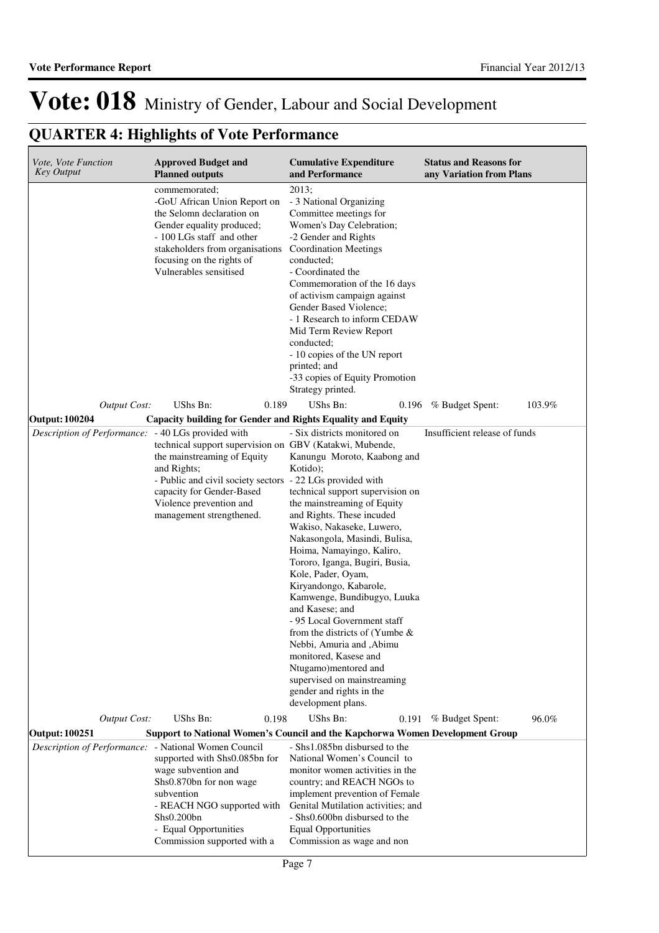| Vote, Vote Function<br><b>Key Output</b>                               | <b>Approved Budget and</b><br><b>Planned outputs</b>                                                                                                                                                                                                                                                                  | <b>Cumulative Expenditure</b><br>and Performance                                                                                                                                                                                                                                                                                                                                                                                                                                                                                                                                                                                          | <b>Status and Reasons for</b><br>any Variation from Plans |
|------------------------------------------------------------------------|-----------------------------------------------------------------------------------------------------------------------------------------------------------------------------------------------------------------------------------------------------------------------------------------------------------------------|-------------------------------------------------------------------------------------------------------------------------------------------------------------------------------------------------------------------------------------------------------------------------------------------------------------------------------------------------------------------------------------------------------------------------------------------------------------------------------------------------------------------------------------------------------------------------------------------------------------------------------------------|-----------------------------------------------------------|
|                                                                        | commemorated;<br>-GoU African Union Report on<br>the Selomn declaration on<br>Gender equality produced;<br>- 100 LGs staff and other<br>stakeholders from organisations<br>focusing on the rights of<br>Vulnerables sensitised                                                                                        | 2013;<br>- 3 National Organizing<br>Committee meetings for<br>Women's Day Celebration;<br>-2 Gender and Rights<br><b>Coordination Meetings</b><br>conducted;<br>- Coordinated the<br>Commemoration of the 16 days<br>of activism campaign against<br>Gender Based Violence;<br>- 1 Research to inform CEDAW<br>Mid Term Review Report<br>conducted;<br>- 10 copies of the UN report<br>printed; and<br>-33 copies of Equity Promotion<br>Strategy printed.                                                                                                                                                                                |                                                           |
| <b>Output Cost:</b>                                                    | UShs Bn:<br>0.189                                                                                                                                                                                                                                                                                                     | UShs Bn:<br>0.196                                                                                                                                                                                                                                                                                                                                                                                                                                                                                                                                                                                                                         | 103.9%<br>% Budget Spent:                                 |
| Output: 100204<br>Description of Performance: - 40 LGs provided with   | Capacity building for Gender and Rights Equality and Equity<br>technical support supervision on GBV (Katakwi, Mubende,<br>the mainstreaming of Equity<br>and Rights;<br>- Public and civil society sectors - 22 LGs provided with<br>capacity for Gender-Based<br>Violence prevention and<br>management strengthened. | - Six districts monitored on<br>Kanungu Moroto, Kaabong and<br>Kotido);<br>technical support supervision on<br>the mainstreaming of Equity<br>and Rights. These incuded<br>Wakiso, Nakaseke, Luwero,<br>Nakasongola, Masindi, Bulisa,<br>Hoima, Namayingo, Kaliro,<br>Tororo, Iganga, Bugiri, Busia,<br>Kole, Pader, Oyam,<br>Kiryandongo, Kabarole,<br>Kamwenge, Bundibugyo, Luuka<br>and Kasese: and<br>- 95 Local Government staff<br>from the districts of (Yumbe $\&$<br>Nebbi, Amuria and , Abimu<br>monitored, Kasese and<br>Ntugamo)mentored and<br>supervised on mainstreaming<br>gender and rights in the<br>development plans. | Insufficient release of funds                             |
| <b>Output Cost:</b>                                                    | <b>UShs Bn:</b><br>0.198                                                                                                                                                                                                                                                                                              | UShs Bn:<br>0.191                                                                                                                                                                                                                                                                                                                                                                                                                                                                                                                                                                                                                         | 96.0%<br>% Budget Spent:                                  |
| Output: 100251<br>Description of Performance: - National Women Council | <b>Support to National Women's Council and the Kapchorwa Women Development Group</b>                                                                                                                                                                                                                                  | - Shs1.085bn disbursed to the                                                                                                                                                                                                                                                                                                                                                                                                                                                                                                                                                                                                             |                                                           |
|                                                                        | supported with Shs0.085bn for<br>wage subvention and<br>Shs0.870bn for non wage<br>subvention<br>- REACH NGO supported with<br>Shs0.200bn<br>- Equal Opportunities<br>Commission supported with a                                                                                                                     | National Women's Council to<br>monitor women activities in the<br>country; and REACH NGOs to<br>implement prevention of Female<br>Genital Mutilation activities; and<br>- Shs0.600bn disbursed to the<br><b>Equal Opportunities</b><br>Commission as wage and non                                                                                                                                                                                                                                                                                                                                                                         |                                                           |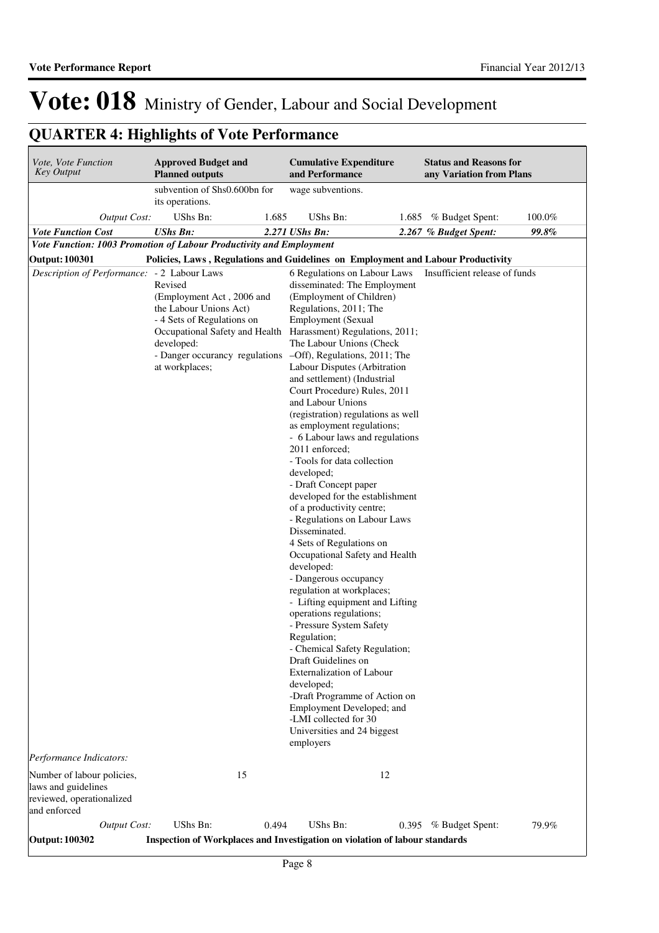| Vote, Vote Function<br><b>Key Output</b>                                                       | <b>Approved Budget and</b><br><b>Planned outputs</b>                                                                         |       | <b>Cumulative Expenditure</b><br>and Performance                                                                                                                                                                                                                                                                                                                                                                                                                                                                                                                                                                                                                                                                                                                                                                                                                                                                                                                                                                                                                                                                                                                                                         |    | <b>Status and Reasons for</b><br>any Variation from Plans |        |
|------------------------------------------------------------------------------------------------|------------------------------------------------------------------------------------------------------------------------------|-------|----------------------------------------------------------------------------------------------------------------------------------------------------------------------------------------------------------------------------------------------------------------------------------------------------------------------------------------------------------------------------------------------------------------------------------------------------------------------------------------------------------------------------------------------------------------------------------------------------------------------------------------------------------------------------------------------------------------------------------------------------------------------------------------------------------------------------------------------------------------------------------------------------------------------------------------------------------------------------------------------------------------------------------------------------------------------------------------------------------------------------------------------------------------------------------------------------------|----|-----------------------------------------------------------|--------|
|                                                                                                | subvention of Shs0.600bn for<br>its operations.                                                                              |       | wage subventions.                                                                                                                                                                                                                                                                                                                                                                                                                                                                                                                                                                                                                                                                                                                                                                                                                                                                                                                                                                                                                                                                                                                                                                                        |    |                                                           |        |
| <b>Output Cost:</b>                                                                            | UShs Bn:                                                                                                                     | 1.685 | UShs Bn:                                                                                                                                                                                                                                                                                                                                                                                                                                                                                                                                                                                                                                                                                                                                                                                                                                                                                                                                                                                                                                                                                                                                                                                                 |    | 1.685 % Budget Spent:                                     | 100.0% |
| <b>Vote Function Cost</b>                                                                      | <b>UShs Bn:</b>                                                                                                              |       | 2.271 UShs Bn:                                                                                                                                                                                                                                                                                                                                                                                                                                                                                                                                                                                                                                                                                                                                                                                                                                                                                                                                                                                                                                                                                                                                                                                           |    | 2.267 % Budget Spent:                                     | 99.8%  |
| Vote Function: 1003 Promotion of Labour Productivity and Employment                            |                                                                                                                              |       |                                                                                                                                                                                                                                                                                                                                                                                                                                                                                                                                                                                                                                                                                                                                                                                                                                                                                                                                                                                                                                                                                                                                                                                                          |    |                                                           |        |
| <b>Output: 100301</b>                                                                          |                                                                                                                              |       | Policies, Laws, Regulations and Guidelines on Employment and Labour Productivity                                                                                                                                                                                                                                                                                                                                                                                                                                                                                                                                                                                                                                                                                                                                                                                                                                                                                                                                                                                                                                                                                                                         |    |                                                           |        |
| Description of Performance: - 2 Labour Laws                                                    |                                                                                                                              |       | 6 Regulations on Labour Laws                                                                                                                                                                                                                                                                                                                                                                                                                                                                                                                                                                                                                                                                                                                                                                                                                                                                                                                                                                                                                                                                                                                                                                             |    | Insufficient release of funds                             |        |
|                                                                                                | Revised<br>(Employment Act, 2006 and<br>the Labour Unions Act)<br>- 4 Sets of Regulations on<br>developed:<br>at workplaces; |       | disseminated: The Employment<br>(Employment of Children)<br>Regulations, 2011; The<br><b>Employment</b> (Sexual<br>Occupational Safety and Health Harassment) Regulations, 2011;<br>The Labour Unions (Check<br>- Danger occurancy regulations -Off), Regulations, 2011; The<br>Labour Disputes (Arbitration<br>and settlement) (Industrial<br>Court Procedure) Rules, 2011<br>and Labour Unions<br>(registration) regulations as well<br>as employment regulations;<br>- 6 Labour laws and regulations<br>2011 enforced;<br>- Tools for data collection<br>developed;<br>- Draft Concept paper<br>developed for the establishment<br>of a productivity centre;<br>- Regulations on Labour Laws<br>Disseminated.<br>4 Sets of Regulations on<br>Occupational Safety and Health<br>developed:<br>- Dangerous occupancy<br>regulation at workplaces;<br>- Lifting equipment and Lifting<br>operations regulations;<br>- Pressure System Safety<br>Regulation;<br>- Chemical Safety Regulation;<br>Draft Guidelines on<br><b>Externalization of Labour</b><br>developed;<br>-Draft Programme of Action on<br>Employment Developed; and<br>-LMI collected for 30<br>Universities and 24 biggest<br>employers |    |                                                           |        |
| Performance Indicators:                                                                        |                                                                                                                              |       |                                                                                                                                                                                                                                                                                                                                                                                                                                                                                                                                                                                                                                                                                                                                                                                                                                                                                                                                                                                                                                                                                                                                                                                                          |    |                                                           |        |
| Number of labour policies,<br>laws and guidelines<br>reviewed, operationalized<br>and enforced |                                                                                                                              | 15    |                                                                                                                                                                                                                                                                                                                                                                                                                                                                                                                                                                                                                                                                                                                                                                                                                                                                                                                                                                                                                                                                                                                                                                                                          | 12 |                                                           |        |
| <b>Output Cost:</b>                                                                            | UShs Bn:                                                                                                                     | 0.494 | UShs Bn:                                                                                                                                                                                                                                                                                                                                                                                                                                                                                                                                                                                                                                                                                                                                                                                                                                                                                                                                                                                                                                                                                                                                                                                                 |    | 0.395 % Budget Spent:                                     | 79.9%  |
| <b>Output: 100302</b>                                                                          |                                                                                                                              |       | Inspection of Workplaces and Investigation on violation of labour standards                                                                                                                                                                                                                                                                                                                                                                                                                                                                                                                                                                                                                                                                                                                                                                                                                                                                                                                                                                                                                                                                                                                              |    |                                                           |        |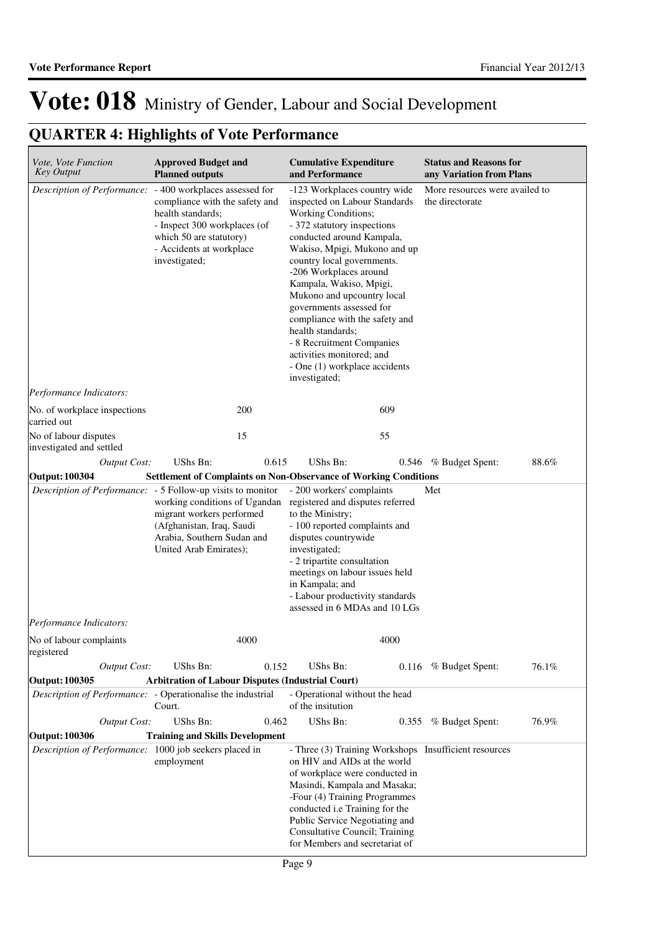| Vote, Vote Function<br><b>Key Output</b>                                               | <b>Approved Budget and</b><br><b>Planned outputs</b>                                                                                                                                                                     |       | <b>Cumulative Expenditure</b><br>and Performance                                                                                                                                                                                                                                                                                                                                                                                                                                                 |       | <b>Status and Reasons for</b><br>any Variation from Plans |       |  |
|----------------------------------------------------------------------------------------|--------------------------------------------------------------------------------------------------------------------------------------------------------------------------------------------------------------------------|-------|--------------------------------------------------------------------------------------------------------------------------------------------------------------------------------------------------------------------------------------------------------------------------------------------------------------------------------------------------------------------------------------------------------------------------------------------------------------------------------------------------|-------|-----------------------------------------------------------|-------|--|
|                                                                                        | Description of Performance: - 400 workplaces assessed for<br>compliance with the safety and<br>health standards;<br>- Inspect 300 workplaces (of<br>which 50 are statutory)<br>- Accidents at workplace<br>investigated; |       | -123 Workplaces country wide<br>inspected on Labour Standards<br>Working Conditions;<br>- 372 statutory inspections<br>conducted around Kampala,<br>Wakiso, Mpigi, Mukono and up<br>country local governments.<br>-206 Workplaces around<br>Kampala, Wakiso, Mpigi,<br>Mukono and upcountry local<br>governments assessed for<br>compliance with the safety and<br>health standards;<br>- 8 Recruitment Companies<br>activities monitored; and<br>- One (1) workplace accidents<br>investigated; |       | More resources were availed to<br>the directorate         |       |  |
| Performance Indicators:                                                                |                                                                                                                                                                                                                          |       |                                                                                                                                                                                                                                                                                                                                                                                                                                                                                                  |       |                                                           |       |  |
| No. of workplace inspections<br>carried out                                            |                                                                                                                                                                                                                          | 200   |                                                                                                                                                                                                                                                                                                                                                                                                                                                                                                  | 609   |                                                           |       |  |
| No of labour disputes                                                                  |                                                                                                                                                                                                                          | 15    |                                                                                                                                                                                                                                                                                                                                                                                                                                                                                                  | 55    |                                                           |       |  |
| investigated and settled<br><b>Output Cost:</b>                                        | UShs Bn:                                                                                                                                                                                                                 | 0.615 | UShs Bn:                                                                                                                                                                                                                                                                                                                                                                                                                                                                                         |       | 0.546 % Budget Spent:                                     | 88.6% |  |
| <b>Output: 100304</b>                                                                  | <b>Settlement of Complaints on Non-Observance of Working Conditions</b>                                                                                                                                                  |       |                                                                                                                                                                                                                                                                                                                                                                                                                                                                                                  |       |                                                           |       |  |
| Description of Performance: - 5 Follow-up visits to monitor<br>Performance Indicators: | migrant workers performed<br>(Afghanistan, Iraq, Saudi<br>Arabia, Southern Sudan and<br>United Arab Emirates);                                                                                                           |       | - 200 workers' complaints<br>working conditions of Ugandan registered and disputes referred<br>to the Ministry;<br>- 100 reported complaints and<br>disputes countrywide<br>investigated;<br>- 2 tripartite consultation<br>meetings on labour issues held<br>in Kampala; and<br>- Labour productivity standards<br>assessed in 6 MDAs and 10 LGs                                                                                                                                                |       | Met                                                       |       |  |
|                                                                                        |                                                                                                                                                                                                                          | 4000  |                                                                                                                                                                                                                                                                                                                                                                                                                                                                                                  | 4000  |                                                           |       |  |
| No of labour complaints<br>registered                                                  |                                                                                                                                                                                                                          |       |                                                                                                                                                                                                                                                                                                                                                                                                                                                                                                  |       |                                                           |       |  |
| <b>Output Cost:</b>                                                                    | UShs Bn:                                                                                                                                                                                                                 | 0.152 | UShs Bn:                                                                                                                                                                                                                                                                                                                                                                                                                                                                                         |       | 0.116 % Budget Spent:                                     | 76.1% |  |
| Output: 100305                                                                         | <b>Arbitration of Labour Disputes (Industrial Court)</b>                                                                                                                                                                 |       |                                                                                                                                                                                                                                                                                                                                                                                                                                                                                                  |       |                                                           |       |  |
| Description of Performance: - Operationalise the industrial                            | Court.                                                                                                                                                                                                                   |       | - Operational without the head<br>of the insitution                                                                                                                                                                                                                                                                                                                                                                                                                                              |       |                                                           |       |  |
| <b>Output Cost:</b>                                                                    | UShs Bn:                                                                                                                                                                                                                 | 0.462 | UShs Bn:                                                                                                                                                                                                                                                                                                                                                                                                                                                                                         | 0.355 | % Budget Spent:                                           | 76.9% |  |
| <b>Output: 100306</b><br>Description of Performance: 1000 job seekers placed in        | <b>Training and Skills Development</b><br>employment                                                                                                                                                                     |       | on HIV and AIDs at the world<br>of workplace were conducted in<br>Masindi, Kampala and Masaka;<br>-Four (4) Training Programmes<br>conducted i.e Training for the<br>Public Service Negotiating and<br>Consultative Council; Training<br>for Members and secretariat of                                                                                                                                                                                                                          |       | - Three (3) Training Workshops Insufficient resources     |       |  |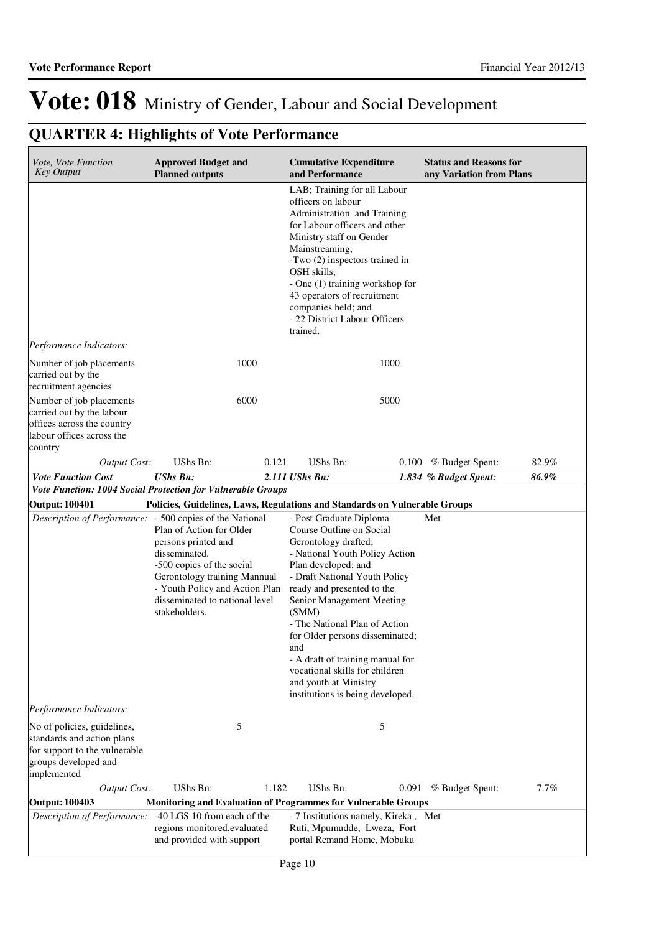| Vote, Vote Function<br><b>Key Output</b>                                                                                          | <b>Approved Budget and</b><br><b>Planned outputs</b>                                                                                                                                                                                                                           |       | <b>Cumulative Expenditure</b><br>and Performance                                                                                                                                                                                                                                                                                                                                                                                                        |      | <b>Status and Reasons for</b><br>any Variation from Plans |       |
|-----------------------------------------------------------------------------------------------------------------------------------|--------------------------------------------------------------------------------------------------------------------------------------------------------------------------------------------------------------------------------------------------------------------------------|-------|---------------------------------------------------------------------------------------------------------------------------------------------------------------------------------------------------------------------------------------------------------------------------------------------------------------------------------------------------------------------------------------------------------------------------------------------------------|------|-----------------------------------------------------------|-------|
|                                                                                                                                   |                                                                                                                                                                                                                                                                                |       | LAB; Training for all Labour<br>officers on labour<br>Administration and Training<br>for Labour officers and other<br>Ministry staff on Gender<br>Mainstreaming;<br>-Two (2) inspectors trained in<br>OSH skills;<br>- One (1) training workshop for<br>43 operators of recruitment<br>companies held; and<br>- 22 District Labour Officers<br>trained.                                                                                                 |      |                                                           |       |
| Performance Indicators:                                                                                                           |                                                                                                                                                                                                                                                                                |       |                                                                                                                                                                                                                                                                                                                                                                                                                                                         |      |                                                           |       |
| Number of job placements<br>carried out by the<br>recruitment agencies                                                            | 1000                                                                                                                                                                                                                                                                           |       |                                                                                                                                                                                                                                                                                                                                                                                                                                                         | 1000 |                                                           |       |
| Number of job placements<br>carried out by the labour<br>offices across the country<br>labour offices across the<br>country       | 6000                                                                                                                                                                                                                                                                           |       |                                                                                                                                                                                                                                                                                                                                                                                                                                                         | 5000 |                                                           |       |
| <b>Output Cost:</b>                                                                                                               | UShs Bn:                                                                                                                                                                                                                                                                       | 0.121 | UShs Bn:                                                                                                                                                                                                                                                                                                                                                                                                                                                |      | $0.100\%$ Budget Spent:                                   | 82.9% |
| <b>Vote Function Cost</b>                                                                                                         | <b>UShs Bn:</b>                                                                                                                                                                                                                                                                |       | 2.111 UShs Bn:                                                                                                                                                                                                                                                                                                                                                                                                                                          |      | 1.834 % Budget Spent:                                     | 86.9% |
| Vote Function: 1004 Social Protection for Vulnerable Groups                                                                       |                                                                                                                                                                                                                                                                                |       |                                                                                                                                                                                                                                                                                                                                                                                                                                                         |      |                                                           |       |
| <b>Output: 100401</b>                                                                                                             | Policies, Guidelines, Laws, Regulations and Standards on Vulnerable Groups                                                                                                                                                                                                     |       |                                                                                                                                                                                                                                                                                                                                                                                                                                                         |      |                                                           |       |
|                                                                                                                                   | Description of Performance: - 500 copies of the National<br>Plan of Action for Older<br>persons printed and<br>disseminated.<br>-500 copies of the social<br>Gerontology training Mannual<br>- Youth Policy and Action Plan<br>disseminated to national level<br>stakeholders. |       | - Post Graduate Diploma<br>Course Outline on Social<br>Gerontology drafted;<br>- National Youth Policy Action<br>Plan developed; and<br>- Draft National Youth Policy<br>ready and presented to the<br>Senior Management Meeting<br>(SMM)<br>- The National Plan of Action<br>for Older persons disseminated;<br>and<br>- A draft of training manual for<br>vocational skills for children<br>and youth at Ministry<br>institutions is being developed. |      | Met                                                       |       |
| Performance Indicators:                                                                                                           |                                                                                                                                                                                                                                                                                |       |                                                                                                                                                                                                                                                                                                                                                                                                                                                         |      |                                                           |       |
| No of policies, guidelines,<br>standards and action plans<br>for support to the vulnerable<br>groups developed and<br>implemented | 5                                                                                                                                                                                                                                                                              |       | 5                                                                                                                                                                                                                                                                                                                                                                                                                                                       |      |                                                           |       |
| <b>Output Cost:</b>                                                                                                               | UShs Bn:                                                                                                                                                                                                                                                                       | 1.182 | UShs Bn:                                                                                                                                                                                                                                                                                                                                                                                                                                                |      | 0.091 % Budget Spent:                                     | 7.7%  |
| Output: 100403                                                                                                                    |                                                                                                                                                                                                                                                                                |       |                                                                                                                                                                                                                                                                                                                                                                                                                                                         |      |                                                           |       |
| Description of Performance:                                                                                                       | Monitoring and Evaluation of Programmes for Vulnerable Groups<br>-40 LGS 10 from each of the                                                                                                                                                                                   |       | - 7 Institutions namely, Kireka, Met                                                                                                                                                                                                                                                                                                                                                                                                                    |      |                                                           |       |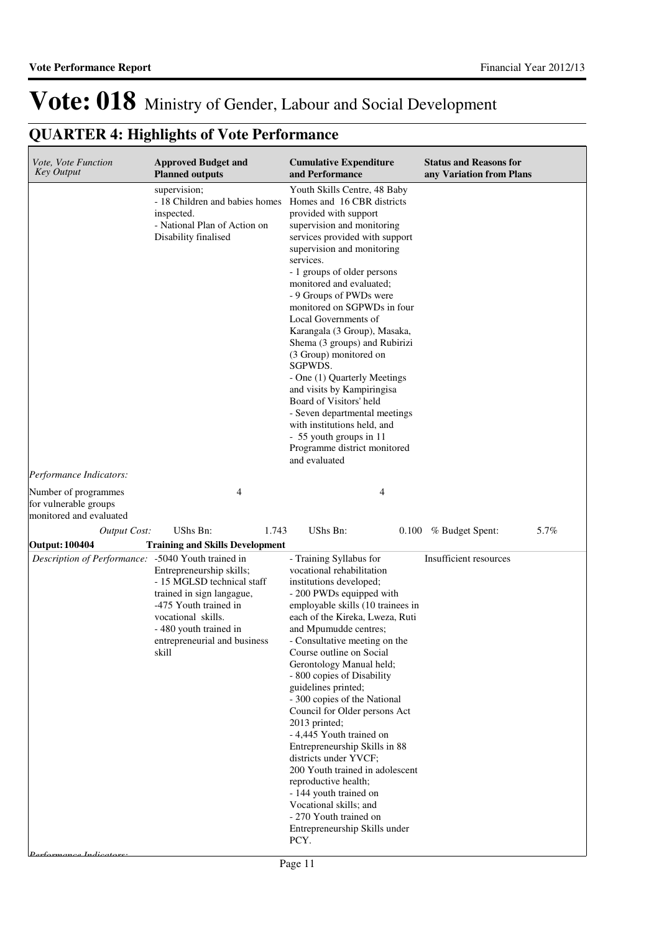| Vote, Vote Function<br><b>Key Output</b>      | <b>Approved Budget and</b><br><b>Planned outputs</b>                                                                                                                                                                            | <b>Cumulative Expenditure</b><br>and Performance                                                                                                                                                                                                                                                                                                                                                                                                                                                                                                                                                                                                                                                                     | <b>Status and Reasons for</b><br>any Variation from Plans |
|-----------------------------------------------|---------------------------------------------------------------------------------------------------------------------------------------------------------------------------------------------------------------------------------|----------------------------------------------------------------------------------------------------------------------------------------------------------------------------------------------------------------------------------------------------------------------------------------------------------------------------------------------------------------------------------------------------------------------------------------------------------------------------------------------------------------------------------------------------------------------------------------------------------------------------------------------------------------------------------------------------------------------|-----------------------------------------------------------|
| Performance Indicators:                       | supervision;<br>- 18 Children and babies homes<br>inspected.<br>- National Plan of Action on<br>Disability finalised                                                                                                            | Youth Skills Centre, 48 Baby<br>Homes and 16 CBR districts<br>provided with support<br>supervision and monitoring<br>services provided with support<br>supervision and monitoring<br>services.<br>- 1 groups of older persons<br>monitored and evaluated;<br>- 9 Groups of PWDs were<br>monitored on SGPWDs in four<br>Local Governments of<br>Karangala (3 Group), Masaka,<br>Shema (3 groups) and Rubirizi<br>(3 Group) monitored on<br>SGPWDS.<br>- One (1) Quarterly Meetings<br>and visits by Kampiringisa<br>Board of Visitors' held<br>- Seven departmental meetings<br>with institutions held, and<br>- 55 youth groups in 11<br>Programme district monitored<br>and evaluated                               |                                                           |
| Number of programmes<br>for vulnerable groups | 4                                                                                                                                                                                                                               | 4                                                                                                                                                                                                                                                                                                                                                                                                                                                                                                                                                                                                                                                                                                                    |                                                           |
| monitored and evaluated                       |                                                                                                                                                                                                                                 |                                                                                                                                                                                                                                                                                                                                                                                                                                                                                                                                                                                                                                                                                                                      |                                                           |
| <b>Output Cost:</b><br>Output: 100404         | UShs Bn:<br>1.743<br><b>Training and Skills Development</b>                                                                                                                                                                     | UShs Bn:                                                                                                                                                                                                                                                                                                                                                                                                                                                                                                                                                                                                                                                                                                             | 5.7%<br>0.100 % Budget Spent:                             |
| Description of Performance:                   | -5040 Youth trained in<br>Entrepreneurship skills;<br>- 15 MGLSD technical staff<br>trained in sign langague,<br>-475 Youth trained in<br>vocational skills.<br>- 480 youth trained in<br>entrepreneurial and business<br>skill | - Training Syllabus for<br>vocational rehabilitation<br>institutions developed;<br>- 200 PWDs equipped with<br>employable skills (10 trainees in<br>each of the Kireka, Lweza, Ruti<br>and Mpumudde centres;<br>- Consultative meeting on the<br>Course outline on Social<br>Gerontology Manual held;<br>- 800 copies of Disability<br>guidelines printed;<br>- 300 copies of the National<br>Council for Older persons Act<br>2013 printed;<br>- 4,445 Youth trained on<br>Entrepreneurship Skills in 88<br>districts under YVCF;<br>200 Youth trained in adolescent<br>reproductive health;<br>- 144 youth trained on<br>Vocational skills; and<br>- 270 Youth trained on<br>Entrepreneurship Skills under<br>PCY. | Insufficient resources                                    |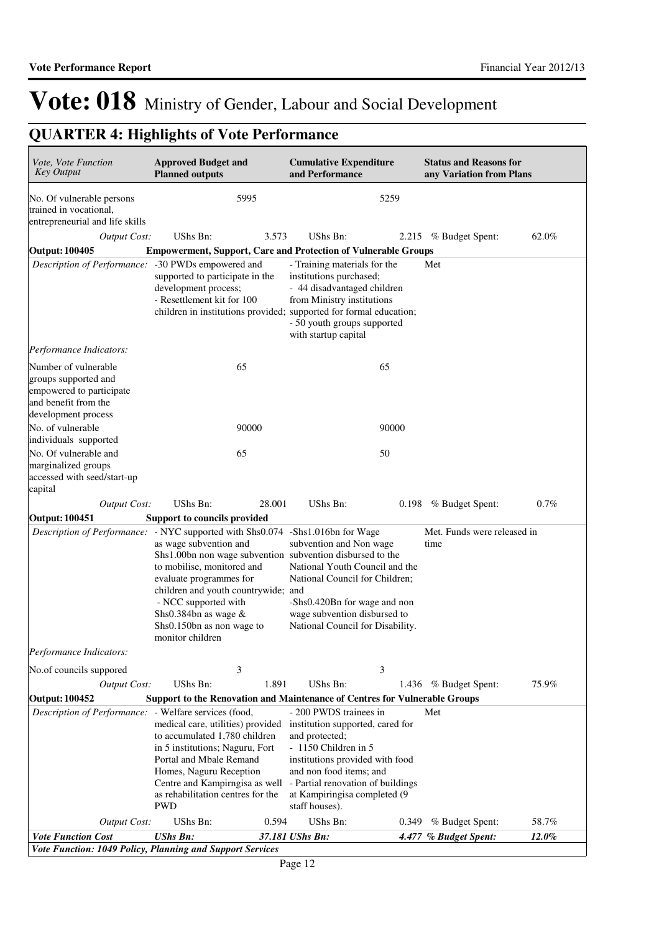| Vote, Vote Function<br><b>Key Output</b>                                                                                | <b>Approved Budget and</b><br><b>Planned outputs</b>                                                                                                                                                                                                                                                                                                                   | <b>Cumulative Expenditure</b><br>and Performance                                                                                                                                                                                                          | <b>Status and Reasons for</b><br>any Variation from Plans |
|-------------------------------------------------------------------------------------------------------------------------|------------------------------------------------------------------------------------------------------------------------------------------------------------------------------------------------------------------------------------------------------------------------------------------------------------------------------------------------------------------------|-----------------------------------------------------------------------------------------------------------------------------------------------------------------------------------------------------------------------------------------------------------|-----------------------------------------------------------|
| No. Of vulnerable persons<br>trained in vocational,<br>entrepreneurial and life skills                                  | 5995                                                                                                                                                                                                                                                                                                                                                                   | 5259                                                                                                                                                                                                                                                      |                                                           |
| <b>Output Cost:</b>                                                                                                     | UShs Bn:<br>3.573                                                                                                                                                                                                                                                                                                                                                      | UShs Bn:                                                                                                                                                                                                                                                  | 62.0%<br>2.215 % Budget Spent:                            |
| <b>Output: 100405</b>                                                                                                   |                                                                                                                                                                                                                                                                                                                                                                        | <b>Empowerment, Support, Care and Protection of Vulnerable Groups</b>                                                                                                                                                                                     |                                                           |
| Description of Performance:                                                                                             | -30 PWDs empowered and<br>supported to participate in the<br>development process;<br>- Resettlement kit for 100                                                                                                                                                                                                                                                        | - Training materials for the<br>institutions purchased;<br>- 44 disadvantaged children<br>from Ministry institutions<br>children in institutions provided; supported for formal education;<br>- 50 youth groups supported<br>with startup capital         | Met                                                       |
| Performance Indicators:                                                                                                 |                                                                                                                                                                                                                                                                                                                                                                        |                                                                                                                                                                                                                                                           |                                                           |
| Number of vulnerable<br>groups supported and<br>empowered to participate<br>and benefit from the<br>development process | 65                                                                                                                                                                                                                                                                                                                                                                     | 65                                                                                                                                                                                                                                                        |                                                           |
| No. of vulnerable<br>individuals supported                                                                              | 90000                                                                                                                                                                                                                                                                                                                                                                  | 90000                                                                                                                                                                                                                                                     |                                                           |
| No. Of vulnerable and                                                                                                   | 65                                                                                                                                                                                                                                                                                                                                                                     | 50                                                                                                                                                                                                                                                        |                                                           |
| marginalized groups<br>accessed with seed/start-up<br>capital                                                           |                                                                                                                                                                                                                                                                                                                                                                        |                                                                                                                                                                                                                                                           |                                                           |
| <b>Output Cost:</b>                                                                                                     | UShs Bn:<br>28.001                                                                                                                                                                                                                                                                                                                                                     | UShs Bn:<br>0.198                                                                                                                                                                                                                                         | 0.7%<br>% Budget Spent:                                   |
| <b>Output: 100451</b>                                                                                                   | <b>Support to councils provided</b>                                                                                                                                                                                                                                                                                                                                    |                                                                                                                                                                                                                                                           |                                                           |
|                                                                                                                         | Description of Performance: - NYC supported with Shs0.074 -Shs1.016bn for Wage<br>as wage subvention and<br>Shs1.00bn non wage subvention subvention disbursed to the<br>to mobilise, monitored and<br>evaluate programmes for<br>children and youth countrywide; and<br>- NCC supported with<br>Shs0.384bn as wage &<br>Shs0.150bn as non wage to<br>monitor children | subvention and Non wage<br>National Youth Council and the<br>National Council for Children;<br>-Shs0.420Bn for wage and non<br>wage subvention disbursed to<br>National Council for Disability.                                                           | Met. Funds were released in<br>time                       |
| Performance Indicators:                                                                                                 |                                                                                                                                                                                                                                                                                                                                                                        |                                                                                                                                                                                                                                                           |                                                           |
| No.of councils suppored                                                                                                 | 3                                                                                                                                                                                                                                                                                                                                                                      | 3                                                                                                                                                                                                                                                         |                                                           |
| <b>Output Cost:</b>                                                                                                     | UShs Bn:<br>1.891                                                                                                                                                                                                                                                                                                                                                      | UShs Bn:                                                                                                                                                                                                                                                  | 75.9%<br>1.436 % Budget Spent:                            |
| <b>Output: 100452</b>                                                                                                   |                                                                                                                                                                                                                                                                                                                                                                        | Support to the Renovation and Maintenance of Centres for Vulnerable Groups                                                                                                                                                                                |                                                           |
| Description of Performance: - Welfare services (food,                                                                   | medical care, utilities) provided<br>to accumulated 1,780 children<br>in 5 institutions; Naguru, Fort<br>Portal and Mbale Remand<br>Homes, Naguru Reception<br>Centre and Kampirngisa as well<br>as rehabilitation centres for the<br><b>PWD</b>                                                                                                                       | - 200 PWDS trainees in<br>institution supported, cared for<br>and protected;<br>- 1150 Children in 5<br>institutions provided with food<br>and non food items; and<br>- Partial renovation of buildings<br>at Kampiringisa completed (9<br>staff houses). | Met                                                       |
| <b>Output Cost:</b>                                                                                                     | UShs Bn:<br>0.594                                                                                                                                                                                                                                                                                                                                                      | UShs Bn:<br>0.349                                                                                                                                                                                                                                         | 58.7%<br>% Budget Spent:                                  |
| <b>Vote Function Cost</b>                                                                                               | <b>UShs Bn:</b>                                                                                                                                                                                                                                                                                                                                                        | 37.181 UShs Bn:                                                                                                                                                                                                                                           | 12.0%<br>4.477 % Budget Spent:                            |
|                                                                                                                         | Vote Function: 1049 Policy, Planning and Support Services                                                                                                                                                                                                                                                                                                              |                                                                                                                                                                                                                                                           |                                                           |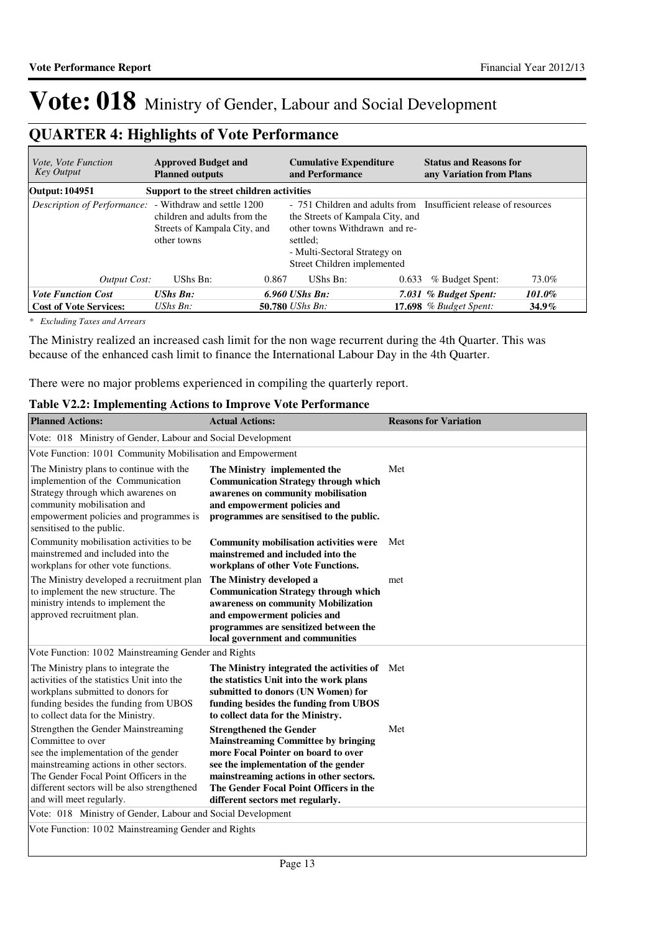## **QUARTER 4: Highlights of Vote Performance**

| <i>Vote, Vote Function</i><br>Key Output               | <b>Approved Budget and</b><br><b>Planned outputs</b>                        |       | <b>Cumulative Expenditure</b><br>and Performance                                                                                                                                                                 |       | <b>Status and Reasons for</b><br>any Variation from Plans |          |
|--------------------------------------------------------|-----------------------------------------------------------------------------|-------|------------------------------------------------------------------------------------------------------------------------------------------------------------------------------------------------------------------|-------|-----------------------------------------------------------|----------|
| Output: 104951                                         | Support to the street children activities                                   |       |                                                                                                                                                                                                                  |       |                                                           |          |
| Description of Performance: - Withdraw and settle 1200 | children and adults from the<br>Streets of Kampala City, and<br>other towns |       | - 751 Children and adults from Insufficient release of resources<br>the Streets of Kampala City, and<br>other towns Withdrawn and re-<br>settled:<br>- Multi-Sectoral Strategy on<br>Street Children implemented |       |                                                           |          |
| Output Cost:                                           | UShs Bn:                                                                    | 0.867 | UShs Bn:                                                                                                                                                                                                         | 0.633 | % Budget Spent:                                           | 73.0%    |
| <b>Vote Function Cost</b>                              | <b>UShs Bn:</b>                                                             |       | $6.960$ UShs Bn:                                                                                                                                                                                                 |       | 7.031 % Budget Spent:                                     | 101.0%   |
| <b>Cost of Vote Services:</b>                          | UShs $B_n$ :                                                                |       | <b>50.780</b> UShs Bn:                                                                                                                                                                                           |       | 17.698 $%$ Budget Spent:                                  | $34.9\%$ |

*\* Excluding Taxes and Arrears*

The Ministry realized an increased cash limit for the non wage recurrent during the 4th Quarter. This was because of the enhanced cash limit to finance the International Labour Day in the 4th Quarter.

There were no major problems experienced in compiling the quarterly report.

#### **Table V2.2: Implementing Actions to Improve Vote Performance**

| <b>Planned Actions:</b>                                                                                                                                                                                                                                          | <b>Actual Actions:</b>                                                                                                                                                                                                                                                               | <b>Reasons for Variation</b> |
|------------------------------------------------------------------------------------------------------------------------------------------------------------------------------------------------------------------------------------------------------------------|--------------------------------------------------------------------------------------------------------------------------------------------------------------------------------------------------------------------------------------------------------------------------------------|------------------------------|
| Vote: 018 Ministry of Gender, Labour and Social Development                                                                                                                                                                                                      |                                                                                                                                                                                                                                                                                      |                              |
| Vote Function: 1001 Community Mobilisation and Empowerment                                                                                                                                                                                                       |                                                                                                                                                                                                                                                                                      |                              |
| The Ministry plans to continue with the<br>implemention of the Communication<br>Strategy through which awarenes on<br>community mobilisation and<br>empowerment policies and programmes is<br>sensitised to the public.                                          | The Ministry implemented the<br><b>Communication Strategy through which</b><br>awarenes on community mobilisation<br>and empowerment policies and<br>programmes are sensitised to the public.                                                                                        | Met                          |
| Community mobilisation activities to be<br>mainstremed and included into the<br>workplans for other vote functions.                                                                                                                                              | <b>Community mobilisation activities were</b><br>mainstremed and included into the<br>workplans of other Vote Functions.                                                                                                                                                             | Met                          |
| The Ministry developed a recruitment plan<br>to implement the new structure. The<br>ministry intends to implement the<br>approved recruitment plan.                                                                                                              | The Ministry developed a<br><b>Communication Strategy through which</b><br>awareness on community Mobilization<br>and empowerment policies and<br>programmes are sensitized between the<br>local government and communities                                                          | met                          |
| Vote Function: 1002 Mainstreaming Gender and Rights                                                                                                                                                                                                              |                                                                                                                                                                                                                                                                                      |                              |
| The Ministry plans to integrate the<br>activities of the statistics Unit into the<br>workplans submitted to donors for<br>funding besides the funding from UBOS<br>to collect data for the Ministry.                                                             | The Ministry integrated the activities of Met<br>the statistics Unit into the work plans<br>submitted to donors (UN Women) for<br>funding besides the funding from UBOS<br>to collect data for the Ministry.                                                                         |                              |
| Strengthen the Gender Mainstreaming<br>Committee to over<br>see the implementation of the gender<br>mainstreaming actions in other sectors.<br>The Gender Focal Point Officers in the<br>different sectors will be also strengthened<br>and will meet regularly. | <b>Strengthened the Gender</b><br><b>Mainstreaming Committee by bringing</b><br>more Focal Pointer on board to over<br>see the implementation of the gender<br>mainstreaming actions in other sectors.<br>The Gender Focal Point Officers in the<br>different sectors met regularly. | Met                          |
| Vote: 018 Ministry of Gender, Labour and Social Development                                                                                                                                                                                                      |                                                                                                                                                                                                                                                                                      |                              |
| Vote Function: 1002 Mainstreaming Gender and Rights                                                                                                                                                                                                              |                                                                                                                                                                                                                                                                                      |                              |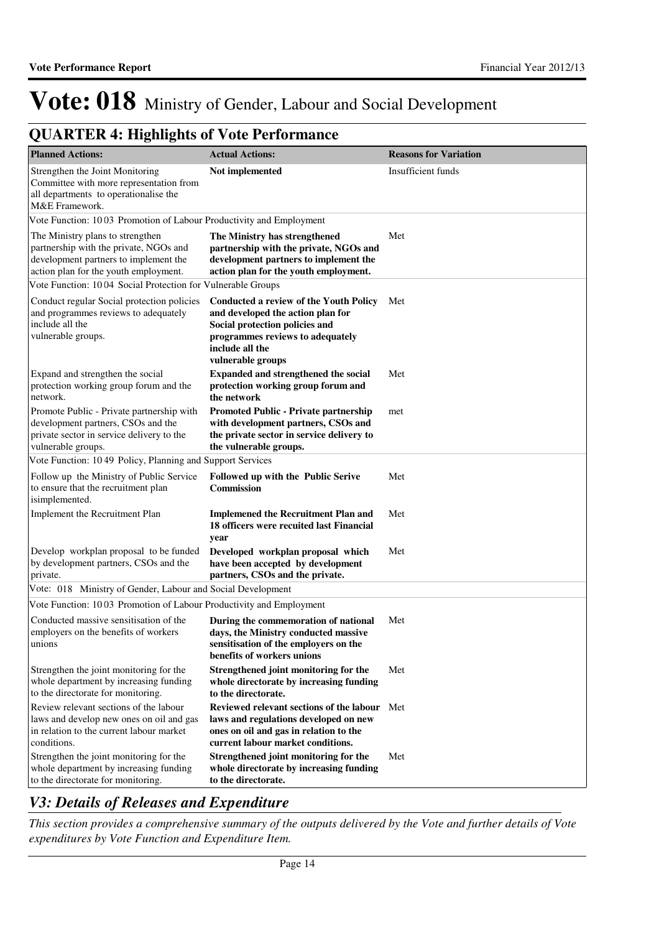## **QUARTER 4: Highlights of Vote Performance**

| <b>Planned Actions:</b>                                                                                                                                      | <b>Actual Actions:</b>                                                                                                                                                                           | <b>Reasons for Variation</b> |
|--------------------------------------------------------------------------------------------------------------------------------------------------------------|--------------------------------------------------------------------------------------------------------------------------------------------------------------------------------------------------|------------------------------|
| Strengthen the Joint Monitoring<br>Committee with more representation from<br>all departments to operationalise the<br>M&E Framework.                        | Not implemented                                                                                                                                                                                  | Insufficient funds           |
| Vote Function: 1003 Promotion of Labour Productivity and Employment                                                                                          |                                                                                                                                                                                                  |                              |
| The Ministry plans to strengthen<br>partnership with the private, NGOs and<br>development partners to implement the<br>action plan for the youth employment. | The Ministry has strengthened<br>partnership with the private, NGOs and<br>development partners to implement the<br>action plan for the youth employment.                                        | Met                          |
| Vote Function: 1004 Social Protection for Vulnerable Groups                                                                                                  |                                                                                                                                                                                                  |                              |
| Conduct regular Social protection policies<br>and programmes reviews to adequately<br>include all the<br>vulnerable groups.                                  | <b>Conducted a review of the Youth Policy</b><br>and developed the action plan for<br>Social protection policies and<br>programmes reviews to adequately<br>include all the<br>vulnerable groups | Met                          |
| Expand and strengthen the social<br>protection working group forum and the<br>network.                                                                       | <b>Expanded and strengthened the social</b><br>protection working group forum and<br>the network                                                                                                 | Met                          |
| Promote Public - Private partnership with<br>development partners, CSOs and the<br>private sector in service delivery to the<br>vulnerable groups.           | <b>Promoted Public - Private partnership</b><br>with development partners, CSOs and<br>the private sector in service delivery to<br>the vulnerable groups.                                       | met                          |
| Vote Function: 1049 Policy, Planning and Support Services                                                                                                    |                                                                                                                                                                                                  |                              |
| Follow up the Ministry of Public Service<br>to ensure that the recruitment plan<br>isimplemented.                                                            | <b>Followed up with the Public Serive</b><br>Commission                                                                                                                                          | Met                          |
| Implement the Recruitment Plan                                                                                                                               | <b>Implemened the Recruitment Plan and</b><br>18 officers were recuited last Financial<br>year                                                                                                   | Met                          |
| Develop workplan proposal to be funded<br>by development partners, CSOs and the<br>private.                                                                  | Developed workplan proposal which<br>have been accepted by development<br>partners, CSOs and the private.                                                                                        | Met                          |
| Vote: 018 Ministry of Gender, Labour and Social Development                                                                                                  |                                                                                                                                                                                                  |                              |
| Vote Function: 1003 Promotion of Labour Productivity and Employment                                                                                          |                                                                                                                                                                                                  |                              |
| Conducted massive sensitisation of the<br>employers on the benefits of workers<br>unions                                                                     | During the commemoration of national<br>days, the Ministry conducted massive<br>sensitisation of the employers on the<br>benefits of workers unions                                              | Met                          |
| Strengthen the joint monitoring for the<br>whole department by increasing funding<br>to the directorate for monitoring.                                      | Strengthened joint monitoring for the<br>whole directorate by increasing funding<br>to the directorate.                                                                                          | Met                          |
| Review relevant sections of the labour<br>laws and develop new ones on oil and gas<br>in relation to the current labour market<br>conditions.                | Reviewed relevant sections of the labour Met<br>laws and regulations developed on new<br>ones on oil and gas in relation to the<br>current labour market conditions.                             |                              |
| Strengthen the joint monitoring for the<br>whole department by increasing funding<br>to the directorate for monitoring.                                      | Strengthened joint monitoring for the<br>whole directorate by increasing funding<br>to the directorate.                                                                                          | Met                          |

### *V3: Details of Releases and Expenditure*

*This section provides a comprehensive summary of the outputs delivered by the Vote and further details of Vote expenditures by Vote Function and Expenditure Item.*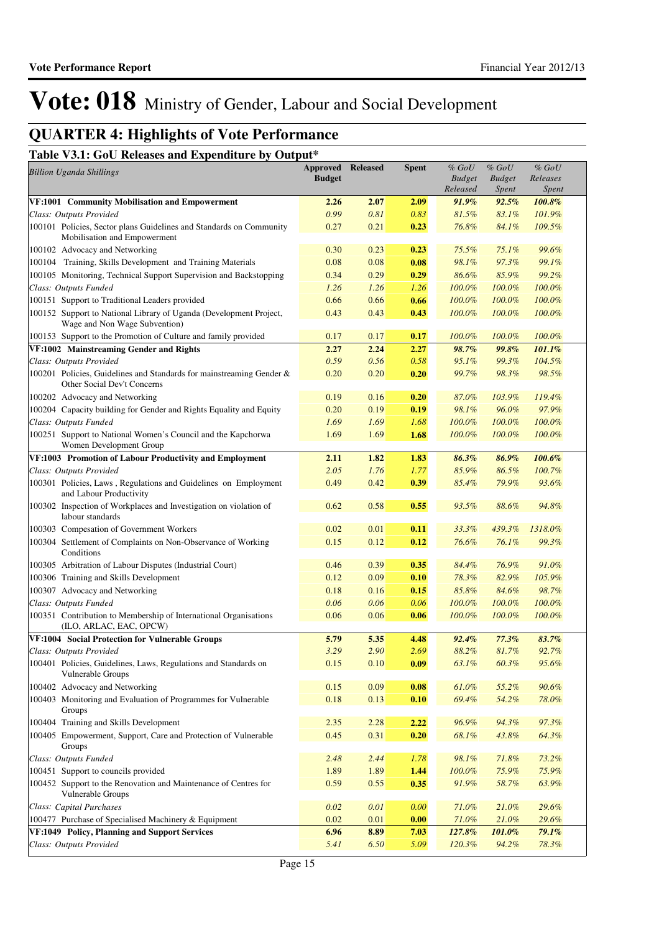## **QUARTER 4: Highlights of Vote Performance**

### **Table V3.1: GoU Releases and Expenditure by Output\***

| <b>Billion Uganda Shillings</b>                                                                     | <b>Approved Released</b><br><b>Budget</b> |      | <b>Spent</b> | % GoU<br><b>Budget</b><br>Released | $%$ $GoU$<br><b>Budget</b><br><i>Spent</i> | $%$ GoU<br>Releases<br>Spent |
|-----------------------------------------------------------------------------------------------------|-------------------------------------------|------|--------------|------------------------------------|--------------------------------------------|------------------------------|
| VF:1001 Community Mobilisation and Empowerment                                                      | 2.26                                      | 2.07 | 2.09         | 91.9%                              | 92.5%                                      | 100.8%                       |
| Class: Outputs Provided                                                                             | 0.99                                      | 0.81 | 0.83         | 81.5%                              | 83.1%                                      | 101.9%                       |
| 100101 Policies, Sector plans Guidelines and Standards on Community<br>Mobilisation and Empowerment | 0.27                                      | 0.21 | 0.23         | 76.8%                              | 84.1%                                      | 109.5%                       |
| 100102 Advocacy and Networking                                                                      | 0.30                                      | 0.23 | 0.23         | 75.5%                              | 75.1%                                      | 99.6%                        |
| 100104 Training, Skills Development and Training Materials                                          | 0.08                                      | 0.08 | 0.08         | 98.1%                              | 97.3%                                      | 99.1%                        |
| 100105 Monitoring, Technical Support Supervision and Backstopping                                   | 0.34                                      | 0.29 | 0.29         | 86.6%                              | 85.9%                                      | 99.2%                        |
| Class: Outputs Funded                                                                               | 1.26                                      | 1.26 | 1.26         | 100.0%                             | 100.0%                                     | 100.0%                       |
| 100151 Support to Traditional Leaders provided                                                      | 0.66                                      | 0.66 | 0.66         | 100.0%                             | 100.0%                                     | 100.0%                       |
| 100152 Support to National Library of Uganda (Development Project,<br>Wage and Non Wage Subvention) | 0.43                                      | 0.43 | 0.43         | 100.0%                             | 100.0%                                     | 100.0%                       |
| 100153 Support to the Promotion of Culture and family provided                                      | 0.17                                      | 0.17 | 0.17         | 100.0%                             | 100.0%                                     | 100.0%                       |
| VF:1002 Mainstreaming Gender and Rights                                                             | 2.27                                      | 2.24 | 2.27         | 98.7%                              | 99.8%                                      | 101.1%                       |
| Class: Outputs Provided                                                                             | 0.59                                      | 0.56 | 0.58         | 95.1%                              | 99.3%                                      | 104.5%                       |
| 100201 Policies, Guidelines and Standards for mainstreaming Gender &<br>Other Social Dev't Concerns | 0.20                                      | 0.20 | 0.20         | 99.7%                              | 98.3%                                      | 98.5%                        |
| 100202 Advocacy and Networking                                                                      | 0.19                                      | 0.16 | 0.20         | 87.0%                              | 103.9%                                     | 119.4%                       |
| 100204 Capacity building for Gender and Rights Equality and Equity                                  | 0.20                                      | 0.19 | 0.19         | 98.1%                              | 96.0%                                      | 97.9%                        |
| Class: Outputs Funded                                                                               | 1.69                                      | 1.69 | 1.68         | 100.0%                             | 100.0%                                     | 100.0%                       |
| 100251 Support to National Women's Council and the Kapchorwa<br>Women Development Group             | 1.69                                      | 1.69 | 1.68         | 100.0%                             | 100.0%                                     | 100.0%                       |
| VF:1003 Promotion of Labour Productivity and Employment                                             | 2.11                                      | 1.82 | 1.83         | 86.3%                              | 86.9%                                      | 100.6%                       |
| Class: Outputs Provided                                                                             | 2.05                                      | 1.76 | 1.77         | 85.9%                              | 86.5%                                      | 100.7%                       |
| 100301 Policies, Laws, Regulations and Guidelines on Employment<br>and Labour Productivity          | 0.49                                      | 0.42 | 0.39         | 85.4%                              | 79.9%                                      | 93.6%                        |
| 100302 Inspection of Workplaces and Investigation on violation of<br>labour standards               | 0.62                                      | 0.58 | 0.55         | 93.5%                              | 88.6%                                      | 94.8%                        |
| 100303 Compesation of Government Workers                                                            | 0.02                                      | 0.01 | 0.11         | 33.3%                              | 439.3%                                     | 1318.0%                      |
| 100304 Settlement of Complaints on Non-Observance of Working<br>Conditions                          | 0.15                                      | 0.12 | 0.12         | 76.6%                              | 76.1%                                      | 99.3%                        |
| 100305 Arbitration of Labour Disputes (Industrial Court)                                            | 0.46                                      | 0.39 | 0.35         | 84.4%                              | 76.9%                                      | 91.0%                        |
| 100306 Training and Skills Development                                                              | 0.12                                      | 0.09 | 0.10         | 78.3%                              | 82.9%                                      | 105.9%                       |
| 100307 Advocacy and Networking                                                                      | 0.18                                      | 0.16 | 0.15         | 85.8%                              | 84.6%                                      | 98.7%                        |
| Class: Outputs Funded                                                                               | 0.06                                      | 0.06 | 0.06         | 100.0%                             | 100.0%                                     | 100.0%                       |
| 100351 Contribution to Membership of International Organisations<br>(ILO, ARLAC, EAC, OPCW)         | 0.06                                      | 0.06 | 0.06         | 100.0%                             | 100.0%                                     | 100.0%                       |
| VF:1004 Social Protection for Vulnerable Groups                                                     | 5.79                                      | 5.35 | 4.48         | 92.4%                              | 77.3%                                      | 83.7%                        |
| Class: Outputs Provided                                                                             | 3.29                                      | 2.90 | 2.69         | 88.2%                              | 81.7%                                      | 92.7%                        |
| 100401 Policies, Guidelines, Laws, Regulations and Standards on<br>Vulnerable Groups                | 0.15                                      | 0.10 | 0.09         | 63.1%                              | 60.3%                                      | 95.6%                        |
| 100402 Advocacy and Networking                                                                      | 0.15                                      | 0.09 | 0.08         | 61.0%                              | 55.2%                                      | 90.6%                        |
| 100403 Monitoring and Evaluation of Programmes for Vulnerable<br>Groups                             | 0.18                                      | 0.13 | 0.10         | 69.4%                              | 54.2%                                      | 78.0%                        |
| 100404 Training and Skills Development                                                              | 2.35                                      | 2.28 | 2.22         | 96.9%                              | 94.3%                                      | 97.3%                        |
| 100405 Empowerment, Support, Care and Protection of Vulnerable<br>Groups                            | 0.45                                      | 0.31 | 0.20         | 68.1%                              | 43.8%                                      | 64.3%                        |
| Class: Outputs Funded                                                                               | 2.48                                      | 2.44 | 1.78         | 98.1%                              | 71.8%                                      | 73.2%                        |
| 100451 Support to councils provided                                                                 | 1.89                                      | 1.89 | 1.44         | 100.0%                             | 75.9%                                      | 75.9%                        |
| 100452 Support to the Renovation and Maintenance of Centres for<br>Vulnerable Groups                | 0.59                                      | 0.55 | 0.35         | 91.9%                              | 58.7%                                      | 63.9%                        |
| Class: Capital Purchases                                                                            | 0.02                                      | 0.01 | 0.00         | 71.0%                              | 21.0%                                      | 29.6%                        |
| 100477 Purchase of Specialised Machinery & Equipment                                                | 0.02                                      | 0.01 | 0.00         | 71.0%                              | 21.0%                                      | 29.6%                        |
| VF:1049 Policy, Planning and Support Services                                                       | 6.96                                      | 8.89 | 7.03         | 127.8%                             | 101.0%                                     | 79.1%                        |
| Class: Outputs Provided                                                                             | 5.41                                      | 6.50 | 5.09         | 120.3%                             | 94.2%                                      | 78.3%                        |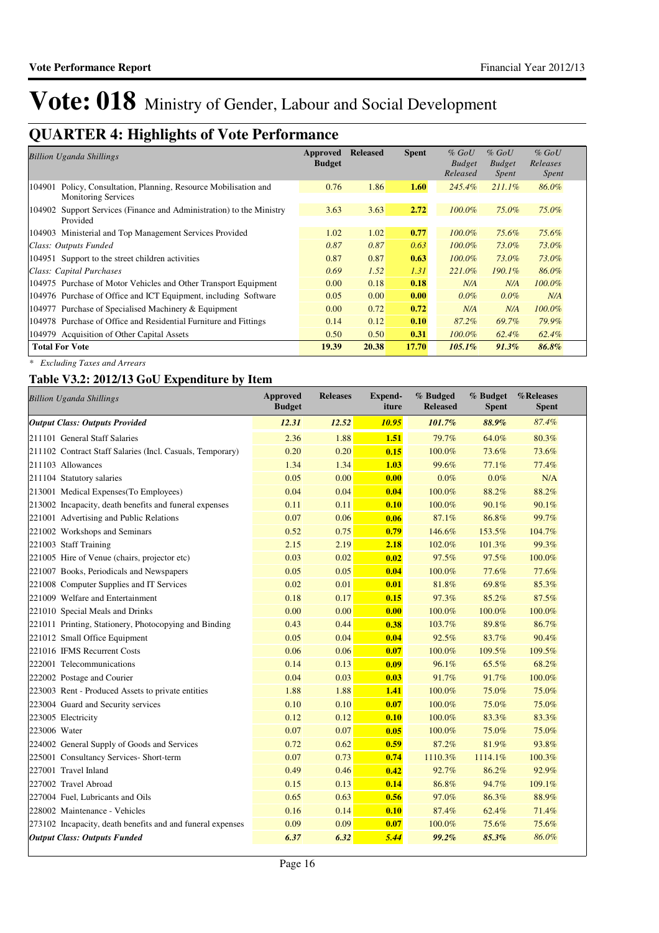## **QUARTER 4: Highlights of Vote Performance**

| <b>Billion Uganda Shillings</b>                                                                   | Approved<br><b>Budget</b> | <b>Released</b> | <b>Spent</b> | $%$ GoU<br><b>Budget</b><br>Released | $%$ GoU<br><b>Budget</b><br>Spent | $%$ GoU<br>Releases<br><i>Spent</i> |
|---------------------------------------------------------------------------------------------------|---------------------------|-----------------|--------------|--------------------------------------|-----------------------------------|-------------------------------------|
| 104901<br>Policy, Consultation, Planning, Resource Mobilisation and<br><b>Monitoring Services</b> | 0.76                      | 1.86            | 1.60         | 245.4%                               | $211.1\%$                         | 86.0%                               |
| Support Services (Finance and Administration) to the Ministry<br>104902<br>Provided               | 3.63                      | 3.63            | 2.72         | $100.0\%$                            | 75.0%                             | 75.0%                               |
| 104903 Ministerial and Top Management Services Provided                                           | 1.02                      | 1.02            | 0.77         | $100.0\%$                            | 75.6%                             | 75.6%                               |
| Class: Outputs Funded                                                                             | 0.87                      | 0.87            | 0.63         | $100.0\%$                            | 73.0%                             | 73.0%                               |
| 104951 Support to the street children activities                                                  | 0.87                      | 0.87            | 0.63         | $100.0\%$                            | 73.0%                             | 73.0%                               |
| Class: Capital Purchases                                                                          | 0.69                      | 1.52            | 1.31         | 221.0%                               | $190.1\%$                         | 86.0%                               |
| 104975 Purchase of Motor Vehicles and Other Transport Equipment                                   | 0.00 <sub>1</sub>         | 0.18            | 0.18         | N/A                                  | N/A                               | $100.0\%$                           |
| 104976 Purchase of Office and ICT Equipment, including Software                                   | 0.05                      | 0.00            | 0.00         | $0.0\%$                              | $0.0\%$                           | N/A                                 |
| 104977 Purchase of Specialised Machinery & Equipment                                              | 0.00 <sub>1</sub>         | 0.72            | 0.72         | N/A                                  | N/A                               | $100.0\%$                           |
| 104978 Purchase of Office and Residential Furniture and Fittings                                  | 0.14                      | 0.12            | 0.10         | 87.2%                                | 69.7%                             | 79.9%                               |
| 104979 Acquisition of Other Capital Assets                                                        | 0.50                      | 0.50            | 0.31         | $100.0\%$                            | 62.4%                             | 62.4%                               |
| <b>Total For Vote</b>                                                                             | 19.39                     | 20.38           | 17.70        | $105.1\%$                            | $91.3\%$                          | 86.8%                               |

*\* Excluding Taxes and Arrears*

### **Table V3.2: 2012/13 GoU Expenditure by Item**

| <b>Billion Uganda Shillings</b>                            | <b>Approved</b><br><b>Budget</b> | <b>Releases</b> | <b>Expend-</b><br>iture | % Budged<br><b>Released</b> | % Budget<br><b>Spent</b> | %Releases<br><b>Spent</b> |
|------------------------------------------------------------|----------------------------------|-----------------|-------------------------|-----------------------------|--------------------------|---------------------------|
| <b>Output Class: Outputs Provided</b>                      | 12.31                            | 12.52           | 10.95                   | 101.7%                      | 88.9%                    | 87.4%                     |
| 211101 General Staff Salaries                              | 2.36                             | 1.88            | 1.51                    | 79.7%                       | 64.0%                    | 80.3%                     |
| 211102 Contract Staff Salaries (Incl. Casuals, Temporary)  | 0.20                             | 0.20            | 0.15                    | 100.0%                      | 73.6%                    | 73.6%                     |
| 211103 Allowances                                          | 1.34                             | 1.34            | 1.03                    | 99.6%                       | 77.1%                    | 77.4%                     |
| 211104 Statutory salaries                                  | 0.05                             | 0.00            | 0.00                    | 0.0%                        | 0.0%                     | N/A                       |
| 213001 Medical Expenses (To Employees)                     | 0.04                             | 0.04            | 0.04                    | 100.0%                      | 88.2%                    | 88.2%                     |
| 213002 Incapacity, death benefits and funeral expenses     | 0.11                             | 0.11            | 0.10                    | 100.0%                      | 90.1%                    | 90.1%                     |
| 221001 Advertising and Public Relations                    | 0.07                             | 0.06            | 0.06                    | 87.1%                       | 86.8%                    | 99.7%                     |
| 221002 Workshops and Seminars                              | 0.52                             | 0.75            | 0.79                    | 146.6%                      | 153.5%                   | 104.7%                    |
| 221003 Staff Training                                      | 2.15                             | 2.19            | 2.18                    | 102.0%                      | 101.3%                   | 99.3%                     |
| 221005 Hire of Venue (chairs, projector etc)               | 0.03                             | 0.02            | 0.02                    | 97.5%                       | 97.5%                    | 100.0%                    |
| 221007 Books, Periodicals and Newspapers                   | 0.05                             | 0.05            | 0.04                    | 100.0%                      | 77.6%                    | 77.6%                     |
| 221008 Computer Supplies and IT Services                   | 0.02                             | 0.01            | 0.01                    | 81.8%                       | 69.8%                    | 85.3%                     |
| 221009 Welfare and Entertainment                           | 0.18                             | 0.17            | 0.15                    | 97.3%                       | 85.2%                    | 87.5%                     |
| 221010 Special Meals and Drinks                            | 0.00                             | 0.00            | 0.00                    | 100.0%                      | 100.0%                   | 100.0%                    |
| 221011 Printing, Stationery, Photocopying and Binding      | 0.43                             | 0.44            | 0.38                    | 103.7%                      | 89.8%                    | 86.7%                     |
| 221012 Small Office Equipment                              | 0.05                             | 0.04            | 0.04                    | 92.5%                       | 83.7%                    | 90.4%                     |
| 221016 IFMS Recurrent Costs                                | 0.06                             | 0.06            | 0.07                    | 100.0%                      | 109.5%                   | 109.5%                    |
| 222001 Telecommunications                                  | 0.14                             | 0.13            | 0.09                    | 96.1%                       | 65.5%                    | 68.2%                     |
| 222002 Postage and Courier                                 | 0.04                             | 0.03            | 0.03                    | 91.7%                       | 91.7%                    | 100.0%                    |
| 223003 Rent - Produced Assets to private entities          | 1.88                             | 1.88            | 1.41                    | 100.0%                      | 75.0%                    | 75.0%                     |
| 223004 Guard and Security services                         | 0.10                             | 0.10            | 0.07                    | 100.0%                      | 75.0%                    | 75.0%                     |
| 223005 Electricity                                         | 0.12                             | 0.12            | 0.10                    | 100.0%                      | 83.3%                    | 83.3%                     |
| 223006 Water                                               | 0.07                             | 0.07            | 0.05                    | 100.0%                      | 75.0%                    | 75.0%                     |
| 224002 General Supply of Goods and Services                | 0.72                             | 0.62            | 0.59                    | 87.2%                       | 81.9%                    | 93.8%                     |
| 225001 Consultancy Services- Short-term                    | 0.07                             | 0.73            | 0.74                    | 1110.3%                     | 1114.1%                  | 100.3%                    |
| 227001 Travel Inland                                       | 0.49                             | 0.46            | 0.42                    | 92.7%                       | 86.2%                    | 92.9%                     |
| 227002 Travel Abroad                                       | 0.15                             | 0.13            | 0.14                    | 86.8%                       | 94.7%                    | 109.1%                    |
| 227004 Fuel, Lubricants and Oils                           | 0.65                             | 0.63            | 0.56                    | 97.0%                       | 86.3%                    | 88.9%                     |
| 228002 Maintenance - Vehicles                              | 0.16                             | 0.14            | 0.10                    | 87.4%                       | 62.4%                    | 71.4%                     |
| 273102 Incapacity, death benefits and and funeral expenses | 0.09                             | 0.09            | 0.07                    | 100.0%                      | 75.6%                    | 75.6%                     |
| <b>Output Class: Outputs Funded</b>                        | 6.37                             | 6.32            | 5.44                    | 99.2%                       | 85.3%                    | 86.0%                     |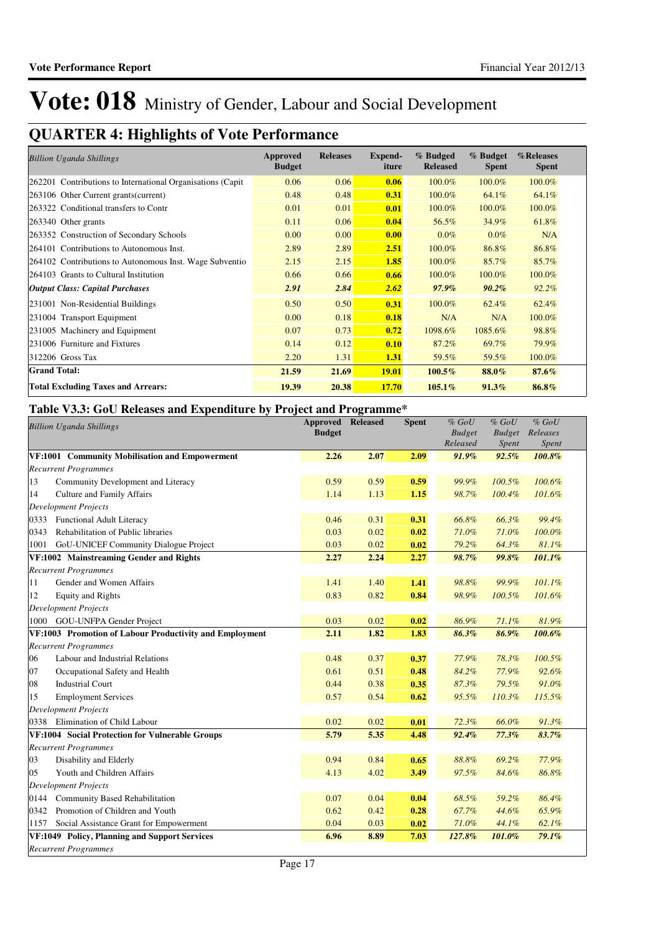## **QUARTER 4: Highlights of Vote Performance**

| <b>Billion Uganda Shillings</b>                             | <b>Approved</b><br><b>Budget</b> | <b>Releases</b> | <b>Expend-</b><br>iture | % Budged<br><b>Released</b> | % Budget<br><b>Spent</b> | %Releases<br><b>Spent</b> |
|-------------------------------------------------------------|----------------------------------|-----------------|-------------------------|-----------------------------|--------------------------|---------------------------|
| 262201 Contributions to International Organisations (Capit) | 0.06                             | 0.06            | 0.06                    | 100.0%                      | 100.0%                   | 100.0%                    |
| 263106 Other Current grants (current)                       | 0.48                             | 0.48            | 0.31                    | 100.0%                      | 64.1%                    | 64.1%                     |
| 263322 Conditional transfers to Contr                       | 0.01                             | 0.01            | 0.01                    | 100.0%                      | 100.0%                   | 100.0%                    |
| 263340 Other grants                                         | 0.11                             | 0.06            | 0.04                    | 56.5%                       | 34.9%                    | 61.8%                     |
| 263352 Construction of Secondary Schools                    | 0.00                             | 0.00            | 0.00                    | $0.0\%$                     | $0.0\%$                  | N/A                       |
| 264101 Contributions to Autonomous Inst.                    | 2.89                             | 2.89            | 2.51                    | 100.0%                      | 86.8%                    | 86.8%                     |
| 264102 Contributions to Autonomous Inst. Wage Subventio     | 2.15                             | 2.15            | 1.85                    | 100.0%                      | 85.7%                    | 85.7%                     |
| 264103 Grants to Cultural Institution                       | 0.66                             | 0.66            | 0.66                    | 100.0%                      | 100.0%                   | 100.0%                    |
| <b>Output Class: Capital Purchases</b>                      | 2.91                             | 2.84            | 2.62                    | $97.9\%$                    | $90.2\%$                 | $92.2\%$                  |
| 231001 Non-Residential Buildings                            | 0.50                             | 0.50            | 0.31                    | 100.0%                      | 62.4%                    | 62.4%                     |
| 231004 Transport Equipment                                  | 0.00                             | 0.18            | 0.18                    | N/A                         | N/A                      | 100.0%                    |
| 231005 Machinery and Equipment                              | 0.07                             | 0.73            | 0.72                    | 1098.6%                     | 1085.6%                  | 98.8%                     |
| 231006 Furniture and Fixtures                               | 0.14                             | 0.12            | 0.10                    | 87.2%                       | 69.7%                    | 79.9%                     |
| 312206 Gross Tax                                            | 2.20                             | 1.31            | 1.31                    | 59.5%                       | 59.5%                    | 100.0%                    |
| <b>Grand Total:</b>                                         | 21.59                            | 21.69           | <b>19.01</b>            | 100.5%                      | 88.0%                    | 87.6%                     |
| <b>Total Excluding Taxes and Arrears:</b>                   | 19.39                            | 20.38           | 17.70                   | $105.1\%$                   | 91.3%                    | 86.8%                     |

### **Table V3.3: GoU Releases and Expenditure by Project and Programme\***

|      | <b>Billion Uganda Shillings</b>                         | Approved<br><b>Budget</b> | <b>Released</b> | <b>Spent</b> | $%$ $GoU$<br><b>Budget</b><br>Released | $%$ $GoU$<br><b>Budget</b><br>Spent | $%$ $GoU$<br>Releases<br>Spent |
|------|---------------------------------------------------------|---------------------------|-----------------|--------------|----------------------------------------|-------------------------------------|--------------------------------|
|      | VF:1001 Community Mobilisation and Empowerment          | 2.26                      | 2.07            | 2.09         | 91.9%                                  | 92.5%                               | 100.8%                         |
|      | <b>Recurrent Programmes</b>                             |                           |                 |              |                                        |                                     |                                |
| 13   | Community Development and Literacy                      | 0.59                      | 0.59            | 0.59         | 99.9%                                  | 100.5%                              | 100.6%                         |
| 14   | Culture and Family Affairs                              | 1.14                      | 1.13            | 1.15         | 98.7%                                  | $100.4\%$                           | 101.6%                         |
|      | <b>Development Projects</b>                             |                           |                 |              |                                        |                                     |                                |
|      | 0333 Functional Adult Literacy                          | 0.46                      | 0.31            | 0.31         | 66.8%                                  | 66.3%                               | 99.4%                          |
| 0343 | Rehabilitation of Public libraries                      | 0.03                      | 0.02            | 0.02         | 71.0%                                  | 71.0%                               | 100.0%                         |
| 1001 | GoU-UNICEF Community Dialogue Project                   | 0.03                      | 0.02            | 0.02         | 79.2%                                  | 64.3%                               | 81.1%                          |
|      | VF:1002 Mainstreaming Gender and Rights                 | 2.27                      | 2.24            | 2.27         | 98.7%                                  | 99.8%                               | 101.1%                         |
|      | <b>Recurrent Programmes</b>                             |                           |                 |              |                                        |                                     |                                |
| 11   | Gender and Women Affairs                                | 1.41                      | 1.40            | 1.41         | 98.8%                                  | 99.9%                               | $101.1\%$                      |
| 12   | <b>Equity and Rights</b>                                | 0.83                      | 0.82            | 0.84         | 98.9%                                  | 100.5%                              | 101.6%                         |
|      | <b>Development Projects</b>                             |                           |                 |              |                                        |                                     |                                |
|      | 1000 GOU-UNFPA Gender Project                           | 0.03                      | 0.02            | 0.02         | 86.9%                                  | 71.1%                               | 81.9%                          |
|      | VF:1003 Promotion of Labour Productivity and Employment | 2.11                      | 1.82            | 1.83         | 86.3%                                  | 86.9%                               | 100.6%                         |
|      | <b>Recurrent Programmes</b>                             |                           |                 |              |                                        |                                     |                                |
| 06   | Labour and Industrial Relations                         | 0.48                      | 0.37            | 0.37         | 77.9%                                  | 78.3%                               | 100.5%                         |
| 07   | Occupational Safety and Health                          | 0.61                      | 0.51            | 0.48         | 84.2%                                  | 77.9%                               | 92.6%                          |
| 08   | <b>Industrial Court</b>                                 | 0.44                      | 0.38            | 0.35         | 87.3%                                  | 79.5%                               | 91.0%                          |
| 15   | <b>Employment Services</b>                              | 0.57                      | 0.54            | 0.62         | 95.5%                                  | 110.3%                              | 115.5%                         |
|      | <b>Development Projects</b>                             |                           |                 |              |                                        |                                     |                                |
|      | 0338 Elimination of Child Labour                        | 0.02                      | 0.02            | 0.01         | 72.3%                                  | 66.0%                               | 91.3%                          |
|      | VF:1004 Social Protection for Vulnerable Groups         | 5.79                      | 5.35            | 4.48         | 92.4%                                  | 77.3%                               | 83.7%                          |
|      | <b>Recurrent Programmes</b>                             |                           |                 |              |                                        |                                     |                                |
| 03   | Disability and Elderly                                  | 0.94                      | 0.84            | 0.65         | 88.8%                                  | 69.2%                               | 77.9%                          |
| 05   | Youth and Children Affairs                              | 4.13                      | 4.02            | 3.49         | 97.5%                                  | 84.6%                               | 86.8%                          |
|      | <b>Development Projects</b>                             |                           |                 |              |                                        |                                     |                                |
|      | 0144 Community Based Rehabilitation                     | 0.07                      | 0.04            | 0.04         | 68.5%                                  | 59.2%                               | 86.4%                          |
| 0342 | Promotion of Children and Youth                         | 0.62                      | 0.42            | 0.28         | 67.7%                                  | 44.6%                               | 65.9%                          |
| 1157 | Social Assistance Grant for Empowerment                 | 0.04                      | 0.03            | 0.02         | 71.0%                                  | 44.1%                               | 62.1%                          |
|      | VF:1049 Policy, Planning and Support Services           | 6.96                      | 8.89            | 7.03         | 127.8%                                 | 101.0%                              | 79.1%                          |
|      | <b>Recurrent Programmes</b>                             |                           |                 |              |                                        |                                     |                                |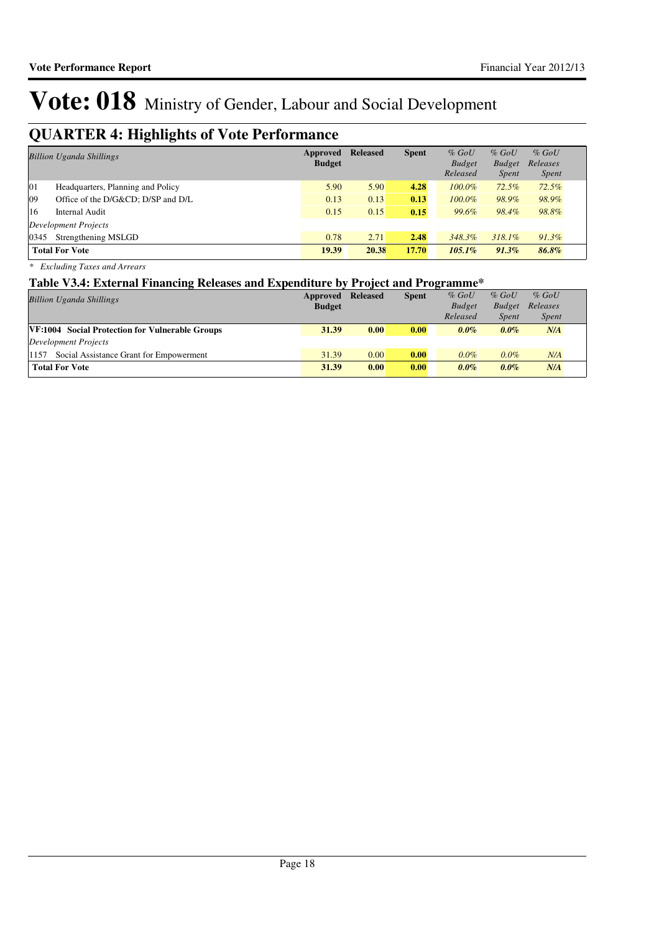## **QUARTER 4: Highlights of Vote Performance**

| <b>Billion Uganda Shillings</b>         | Approved<br><b>Budget</b> | <b>Released</b> | <b>Spent</b> | $%$ GoU<br><b>Budget</b><br>Released | $%$ GoU<br><b>Budget</b><br><i>Spent</i> | $%$ GoU<br>Releases<br><i>Spent</i> |
|-----------------------------------------|---------------------------|-----------------|--------------|--------------------------------------|------------------------------------------|-------------------------------------|
| 01<br>Headquarters, Planning and Policy | 5.90                      | 5.90            | 4.28         | $100.0\%$                            | 72.5%                                    | 72.5%                               |
| 09<br>Office of the D/G&CD D/SP and D/L | 0.13                      | 0.13            | 0.13         | $100.0\%$                            | 98.9%                                    | 98.9%                               |
| 16<br>Internal Audit                    | 0.15                      | 0.15            | 0.15         | 99.6%                                | 98.4%                                    | 98.8%                               |
| Development Projects                    |                           |                 |              |                                      |                                          |                                     |
| Strengthening MSLGD<br>0345             | 0.78                      | 2.71            | 2.48         | 348.3%                               | $318.1\%$                                | $91.3\%$                            |
| <b>Total For Vote</b>                   | 19.39                     | 20.38           | 17.70        | $105.1\%$                            | $91.3\%$                                 | 86.8%                               |

*\* Excluding Taxes and Arrears*

### **Table V3.4: External Financing Releases and Expenditure by Project and Programme\***

| <b>Billion Uganda Shillings</b>                 | Approved<br><b>Budget</b> | <b>Released</b> | <b>Spent</b> | $%$ GoU<br><b>Budget</b><br>Released | $%$ GoU<br><b>Budget</b><br><b>Spent</b> | $%$ GoU<br>Releases<br><i>Spent</i> |
|-------------------------------------------------|---------------------------|-----------------|--------------|--------------------------------------|------------------------------------------|-------------------------------------|
| VF:1004 Social Protection for Vulnerable Groups | 31.39                     | 0.00            | 0.00         | $0.0\%$                              | $0.0\%$                                  | N/A                                 |
| Development Projects                            |                           |                 |              |                                      |                                          |                                     |
| Social Assistance Grant for Empowerment<br>1157 | 31.39                     | 0.00            | 0.00         | $0.0\%$                              | $0.0\%$                                  | N/A                                 |
| <b>Total For Vote</b>                           | 31.39                     | 0.00            | 0.00         | $0.0\%$                              | $0.0\%$                                  | N/A                                 |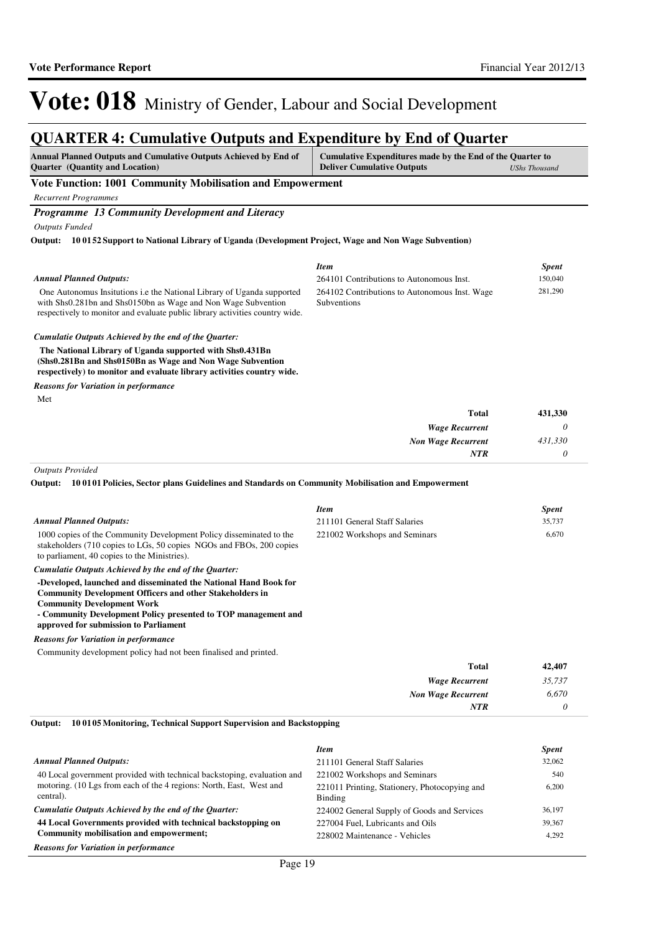### **QUARTER 4: Cumulative Outputs and Expenditure by End of Quarter**

| Annual Planned Outputs and Cumulative Outputs Achieved by End of<br>Cumulative Expenditures made by the End of the Quarter to<br><b>Quarter</b> (Quantity and Location)<br><b>Deliver Cumulative Outputs</b><br><b>UShs Thousand</b> |                                                              |              |  |  |  |
|--------------------------------------------------------------------------------------------------------------------------------------------------------------------------------------------------------------------------------------|--------------------------------------------------------------|--------------|--|--|--|
| <b>Vote Function: 1001 Community Mobilisation and Empowerment</b>                                                                                                                                                                    |                                                              |              |  |  |  |
| <b>Recurrent Programmes</b>                                                                                                                                                                                                          |                                                              |              |  |  |  |
| Programme 13 Community Development and Literacy                                                                                                                                                                                      |                                                              |              |  |  |  |
| <b>Outputs Funded</b>                                                                                                                                                                                                                |                                                              |              |  |  |  |
| 10 01 52 Support to National Library of Uganda (Development Project, Wage and Non Wage Subvention)<br>Output:                                                                                                                        |                                                              |              |  |  |  |
|                                                                                                                                                                                                                                      | <b>Item</b>                                                  | <b>Spent</b> |  |  |  |
| <b>Annual Planned Outputs:</b>                                                                                                                                                                                                       | 264101 Contributions to Autonomous Inst.                     | 150,040      |  |  |  |
| One Autonomus Insitutions <i>i.e.</i> the National Library of Uganda supported<br>with Shs0.281bn and Shs0150bn as Wage and Non Wage Subvention<br>respectively to monitor and evaluate public library activities country wide.      | 264102 Contributions to Autonomous Inst. Wage<br>Subventions | 281,290      |  |  |  |
| Cumulatie Outputs Achieved by the end of the Quarter:                                                                                                                                                                                |                                                              |              |  |  |  |
| The National Library of Uganda supported with Shs0.431Bn<br>(Shs0.281Bn and Shs0150Bn as Wage and Non Wage Subvention<br>respectively) to monitor and evaluate library activities country wide.                                      |                                                              |              |  |  |  |
| <b>Reasons for Variation in performance</b>                                                                                                                                                                                          |                                                              |              |  |  |  |
| Met                                                                                                                                                                                                                                  |                                                              |              |  |  |  |
|                                                                                                                                                                                                                                      | <b>Total</b>                                                 | 431,330      |  |  |  |
|                                                                                                                                                                                                                                      | <b>Wage Recurrent</b>                                        | $\theta$     |  |  |  |
|                                                                                                                                                                                                                                      | <b>Non Wage Recurrent</b>                                    | 431,330      |  |  |  |
|                                                                                                                                                                                                                                      | NTR                                                          | 0            |  |  |  |
| <b>Outputs Provided</b>                                                                                                                                                                                                              |                                                              |              |  |  |  |
| Output:<br>100101 Policies, Sector plans Guidelines and Standards on Community Mobilisation and Empowerment                                                                                                                          |                                                              |              |  |  |  |
|                                                                                                                                                                                                                                      | <b>Item</b>                                                  | <b>Spent</b> |  |  |  |
| <b>Annual Planned Outputs:</b>                                                                                                                                                                                                       | 211101 General Staff Salaries                                | 35,737       |  |  |  |
| 1000 copies of the Community Development Policy disseminated to the<br>stakeholders (710 copies to LGs, 50 copies NGOs and FBOs, 200 copies<br>to parliament, 40 copies to the Ministries).                                          | 221002 Workshops and Seminars                                | 6,670        |  |  |  |

*Cumulatie Outputs Achieved by the end of the Quarter:*

**-Developed, launched and disseminated the National Hand Book for Community Development Officers and other Stakeholders in Community Development Work**

**- Community Development Policy presented to TOP management and approved for submission to Parliament**

*Reasons for Variation in performance*

Community development policy had not been finalised and printed.

| 35,737 |
|--------|
|        |
|        |
|        |

#### **10 0105 Monitoring, Technical Support Supervision and Backstopping Output:**

|                                                                                  | <b>Item</b>                                              | <b>Spent</b> |
|----------------------------------------------------------------------------------|----------------------------------------------------------|--------------|
| <b>Annual Planned Outputs:</b>                                                   | 211101 General Staff Salaries                            | 32,062       |
| 40 Local government provided with technical backstoping, evaluation and          | 221002 Workshops and Seminars                            | 540          |
| motoring. (10 Lgs from each of the 4 regions: North, East, West and<br>central). | 221011 Printing, Stationery, Photocopying and<br>Binding | 6,200        |
| Cumulatie Outputs Achieved by the end of the Quarter:                            | 224002 General Supply of Goods and Services              | 36,197       |
| 44 Local Governments provided with technical backstopping on                     | 227004 Fuel, Lubricants and Oils                         | 39,367       |
| Community mobilisation and empowerment;                                          | 228002 Maintenance - Vehicles                            | 4,292        |
| <b>Reasons for Variation in performance</b>                                      |                                                          |              |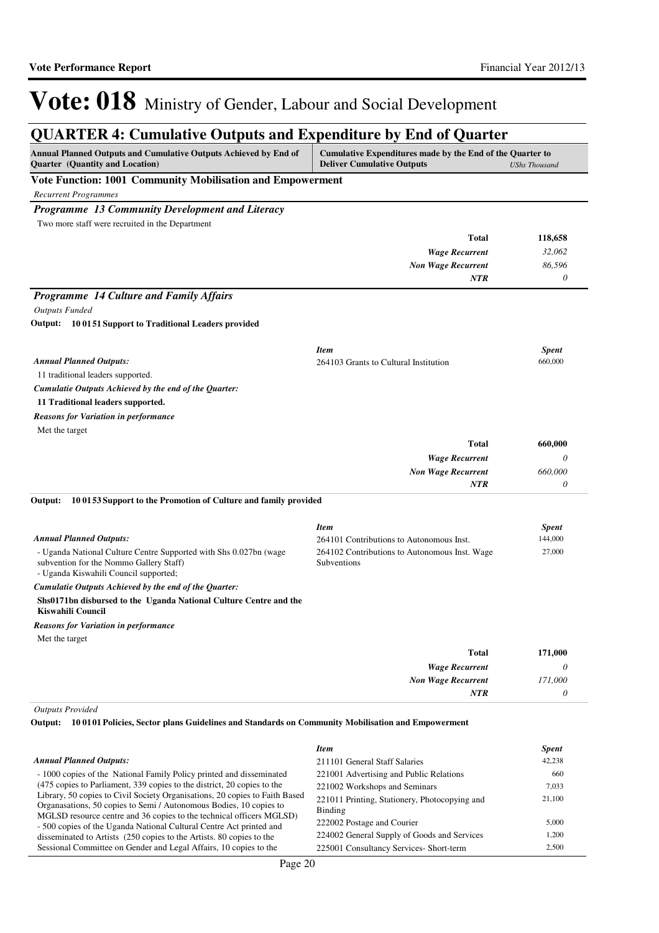## **QUARTER 4: Cumulative Outputs and Expenditure by End of Quarter**

| Annual Planned Outputs and Cumulative Outputs Achieved by End of<br>Quarter (Quantity and Location)                                                    | Cumulative Expenditures made by the End of the Quarter to<br><b>Deliver Cumulative Outputs</b> | <b>UShs Thousand</b> |
|--------------------------------------------------------------------------------------------------------------------------------------------------------|------------------------------------------------------------------------------------------------|----------------------|
| Vote Function: 1001 Community Mobilisation and Empowerment                                                                                             |                                                                                                |                      |
| <b>Recurrent Programmes</b>                                                                                                                            |                                                                                                |                      |
| Programme 13 Community Development and Literacy                                                                                                        |                                                                                                |                      |
| Two more staff were recruited in the Department                                                                                                        |                                                                                                |                      |
|                                                                                                                                                        | <b>Total</b>                                                                                   | 118,658              |
|                                                                                                                                                        | <b>Wage Recurrent</b>                                                                          | 32,062               |
|                                                                                                                                                        | <b>Non Wage Recurrent</b>                                                                      | 86,596               |
|                                                                                                                                                        | <b>NTR</b>                                                                                     | $\theta$             |
| Programme 14 Culture and Family Affairs                                                                                                                |                                                                                                |                      |
| <b>Outputs Funded</b>                                                                                                                                  |                                                                                                |                      |
| Output: 10 0151 Support to Traditional Leaders provided                                                                                                |                                                                                                |                      |
|                                                                                                                                                        |                                                                                                |                      |
|                                                                                                                                                        | <b>Item</b>                                                                                    | <b>Spent</b>         |
| <b>Annual Planned Outputs:</b>                                                                                                                         | 264103 Grants to Cultural Institution                                                          | 660,000              |
| 11 traditional leaders supported.                                                                                                                      |                                                                                                |                      |
| Cumulatie Outputs Achieved by the end of the Quarter:                                                                                                  |                                                                                                |                      |
| 11 Traditional leaders supported.                                                                                                                      |                                                                                                |                      |
| <b>Reasons for Variation in performance</b>                                                                                                            |                                                                                                |                      |
| Met the target                                                                                                                                         |                                                                                                |                      |
|                                                                                                                                                        | <b>Total</b>                                                                                   | 660,000              |
|                                                                                                                                                        | <b>Wage Recurrent</b>                                                                          | 0                    |
|                                                                                                                                                        | <b>Non Wage Recurrent</b><br><b>NTR</b>                                                        | 660,000<br>0         |
| Output:<br>100153 Support to the Promotion of Culture and family provided                                                                              | <b>Item</b>                                                                                    | <b>Spent</b>         |
| <b>Annual Planned Outputs:</b>                                                                                                                         | 264101 Contributions to Autonomous Inst.                                                       | 144,000              |
| - Uganda National Culture Centre Supported with Shs 0.027bn (wage<br>subvention for the Nommo Gallery Staff)<br>- Uganda Kiswahili Council supported;  | 264102 Contributions to Autonomous Inst. Wage<br>Subventions                                   | 27,000               |
| Cumulatie Outputs Achieved by the end of the Quarter:                                                                                                  |                                                                                                |                      |
| Shs0171bn disbursed to the Uganda National Culture Centre and the<br>Kiswahili Council                                                                 |                                                                                                |                      |
| <b>Reasons for Variation in performance</b>                                                                                                            |                                                                                                |                      |
| Met the target                                                                                                                                         |                                                                                                |                      |
|                                                                                                                                                        | <b>Total</b>                                                                                   | 171,000              |
|                                                                                                                                                        | <b>Wage Recurrent</b>                                                                          | $\theta$             |
|                                                                                                                                                        | <b>Non Wage Recurrent</b>                                                                      | 171,000              |
|                                                                                                                                                        | NTR                                                                                            | 0                    |
| <b>Outputs Provided</b><br>100101 Policies, Sector plans Guidelines and Standards on Community Mobilisation and Empowerment<br>Output:                 |                                                                                                |                      |
|                                                                                                                                                        | <b>Item</b>                                                                                    | Spent                |
| <b>Annual Planned Outputs:</b>                                                                                                                         | 211101 General Staff Salaries                                                                  | 42,238               |
| - 1000 copies of the National Family Policy printed and disseminated                                                                                   | 221001 Advertising and Public Relations                                                        | 660                  |
| (475 copies to Parliament, 339 copies to the district, 20 copies to the<br>Library, 50 copies to Civil Society Organisations, 20 copies to Faith Based | 221002 Workshops and Seminars                                                                  | 7,033                |
| Organasations, 50 copies to Semi / Autonomous Bodies, 10 copies to<br>MGLSD resource centre and 36 copies to the technical officers MGLSD)             | 221011 Printing, Stationery, Photocopying and<br><b>Binding</b>                                | 21,100               |
| - 500 copies of the Uganda National Cultural Centre Act printed and                                                                                    | 222002 Postage and Courier                                                                     | 5,000                |

224002 General Supply of Goods and Services 1,200 225001 Consultancy Services- Short-term 2,500

disseminated to Artists (250 copies to the Artists. 80 copies to the Sessional Committee on Gender and Legal Affairs, 10 copies to the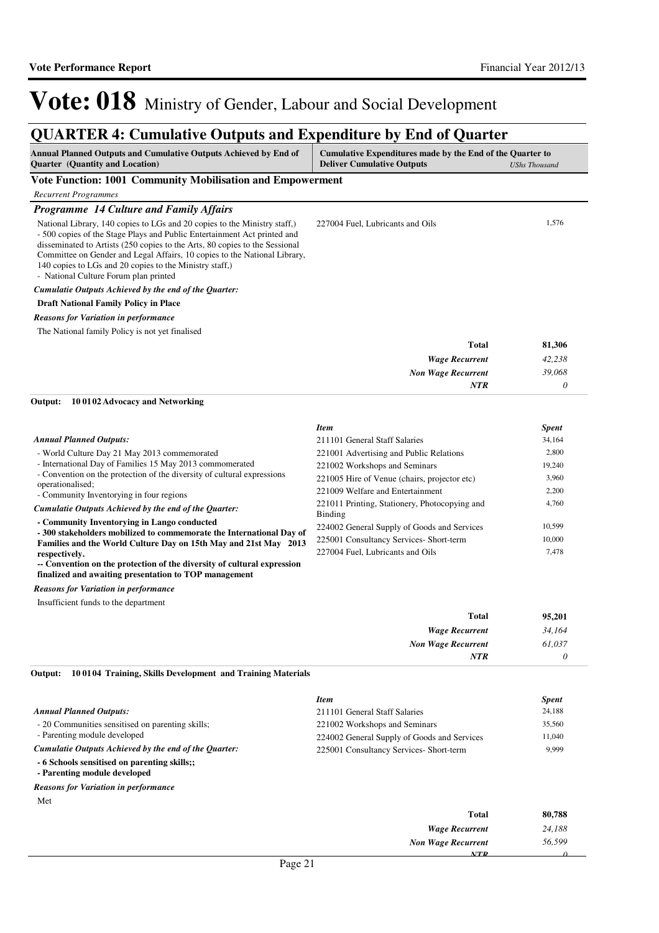*0*

*NTR*

# Vote: 018 Ministry of Gender, Labour and Social Development

### **QUARTER 4: Cumulative Outputs and Expenditure by End of Quarter**

| Annual Planned Outputs and Cumulative Outputs Achieved by End of<br><b>Quarter</b> (Quantity and Location)                                                                                                                                                                                                                                                                                                            | Cumulative Expenditures made by the End of the Quarter to<br><b>Deliver Cumulative Outputs</b> | <b>UShs Thousand</b> |
|-----------------------------------------------------------------------------------------------------------------------------------------------------------------------------------------------------------------------------------------------------------------------------------------------------------------------------------------------------------------------------------------------------------------------|------------------------------------------------------------------------------------------------|----------------------|
| Vote Function: 1001 Community Mobilisation and Empowerment                                                                                                                                                                                                                                                                                                                                                            |                                                                                                |                      |
| <b>Recurrent Programmes</b>                                                                                                                                                                                                                                                                                                                                                                                           |                                                                                                |                      |
| <b>Programme 14 Culture and Family Affairs</b>                                                                                                                                                                                                                                                                                                                                                                        |                                                                                                |                      |
| National Library, 140 copies to LGs and 20 copies to the Ministry staff,)<br>- 500 copies of the Stage Plays and Public Entertainment Act printed and<br>disseminated to Artists (250 copies to the Arts, 80 copies to the Sessional<br>Committee on Gender and Legal Affairs, 10 copies to the National Library,<br>140 copies to LGs and 20 copies to the Ministry staff,)<br>- National Culture Forum plan printed | 227004 Fuel, Lubricants and Oils                                                               | 1,576                |
| Cumulatie Outputs Achieved by the end of the Quarter:                                                                                                                                                                                                                                                                                                                                                                 |                                                                                                |                      |
| <b>Draft National Family Policy in Place</b>                                                                                                                                                                                                                                                                                                                                                                          |                                                                                                |                      |
| <b>Reasons for Variation in performance</b>                                                                                                                                                                                                                                                                                                                                                                           |                                                                                                |                      |
| The National family Policy is not yet finalised                                                                                                                                                                                                                                                                                                                                                                       |                                                                                                |                      |
|                                                                                                                                                                                                                                                                                                                                                                                                                       | <b>Total</b>                                                                                   | 81,306               |
|                                                                                                                                                                                                                                                                                                                                                                                                                       | <b>Wage Recurrent</b>                                                                          | 42,238               |
|                                                                                                                                                                                                                                                                                                                                                                                                                       | <b>Non Wage Recurrent</b>                                                                      | 39,068               |
|                                                                                                                                                                                                                                                                                                                                                                                                                       | NTR                                                                                            | 0                    |
| Output:<br>100102 Advocacy and Networking                                                                                                                                                                                                                                                                                                                                                                             |                                                                                                |                      |
|                                                                                                                                                                                                                                                                                                                                                                                                                       | <b>Item</b>                                                                                    | Spent                |
| <b>Annual Planned Outputs:</b>                                                                                                                                                                                                                                                                                                                                                                                        | 211101 General Staff Salaries                                                                  | 34,164               |
| - World Culture Day 21 May 2013 commemorated                                                                                                                                                                                                                                                                                                                                                                          | 221001 Advertising and Public Relations                                                        | 2,800                |
| - International Day of Families 15 May 2013 commomerated<br>- Convention on the protection of the diversity of cultural expressions                                                                                                                                                                                                                                                                                   | 221002 Workshops and Seminars                                                                  | 19,240               |
| operationalised;                                                                                                                                                                                                                                                                                                                                                                                                      | 221005 Hire of Venue (chairs, projector etc)                                                   | 3,960                |
| - Community Inventorying in four regions                                                                                                                                                                                                                                                                                                                                                                              | 221009 Welfare and Entertainment                                                               | 2,200                |
| Cumulatie Outputs Achieved by the end of the Quarter:                                                                                                                                                                                                                                                                                                                                                                 | 221011 Printing, Stationery, Photocopying and<br><b>Binding</b>                                | 4,760                |
| - Community Inventorying in Lango conducted                                                                                                                                                                                                                                                                                                                                                                           | 224002 General Supply of Goods and Services                                                    | 10,599               |
| - 300 stakeholders mobilized to commemorate the International Day of<br>Families and the World Culture Day on 15th May and 21st May 2013                                                                                                                                                                                                                                                                              | 225001 Consultancy Services- Short-term                                                        | 10,000               |
| respectively.                                                                                                                                                                                                                                                                                                                                                                                                         | 227004 Fuel, Lubricants and Oils                                                               | 7,478                |
| -- Convention on the protection of the diversity of cultural expression<br>finalized and awaiting presentation to TOP management                                                                                                                                                                                                                                                                                      |                                                                                                |                      |
| <b>Reasons for Variation in performance</b>                                                                                                                                                                                                                                                                                                                                                                           |                                                                                                |                      |
| Insufficient funds to the department                                                                                                                                                                                                                                                                                                                                                                                  |                                                                                                |                      |

| 95,201 | <b>Total</b>              |
|--------|---------------------------|
| 34,164 | <b>Wage Recurrent</b>     |
| 61,037 | <b>Non Wage Recurrent</b> |
|        | <b>NTR</b>                |
|        |                           |

**10 0104 Training, Skills Development and Training Materials Output:**

|                                                                              | <b>Item</b>                                 | <b>Spent</b> |
|------------------------------------------------------------------------------|---------------------------------------------|--------------|
| <b>Annual Planned Outputs:</b>                                               | 211101 General Staff Salaries               | 24,188       |
| - 20 Communities sensitised on parenting skills;                             | 221002 Workshops and Seminars               | 35,560       |
| - Parenting module developed                                                 | 224002 General Supply of Goods and Services | 11,040       |
| Cumulatie Outputs Achieved by the end of the Quarter:                        | 225001 Consultancy Services- Short-term     | 9,999        |
| - 6 Schools sensitised on parenting skills;;<br>- Parenting module developed |                                             |              |
| <b>Reasons for Variation in performance</b>                                  |                                             |              |
| Met                                                                          |                                             |              |
|                                                                              | Total                                       | 80,788       |
|                                                                              | <b>Wage Recurrent</b>                       | 24,188       |
|                                                                              | <b>Non Wage Recurrent</b>                   | 56.599       |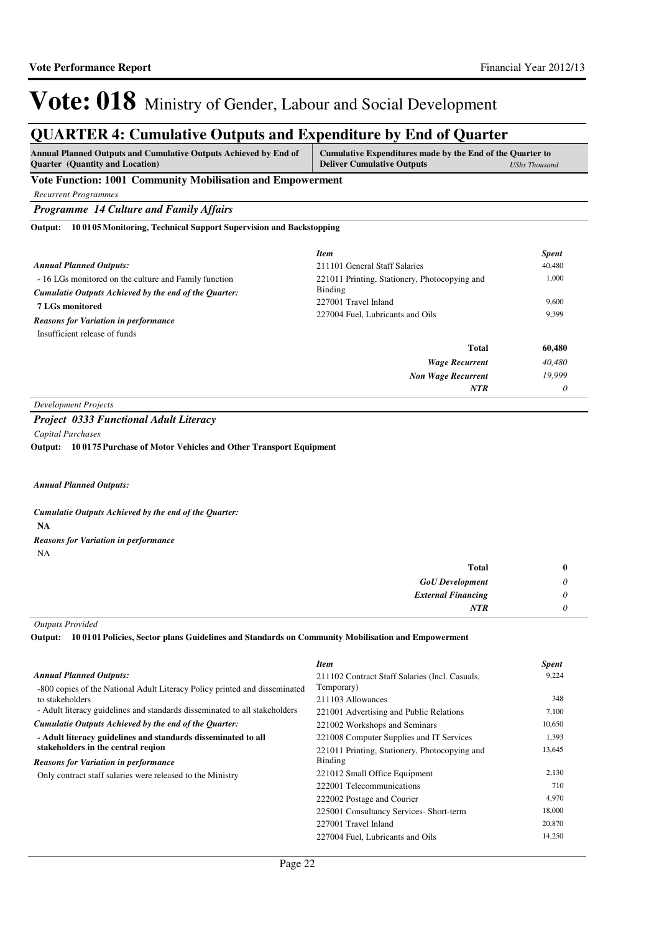### **QUARTER 4: Cumulative Outputs and Expenditure by End of Quarter**

| <b>Annual Planned Outputs and Cumulative Outputs Achieved by End of</b><br><b>Quarter</b> (Quantity and Location) | Cumulative Expenditures made by the End of the Quarter to<br><b>Deliver Cumulative Outputs</b> | <b>UShs Thousand</b> |
|-------------------------------------------------------------------------------------------------------------------|------------------------------------------------------------------------------------------------|----------------------|
| Vote Function: 1001 Community Mobilisation and Empowerment                                                        |                                                                                                |                      |
| <b>Recurrent Programmes</b>                                                                                       |                                                                                                |                      |
| <b>Programme 14 Culture and Family Affairs</b>                                                                    |                                                                                                |                      |
| 100105 Monitoring, Technical Support Supervision and Backstopping<br>Output:                                      |                                                                                                |                      |
|                                                                                                                   | <b>Item</b>                                                                                    | <b>Spent</b>         |
| <b>Annual Planned Outputs:</b>                                                                                    | 211101 General Staff Salaries                                                                  | 40,480               |
| - 16 LGs monitored on the culture and Family function                                                             | 221011 Printing, Stationery, Photocopying and                                                  | 1,000                |
| Cumulatie Outputs Achieved by the end of the Quarter:                                                             | <b>Binding</b>                                                                                 |                      |
| <b>7 LGs monitored</b>                                                                                            | 227001 Travel Inland                                                                           | 9.600                |
| <b>Reasons for Variation in performance</b>                                                                       | 227004 Fuel, Lubricants and Oils                                                               | 9.399                |
| Insufficient release of funds                                                                                     |                                                                                                |                      |
|                                                                                                                   | <b>Total</b>                                                                                   | 60,480               |
|                                                                                                                   | <b>Wage Recurrent</b>                                                                          | 40,480               |
|                                                                                                                   | <b>Non Wage Recurrent</b>                                                                      | 19,999               |
|                                                                                                                   | <b>NTR</b>                                                                                     | 0                    |

*Development Projects*

#### *Project 0333 Functional Adult Literacy*

*Capital Purchases*

**10 0175 Purchase of Motor Vehicles and Other Transport Equipment Output:**

#### *Annual Planned Outputs:*

**NA** *Cumulatie Outputs Achieved by the end of the Quarter:* NA *Reasons for Variation in performance*

| Total                     | $\bf{0}$              |
|---------------------------|-----------------------|
| <b>GoU</b> Development    | $\boldsymbol{\omega}$ |
| <b>External Financing</b> | 0                     |
| <b>NTR</b>                | 0                     |

*Outputs Provided*

**10 0101 Policies, Sector plans Guidelines and Standards on Community Mobilisation and Empowerment Output:**

|                                                                            | Item                                           | <b>Spent</b> |
|----------------------------------------------------------------------------|------------------------------------------------|--------------|
| <b>Annual Planned Outputs:</b>                                             | 211102 Contract Staff Salaries (Incl. Casuals, | 9,224        |
| -800 copies of the National Adult Literacy Policy printed and disseminated | Temporary)                                     |              |
| to stakeholders                                                            | 211103 Allowances                              | 348          |
| - Adult literacy guidelines and standards disseminated to all stakeholders | 221001 Advertising and Public Relations        | 7,100        |
| Cumulatie Outputs Achieved by the end of the Ouarter:                      | 221002 Workshops and Seminars                  | 10,650       |
| - Adult literacy guidelines and standards disseminated to all              | 221008 Computer Supplies and IT Services       | 1,393        |
| stakeholders in the central region                                         | 221011 Printing, Stationery, Photocopying and  | 13,645       |
| <b>Reasons for Variation in performance</b>                                | Binding                                        |              |
| Only contract staff salaries were released to the Ministry                 | 221012 Small Office Equipment                  | 2,130        |
|                                                                            | 222001 Telecommunications                      | 710          |
|                                                                            | 222002 Postage and Courier                     | 4,970        |
|                                                                            | 225001 Consultancy Services- Short-term        | 18,000       |
|                                                                            | 227001 Travel Inland                           | 20,870       |
|                                                                            | 227004 Fuel, Lubricants and Oils               | 14,250       |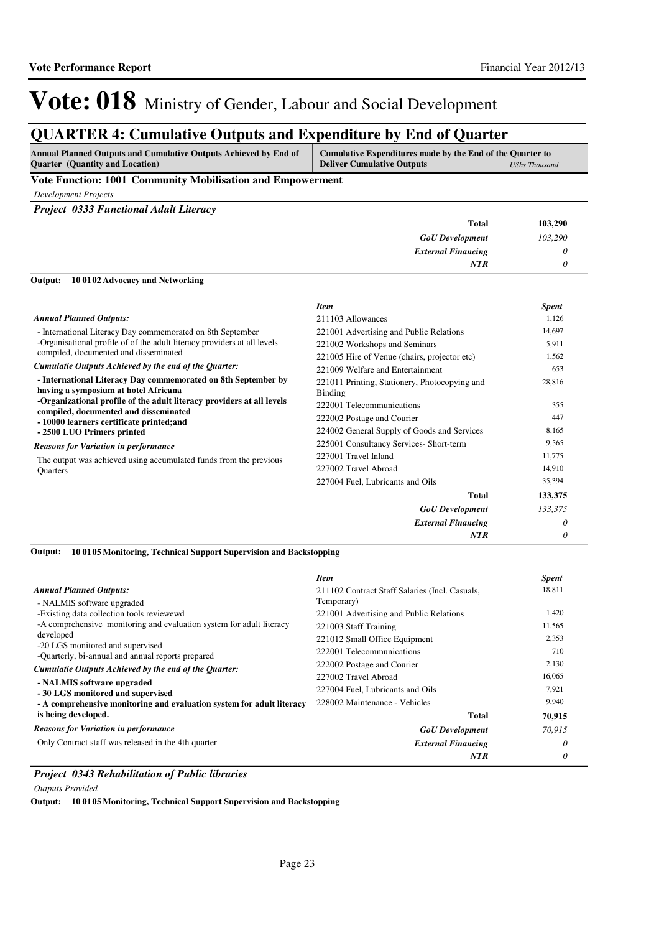*0*

*NTR*

# Vote: 018 Ministry of Gender, Labour and Social Development

## **QUARTER 4: Cumulative Outputs and Expenditure by End of Quarter**

| <b>Annual Planned Outputs and Cumulative Outputs Achieved by End of</b> | Cumulative Expenditures made by the End of the Quarter to |               |
|-------------------------------------------------------------------------|-----------------------------------------------------------|---------------|
| <b>Quarter</b> (Quantity and Location)                                  | <b>Deliver Cumulative Outputs</b>                         | UShs Thousand |

#### **Vote Function: 1001 Community Mobilisation and Empowerment**

*Development Projects*

*Project 0333 Functional Adult Literacy*

| <b>Total</b>              | 103,290 |
|---------------------------|---------|
| <b>GoU</b> Development    | 103,290 |
| <b>External Financing</b> |         |
| <b>NTR</b>                |         |
|                           |         |

#### **10 0102 Advocacy and Networking Output:**

|                                                                                                       | <b>Item</b>                                              | <b>Spent</b> |
|-------------------------------------------------------------------------------------------------------|----------------------------------------------------------|--------------|
| <b>Annual Planned Outputs:</b>                                                                        | 211103 Allowances                                        | 1,126        |
| - International Literacy Day commemorated on 8th September                                            | 221001 Advertising and Public Relations                  | 14,697       |
| -Organisational profile of of the adult literacy providers at all levels                              | 221002 Workshops and Seminars                            | 5,911        |
| compiled, documented and disseminated                                                                 | 221005 Hire of Venue (chairs, projector etc)             | 1,562        |
| Cumulatie Outputs Achieved by the end of the Quarter:                                                 | 221009 Welfare and Entertainment                         | 653          |
| - International Literacy Day commemorated on 8th September by<br>having a symposium at hotel Africana | 221011 Printing, Stationery, Photocopying and<br>Binding | 28,816       |
| -Organizational profile of the adult literacy providers at all levels                                 | 222001 Telecommunications                                | 355          |
| compiled, documented and disseminated<br>- 10000 learners certificate printed; and                    | 222002 Postage and Courier                               | 447          |
| - 2500 LUO Primers printed                                                                            | 224002 General Supply of Goods and Services              | 8,165        |
| <b>Reasons for Variation in performance</b>                                                           | 225001 Consultancy Services- Short-term                  | 9,565        |
| The output was achieved using accumulated funds from the previous<br>Quarters                         | 227001 Travel Inland                                     | 11,775       |
|                                                                                                       | 227002 Travel Abroad                                     | 14,910       |
|                                                                                                       | 227004 Fuel, Lubricants and Oils                         | 35,394       |
|                                                                                                       | Total                                                    | 133,375      |
|                                                                                                       | <b>GoU</b> Development                                   | 133,375      |
|                                                                                                       | <b>External Financing</b>                                | 0            |

#### **10 0105 Monitoring, Technical Support Supervision and Backstopping Output:**

|                                                                                       | <b>Item</b>                                    | <b>Spent</b> |
|---------------------------------------------------------------------------------------|------------------------------------------------|--------------|
| <b>Annual Planned Outputs:</b>                                                        | 211102 Contract Staff Salaries (Incl. Casuals, | 18,811       |
| - NALMIS software upgraded                                                            | Temporary)                                     |              |
| -Existing data collection tools reviewewd                                             | 221001 Advertising and Public Relations        | 1,420        |
| -A comprehensive monitoring and evaluation system for adult literacy                  | 221003 Staff Training                          | 11,565       |
| developed                                                                             | 221012 Small Office Equipment                  | 2,353        |
| -20 LGS monitored and supervised<br>-Quarterly, bi-annual and annual reports prepared | 222001 Telecommunications                      | 710          |
| Cumulatie Outputs Achieved by the end of the Quarter:                                 | 222002 Postage and Courier                     | 2,130        |
|                                                                                       | 227002 Travel Abroad                           | 16,065       |
| - NALMIS software upgraded<br>- 30 LGS monitored and supervised                       | 227004 Fuel, Lubricants and Oils               | 7.921        |
| - A comprehensive monitoring and evaluation system for adult literacy                 | 228002 Maintenance - Vehicles                  | 9,940        |
| is being developed.                                                                   | Total                                          | 70.915       |
| <b>Reasons for Variation in performance</b>                                           | <b>GoU</b> Development                         | 70.915       |
| Only Contract staff was released in the 4th quarter                                   | <b>External Financing</b>                      | 0            |
|                                                                                       | <b>NTR</b>                                     | 0            |

#### *Project 0343 Rehabilitation of Public libraries*

#### *Outputs Provided*

**Output: 10 0105 Monitoring, Technical Support Supervision and Backstopping**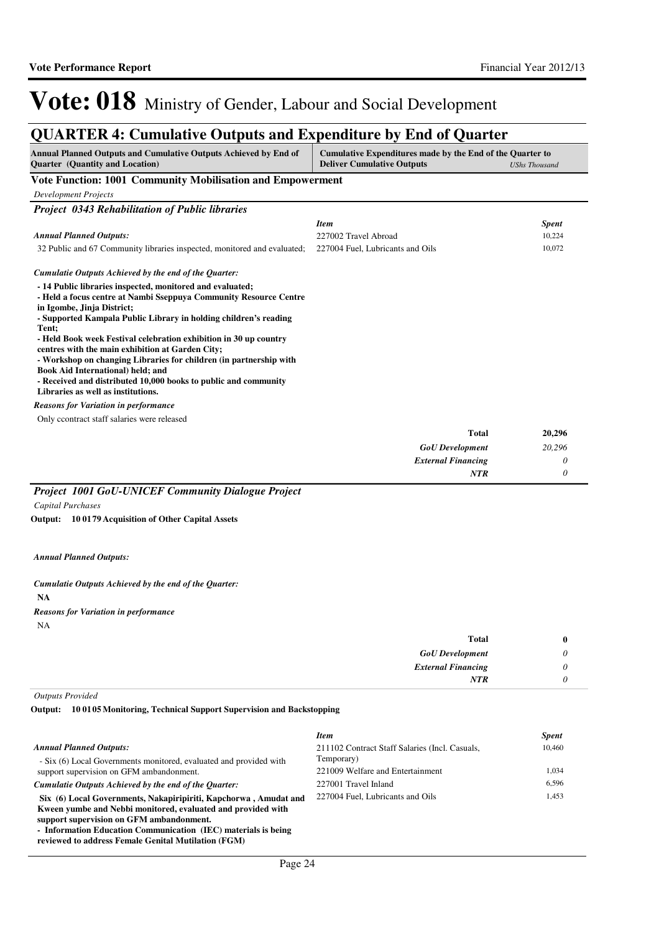*0*

*NTR*

# Vote: 018 Ministry of Gender, Labour and Social Development

## **QUARTER 4: Cumulative Outputs and Expenditure by End of Quarter**

| <b>Annual Planned Outputs and Cumulative Outputs Achieved by End of</b><br><b>Quarter</b> (Quantity and Location)                                                                                                                                                                                                                                                                                                                                                                                                                                                                      | Cumulative Expenditures made by the End of the Quarter to<br><b>Deliver Cumulative Outputs</b> | <b>UShs Thousand</b> |
|----------------------------------------------------------------------------------------------------------------------------------------------------------------------------------------------------------------------------------------------------------------------------------------------------------------------------------------------------------------------------------------------------------------------------------------------------------------------------------------------------------------------------------------------------------------------------------------|------------------------------------------------------------------------------------------------|----------------------|
| <b>Vote Function: 1001 Community Mobilisation and Empowerment</b>                                                                                                                                                                                                                                                                                                                                                                                                                                                                                                                      |                                                                                                |                      |
| <b>Development Projects</b>                                                                                                                                                                                                                                                                                                                                                                                                                                                                                                                                                            |                                                                                                |                      |
| <b>Project 0343 Rehabilitation of Public libraries</b>                                                                                                                                                                                                                                                                                                                                                                                                                                                                                                                                 |                                                                                                |                      |
|                                                                                                                                                                                                                                                                                                                                                                                                                                                                                                                                                                                        | <b>Item</b>                                                                                    | <b>Spent</b>         |
| <b>Annual Planned Outputs:</b>                                                                                                                                                                                                                                                                                                                                                                                                                                                                                                                                                         | 227002 Travel Abroad                                                                           | 10,224               |
| 32 Public and 67 Community libraries inspected, monitored and evaluated;                                                                                                                                                                                                                                                                                                                                                                                                                                                                                                               | 227004 Fuel, Lubricants and Oils                                                               | 10,072               |
| Cumulatie Outputs Achieved by the end of the Quarter:                                                                                                                                                                                                                                                                                                                                                                                                                                                                                                                                  |                                                                                                |                      |
| - 14 Public libraries inspected, monitored and evaluated;<br>- Held a focus centre at Nambi Sseppuya Community Resource Centre<br>in Igombe, Jinja District;<br>- Supported Kampala Public Library in holding children's reading<br>Tent:<br>- Held Book week Festival celebration exhibition in 30 up country<br>centres with the main exhibition at Garden City;<br>- Workshop on changing Libraries for children (in partnership with<br>Book Aid International) held; and<br>- Received and distributed 10,000 books to public and community<br>Libraries as well as institutions. |                                                                                                |                      |
| <b>Reasons for Variation in performance</b>                                                                                                                                                                                                                                                                                                                                                                                                                                                                                                                                            |                                                                                                |                      |
| Only ccontract staff salaries were released                                                                                                                                                                                                                                                                                                                                                                                                                                                                                                                                            |                                                                                                |                      |
|                                                                                                                                                                                                                                                                                                                                                                                                                                                                                                                                                                                        | <b>Total</b>                                                                                   | 20,296               |
|                                                                                                                                                                                                                                                                                                                                                                                                                                                                                                                                                                                        | <b>GoU</b> Development                                                                         | 20,296               |
|                                                                                                                                                                                                                                                                                                                                                                                                                                                                                                                                                                                        | <b>External Financing</b>                                                                      | 0                    |

*Project 1001 GoU-UNICEF Community Dialogue Project Capital Purchases*

**10 0179 Acquisition of Other Capital Assets Output:**

#### *Annual Planned Outputs:*

**NA** *Cumulatie Outputs Achieved by the end of the Quarter:* NA *Reasons for Variation in performance*

| <b>Total</b>              | $\bf{0}$ |
|---------------------------|----------|
| <b>GoU</b> Development    | 0        |
| <b>External Financing</b> | 0        |
| <b>NTR</b>                | 0        |

*Outputs Provided*

**10 0105 Monitoring, Technical Support Supervision and Backstopping Output:**

|                                                                    | <b>Item</b>                                    | <i>Spent</i> |
|--------------------------------------------------------------------|------------------------------------------------|--------------|
| <b>Annual Planned Outputs:</b>                                     | 211102 Contract Staff Salaries (Incl. Casuals, | 10,460       |
| - Six (6) Local Governments monitored, evaluated and provided with | Temporary)                                     |              |
| support supervision on GFM ambandonment.                           | 221009 Welfare and Entertainment               | 1.034        |
| Cumulatie Outputs Achieved by the end of the Ouarter:              | 227001 Travel Inland                           | 6.596        |
| Six (6) Local Governments, Nakapiripiriti, Kapchorwa, Amudat and   | 227004 Fuel, Lubricants and Oils               | 1.453        |
| Kween vumbe and Nebbi monitored, evaluated and provided with       |                                                |              |
| support supervision on GFM ambandonment.                           |                                                |              |
| - Information Education Communication (IEC) materials is being     |                                                |              |

**reviewed to address Female Genital Mutilation (FGM)**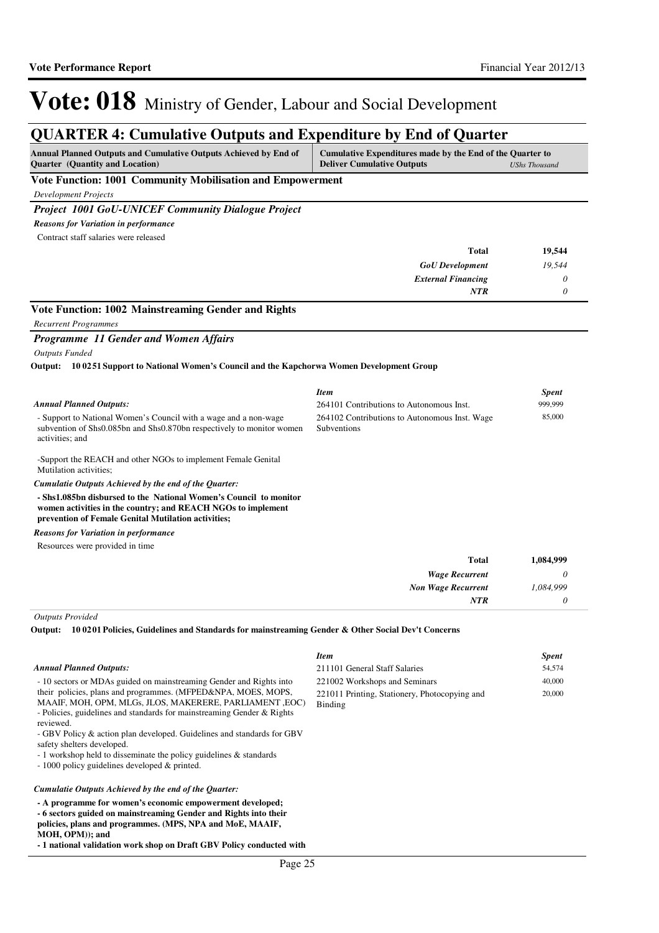### **QUARTER 4: Cumulative Outputs and Expenditure by End of Quarter**

| Annual Planned Outputs and Cumulative Outputs Achieved by End of<br><b>Quarter</b> (Quantity and Location)                                                                               | Cumulative Expenditures made by the End of the Quarter to<br><b>Deliver Cumulative Outputs</b> | <b>UShs Thousand</b> |
|------------------------------------------------------------------------------------------------------------------------------------------------------------------------------------------|------------------------------------------------------------------------------------------------|----------------------|
| Vote Function: 1001 Community Mobilisation and Empowerment                                                                                                                               |                                                                                                |                      |
| <b>Development Projects</b>                                                                                                                                                              |                                                                                                |                      |
| Project 1001 GoU-UNICEF Community Dialogue Project                                                                                                                                       |                                                                                                |                      |
| <b>Reasons for Variation in performance</b>                                                                                                                                              |                                                                                                |                      |
| Contract staff salaries were released                                                                                                                                                    |                                                                                                |                      |
|                                                                                                                                                                                          | <b>Total</b>                                                                                   | 19,544               |
|                                                                                                                                                                                          | <b>GoU</b> Development                                                                         | 19,544               |
|                                                                                                                                                                                          | <b>External Financing</b>                                                                      | 0                    |
|                                                                                                                                                                                          | <b>NTR</b>                                                                                     | $\theta$             |
| Vote Function: 1002 Mainstreaming Gender and Rights                                                                                                                                      |                                                                                                |                      |
| <b>Recurrent Programmes</b>                                                                                                                                                              |                                                                                                |                      |
| Programme 11 Gender and Women Affairs                                                                                                                                                    |                                                                                                |                      |
| <b>Outputs Funded</b>                                                                                                                                                                    |                                                                                                |                      |
| Output: 100251 Support to National Women's Council and the Kapchorwa Women Development Group                                                                                             |                                                                                                |                      |
|                                                                                                                                                                                          |                                                                                                |                      |
|                                                                                                                                                                                          | <b>Item</b>                                                                                    | <b>Spent</b>         |
| <b>Annual Planned Outputs:</b>                                                                                                                                                           | 264101 Contributions to Autonomous Inst.                                                       | 999,999              |
| - Support to National Women's Council with a wage and a non-wage<br>subvention of Shs0.085bn and Shs0.870bn respectively to monitor women<br>activities; and                             | 264102 Contributions to Autonomous Inst. Wage<br>Subventions                                   | 85,000               |
| -Support the REACH and other NGOs to implement Female Genital<br>Mutilation activities;                                                                                                  |                                                                                                |                      |
| Cumulatie Outputs Achieved by the end of the Quarter:                                                                                                                                    |                                                                                                |                      |
| - Shs1.085bn disbursed to the National Women's Council to monitor<br>women activities in the country; and REACH NGOs to implement<br>prevention of Female Genital Mutilation activities; |                                                                                                |                      |
| <b>Reasons for Variation in performance</b>                                                                                                                                              |                                                                                                |                      |
| Resources were provided in time                                                                                                                                                          |                                                                                                |                      |
|                                                                                                                                                                                          | Total                                                                                          | 1,084,999            |
|                                                                                                                                                                                          | <b>Wage Recurrent</b>                                                                          | 0                    |
|                                                                                                                                                                                          | <b>Non Wage Recurrent</b>                                                                      | 1,084,999            |
|                                                                                                                                                                                          | NTR                                                                                            | 0                    |
| <b>Outputs Provided</b>                                                                                                                                                                  |                                                                                                |                      |

**10 0201 Policies, Guidelines and Standards for mainstreaming Gender & Other Social Dev't Concerns Output:**

#### *Annual Planned Outputs:*

- 10 sectors or MDAs guided on mainstreaming Gender and Rights into their policies, plans and programmes. (MFPED&NPA, MOES, MOPS,

MAAIF, MOH, OPM, MLGs, JLOS, MAKERERE, PARLIAMENT ,EOC) - Policies, guidelines and standards for mainstreaming Gender & Rights reviewed.

- GBV Policy & action plan developed. Guidelines and standards for GBV safety shelters developed.

- 1 workshop held to disseminate the policy guidelines & standards

- 1000 policy guidelines developed & printed.

#### *Cumulatie Outputs Achieved by the end of the Quarter:*

**- A programme for women's economic empowerment developed; - 6 sectors guided on mainstreaming Gender and Rights into their policies, plans and programmes. (MPS, NPA and MoE, MAAIF, MOH, OPM)); and**

**- 1 national validation work shop on Draft GBV Policy conducted with** 

| Item                                          | <b>Spent</b> |
|-----------------------------------------------|--------------|
| 211101 General Staff Salaries                 | 54,574       |
| 221002 Workshops and Seminars                 | 40,000       |
| 221011 Printing, Stationery, Photocopying and | 20,000       |
| Binding                                       |              |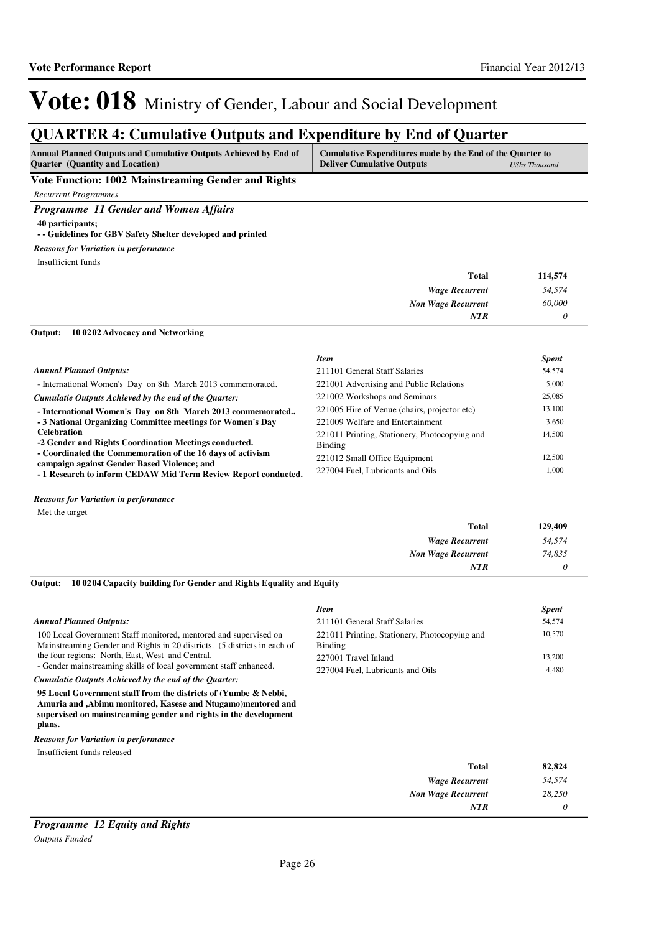## **QUARTER 4: Cumulative Outputs and Expenditure by End of Quarter**

| Annual Planned Outputs and Cumulative Outputs Achieved by End of | Cumulative Expenditures made by the End of the Quarter to |               |
|------------------------------------------------------------------|-----------------------------------------------------------|---------------|
| <b>Quarter</b> (Quantity and Location)                           | <b>Deliver Cumulative Outputs</b>                         | UShs Thousand |

**Vote Function: 1002 Mainstreaming Gender and Rights**

*Recurrent Programmes*

*Programme 11 Gender and Women Affairs*

#### **40 participants; - - Guidelines for GBV Safety Shelter developed and printed**

### *Reasons for Variation in performance*

Insufficient funds

| <b>Total</b>              | 114,574 |
|---------------------------|---------|
| <b>Wage Recurrent</b>     | 54,574  |
| <b>Non Wage Recurrent</b> | 60,000  |
| <b>NTR</b>                |         |

#### **10 0202 Advocacy and Networking Output:**

|                                                                | <b>Item</b>                                   | <b>Spent</b> |
|----------------------------------------------------------------|-----------------------------------------------|--------------|
| <b>Annual Planned Outputs:</b>                                 | 211101 General Staff Salaries                 | 54,574       |
| - International Women's Day on 8th March 2013 commemorated.    | 221001 Advertising and Public Relations       | 5,000        |
| Cumulatie Outputs Achieved by the end of the Ouarter:          | 221002 Workshops and Seminars                 | 25,085       |
| - International Women's Day on 8th March 2013 commemorated     | 221005 Hire of Venue (chairs, projector etc)  | 13.100       |
| -3 National Organizing Committee meetings for Women's Day      | 221009 Welfare and Entertainment              | 3,650        |
| <b>Celebration</b>                                             | 221011 Printing, Stationery, Photocopying and | 14,500       |
| -2 Gender and Rights Coordination Meetings conducted.          | Binding                                       |              |
| - Coordinated the Commemoration of the 16 days of activism     | 221012 Small Office Equipment                 | 12.500       |
| campaign against Gender Based Violence; and                    |                                               |              |
| - 1 Research to inform CEDAW Mid Term Review Report conducted. | 227004 Fuel. Lubricants and Oils              | 1.000        |

#### *Reasons for Variation in performance*

Met the target

| <b>Total</b>              | 129,409 |
|---------------------------|---------|
| <b>Wage Recurrent</b>     | 54,574  |
| <b>Non Wage Recurrent</b> | 74,835  |
| <b>NTR</b>                | 0       |

#### **10 0204 Capacity building for Gender and Rights Equality and Equity Output:**

| <b>Annual Planned Outputs:</b>                                                                                                               | <b>Item</b><br>211101 General Staff Salaries             | <b>Spent</b><br>54,574 |
|----------------------------------------------------------------------------------------------------------------------------------------------|----------------------------------------------------------|------------------------|
| 100 Local Government Staff monitored, mentored and supervised on<br>Mainstreaming Gender and Rights in 20 districts. (5 districts in each of | 221011 Printing, Stationery, Photocopying and<br>Binding | 10,570                 |
| the four regions: North, East, West and Central.<br>- Gender mainstreaming skills of local government staff enhanced.                        | 227001 Travel Inland<br>227004 Fuel. Lubricants and Oils | 13,200<br>4,480        |
| Cumulatie Outputs Achieved by the end of the Ouarter:                                                                                        |                                                          |                        |
| 95 Local Government staff from the districts of (Yumbe & Nebbi,<br>Amuria and , Abimu monitored, Kasese and Ntugamo) mentored and            |                                                          |                        |

**supervised on mainstreaming gender and rights in the development plans.** *Reasons for Variation in performance*

Insufficient funds released

| <b>Total</b>              | 82,824 |
|---------------------------|--------|
| <b>Wage Recurrent</b>     | 54,574 |
| <b>Non Wage Recurrent</b> | 28,250 |
| <b>NTR</b>                |        |
| - - - -<br>_              |        |

## *Programme 12 Equity and Rights*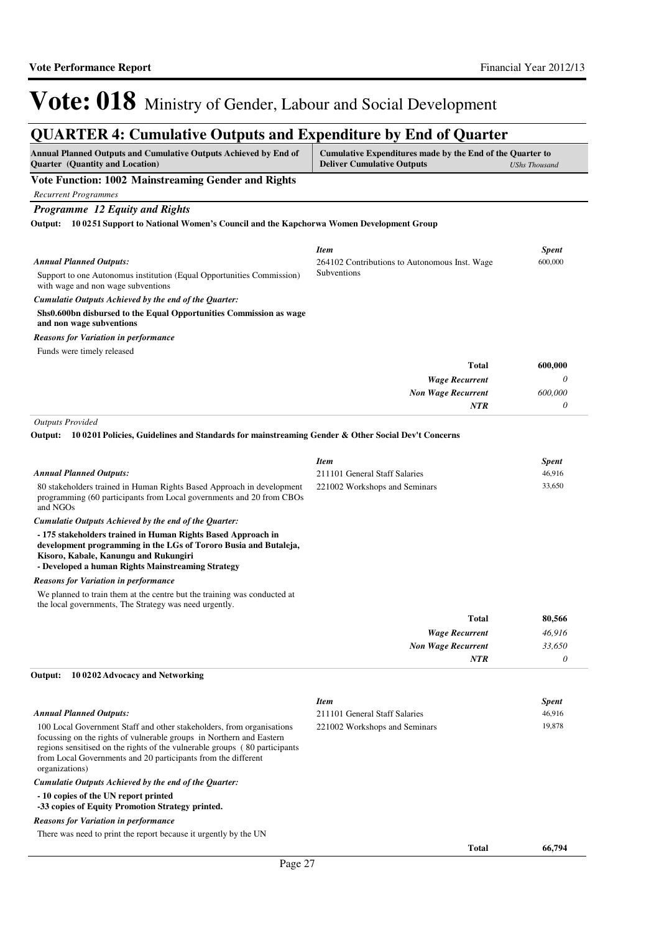### **QUARTER 4: Cumulative Outputs and Expenditure by End of Quarter**

| Annual Planned Outputs and Cumulative Outputs Achieved by End of<br><b>Quarter</b> (Quantity and Location)                                                                                                                     | Cumulative Expenditures made by the End of the Quarter to<br><b>Deliver Cumulative Outputs</b> | <b>UShs Thousand</b> |
|--------------------------------------------------------------------------------------------------------------------------------------------------------------------------------------------------------------------------------|------------------------------------------------------------------------------------------------|----------------------|
| Vote Function: 1002 Mainstreaming Gender and Rights                                                                                                                                                                            |                                                                                                |                      |
| <b>Recurrent Programmes</b>                                                                                                                                                                                                    |                                                                                                |                      |
| Programme 12 Equity and Rights                                                                                                                                                                                                 |                                                                                                |                      |
| Output: 100251 Support to National Women's Council and the Kapchorwa Women Development Group                                                                                                                                   |                                                                                                |                      |
|                                                                                                                                                                                                                                | <b>Item</b>                                                                                    | <b>Spent</b>         |
| <b>Annual Planned Outputs:</b>                                                                                                                                                                                                 | 264102 Contributions to Autonomous Inst. Wage                                                  | 600,000              |
| Support to one Autonomus institution (Equal Opportunities Commission)<br>with wage and non wage subventions                                                                                                                    | Subventions                                                                                    |                      |
| Cumulatie Outputs Achieved by the end of the Quarter:                                                                                                                                                                          |                                                                                                |                      |
| Shs0.600bn disbursed to the Equal Opportunities Commission as wage<br>and non wage subventions                                                                                                                                 |                                                                                                |                      |
| <b>Reasons for Variation in performance</b>                                                                                                                                                                                    |                                                                                                |                      |
| Funds were timely released                                                                                                                                                                                                     |                                                                                                |                      |
|                                                                                                                                                                                                                                | <b>Total</b>                                                                                   | 600,000              |
|                                                                                                                                                                                                                                | <b>Wage Recurrent</b>                                                                          | 0                    |
|                                                                                                                                                                                                                                | <b>Non Wage Recurrent</b>                                                                      | 600,000              |
|                                                                                                                                                                                                                                | <b>NTR</b>                                                                                     | 0                    |
| <b>Outputs Provided</b>                                                                                                                                                                                                        |                                                                                                |                      |
| Output: 100201 Policies, Guidelines and Standards for mainstreaming Gender & Other Social Dev't Concerns                                                                                                                       |                                                                                                |                      |
|                                                                                                                                                                                                                                | <b>Item</b>                                                                                    | <b>Spent</b>         |
| <b>Annual Planned Outputs:</b>                                                                                                                                                                                                 | 211101 General Staff Salaries                                                                  | 46,916               |
| 80 stakeholders trained in Human Rights Based Approach in development                                                                                                                                                          | 221002 Workshops and Seminars                                                                  | 33,650               |
| programming (60 participants from Local governments and 20 from CBOs<br>and NGOs                                                                                                                                               |                                                                                                |                      |
| Cumulatie Outputs Achieved by the end of the Quarter:                                                                                                                                                                          |                                                                                                |                      |
| - 175 stakeholders trained in Human Rights Based Approach in<br>development programming in the LGs of Tororo Busia and Butaleja,<br>Kisoro, Kabale, Kanungu and Rukungiri<br>- Developed a human Rights Mainstreaming Strategy |                                                                                                |                      |

We planned to train them at the centre but the training was conducted at the local governments, The Strategy was need urgently.

| <b>Total</b>              | 80,566 |
|---------------------------|--------|
| <b>Wage Recurrent</b>     | 46,916 |
| <b>Non Wage Recurrent</b> | 33,650 |
| <b>NTR</b>                |        |

#### **10 0202 Advocacy and Networking Output:**

|                                                                                                                                                                                                                                                                                                                 | <b>Item</b>                   |              | <b>Spent</b> |
|-----------------------------------------------------------------------------------------------------------------------------------------------------------------------------------------------------------------------------------------------------------------------------------------------------------------|-------------------------------|--------------|--------------|
| <b>Annual Planned Outputs:</b>                                                                                                                                                                                                                                                                                  | 211101 General Staff Salaries |              | 46,916       |
| 100 Local Government Staff and other stakeholders, from organisations<br>focussing on the rights of vulnerable groups in Northern and Eastern<br>regions sensitised on the rights of the vulnerable groups (80 participants)<br>from Local Governments and 20 participants from the different<br>organizations) | 221002 Workshops and Seminars |              | 19,878       |
| Cumulatie Outputs Achieved by the end of the Ouarter:                                                                                                                                                                                                                                                           |                               |              |              |
| -10 copies of the UN report printed<br>-33 copies of Equity Promotion Strategy printed.                                                                                                                                                                                                                         |                               |              |              |
| <b>Reasons for Variation in performance</b>                                                                                                                                                                                                                                                                     |                               |              |              |
| There was need to print the report because it urgently by the UN                                                                                                                                                                                                                                                |                               |              |              |
|                                                                                                                                                                                                                                                                                                                 |                               | <b>Total</b> | 66,794       |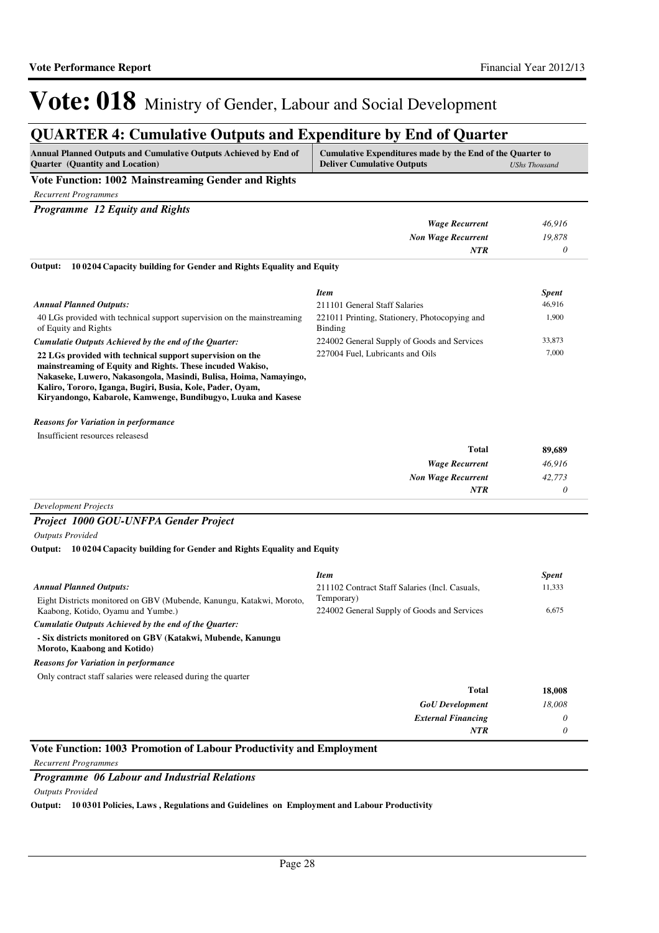*0*

*NTR*

# Vote: 018 Ministry of Gender, Labour and Social Development

## **QUARTER 4: Cumulative Outputs and Expenditure by End of Quarter**

| <b>Annual Planned Outputs and Cumulative Outputs Achieved by End of</b> | Cumulative Expenditures made by the End of the Quarter to |
|-------------------------------------------------------------------------|-----------------------------------------------------------|
| <b>Ouarter</b> (Quantity and Location)                                  | <b>Deliver Cumulative Outputs</b><br>UShs Thousand        |
| <b>TT . TT</b><br>$\cdots$                                              |                                                           |

#### **Vote Function: 1002 Mainstreaming Gender and Rights**

*Recurrent Programmes*

| <b>Programme</b> 12 Equity and Rights                                                                                                                                                                                                                                                                                     |                                                          |              |
|---------------------------------------------------------------------------------------------------------------------------------------------------------------------------------------------------------------------------------------------------------------------------------------------------------------------------|----------------------------------------------------------|--------------|
|                                                                                                                                                                                                                                                                                                                           | <b>Wage Recurrent</b>                                    | 46,916       |
|                                                                                                                                                                                                                                                                                                                           | <b>Non Wage Recurrent</b>                                | 19,878       |
|                                                                                                                                                                                                                                                                                                                           | <b>NTR</b>                                               | $\theta$     |
| Output:<br>100204 Capacity building for Gender and Rights Equality and Equity                                                                                                                                                                                                                                             |                                                          |              |
|                                                                                                                                                                                                                                                                                                                           | <b>Item</b>                                              | <b>Spent</b> |
| <b>Annual Planned Outputs:</b>                                                                                                                                                                                                                                                                                            | 211101 General Staff Salaries                            | 46,916       |
| 40 LGs provided with technical support supervision on the mainstreaming<br>of Equity and Rights                                                                                                                                                                                                                           | 221011 Printing, Stationery, Photocopying and<br>Binding | 1,900        |
| Cumulatie Outputs Achieved by the end of the Quarter:                                                                                                                                                                                                                                                                     | 224002 General Supply of Goods and Services              | 33,873       |
| 22 LGs provided with technical support supervision on the<br>mainstreaming of Equity and Rights. These incuded Wakiso,<br>Nakaseke, Luwero, Nakasongola, Masindi, Bulisa, Hoima, Namayingo,<br>Kaliro, Tororo, Iganga, Bugiri, Busia, Kole, Pader, Oyam,<br>Kiryandongo, Kabarole, Kamwenge, Bundibugyo, Luuka and Kasese | 227004 Fuel, Lubricants and Oils                         | 7,000        |
| <b>Reasons for Variation in performance</b>                                                                                                                                                                                                                                                                               |                                                          |              |
| Insufficient resources releasesd                                                                                                                                                                                                                                                                                          |                                                          |              |
|                                                                                                                                                                                                                                                                                                                           | <b>Total</b>                                             | 89,689       |
|                                                                                                                                                                                                                                                                                                                           | <b>Wage Recurrent</b>                                    | 46,916       |
|                                                                                                                                                                                                                                                                                                                           | <b>Non Wage Recurrent</b>                                | 42,773       |

### *Development Projects*

#### *Project 1000 GOU-UNFPA Gender Project*

*Outputs Provided*

#### **10 0204 Capacity building for Gender and Rights Equality and Equity Output:**

|                                                                                            | <b>Item</b>                                    | <b>Spent</b> |
|--------------------------------------------------------------------------------------------|------------------------------------------------|--------------|
| <b>Annual Planned Outputs:</b>                                                             | 211102 Contract Staff Salaries (Incl. Casuals, | 11,333       |
| Eight Districts monitored on GBV (Mubende, Kanungu, Katakwi, Moroto,                       | Temporary)                                     |              |
| Kaabong, Kotido, Oyamu and Yumbe.)                                                         | 224002 General Supply of Goods and Services    | 6,675        |
| Cumulatie Outputs Achieved by the end of the Ouarter:                                      |                                                |              |
| - Six districts monitored on GBV (Katakwi, Mubende, Kanungu<br>Moroto, Kaabong and Kotido) |                                                |              |
| <b>Reasons for Variation in performance</b>                                                |                                                |              |
| Only contract staff salaries were released during the quarter                              |                                                |              |
|                                                                                            | <b>Total</b>                                   | 18,008       |
|                                                                                            | <b>GoU</b> Development                         | 18,008       |
|                                                                                            | <b>External Financing</b>                      | 0            |
|                                                                                            | <b>NTR</b>                                     | 0            |

#### **Vote Function: 1003 Promotion of Labour Productivity and Employment**

*Recurrent Programmes*

#### *Programme 06 Labour and Industrial Relations*

*Outputs Provided*

**Output: 10 0301 Policies, Laws , Regulations and Guidelines on Employment and Labour Productivity**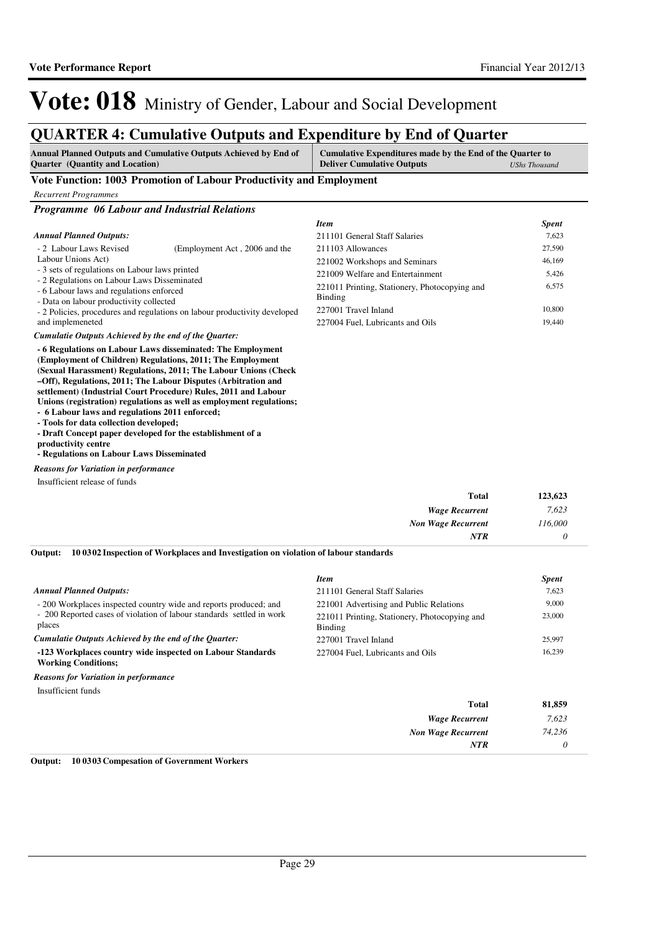6,575

*7,623 74,236 0*

*Item Spent* 211101 General Staff Salaries 7,623 211103 Allowances 27,590 221002 Workshops and Seminars 46,169 221009 Welfare and Entertainment 5,426

227001 Travel Inland 10,800 227004 Fuel, Lubricants and Oils 19,440

> *Wage Recurrent Non Wage Recurrent*

> > *NTR*

221011 Printing, Stationery, Photocopying and

# Vote: 018 Ministry of Gender, Labour and Social Development

### **QUARTER 4: Cumulative Outputs and Expenditure by End of Quarter**

| <b>Annual Planned Outputs and Cumulative Outputs Achieved by End of</b> | Cumulative Expenditures made by the End of the Quarter to |                      |
|-------------------------------------------------------------------------|-----------------------------------------------------------|----------------------|
| <b>Quarter</b> (Quantity and Location)                                  | <b>Deliver Cumulative Outputs</b>                         | <b>UShs Thousand</b> |

Binding

#### **Vote Function: 1003 Promotion of Labour Productivity and Employment**

| <b>Recurrent Programmes</b> |  |
|-----------------------------|--|
|                             |  |

*Programme 06 Labour and Industrial Relations*

#### *Annual Planned Outputs:*

| - 2 Labour Laws Revised                        | (Employment Act, 2006 and the |
|------------------------------------------------|-------------------------------|
| Labour Unions Act)                             |                               |
| - 3 sets of regulations on Labour laws printed |                               |
|                                                |                               |

- 2 Regulations on Labour Laws Disseminated

- 6 Labour laws and regulations enforced

- Data on labour productivity collected

- 2 Policies, procedures and regulations on labour productivity developed and implemeneted

#### *Cumulatie Outputs Achieved by the end of the Quarter:*

**- 6 Regulations on Labour Laws disseminated: The Employment (Employment of Children) Regulations, 2011; The Employment (Sexual Harassment) Regulations, 2011; The Labour Unions (Check –Off), Regulations, 2011; The Labour Disputes (Arbitration and settlement) (Industrial Court Procedure) Rules, 2011 and Labour Unions (registration) regulations as well as employment regulations;**

**- 6 Labour laws and regulations 2011 enforced;**

**- Tools for data collection developed;** 

**- Draft Concept paper developed for the establishment of a** 

**productivity centre**

**- Regulations on Labour Laws Disseminated**

*Reasons for Variation in performance*

Insufficient release of funds

| Total                     | 123,623 |
|---------------------------|---------|
| <b>Wage Recurrent</b>     | 7,623   |
| <b>Non Wage Recurrent</b> | 116,000 |
| NTR                       | 0       |

#### **10 0302 Inspection of Workplaces and Investigation on violation of labour standards Output:**

|                                                                                          | Item                                                     | <b>Spent</b> |
|------------------------------------------------------------------------------------------|----------------------------------------------------------|--------------|
| <b>Annual Planned Outputs:</b>                                                           | 211101 General Staff Salaries                            | 7.623        |
| - 200 Workplaces inspected country wide and reports produced; and                        | 221001 Advertising and Public Relations                  | 9,000        |
| - 200 Reported cases of violation of labour standards settled in work<br>places          | 221011 Printing, Stationery, Photocopying and<br>Binding | 23,000       |
| Cumulatie Outputs Achieved by the end of the Quarter:                                    | 227001 Travel Inland                                     | 25,997       |
| -123 Workplaces country wide inspected on Labour Standards<br><b>Working Conditions:</b> | 227004 Fuel, Lubricants and Oils                         | 16.239       |
| <b>Reasons for Variation in performance</b>                                              |                                                          |              |
| Insufficient funds                                                                       |                                                          |              |
|                                                                                          | Total                                                    | 81,859       |

|  | <b>Output:</b> 10 03 03 Compesation of Government Workers |
|--|-----------------------------------------------------------|
|--|-----------------------------------------------------------|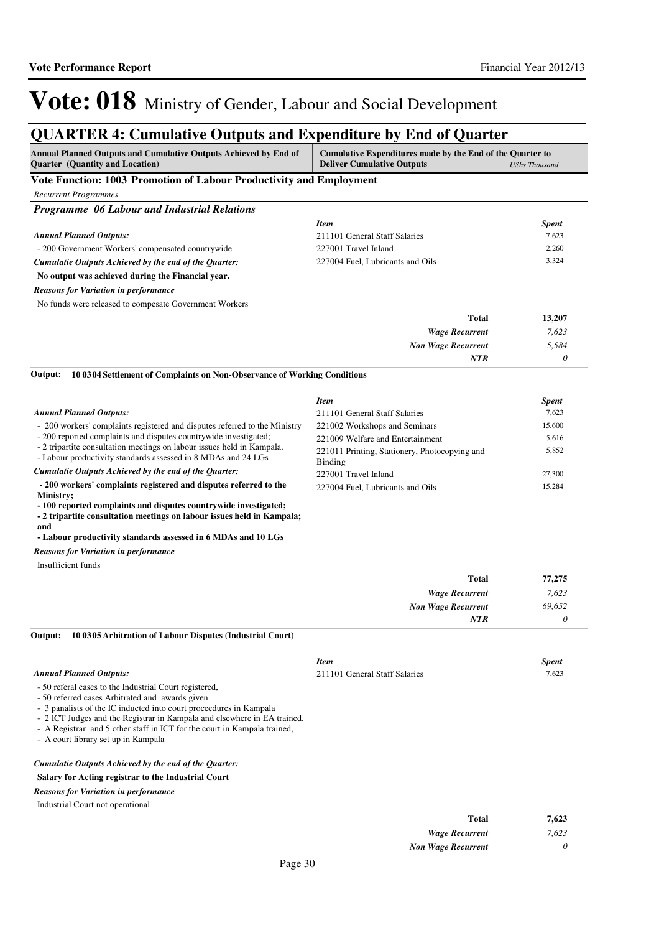### **QUARTER 4: Cumulative Outputs and Expenditure by End of Quarter**

| Annual Planned Outputs and Cumulative Outputs Achieved by End of<br>Cumulative Expenditures made by the End of the Quarter to<br>Quarter (Quantity and Location)<br><b>Deliver Cumulative Outputs</b>                                                                                                                                                                          |                                                          | <b>UShs Thousand</b>  |
|--------------------------------------------------------------------------------------------------------------------------------------------------------------------------------------------------------------------------------------------------------------------------------------------------------------------------------------------------------------------------------|----------------------------------------------------------|-----------------------|
| Vote Function: 1003 Promotion of Labour Productivity and Employment                                                                                                                                                                                                                                                                                                            |                                                          |                       |
| <b>Recurrent Programmes</b>                                                                                                                                                                                                                                                                                                                                                    |                                                          |                       |
| Programme 06 Labour and Industrial Relations                                                                                                                                                                                                                                                                                                                                   |                                                          |                       |
|                                                                                                                                                                                                                                                                                                                                                                                | <b>Item</b>                                              | <b>Spent</b>          |
| <b>Annual Planned Outputs:</b>                                                                                                                                                                                                                                                                                                                                                 | 211101 General Staff Salaries                            | 7,623                 |
| - 200 Government Workers' compensated countrywide                                                                                                                                                                                                                                                                                                                              | 227001 Travel Inland                                     | 2,260                 |
| Cumulatie Outputs Achieved by the end of the Quarter:                                                                                                                                                                                                                                                                                                                          | 227004 Fuel, Lubricants and Oils                         | 3,324                 |
| No output was achieved during the Financial year.                                                                                                                                                                                                                                                                                                                              |                                                          |                       |
| <b>Reasons for Variation in performance</b>                                                                                                                                                                                                                                                                                                                                    |                                                          |                       |
| No funds were released to compesate Government Workers                                                                                                                                                                                                                                                                                                                         |                                                          |                       |
|                                                                                                                                                                                                                                                                                                                                                                                | <b>Total</b>                                             | 13,207                |
|                                                                                                                                                                                                                                                                                                                                                                                | <b>Wage Recurrent</b>                                    | 7,623                 |
|                                                                                                                                                                                                                                                                                                                                                                                | <b>Non Wage Recurrent</b>                                | 5,584                 |
|                                                                                                                                                                                                                                                                                                                                                                                | NTR                                                      | 0                     |
| 10 03 04 Settlement of Complaints on Non-Observance of Working Conditions<br>Output:                                                                                                                                                                                                                                                                                           |                                                          |                       |
|                                                                                                                                                                                                                                                                                                                                                                                | Item                                                     | <b>Spent</b>          |
| <b>Annual Planned Outputs:</b>                                                                                                                                                                                                                                                                                                                                                 | 211101 General Staff Salaries                            | 7,623                 |
| - 200 workers' complaints registered and disputes referred to the Ministry                                                                                                                                                                                                                                                                                                     | 221002 Workshops and Seminars                            | 15,600                |
| - 200 reported complaints and disputes countrywide investigated;                                                                                                                                                                                                                                                                                                               | 221009 Welfare and Entertainment                         | 5,616                 |
| - 2 tripartite consultation meetings on labour issues held in Kampala.<br>- Labour productivity standards assessed in 8 MDAs and 24 LGs                                                                                                                                                                                                                                        | 221011 Printing, Stationery, Photocopying and<br>Binding | 5,852                 |
| Cumulatie Outputs Achieved by the end of the Quarter:                                                                                                                                                                                                                                                                                                                          | 227001 Travel Inland                                     | 27,300                |
| - 200 workers' complaints registered and disputes referred to the                                                                                                                                                                                                                                                                                                              | 227004 Fuel, Lubricants and Oils                         | 15,284                |
| Ministry;<br>- 100 reported complaints and disputes countrywide investigated;<br>- 2 tripartite consultation meetings on labour issues held in Kampala;<br>and                                                                                                                                                                                                                 |                                                          |                       |
| - Labour productivity standards assessed in 6 MDAs and 10 LGs                                                                                                                                                                                                                                                                                                                  |                                                          |                       |
| <b>Reasons for Variation in performance</b>                                                                                                                                                                                                                                                                                                                                    |                                                          |                       |
| Insufficient funds                                                                                                                                                                                                                                                                                                                                                             |                                                          |                       |
|                                                                                                                                                                                                                                                                                                                                                                                | <b>Total</b>                                             | 77,275                |
|                                                                                                                                                                                                                                                                                                                                                                                | <b>Wage Recurrent</b>                                    | 7,623                 |
|                                                                                                                                                                                                                                                                                                                                                                                | <b>Non Wage Recurrent</b>                                | 69.652                |
| 10 03 05 Arbitration of Labour Disputes (Industrial Court)<br>Output:                                                                                                                                                                                                                                                                                                          | <b>NTR</b>                                               | $\theta$              |
|                                                                                                                                                                                                                                                                                                                                                                                | <b>Item</b>                                              |                       |
| <b>Annual Planned Outputs:</b>                                                                                                                                                                                                                                                                                                                                                 | 211101 General Staff Salaries                            | <b>Spent</b><br>7,623 |
| - 50 referal cases to the Industrial Court registered,<br>- 50 referred cases Arbitrated and awards given<br>- 3 panalists of the IC inducted into court proceedures in Kampala<br>- 2 ICT Judges and the Registrar in Kampala and elsewhere in EA trained,<br>- A Registrar and 5 other staff in ICT for the court in Kampala trained,<br>- A court library set up in Kampala |                                                          |                       |
| Cumulatie Outputs Achieved by the end of the Quarter:                                                                                                                                                                                                                                                                                                                          |                                                          |                       |
| Salary for Acting registrar to the Industrial Court                                                                                                                                                                                                                                                                                                                            |                                                          |                       |
| <b>Reasons for Variation in performance</b>                                                                                                                                                                                                                                                                                                                                    |                                                          |                       |
| Industrial Court not operational                                                                                                                                                                                                                                                                                                                                               |                                                          |                       |
|                                                                                                                                                                                                                                                                                                                                                                                | <b>Total</b>                                             | 7,623                 |
|                                                                                                                                                                                                                                                                                                                                                                                | <b>Wage Recurrent</b>                                    | 7,623                 |
|                                                                                                                                                                                                                                                                                                                                                                                |                                                          |                       |

*Non Wage Recurrent*

*0*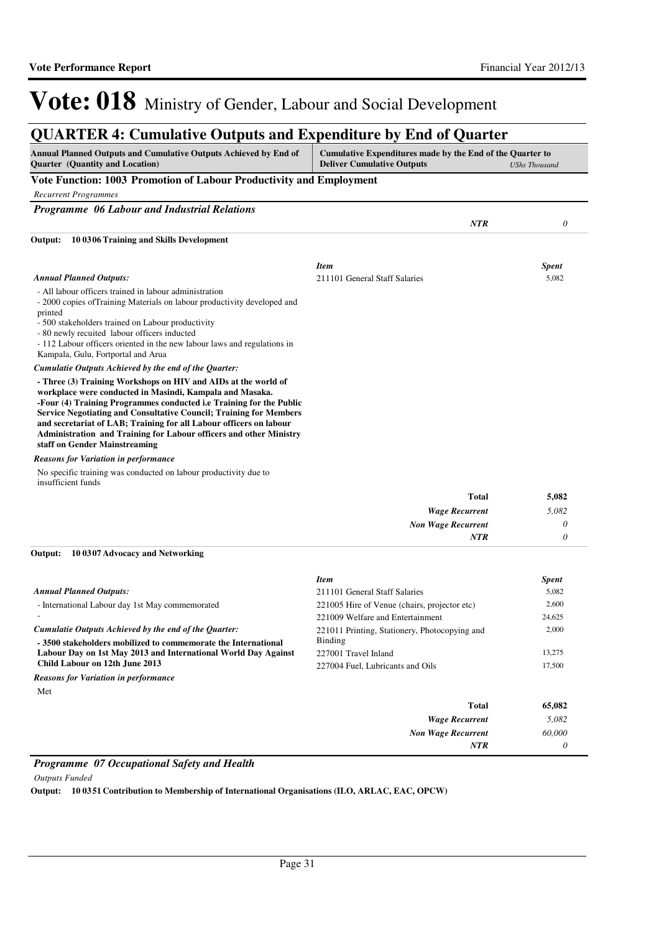### **QUARTER 4: Cumulative Outputs and Expenditure by End of Quarter**

| Annual Planned Outputs and Cumulative Outputs Achieved by End of<br><b>Ouarter</b> (Quantity and Location)                                                                                                                                                                                                                                                                                                                                                  | Cumulative Expenditures made by the End of the Quarter to<br><b>Deliver Cumulative Outputs</b> |            | <b>UShs Thousand</b> |
|-------------------------------------------------------------------------------------------------------------------------------------------------------------------------------------------------------------------------------------------------------------------------------------------------------------------------------------------------------------------------------------------------------------------------------------------------------------|------------------------------------------------------------------------------------------------|------------|----------------------|
| Vote Function: 1003 Promotion of Labour Productivity and Employment                                                                                                                                                                                                                                                                                                                                                                                         |                                                                                                |            |                      |
| <b>Recurrent Programmes</b>                                                                                                                                                                                                                                                                                                                                                                                                                                 |                                                                                                |            |                      |
| Programme 06 Labour and Industrial Relations                                                                                                                                                                                                                                                                                                                                                                                                                |                                                                                                |            |                      |
|                                                                                                                                                                                                                                                                                                                                                                                                                                                             |                                                                                                | <b>NTR</b> | 0                    |
| 10 0306 Training and Skills Development<br>Output:                                                                                                                                                                                                                                                                                                                                                                                                          |                                                                                                |            |                      |
|                                                                                                                                                                                                                                                                                                                                                                                                                                                             | <b>Item</b>                                                                                    |            | <b>Spent</b>         |
| <b>Annual Planned Outputs:</b>                                                                                                                                                                                                                                                                                                                                                                                                                              | 211101 General Staff Salaries                                                                  |            | 5,082                |
| - All labour officers trained in labour administration<br>- 2000 copies of Training Materials on labour productivity developed and<br>printed<br>- 500 stakeholders trained on Labour productivity<br>- 80 newly recuited labour officers inducted<br>- 112 Labour officers oriented in the new labour laws and regulations in<br>Kampala, Gulu, Fortportal and Arua                                                                                        |                                                                                                |            |                      |
| Cumulatie Outputs Achieved by the end of the Quarter:                                                                                                                                                                                                                                                                                                                                                                                                       |                                                                                                |            |                      |
| - Three (3) Training Workshops on HIV and AIDs at the world of<br>workplace were conducted in Masindi, Kampala and Masaka.<br>-Four (4) Training Programmes conducted i.e Training for the Public<br><b>Service Negotiating and Consultative Council; Training for Members</b><br>and secretariat of LAB; Training for all Labour officers on labour<br>Administration and Training for Labour officers and other Ministry<br>staff on Gender Mainstreaming |                                                                                                |            |                      |
| <b>Reasons for Variation in performance</b>                                                                                                                                                                                                                                                                                                                                                                                                                 |                                                                                                |            |                      |
| No specific training was conducted on labour productivity due to<br>insufficient funds                                                                                                                                                                                                                                                                                                                                                                      |                                                                                                |            |                      |

| 5,082 | <b>Total</b>              |
|-------|---------------------------|
| 5,082 | <b>Wage Recurrent</b>     |
|       | <b>Non Wage Recurrent</b> |
|       | NTR                       |
|       |                           |

#### **10 0307 Advocacy and Networking Output:**

|                                                                | <b>Item</b>                                   | <b>Spent</b> |
|----------------------------------------------------------------|-----------------------------------------------|--------------|
| <b>Annual Planned Outputs:</b>                                 | 211101 General Staff Salaries                 | 5,082        |
| - International Labour day 1st May commemorated                | 221005 Hire of Venue (chairs, projector etc)  | 2,600        |
|                                                                | 221009 Welfare and Entertainment              | 24,625       |
| Cumulatie Outputs Achieved by the end of the Ouarter:          | 221011 Printing, Stationery, Photocopying and | 2,000        |
| -3500 stakeholders mobilized to commemorate the International  | Binding                                       |              |
| Labour Day on 1st May 2013 and International World Day Against | 227001 Travel Inland                          | 13,275       |
| Child Labour on 12th June 2013                                 | 227004 Fuel. Lubricants and Oils              | 17,500       |
| <b>Reasons for Variation in performance</b>                    |                                               |              |
| Met                                                            |                                               |              |
|                                                                | Total                                         | 65,082       |
|                                                                | <b>Wage Recurrent</b>                         | 5,082        |
|                                                                | <b>Non Wage Recurrent</b>                     | 60,000       |
|                                                                | <b>NTR</b>                                    | 0            |

#### *Programme 07 Occupational Safety and Health*

*Outputs Funded*

**Output: 10 0351 Contribution to Membership of International Organisations (ILO, ARLAC, EAC, OPCW)**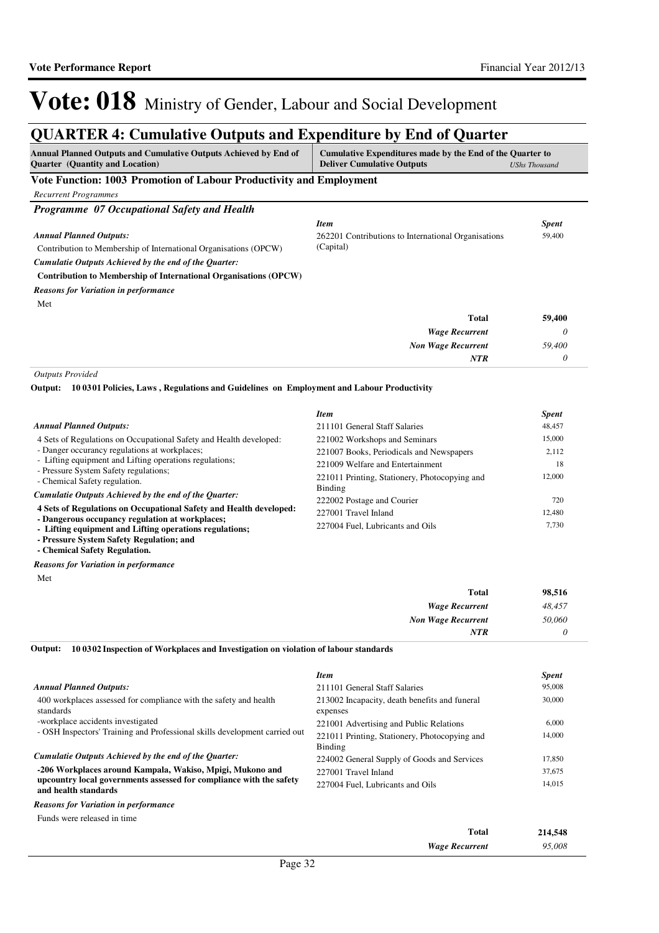## **QUARTER 4: Cumulative Outputs and Expenditure by End of Quarter**

| <b>Annual Planned Outputs and Cumulative Outputs Achieved by End of</b> | Cumulative Expenditures made by the End of the Quarter to |               |
|-------------------------------------------------------------------------|-----------------------------------------------------------|---------------|
| <b>Ouarter</b> (Quantity and Location)                                  | <b>Deliver Cumulative Outputs</b>                         | UShs Thousand |
| Vote Function: 1003 Promotion of Labour Productivity and Employment     |                                                           |               |
| Recurrent Programmes                                                    |                                                           |               |

| <b>Programme</b> 07 Occupational Safety and Health                                    |                           |              |
|---------------------------------------------------------------------------------------|---------------------------|--------------|
|                                                                                       | <b>Item</b>               | <b>Spent</b> |
| <b>Annual Planned Outputs:</b><br>262201 Contributions to International Organisations | 59,400                    |              |
| Contribution to Membership of International Organisations (OPCW)                      | (Capital)                 |              |
| Cumulatie Outputs Achieved by the end of the Ouarter:                                 |                           |              |
| <b>Contribution to Membership of International Organisations (OPCW)</b>               |                           |              |
| <b>Reasons for Variation in performance</b>                                           |                           |              |
| Met                                                                                   |                           |              |
|                                                                                       | <b>Total</b>              | 59,400       |
|                                                                                       | <b>Wage Recurrent</b>     | 0            |
|                                                                                       | <b>Non Wage Recurrent</b> | 59,400       |
|                                                                                       | <b>NTR</b>                | 0            |

*Outputs Provided*

**10 0301 Policies, Laws , Regulations and Guidelines on Employment and Labour Productivity Output:**

| <b>Annual Planned Outputs:</b>                                                                                                                         | <b>Item</b><br>211101 General Staff Salaries                                      | <i>Spent</i><br>48,457 |
|--------------------------------------------------------------------------------------------------------------------------------------------------------|-----------------------------------------------------------------------------------|------------------------|
| 4 Sets of Regulations on Occupational Safety and Health developed:<br>- Danger occurancy regulations at workplaces;                                    | 221002 Workshops and Seminars<br>221007 Books, Periodicals and Newspapers         | 15,000<br>2,112        |
| - Lifting equipment and Lifting operations regulations;<br>- Pressure System Safety regulations;<br>- Chemical Safety regulation.                      | 221009 Welfare and Entertainment<br>221011 Printing, Stationery, Photocopying and | 18<br>12,000           |
| Cumulatie Outputs Achieved by the end of the Ouarter:<br>4 Sets of Regulations on Occupational Safety and Health developed:                            | Binding<br>222002 Postage and Courier                                             | 720                    |
| - Dangerous occupancy regulation at workplaces;<br>- Lifting equipment and Lifting operations regulations;<br>- Pressure System Safety Regulation; and | 227001 Travel Inland<br>227004 Fuel, Lubricants and Oils                          | 12,480<br>7.730        |

**- Chemical Safety Regulation.**

*Reasons for Variation in performance*

Met

| <b>Total</b>              | 98,516 |
|---------------------------|--------|
| <b>Wage Recurrent</b>     | 48,457 |
| <b>Non Wage Recurrent</b> | 50,060 |
| <b>NTR</b>                |        |

**10 0302 Inspection of Workplaces and Investigation on violation of labour standards Output:**

|                                                                                             | <b>Item</b>                                               | <b>Spent</b> |
|---------------------------------------------------------------------------------------------|-----------------------------------------------------------|--------------|
| <b>Annual Planned Outputs:</b>                                                              | 211101 General Staff Salaries                             | 95,008       |
| 400 workplaces assessed for compliance with the safety and health<br>standards              | 213002 Incapacity, death benefits and funeral<br>expenses | 30,000       |
| -workplace accidents investigated                                                           | 221001 Advertising and Public Relations                   | 6.000        |
| - OSH Inspectors' Training and Professional skills development carried out                  | 221011 Printing, Stationery, Photocopying and<br>Binding  | 14,000       |
| Cumulatie Outputs Achieved by the end of the Ouarter:                                       | 224002 General Supply of Goods and Services               | 17,850       |
| -206 Workplaces around Kampala, Wakiso, Mpigi, Mukono and                                   | 227001 Travel Inland                                      | 37,675       |
| upcountry local governments assessed for compliance with the safety<br>and health standards | 227004 Fuel, Lubricants and Oils                          | 14.015       |
| <b>Reasons for Variation in performance</b>                                                 |                                                           |              |
| Funds were released in time                                                                 |                                                           |              |

| Total                 | 214,548 |
|-----------------------|---------|
| <b>Wage Recurrent</b> | 95,008  |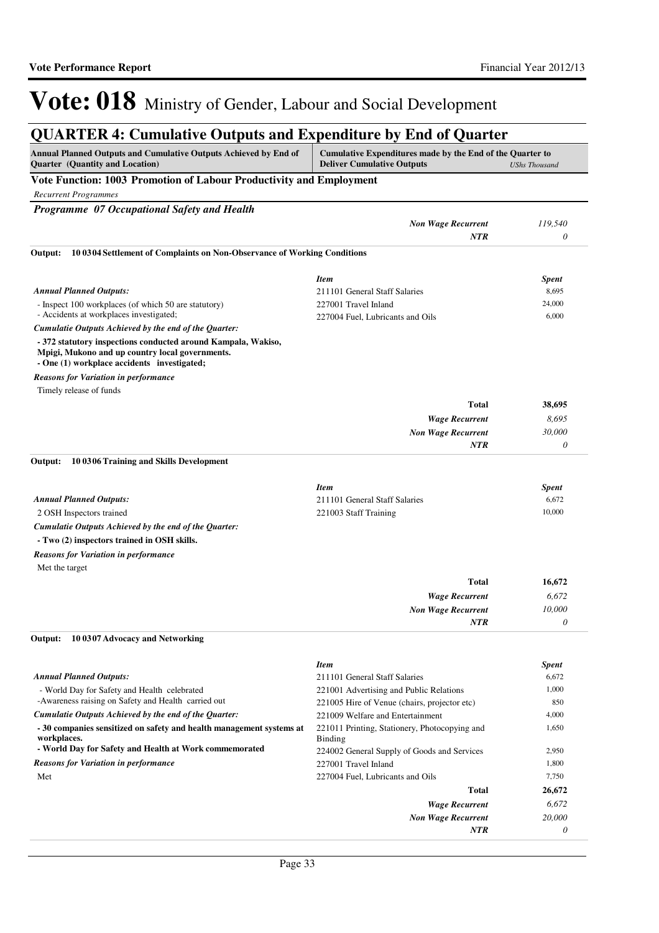### **QUARTER 4: Cumulative Outputs and Expenditure by End of Quarter**

| Annual Planned Outputs and Cumulative Outputs Achieved by End of<br><b>Quarter</b> (Quantity and Location)                                                      | Cumulative Expenditures made by the End of the Quarter to<br><b>Deliver Cumulative Outputs</b> | <b>UShs Thousand</b> |
|-----------------------------------------------------------------------------------------------------------------------------------------------------------------|------------------------------------------------------------------------------------------------|----------------------|
| Vote Function: 1003 Promotion of Labour Productivity and Employment                                                                                             |                                                                                                |                      |
| <b>Recurrent Programmes</b>                                                                                                                                     |                                                                                                |                      |
| Programme 07 Occupational Safety and Health                                                                                                                     |                                                                                                |                      |
|                                                                                                                                                                 | <b>Non Wage Recurrent</b>                                                                      | 119,540              |
|                                                                                                                                                                 | <b>NTR</b>                                                                                     | 0                    |
| 10 03 04 Settlement of Complaints on Non-Observance of Working Conditions<br>Output:                                                                            |                                                                                                |                      |
|                                                                                                                                                                 | <b>Item</b>                                                                                    | <b>Spent</b>         |
| <b>Annual Planned Outputs:</b>                                                                                                                                  | 211101 General Staff Salaries                                                                  | 8,695                |
| - Inspect 100 workplaces (of which 50 are statutory)                                                                                                            | 227001 Travel Inland                                                                           | 24,000               |
| - Accidents at workplaces investigated;                                                                                                                         | 227004 Fuel, Lubricants and Oils                                                               | 6,000                |
| Cumulatie Outputs Achieved by the end of the Quarter:                                                                                                           |                                                                                                |                      |
| - 372 statutory inspections conducted around Kampala, Wakiso,<br>Mpigi, Mukono and up country local governments.<br>- One (1) workplace accidents investigated; |                                                                                                |                      |
| <b>Reasons for Variation in performance</b>                                                                                                                     |                                                                                                |                      |
| Timely release of funds                                                                                                                                         |                                                                                                |                      |
|                                                                                                                                                                 | Total                                                                                          | 38,695               |
|                                                                                                                                                                 | <b>Wage Recurrent</b>                                                                          | 8,695                |
|                                                                                                                                                                 | <b>Non Wage Recurrent</b>                                                                      | 30,000               |
|                                                                                                                                                                 | <b>NTR</b>                                                                                     | 0                    |
| 10 03 06 Training and Skills Development<br>Output:                                                                                                             |                                                                                                |                      |
|                                                                                                                                                                 | <b>Item</b>                                                                                    | Spent                |
| <b>Annual Planned Outputs:</b>                                                                                                                                  | 211101 General Staff Salaries                                                                  | 6,672                |
| 2 OSH Inspectors trained                                                                                                                                        | 221003 Staff Training                                                                          | 10,000               |
| Cumulatie Outputs Achieved by the end of the Quarter:                                                                                                           |                                                                                                |                      |
| - Two (2) inspectors trained in OSH skills.                                                                                                                     |                                                                                                |                      |
| <b>Reasons for Variation in performance</b>                                                                                                                     |                                                                                                |                      |
| Met the target                                                                                                                                                  |                                                                                                |                      |
|                                                                                                                                                                 | Total                                                                                          | 16,672               |
|                                                                                                                                                                 | <b>Wage Recurrent</b>                                                                          | 6,672                |
|                                                                                                                                                                 | <b>Non Wage Recurrent</b>                                                                      | 10,000               |
|                                                                                                                                                                 | <b>NTR</b>                                                                                     | 0                    |
| Output:<br>10 0307 Advocacy and Networking                                                                                                                      |                                                                                                |                      |
|                                                                                                                                                                 | <b>Item</b>                                                                                    | Spent                |
| <b>Annual Planned Outputs:</b>                                                                                                                                  | 211101 General Staff Salaries                                                                  | 6,672                |
| - World Day for Safety and Health celebrated                                                                                                                    | 221001 Advertising and Public Relations                                                        | 1,000                |
| -Awareness raising on Safety and Health carried out                                                                                                             | 221005 Hire of Venue (chairs, projector etc)                                                   | 850                  |
| Cumulatie Outputs Achieved by the end of the Quarter:                                                                                                           | 221009 Welfare and Entertainment                                                               | 4,000                |
| -30 companies sensitized on safety and health management systems at<br>workplaces.                                                                              | 221011 Printing, Stationery, Photocopying and<br>Binding                                       | 1,650                |
| - World Day for Safety and Health at Work commemorated                                                                                                          | 224002 General Supply of Goods and Services                                                    | 2,950                |
| <b>Reasons for Variation in performance</b>                                                                                                                     | 227001 Travel Inland                                                                           | 1,800                |
| Met                                                                                                                                                             | 227004 Fuel, Lubricants and Oils                                                               | 7,750                |
|                                                                                                                                                                 | Total                                                                                          | 26,672               |
|                                                                                                                                                                 | <b>Wage Recurrent</b>                                                                          | 6,672                |
|                                                                                                                                                                 | <b>Non Wage Recurrent</b>                                                                      | 20,000               |
|                                                                                                                                                                 | NTR                                                                                            | 0                    |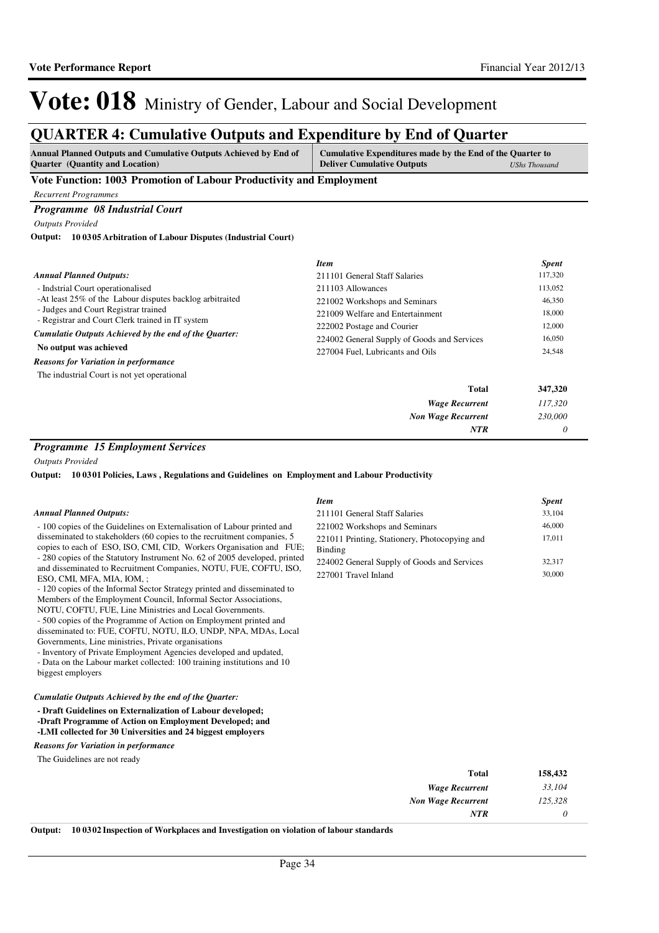17,011

# Vote: 018 Ministry of Gender, Labour and Social Development

### **QUARTER 4: Cumulative Outputs and Expenditure by End of Quarter**

| <b>Annual Planned Outputs and Cumulative Outputs Achieved by End of</b> | Cumulative Expenditures made by the End of the Quarter to |               |
|-------------------------------------------------------------------------|-----------------------------------------------------------|---------------|
| <b>Ouarter</b> (Quantity and Location)                                  | <b>Deliver Cumulative Outputs</b>                         | UShs Thousand |

#### **Vote Function: 1003 Promotion of Labour Productivity and Employment**

*Recurrent Programmes*

#### *Programme 08 Industrial Court*

*Outputs Provided*

#### **10 0305 Arbitration of Labour Disputes (Industrial Court) Output:**

|                                                                                                                                                                                                                                                    | <b>Item</b>                                 | <b>Spent</b>               |
|----------------------------------------------------------------------------------------------------------------------------------------------------------------------------------------------------------------------------------------------------|---------------------------------------------|----------------------------|
| <b>Annual Planned Outputs:</b>                                                                                                                                                                                                                     | 211101 General Staff Salaries               | 117,320                    |
| - Indstrial Court operationalised<br>-At least 25% of the Labour disputes backlog arbitraited<br>- Judges and Court Registrar trained<br>- Registrar and Court Clerk trained in IT system<br>Cumulatie Outputs Achieved by the end of the Quarter: | 211103 Allowances                           | 113,052                    |
|                                                                                                                                                                                                                                                    | 221002 Workshops and Seminars               | 46,350                     |
|                                                                                                                                                                                                                                                    | 221009 Welfare and Entertainment            | 18,000<br>12,000<br>16,050 |
|                                                                                                                                                                                                                                                    | 222002 Postage and Courier                  |                            |
|                                                                                                                                                                                                                                                    | 224002 General Supply of Goods and Services |                            |
| No output was achieved                                                                                                                                                                                                                             | 227004 Fuel, Lubricants and Oils            | 24,548                     |
| <b>Reasons for Variation in performance</b>                                                                                                                                                                                                        |                                             |                            |
| The industrial Court is not yet operational                                                                                                                                                                                                        |                                             |                            |
|                                                                                                                                                                                                                                                    | <b>Total</b>                                | 347,320                    |
|                                                                                                                                                                                                                                                    | <b>Wage Recurrent</b>                       | 117,320                    |
|                                                                                                                                                                                                                                                    | <b>Non Wage Recurrent</b>                   | 230,000                    |
|                                                                                                                                                                                                                                                    | <b>NTR</b>                                  | 0                          |

Binding

*Item Spent* 211101 General Staff Salaries 33,104 221002 Workshops and Seminars 46,000

224002 General Supply of Goods and Services 32,317 227001 Travel Inland 30,000

221011 Printing, Stationery, Photocopying and

#### *Programme 15 Employment Services*

*Outputs Provided*

**10 0301 Policies, Laws , Regulations and Guidelines on Employment and Labour Productivity Output:**

#### *Annual Planned Outputs:*

- 100 copies of the Guidelines on Externalisation of Labour printed and disseminated to stakeholders (60 copies to the recruitment companies, 5 copies to each of ESO, ISO, CMI, CID, Workers Organisation and FUE; - 280 copies of the Statutory Instrument No. 62 of 2005 developed, printed and disseminated to Recruitment Companies, NOTU, FUE, COFTU, ISO, ESO, CMI, MFA, MIA, IOM, ;

- 120 copies of the Informal Sector Strategy printed and disseminated to Members of the Employment Council, Informal Sector Associations, NOTU, COFTU, FUE, Line Ministries and Local Governments. - 500 copies of the Programme of Action on Employment printed and disseminated to: FUE, COFTU, NOTU, ILO, UNDP, NPA, MDAs, Local

Governments, Line ministries, Private organisations

- Inventory of Private Employment Agencies developed and updated, - Data on the Labour market collected: 100 training institutions and 10 biggest employers

#### *Cumulatie Outputs Achieved by the end of the Quarter:*

**- Draft Guidelines on Externalization of Labour developed; -Draft Programme of Action on Employment Developed; and -LMI collected for 30 Universities and 24 biggest employers**

*Reasons for Variation in performance*

The Guidelines are not ready

| 158,432 | <b>Total</b>                                                                                                                               |
|---------|--------------------------------------------------------------------------------------------------------------------------------------------|
| 33,104  | <b>Wage Recurrent</b>                                                                                                                      |
| 125,328 | <b>Non Wage Recurrent</b>                                                                                                                  |
|         | <b>NTR</b>                                                                                                                                 |
|         | $\sim$ $\sim$ $\sim$ $\sim$ $\sim$<br><b>AVET 1 1</b><br>$\mathbf{v}$ , and $\mathbf{v}$<br>$\cdots$<br>$\cdots$ $\cdots$<br>$\sim$ $\sim$ |

**Output: 10 0302 Inspection of Workplaces and Investigation on violation of labour standards**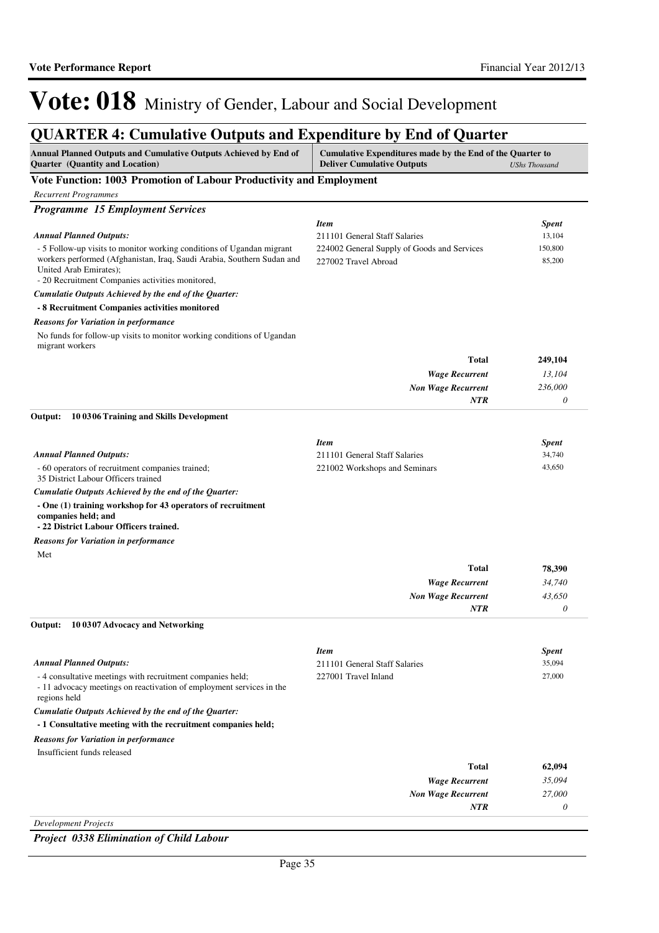## **QUARTER 4: Cumulative Outputs and Expenditure by End of Quarter**

| Annual Planned Outputs and Cumulative Outputs Achieved by End of<br><b>Quarter</b> (Quantity and Location)                                                                                                                    | Cumulative Expenditures made by the End of the Quarter to<br><b>Deliver Cumulative Outputs</b> | <b>UShs Thousand</b> |
|-------------------------------------------------------------------------------------------------------------------------------------------------------------------------------------------------------------------------------|------------------------------------------------------------------------------------------------|----------------------|
| Vote Function: 1003 Promotion of Labour Productivity and Employment                                                                                                                                                           |                                                                                                |                      |
| <b>Recurrent Programmes</b>                                                                                                                                                                                                   |                                                                                                |                      |
| <b>Programme 15 Employment Services</b>                                                                                                                                                                                       |                                                                                                |                      |
|                                                                                                                                                                                                                               | <b>Item</b>                                                                                    | <b>Spent</b>         |
| <b>Annual Planned Outputs:</b>                                                                                                                                                                                                | 211101 General Staff Salaries                                                                  | 13,104               |
| - 5 Follow-up visits to monitor working conditions of Ugandan migrant<br>workers performed (Afghanistan, Iraq, Saudi Arabia, Southern Sudan and<br>United Arab Emirates);<br>- 20 Recruitment Companies activities monitored, | 224002 General Supply of Goods and Services<br>227002 Travel Abroad                            | 150,800<br>85,200    |
| Cumulatie Outputs Achieved by the end of the Quarter:                                                                                                                                                                         |                                                                                                |                      |
| - 8 Recruitment Companies activities monitored                                                                                                                                                                                |                                                                                                |                      |
| <b>Reasons for Variation in performance</b>                                                                                                                                                                                   |                                                                                                |                      |
| No funds for follow-up visits to monitor working conditions of Ugandan<br>migrant workers                                                                                                                                     |                                                                                                |                      |
|                                                                                                                                                                                                                               | <b>Total</b>                                                                                   | 249,104              |
|                                                                                                                                                                                                                               | <b>Wage Recurrent</b>                                                                          | 13,104               |
|                                                                                                                                                                                                                               | <b>Non Wage Recurrent</b>                                                                      | 236,000              |
|                                                                                                                                                                                                                               | NTR                                                                                            | $\theta$             |
| Output:<br>100306 Training and Skills Development                                                                                                                                                                             |                                                                                                |                      |
|                                                                                                                                                                                                                               | <b>Item</b>                                                                                    | Spent                |
| <b>Annual Planned Outputs:</b>                                                                                                                                                                                                | 211101 General Staff Salaries                                                                  | 34,740               |
| - 60 operators of recruitment companies trained;<br>35 District Labour Officers trained                                                                                                                                       | 221002 Workshops and Seminars                                                                  | 43,650               |
| Cumulatie Outputs Achieved by the end of the Quarter:                                                                                                                                                                         |                                                                                                |                      |
| - One (1) training workshop for 43 operators of recruitment<br>companies held; and<br>- 22 District Labour Officers trained.                                                                                                  |                                                                                                |                      |
| <b>Reasons for Variation in performance</b>                                                                                                                                                                                   |                                                                                                |                      |
| Met                                                                                                                                                                                                                           |                                                                                                |                      |
|                                                                                                                                                                                                                               | <b>Total</b>                                                                                   | 78,390               |
|                                                                                                                                                                                                                               | <b>Wage Recurrent</b>                                                                          | 34,740               |
|                                                                                                                                                                                                                               | <b>Non Wage Recurrent</b>                                                                      | 43,650               |
|                                                                                                                                                                                                                               | NTR                                                                                            | $\theta$             |
| Output:<br>10 0307 Advocacy and Networking                                                                                                                                                                                    |                                                                                                |                      |
|                                                                                                                                                                                                                               | <b>Item</b>                                                                                    | <b>Spent</b>         |
| <b>Annual Planned Outputs:</b>                                                                                                                                                                                                | 211101 General Staff Salaries                                                                  | 35,094               |
| -4 consultative meetings with recruitment companies held;<br>- 11 advocacy meetings on reactivation of employment services in the<br>regions held                                                                             | 227001 Travel Inland                                                                           | 27,000               |
| Cumulatie Outputs Achieved by the end of the Quarter:                                                                                                                                                                         |                                                                                                |                      |
| - 1 Consultative meeting with the recruitment companies held;                                                                                                                                                                 |                                                                                                |                      |
| <b>Reasons for Variation in performance</b>                                                                                                                                                                                   |                                                                                                |                      |
| Insufficient funds released                                                                                                                                                                                                   |                                                                                                |                      |
|                                                                                                                                                                                                                               | <b>Total</b>                                                                                   | 62,094               |
|                                                                                                                                                                                                                               | <b>Wage Recurrent</b>                                                                          | 35,094               |
|                                                                                                                                                                                                                               | <b>Non Wage Recurrent</b>                                                                      | 27,000               |
|                                                                                                                                                                                                                               | NTR                                                                                            | 0                    |

*Development Projects*

*Project 0338 Elimination of Child Labour*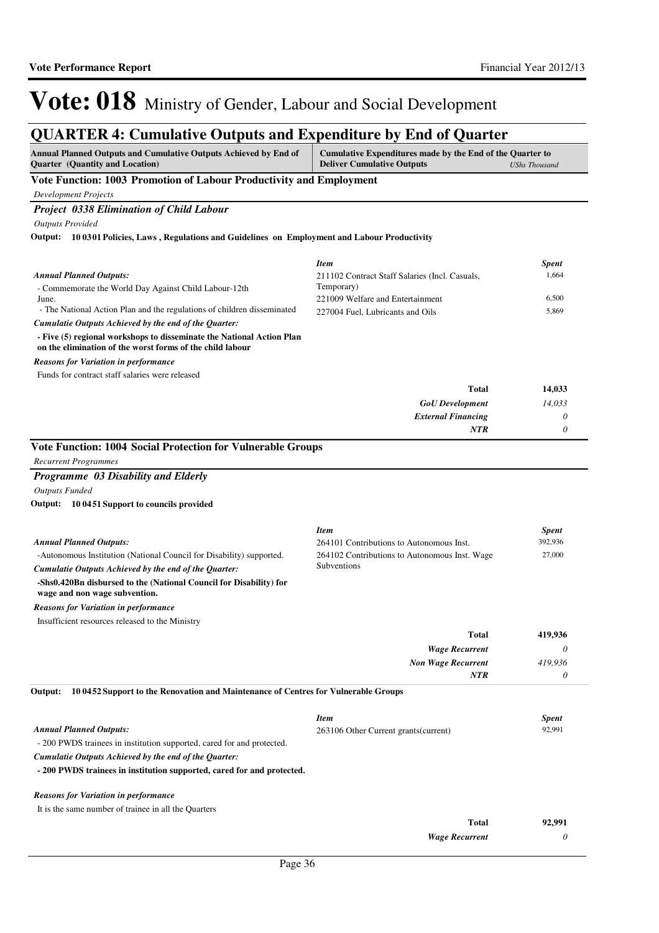### **QUARTER 4: Cumulative Outputs and Expenditure by End of Quarter**

| OUARTER 4: Cumulative Outputs and Expenditure by End of Quarter                                            |                                                                                                |                      |
|------------------------------------------------------------------------------------------------------------|------------------------------------------------------------------------------------------------|----------------------|
| Annual Planned Outputs and Cumulative Outputs Achieved by End of<br><b>Quarter</b> (Quantity and Location) | Cumulative Expenditures made by the End of the Quarter to<br><b>Deliver Cumulative Outputs</b> | <b>UShs Thousand</b> |
| Vote Function: 1003 Promotion of Labour Productivity and Employment                                        |                                                                                                |                      |
| <b>Development Projects</b>                                                                                |                                                                                                |                      |
| <b>Project 0338 Elimination of Child Labour</b>                                                            |                                                                                                |                      |
| <b>Outputs Provided</b>                                                                                    |                                                                                                |                      |
|                                                                                                            |                                                                                                |                      |
| Output: 10 0301 Policies, Laws, Regulations and Guidelines on Employment and Labour Productivity           |                                                                                                |                      |
|                                                                                                            |                                                                                                |                      |
|                                                                                                            | <b>Item</b>                                                                                    | <b>Spent</b>         |
| <b>Annual Planned Outputs:</b>                                                                             | 211102 Contract Staff Salaries (Incl. Casuals,                                                 | 1,664                |
| - Commemorate the World Day Against Child Labour-12th                                                      | Temporary)                                                                                     |                      |
| June.                                                                                                      | 221009 Welfare and Entertainment                                                               | 6,500                |
| - The National Action Plan and the regulations of children disseminated                                    | 227004 Fuel, Lubricants and Oils                                                               | 5,869                |
| Cumulatie Outputs Achieved by the end of the Quarter:                                                      |                                                                                                |                      |

*Reasons for Variation in performance*

Funds for contract staff salaries were released

| Total                     | 14,033                    |
|---------------------------|---------------------------|
| <b>GoU</b> Development    | 14,033                    |
| <b>External Financing</b> | $\boldsymbol{\mathit{U}}$ |
| NTR                       | υ                         |

#### **Vote Function: 1004 Social Protection for Vulnerable Groups**

*Recurrent Programmes*

*Programme 03 Disability and Elderly Outputs Funded*

**10 0451 Support to councils provided Output:**

|                                                                                                     | <b>Item</b>                                   | <b>Spent</b> |
|-----------------------------------------------------------------------------------------------------|-----------------------------------------------|--------------|
| <b>Annual Planned Outputs:</b>                                                                      | 264101 Contributions to Autonomous Inst.      | 392,936      |
| -Autonomous Institution (National Council for Disability) supported.                                | 264102 Contributions to Autonomous Inst. Wage | 27,000       |
| Cumulatie Outputs Achieved by the end of the Ouarter:                                               | Subventions                                   |              |
| -Shs0.420Bn disbursed to the (National Council for Disability) for<br>wage and non wage subvention. |                                               |              |
| <b>Reasons for Variation in performance</b>                                                         |                                               |              |
| Insufficient resources released to the Ministry                                                     |                                               |              |
|                                                                                                     | Total                                         | 419,936      |
|                                                                                                     | <b>Wage Recurrent</b>                         | 0            |
|                                                                                                     | <b>Non Wage Recurrent</b>                     | 419.936      |
|                                                                                                     | <b>NTR</b>                                    | 0            |
| 10 0452 Support to the Renovation and Maintenance of Centres for Vulnerable Groups<br>Output:       |                                               |              |

| <b>Annual Planned Outputs:</b> |  |  |
|--------------------------------|--|--|

- 200 PWDS trainees in institution supported, cared for and protected.

*Cumulatie Outputs Achieved by the end of the Quarter:*

**- 200 PWDS trainees in institution supported, cared for and protected.**

#### *Reasons for Variation in performance*

It is the same number of trainee in all the Quarters

| Total                 | 92,991 |
|-----------------------|--------|
| <b>Wage Recurrent</b> |        |

*Item Spent* 263106 Other Current grants(current) 92,991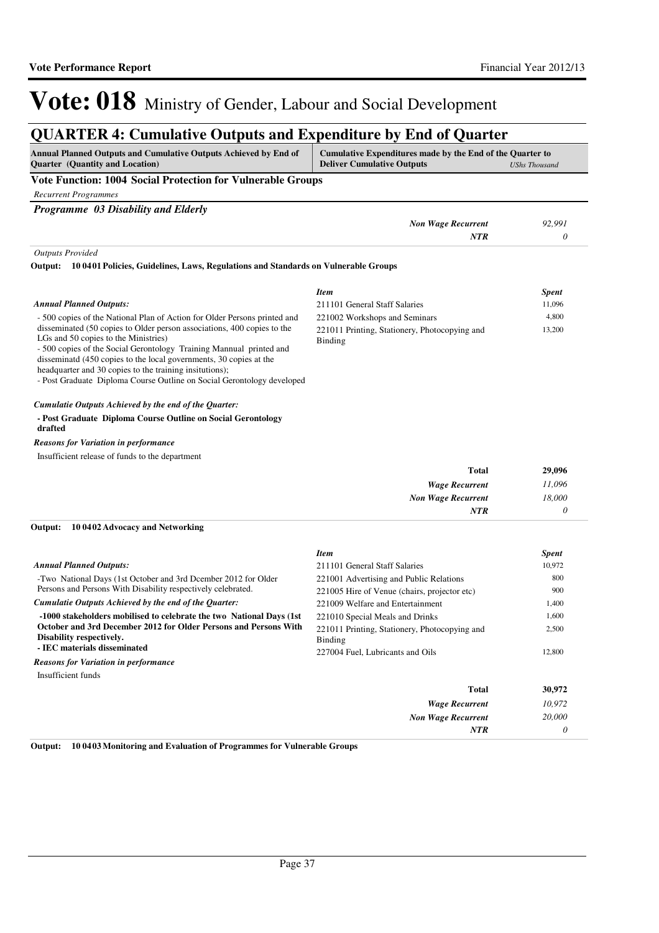## **QUARTER 4: Cumulative Outputs and Expenditure by End of Quarter**

| <b>Annual Planned Outputs and Cumulative Outputs Achieved by End of</b><br><b>Quarter</b> (Quantity and Location)                                                                                                                                                                                                                                                                                 | Cumulative Expenditures made by the End of the Quarter to<br><b>Deliver Cumulative Outputs</b> | <b>UShs Thousand</b> |
|---------------------------------------------------------------------------------------------------------------------------------------------------------------------------------------------------------------------------------------------------------------------------------------------------------------------------------------------------------------------------------------------------|------------------------------------------------------------------------------------------------|----------------------|
| Vote Function: 1004 Social Protection for Vulnerable Groups                                                                                                                                                                                                                                                                                                                                       |                                                                                                |                      |
| <b>Recurrent Programmes</b>                                                                                                                                                                                                                                                                                                                                                                       |                                                                                                |                      |
| Programme 03 Disability and Elderly                                                                                                                                                                                                                                                                                                                                                               |                                                                                                |                      |
|                                                                                                                                                                                                                                                                                                                                                                                                   | <b>Non Wage Recurrent</b>                                                                      | 92,991               |
|                                                                                                                                                                                                                                                                                                                                                                                                   | <b>NTR</b>                                                                                     | $\theta$             |
| <b>Outputs Provided</b>                                                                                                                                                                                                                                                                                                                                                                           |                                                                                                |                      |
| 10 0401 Policies, Guidelines, Laws, Regulations and Standards on Vulnerable Groups<br>Output:                                                                                                                                                                                                                                                                                                     |                                                                                                |                      |
|                                                                                                                                                                                                                                                                                                                                                                                                   | <b>Item</b>                                                                                    | <b>Spent</b>         |
| <b>Annual Planned Outputs:</b>                                                                                                                                                                                                                                                                                                                                                                    | 211101 General Staff Salaries                                                                  | 11,096               |
| - 500 copies of the National Plan of Action for Older Persons printed and                                                                                                                                                                                                                                                                                                                         | 221002 Workshops and Seminars                                                                  | 4,800                |
| disseminated (50 copies to Older person associations, 400 copies to the<br>LGs and 50 copies to the Ministries)<br>- 500 copies of the Social Gerontology Training Mannual printed and<br>disseminatd (450 copies to the local governments, 30 copies at the<br>headquarter and 30 copies to the training insitutions);<br>- Post Graduate Diploma Course Outline on Social Gerontology developed | 221011 Printing, Stationery, Photocopying and<br>Binding                                       | 13,200               |
| Cumulatie Outputs Achieved by the end of the Quarter:                                                                                                                                                                                                                                                                                                                                             |                                                                                                |                      |
| - Post Graduate Diploma Course Outline on Social Gerontology<br>drafted                                                                                                                                                                                                                                                                                                                           |                                                                                                |                      |
| <b>Reasons for Variation in performance</b>                                                                                                                                                                                                                                                                                                                                                       |                                                                                                |                      |
| Insufficient release of funds to the department                                                                                                                                                                                                                                                                                                                                                   |                                                                                                |                      |
|                                                                                                                                                                                                                                                                                                                                                                                                   | Total                                                                                          | 29,096               |
|                                                                                                                                                                                                                                                                                                                                                                                                   | <b>Wage Recurrent</b>                                                                          | 11,096               |
|                                                                                                                                                                                                                                                                                                                                                                                                   | <b>Non Wage Recurrent</b>                                                                      | 18,000               |
|                                                                                                                                                                                                                                                                                                                                                                                                   | <b>NTR</b>                                                                                     | 0                    |
| 10 0402 Advocacy and Networking<br>Output:                                                                                                                                                                                                                                                                                                                                                        |                                                                                                |                      |
|                                                                                                                                                                                                                                                                                                                                                                                                   | <b>Item</b>                                                                                    | <b>Spent</b>         |
| <b>Annual Planned Outputs:</b>                                                                                                                                                                                                                                                                                                                                                                    | 211101 General Staff Salaries                                                                  | 10,972               |
| -Two National Days (1st October and 3rd Deember 2012 for Older                                                                                                                                                                                                                                                                                                                                    | 221001 Advertising and Public Relations                                                        | 800                  |
| Persons and Persons With Disability respectively celebrated.                                                                                                                                                                                                                                                                                                                                      | 221005 Hire of Venue (chairs, projector etc)                                                   | 900                  |
| Cumulatie Outputs Achieved by the end of the Quarter:                                                                                                                                                                                                                                                                                                                                             | 221009 Welfare and Entertainment                                                               | 1,400                |
| -1000 stakeholders mobilised to celebrate the two National Days (1st)<br>October and 3rd December 2012 for Older Persons and Persons With                                                                                                                                                                                                                                                         | 221010 Special Meals and Drinks                                                                | 1,600                |
| Disability respectively.<br>- IEC materials disseminated                                                                                                                                                                                                                                                                                                                                          | 221011 Printing, Stationery, Photocopying and<br><b>Binding</b>                                | 2,500<br>12,800      |
| <b>Reasons for Variation in performance</b>                                                                                                                                                                                                                                                                                                                                                       | 227004 Fuel, Lubricants and Oils                                                               |                      |
| Insufficient funds                                                                                                                                                                                                                                                                                                                                                                                |                                                                                                |                      |
|                                                                                                                                                                                                                                                                                                                                                                                                   | <b>Total</b>                                                                                   | 30,972               |
|                                                                                                                                                                                                                                                                                                                                                                                                   | <b>Wage Recurrent</b>                                                                          | 10,972               |
|                                                                                                                                                                                                                                                                                                                                                                                                   | <b>Non Wage Recurrent</b>                                                                      | 20,000               |
|                                                                                                                                                                                                                                                                                                                                                                                                   | NTR                                                                                            | 0                    |

**Output: 10 0403 Monitoring and Evaluation of Programmes for Vulnerable Groups**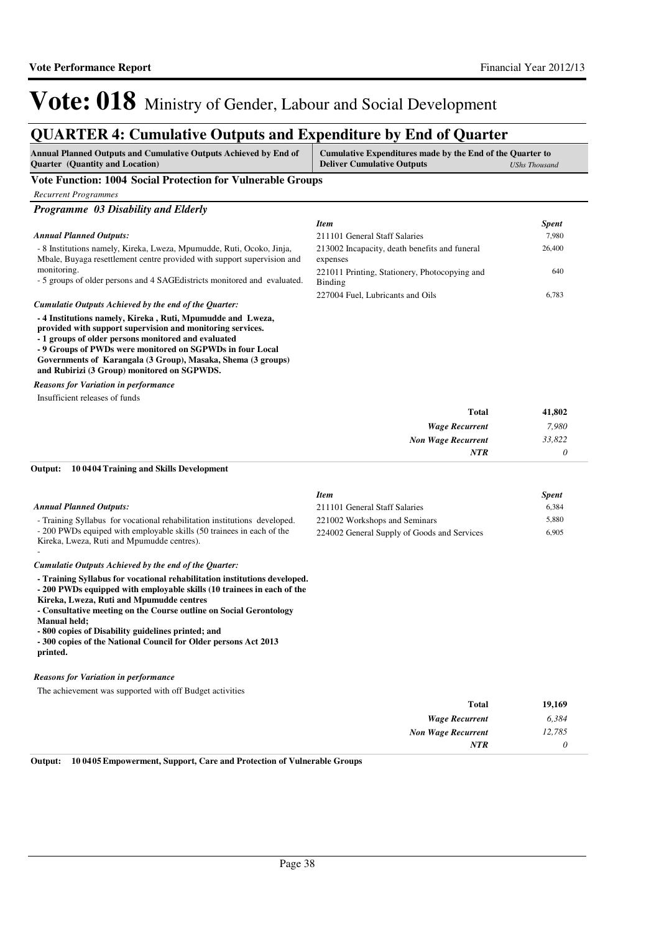*0*

*NTR*

# Vote: 018 Ministry of Gender, Labour and Social Development

## **QUARTER 4: Cumulative Outputs and Expenditure by End of Quarter**

| <b>Annual Planned Outputs and Cumulative Outputs Achieved by End of</b><br>Quarter (Quantity and Location)                                                                                                                                                                                                                                                                                                                 | Cumulative Expenditures made by the End of the Quarter to<br><b>Deliver Cumulative Outputs</b> | <b>UShs Thousand</b> |
|----------------------------------------------------------------------------------------------------------------------------------------------------------------------------------------------------------------------------------------------------------------------------------------------------------------------------------------------------------------------------------------------------------------------------|------------------------------------------------------------------------------------------------|----------------------|
| Vote Function: 1004 Social Protection for Vulnerable Groups                                                                                                                                                                                                                                                                                                                                                                |                                                                                                |                      |
| <b>Recurrent Programmes</b>                                                                                                                                                                                                                                                                                                                                                                                                |                                                                                                |                      |
| Programme 03 Disability and Elderly                                                                                                                                                                                                                                                                                                                                                                                        |                                                                                                |                      |
|                                                                                                                                                                                                                                                                                                                                                                                                                            | <b>Item</b>                                                                                    | <b>Spent</b>         |
| <b>Annual Planned Outputs:</b>                                                                                                                                                                                                                                                                                                                                                                                             | 211101 General Staff Salaries                                                                  | 7,980                |
| - 8 Institutions namely, Kireka, Lweza, Mpumudde, Ruti, Ocoko, Jinja,<br>Mbale, Buyaga resettlement centre provided with support supervision and                                                                                                                                                                                                                                                                           | 213002 Incapacity, death benefits and funeral<br>expenses                                      | 26,400               |
| monitoring.<br>- 5 groups of older persons and 4 SAGE districts monitored and evaluated.                                                                                                                                                                                                                                                                                                                                   | 221011 Printing, Stationery, Photocopying and<br>Binding                                       | 640                  |
|                                                                                                                                                                                                                                                                                                                                                                                                                            | 227004 Fuel, Lubricants and Oils                                                               | 6,783                |
| Cumulatie Outputs Achieved by the end of the Quarter:<br>- 4 Institutions namely, Kireka, Ruti, Mpumudde and Lweza,                                                                                                                                                                                                                                                                                                        |                                                                                                |                      |
| provided with support supervision and monitoring services.<br>- 1 groups of older persons monitored and evaluated<br>- 9 Groups of PWDs were monitored on SGPWDs in four Local<br>Governments of Karangala (3 Group), Masaka, Shema (3 groups)<br>and Rubirizi (3 Group) monitored on SGPWDS.                                                                                                                              |                                                                                                |                      |
| <b>Reasons for Variation in performance</b>                                                                                                                                                                                                                                                                                                                                                                                |                                                                                                |                      |
| Insufficient releases of funds                                                                                                                                                                                                                                                                                                                                                                                             |                                                                                                |                      |
|                                                                                                                                                                                                                                                                                                                                                                                                                            | <b>Total</b>                                                                                   | 41,802               |
|                                                                                                                                                                                                                                                                                                                                                                                                                            | <b>Wage Recurrent</b>                                                                          | 7,980                |
|                                                                                                                                                                                                                                                                                                                                                                                                                            | <b>Non Wage Recurrent</b>                                                                      | 33,822               |
|                                                                                                                                                                                                                                                                                                                                                                                                                            | <b>NTR</b>                                                                                     | 0                    |
| Output:<br>100404 Training and Skills Development                                                                                                                                                                                                                                                                                                                                                                          |                                                                                                |                      |
|                                                                                                                                                                                                                                                                                                                                                                                                                            | <b>Item</b>                                                                                    | <b>Spent</b>         |
| <b>Annual Planned Outputs:</b>                                                                                                                                                                                                                                                                                                                                                                                             | 211101 General Staff Salaries                                                                  | 6,384                |
| - Training Syllabus for vocational rehabilitation institutions developed.                                                                                                                                                                                                                                                                                                                                                  | 221002 Workshops and Seminars                                                                  | 5,880                |
| - 200 PWDs equiped with employable skills (50 trainees in each of the<br>Kireka, Lweza, Ruti and Mpumudde centres).                                                                                                                                                                                                                                                                                                        | 224002 General Supply of Goods and Services                                                    | 6,905                |
| Cumulatie Outputs Achieved by the end of the Quarter:                                                                                                                                                                                                                                                                                                                                                                      |                                                                                                |                      |
| - Training Syllabus for vocational rehabilitation institutions developed.<br>- 200 PWDs equipped with employable skills (10 trainees in each of the<br>Kireka, Lweza, Ruti and Mpumudde centres<br>- Consultative meeting on the Course outline on Social Gerontology<br>Manual held;<br>- 800 copies of Disability guidelines printed; and<br>- 300 copies of the National Council for Older persons Act 2013<br>printed. |                                                                                                |                      |
|                                                                                                                                                                                                                                                                                                                                                                                                                            |                                                                                                |                      |
| <b>Reasons for Variation in performance</b>                                                                                                                                                                                                                                                                                                                                                                                |                                                                                                |                      |
| The achievement was supported with off Budget activities                                                                                                                                                                                                                                                                                                                                                                   |                                                                                                |                      |
|                                                                                                                                                                                                                                                                                                                                                                                                                            | <b>Total</b>                                                                                   | 19,169               |
|                                                                                                                                                                                                                                                                                                                                                                                                                            | <b>Wage Recurrent</b>                                                                          | 6,384                |
|                                                                                                                                                                                                                                                                                                                                                                                                                            | <b>Non Wage Recurrent</b>                                                                      | 12,785               |

**Output: 10 0405 Empowerment, Support, Care and Protection of Vulnerable Groups**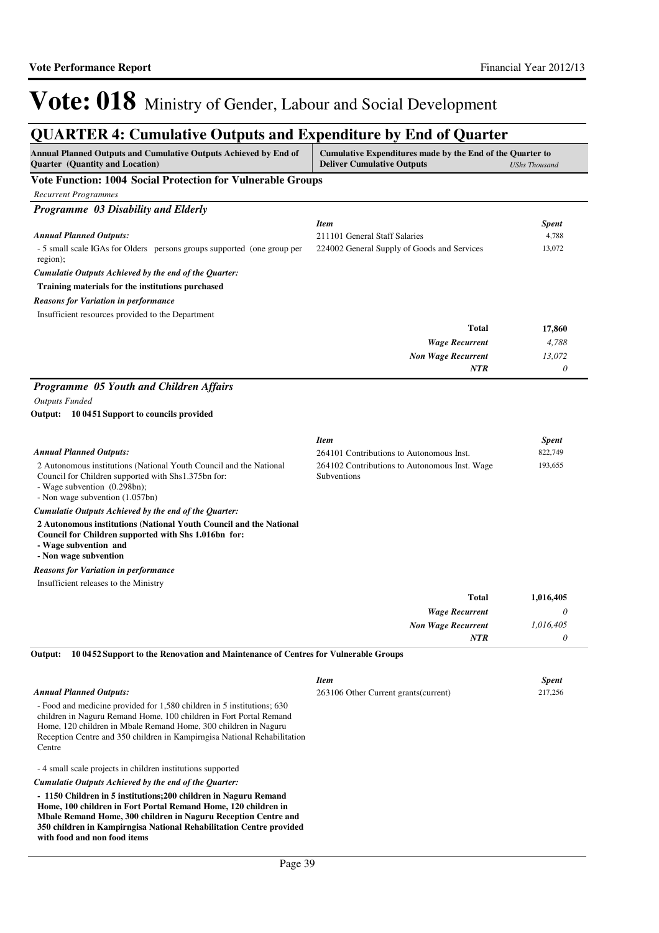## **QUARTER 4: Cumulative Outputs and Expenditure by End of Quarter**

| Annual Planned Outputs and Cumulative Outputs Achieved by End of<br>Quarter (Quantity and Location)                                                                                                                                                                                                         | Cumulative Expenditures made by the End of the Quarter to<br><b>Deliver Cumulative Outputs</b> | <b>UShs Thousand</b> |
|-------------------------------------------------------------------------------------------------------------------------------------------------------------------------------------------------------------------------------------------------------------------------------------------------------------|------------------------------------------------------------------------------------------------|----------------------|
| Vote Function: 1004 Social Protection for Vulnerable Groups                                                                                                                                                                                                                                                 |                                                                                                |                      |
| <b>Recurrent Programmes</b>                                                                                                                                                                                                                                                                                 |                                                                                                |                      |
| Programme 03 Disability and Elderly                                                                                                                                                                                                                                                                         |                                                                                                |                      |
|                                                                                                                                                                                                                                                                                                             | <b>Item</b>                                                                                    | <b>Spent</b>         |
| <b>Annual Planned Outputs:</b>                                                                                                                                                                                                                                                                              | 211101 General Staff Salaries                                                                  | 4,788                |
| - 5 small scale IGAs for Olders persons groups supported (one group per<br>region);                                                                                                                                                                                                                         | 224002 General Supply of Goods and Services                                                    | 13,072               |
| Cumulatie Outputs Achieved by the end of the Quarter:                                                                                                                                                                                                                                                       |                                                                                                |                      |
| Training materials for the institutions purchased                                                                                                                                                                                                                                                           |                                                                                                |                      |
| <b>Reasons for Variation in performance</b>                                                                                                                                                                                                                                                                 |                                                                                                |                      |
| Insufficient resources provided to the Department                                                                                                                                                                                                                                                           |                                                                                                |                      |
|                                                                                                                                                                                                                                                                                                             | Total                                                                                          | 17,860               |
|                                                                                                                                                                                                                                                                                                             | <b>Wage Recurrent</b>                                                                          | 4,788                |
|                                                                                                                                                                                                                                                                                                             | <b>Non Wage Recurrent</b>                                                                      | 13,072               |
|                                                                                                                                                                                                                                                                                                             | <b>NTR</b>                                                                                     | 0                    |
| Programme 05 Youth and Children Affairs                                                                                                                                                                                                                                                                     |                                                                                                |                      |
| <b>Outputs Funded</b>                                                                                                                                                                                                                                                                                       |                                                                                                |                      |
| Output: 10 0451 Support to councils provided                                                                                                                                                                                                                                                                |                                                                                                |                      |
|                                                                                                                                                                                                                                                                                                             | Item                                                                                           | <b>Spent</b>         |
| Annual Planned Outputs:                                                                                                                                                                                                                                                                                     | 264101 Contributions to Autonomous Inst.                                                       | 822,749              |
| 2 Autonomous institutions (National Youth Council and the National                                                                                                                                                                                                                                          | 264102 Contributions to Autonomous Inst. Wage                                                  | 193,655              |
| Council for Children supported with Shs1.375bn for:<br>- Wage subvention (0.298bn);                                                                                                                                                                                                                         | Subventions                                                                                    |                      |
| - Non wage subvention (1.057bn)                                                                                                                                                                                                                                                                             |                                                                                                |                      |
| Cumulatie Outputs Achieved by the end of the Quarter:<br>2 Autonomous institutions (National Youth Council and the National                                                                                                                                                                                 |                                                                                                |                      |
| Council for Children supported with Shs 1.016bn for:<br>- Wage subvention and<br>- Non wage subvention                                                                                                                                                                                                      |                                                                                                |                      |
|                                                                                                                                                                                                                                                                                                             |                                                                                                |                      |
| <b>Reasons for Variation in performance</b><br>Insufficient releases to the Ministry                                                                                                                                                                                                                        |                                                                                                |                      |
|                                                                                                                                                                                                                                                                                                             | Total                                                                                          | 1,016,405            |
|                                                                                                                                                                                                                                                                                                             |                                                                                                | 0                    |
|                                                                                                                                                                                                                                                                                                             | <b>Wage Recurrent</b><br><b>Non Wage Recurrent</b>                                             | 1,016,405            |
|                                                                                                                                                                                                                                                                                                             | NTR                                                                                            | 0                    |
| Output:<br>10 0452 Support to the Renovation and Maintenance of Centres for Vulnerable Groups                                                                                                                                                                                                               |                                                                                                |                      |
|                                                                                                                                                                                                                                                                                                             |                                                                                                |                      |
|                                                                                                                                                                                                                                                                                                             | <b>Item</b>                                                                                    | <b>Spent</b>         |
| <b>Annual Planned Outputs:</b>                                                                                                                                                                                                                                                                              | 263106 Other Current grants (current)                                                          | 217,256              |
| - Food and medicine provided for 1,580 children in 5 institutions; 630<br>children in Naguru Remand Home, 100 children in Fort Portal Remand<br>Home, 120 children in Mbale Remand Home, 300 children in Naguru<br>Reception Centre and 350 children in Kampirngisa National Rehabilitation<br>Centre       |                                                                                                |                      |
| -4 small scale projects in children institutions supported                                                                                                                                                                                                                                                  |                                                                                                |                      |
| Cumulatie Outputs Achieved by the end of the Quarter:                                                                                                                                                                                                                                                       |                                                                                                |                      |
| - 1150 Children in 5 institutions; 200 children in Naguru Remand<br>Home, 100 children in Fort Portal Remand Home, 120 children in<br>Mbale Remand Home, 300 children in Naguru Reception Centre and<br>350 children in Kampirngisa National Rehabilitation Centre provided<br>with food and non food items |                                                                                                |                      |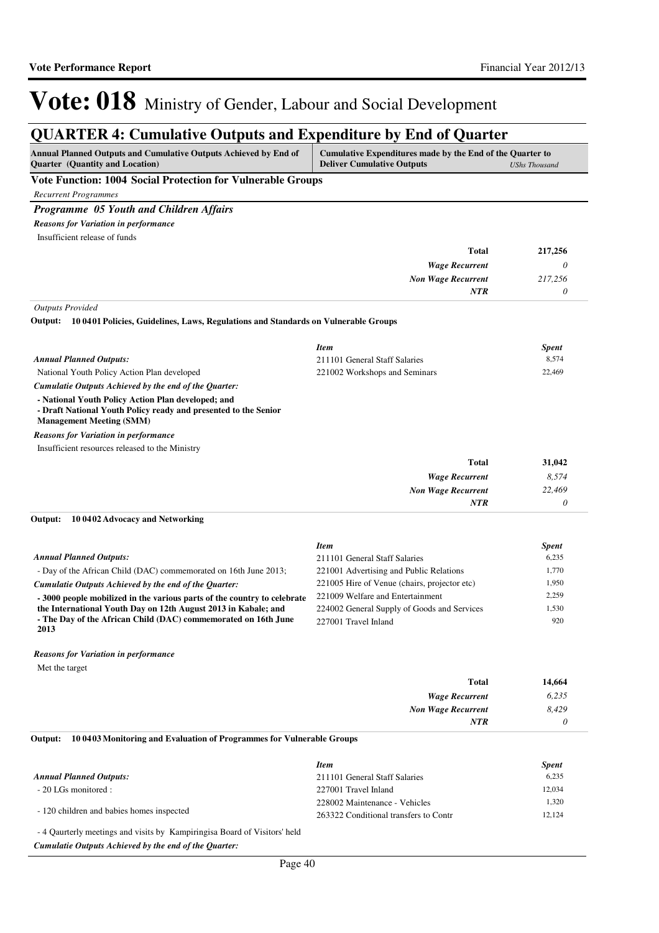### **QUARTER 4: Cumulative Outputs and Expenditure by End of Quarter**

| Annual Planned Outputs and Cumulative Outputs Achieved by End of<br><b>Quarter</b> (Quantity and Location)                                               | Cumulative Expenditures made by the End of the Quarter to<br><b>Deliver Cumulative Outputs</b> | <b>UShs Thousand</b> |
|----------------------------------------------------------------------------------------------------------------------------------------------------------|------------------------------------------------------------------------------------------------|----------------------|
| Vote Function: 1004 Social Protection for Vulnerable Groups                                                                                              |                                                                                                |                      |
| <b>Recurrent Programmes</b>                                                                                                                              |                                                                                                |                      |
| Programme 05 Youth and Children Affairs                                                                                                                  |                                                                                                |                      |
| <b>Reasons for Variation in performance</b>                                                                                                              |                                                                                                |                      |
| Insufficient release of funds                                                                                                                            |                                                                                                |                      |
|                                                                                                                                                          | <b>Total</b>                                                                                   | 217,256              |
|                                                                                                                                                          | <b>Wage Recurrent</b>                                                                          | 0                    |
|                                                                                                                                                          | <b>Non Wage Recurrent</b>                                                                      | 217.256              |
|                                                                                                                                                          | <b>NTR</b>                                                                                     | 0                    |
| <b>Outputs Provided</b>                                                                                                                                  |                                                                                                |                      |
| Output: 10 0401 Policies, Guidelines, Laws, Regulations and Standards on Vulnerable Groups                                                               |                                                                                                |                      |
|                                                                                                                                                          | <b>Item</b>                                                                                    | <b>Spent</b>         |
| <b>Annual Planned Outputs:</b>                                                                                                                           | 211101 General Staff Salaries                                                                  | 8,574                |
| National Youth Policy Action Plan developed                                                                                                              | 221002 Workshops and Seminars                                                                  | 22,469               |
| Cumulatie Outputs Achieved by the end of the Quarter:                                                                                                    |                                                                                                |                      |
| - National Youth Policy Action Plan developed; and<br>- Draft National Youth Policy ready and presented to the Senior<br><b>Management Meeting (SMM)</b> |                                                                                                |                      |
| <b>Reasons for Variation in performance</b>                                                                                                              |                                                                                                |                      |
| Insufficient resources released to the Ministry                                                                                                          |                                                                                                |                      |
|                                                                                                                                                          | <b>Total</b>                                                                                   | 31,042               |
|                                                                                                                                                          | <b>Wage Recurrent</b>                                                                          | 8,574                |
|                                                                                                                                                          | <b>Non Wage Recurrent</b>                                                                      | 22,469               |
|                                                                                                                                                          | <b>NTR</b>                                                                                     | 0                    |
| Output:<br>10 04 02 Advocacy and Networking                                                                                                              |                                                                                                |                      |
|                                                                                                                                                          | <b>Item</b>                                                                                    | <b>Spent</b>         |
| <b>Annual Planned Outputs:</b>                                                                                                                           | 211101 General Staff Salaries                                                                  | 6,235                |
| - Day of the African Child (DAC) commemorated on 16th June 2013;                                                                                         | 221001 Advertising and Public Relations                                                        | 1,770                |
| Cumulatie Outputs Achieved by the end of the Quarter:                                                                                                    | 221005 Hire of Venue (chairs, projector etc)                                                   | 1,950                |
| - 3000 people mobilized in the various parts of the country to celebrate                                                                                 | 221009 Welfare and Entertainment                                                               | 2,259                |
| the International Youth Day on 12th August 2013 in Kabale; and<br>- The Day of the African Child (DAC) commemorated on 16th June<br>2013                 | 224002 General Supply of Goods and Services<br>227001 Travel Inland                            | 1,530<br>920         |
| <b>Reasons for Variation in performance</b>                                                                                                              |                                                                                                |                      |
| Met the target                                                                                                                                           |                                                                                                |                      |
|                                                                                                                                                          | (11.4.1)                                                                                       | 1177                 |

| 14,664 | <b>Total</b>              |
|--------|---------------------------|
| 6,235  | <b>Wage Recurrent</b>     |
| 8,429  | <b>Non Wage Recurrent</b> |
|        | <b>NTR</b>                |
|        |                           |

#### **10 0403 Monitoring and Evaluation of Programmes for Vulnerable Groups Output:**

|                                                                                                                                                                                                                                                                                                                                                     | <b>Item</b>                           | <b>Spent</b> |
|-----------------------------------------------------------------------------------------------------------------------------------------------------------------------------------------------------------------------------------------------------------------------------------------------------------------------------------------------------|---------------------------------------|--------------|
| <b>Annual Planned Outputs:</b>                                                                                                                                                                                                                                                                                                                      | 211101 General Staff Salaries         | 6,235        |
| - 20 LGs monitored :                                                                                                                                                                                                                                                                                                                                | 227001 Travel Inland                  | 12.034       |
| - 120 children and babies homes inspected                                                                                                                                                                                                                                                                                                           | 228002 Maintenance - Vehicles         | 1.320        |
|                                                                                                                                                                                                                                                                                                                                                     | 263322 Conditional transfers to Contr | 12.124       |
| $\overline{a}$ , $\overline{a}$ , $\overline{a}$ , $\overline{a}$ , $\overline{a}$ , $\overline{a}$ , $\overline{a}$ , $\overline{a}$ , $\overline{a}$ , $\overline{a}$ , $\overline{a}$ , $\overline{a}$ , $\overline{a}$ , $\overline{a}$ , $\overline{a}$ , $\overline{a}$ , $\overline{a}$ , $\overline{a}$ , $\overline{a}$ , $\overline{a}$ , |                                       |              |

- 4 Qaurterly meetings and visits by Kampiringisa Board of Visitors' held

*Cumulatie Outputs Achieved by the end of the Quarter:*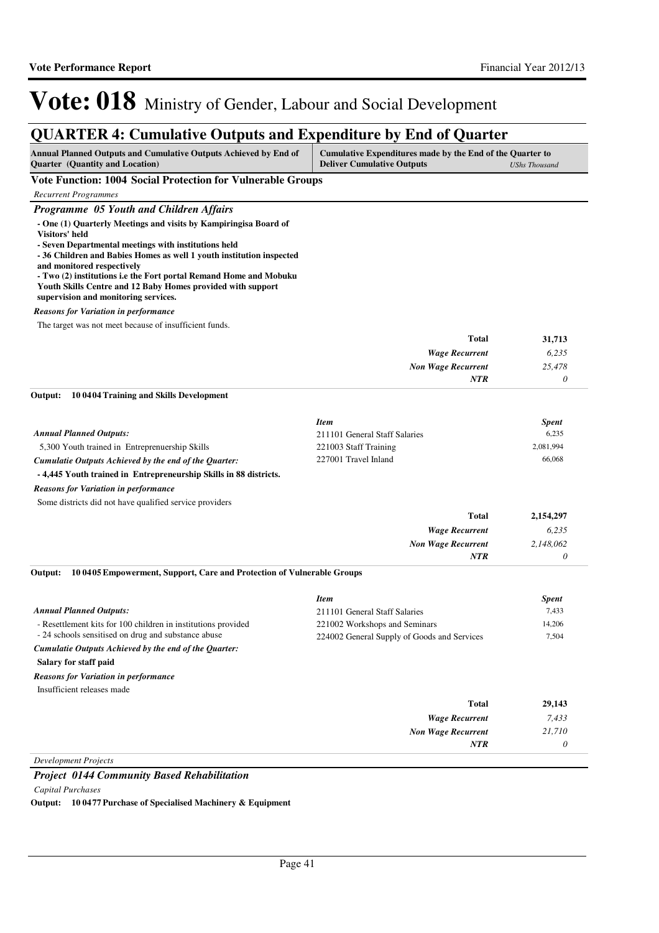## **QUARTER 4: Cumulative Outputs and Expenditure by End of Quarter**

| Annual Planned Outputs and Cumulative Outputs Achieved by End of<br><b>Quarter</b> (Quantity and Location)                                                                                                                                                                                                                                                                                                                   | Cumulative Expenditures made by the End of the Quarter to<br><b>Deliver Cumulative Outputs</b><br><b>UShs Thousand</b> |              |
|------------------------------------------------------------------------------------------------------------------------------------------------------------------------------------------------------------------------------------------------------------------------------------------------------------------------------------------------------------------------------------------------------------------------------|------------------------------------------------------------------------------------------------------------------------|--------------|
| <b>Vote Function: 1004 Social Protection for Vulnerable Groups</b>                                                                                                                                                                                                                                                                                                                                                           |                                                                                                                        |              |
| <b>Recurrent Programmes</b>                                                                                                                                                                                                                                                                                                                                                                                                  |                                                                                                                        |              |
| Programme 05 Youth and Children Affairs                                                                                                                                                                                                                                                                                                                                                                                      |                                                                                                                        |              |
| - One (1) Quarterly Meetings and visits by Kampiringisa Board of<br>Visitors' held<br>- Seven Departmental meetings with institutions held<br>- 36 Children and Babies Homes as well 1 youth institution inspected<br>and monitored respectively<br>- Two (2) institutions i.e the Fort portal Remand Home and Mobuku<br>Youth Skills Centre and 12 Baby Homes provided with support<br>supervision and monitoring services. |                                                                                                                        |              |
| <b>Reasons for Variation in performance</b>                                                                                                                                                                                                                                                                                                                                                                                  |                                                                                                                        |              |
| The target was not meet because of insufficient funds.                                                                                                                                                                                                                                                                                                                                                                       |                                                                                                                        |              |
|                                                                                                                                                                                                                                                                                                                                                                                                                              | <b>Total</b>                                                                                                           | 31,713       |
|                                                                                                                                                                                                                                                                                                                                                                                                                              | <b>Wage Recurrent</b>                                                                                                  | 6,235        |
|                                                                                                                                                                                                                                                                                                                                                                                                                              | <b>Non Wage Recurrent</b><br><b>NTR</b>                                                                                | 25,478<br>0  |
|                                                                                                                                                                                                                                                                                                                                                                                                                              |                                                                                                                        |              |
| Output:<br>10 04 04 Training and Skills Development                                                                                                                                                                                                                                                                                                                                                                          |                                                                                                                        |              |
|                                                                                                                                                                                                                                                                                                                                                                                                                              | <b>Item</b>                                                                                                            | <b>Spent</b> |
| <b>Annual Planned Outputs:</b>                                                                                                                                                                                                                                                                                                                                                                                               | 211101 General Staff Salaries                                                                                          | 6,235        |
| 5,300 Youth trained in Entreprenuership Skills                                                                                                                                                                                                                                                                                                                                                                               | 221003 Staff Training                                                                                                  | 2,081,994    |
| Cumulatie Outputs Achieved by the end of the Quarter:                                                                                                                                                                                                                                                                                                                                                                        | 227001 Travel Inland                                                                                                   | 66,068       |
| -4,445 Youth trained in Entrepreneurship Skills in 88 districts.                                                                                                                                                                                                                                                                                                                                                             |                                                                                                                        |              |
| <b>Reasons for Variation in performance</b>                                                                                                                                                                                                                                                                                                                                                                                  |                                                                                                                        |              |
| Some districts did not have qualified service providers                                                                                                                                                                                                                                                                                                                                                                      |                                                                                                                        |              |
|                                                                                                                                                                                                                                                                                                                                                                                                                              | <b>Total</b>                                                                                                           | 2,154,297    |
|                                                                                                                                                                                                                                                                                                                                                                                                                              | <b>Wage Recurrent</b>                                                                                                  | 6,235        |
|                                                                                                                                                                                                                                                                                                                                                                                                                              | <b>Non Wage Recurrent</b>                                                                                              | 2,148,062    |
|                                                                                                                                                                                                                                                                                                                                                                                                                              | <b>NTR</b>                                                                                                             | 0            |
| 10 04 05 Empowerment, Support, Care and Protection of Vulnerable Groups<br>Output:                                                                                                                                                                                                                                                                                                                                           |                                                                                                                        |              |
|                                                                                                                                                                                                                                                                                                                                                                                                                              | <b>Item</b>                                                                                                            | <b>Spent</b> |
| <b>Annual Planned Outputs:</b>                                                                                                                                                                                                                                                                                                                                                                                               | 211101 General Staff Salaries                                                                                          | 7,433        |
| - Resettlement kits for 100 children in institutions provided                                                                                                                                                                                                                                                                                                                                                                | 221002 Workshops and Seminars                                                                                          | 14,206       |
| - 24 schools sensitised on drug and substance abuse                                                                                                                                                                                                                                                                                                                                                                          | 224002 General Supply of Goods and Services                                                                            | 7,504        |
| Cumulatie Outputs Achieved by the end of the Quarter:                                                                                                                                                                                                                                                                                                                                                                        |                                                                                                                        |              |
| Salary for staff paid                                                                                                                                                                                                                                                                                                                                                                                                        |                                                                                                                        |              |
| <b>Reasons for Variation in performance</b>                                                                                                                                                                                                                                                                                                                                                                                  |                                                                                                                        |              |
| Insufficient releases made                                                                                                                                                                                                                                                                                                                                                                                                   |                                                                                                                        |              |
|                                                                                                                                                                                                                                                                                                                                                                                                                              | <b>Total</b>                                                                                                           | 29,143       |
|                                                                                                                                                                                                                                                                                                                                                                                                                              | <b>Wage Recurrent</b>                                                                                                  | 7,433        |
|                                                                                                                                                                                                                                                                                                                                                                                                                              | <b>Non Wage Recurrent</b>                                                                                              | 21,710       |
|                                                                                                                                                                                                                                                                                                                                                                                                                              | NTR                                                                                                                    | 0            |
| <b>Development Projects</b>                                                                                                                                                                                                                                                                                                                                                                                                  |                                                                                                                        |              |

*Project 0144 Community Based Rehabilitation*

*Capital Purchases*

**Output: 10 0477 Purchase of Specialised Machinery & Equipment**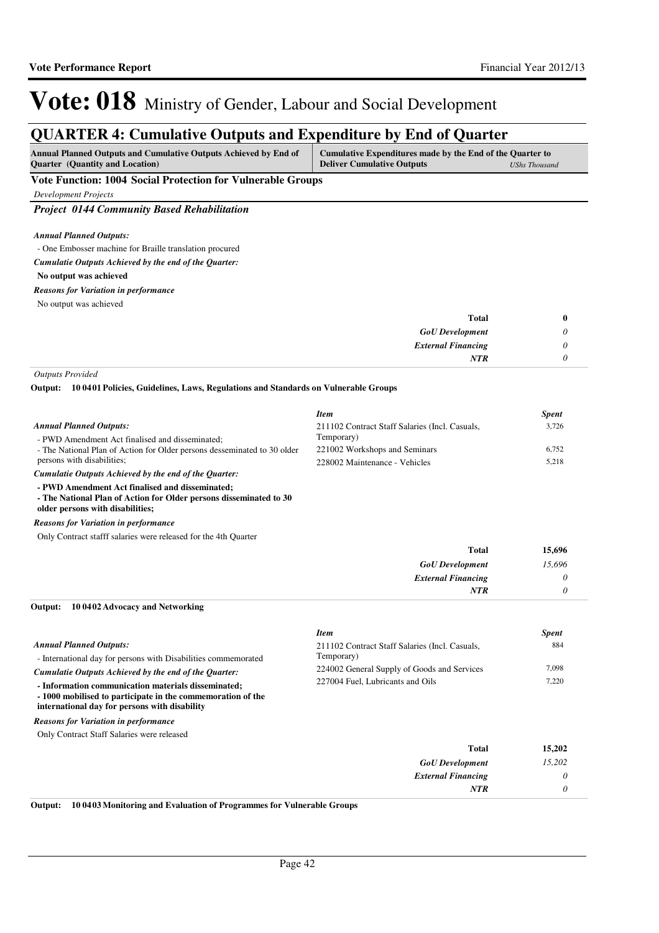## **QUARTER 4: Cumulative Outputs and Expenditure by End of Quarter**

| <b>Annual Planned Outputs and Cumulative Outputs Achieved by End of</b> | Cumulative Expenditures made by the End of the Quarter to |               |
|-------------------------------------------------------------------------|-----------------------------------------------------------|---------------|
| <b>Quarter</b> (Quantity and Location)                                  | <b>Deliver Cumulative Outputs</b>                         | UShs Thousand |
|                                                                         |                                                           |               |

**Vote Function: 1004 Social Protection for Vulnerable Groups**

*Development Projects*

*Project 0144 Community Based Rehabilitation*

*Annual Planned Outputs:*

- One Embosser machine for Braille translation procured

*Cumulatie Outputs Achieved by the end of the Quarter:*

**No output was achieved**

### *Reasons for Variation in performance*

No output was achieved

| <b>Total</b>              | $\bf{0}$              |
|---------------------------|-----------------------|
| <b>GoU</b> Development    | $\boldsymbol{\omega}$ |
| <b>External Financing</b> | 0                     |
| <b>NTR</b>                | U                     |

*Outputs Provided*

**10 0401 Policies, Guidelines, Laws, Regulations and Standards on Vulnerable Groups Output:**

|                                                                          | <b>Item</b>                                    | <b>Spent</b> |
|--------------------------------------------------------------------------|------------------------------------------------|--------------|
| <b>Annual Planned Outputs:</b>                                           | 211102 Contract Staff Salaries (Incl. Casuals, | 3,726        |
| - PWD Amendment Act finalised and disseminated:                          | Temporary)                                     |              |
| - The National Plan of Action for Older persons desseminated to 30 older | 221002 Workshops and Seminars                  | 6.752        |
| persons with disabilities;                                               | 228002 Maintenance - Vehicles                  | 5.218        |
| Cumulatie Outputs Achieved by the end of the Quarter:                    |                                                |              |

**- PWD Amendment Act finalised and disseminated;**

**- The National Plan of Action for Older persons disseminated to 30** 

**older persons with disabilities;**

### *Reasons for Variation in performance*

Only Contract stafff salaries were released for the 4th Quarter

| <b>Total</b>              | 15,696 |
|---------------------------|--------|
| <b>GoU</b> Development    | 15,696 |
| <b>External Financing</b> | 0      |
| <b>NTR</b>                |        |

#### **10 0402 Advocacy and Networking Output:**

|                                                                                                                                                                    | <b>Item</b>                                    | <b>Spent</b> |
|--------------------------------------------------------------------------------------------------------------------------------------------------------------------|------------------------------------------------|--------------|
| <b>Annual Planned Outputs:</b>                                                                                                                                     | 211102 Contract Staff Salaries (Incl. Casuals, | 884          |
| - International day for persons with Disabilities commemorated                                                                                                     | Temporary)                                     |              |
| Cumulatie Outputs Achieved by the end of the Ouarter:                                                                                                              | 224002 General Supply of Goods and Services    | 7,098        |
| - Information communication materials disseminated;<br>-1000 mobilised to participate in the commemoration of the<br>international day for persons with disability | 227004 Fuel, Lubricants and Oils               | 7,220        |
| <b>Reasons for Variation in performance</b>                                                                                                                        |                                                |              |
| Only Contract Staff Salaries were released                                                                                                                         |                                                |              |
|                                                                                                                                                                    | Total                                          | 15,202       |
|                                                                                                                                                                    | <b>GoU</b> Development                         | 15.202       |
|                                                                                                                                                                    | <b>External Financing</b>                      | $\theta$     |
|                                                                                                                                                                    | <b>NTR</b>                                     | 0            |

**Output: 10 0403 Monitoring and Evaluation of Programmes for Vulnerable Groups**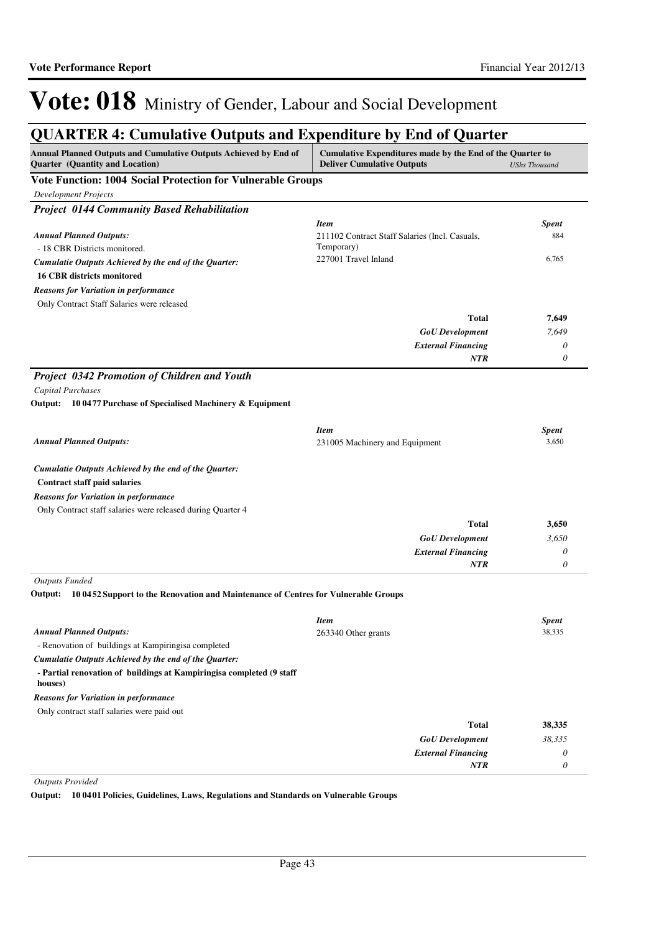## **QUARTER 4: Cumulative Outputs and Expenditure by End of Quarter**

| Annual Planned Outputs and Cumulative Outputs Achieved by End of<br>Quarter (Quantity and Location) | Cumulative Expenditures made by the End of the Quarter to<br><b>Deliver Cumulative Outputs</b> | <b>UShs Thousand</b> |
|-----------------------------------------------------------------------------------------------------|------------------------------------------------------------------------------------------------|----------------------|
| <b>Vote Function: 1004 Social Protection for Vulnerable Groups</b>                                  |                                                                                                |                      |
| <b>Development Projects</b>                                                                         |                                                                                                |                      |
| <b>Project 0144 Community Based Rehabilitation</b>                                                  |                                                                                                |                      |
|                                                                                                     | <b>Item</b>                                                                                    | <b>Spent</b>         |
| <b>Annual Planned Outputs:</b>                                                                      | 211102 Contract Staff Salaries (Incl. Casuals,                                                 | 884                  |
| - 18 CBR Districts monitored.                                                                       | Temporary)                                                                                     |                      |
| Cumulatie Outputs Achieved by the end of the Quarter:                                               | 227001 Travel Inland                                                                           | 6,765                |
| <b>16 CBR districts monitored</b>                                                                   |                                                                                                |                      |
| <b>Reasons for Variation in performance</b>                                                         |                                                                                                |                      |
| Only Contract Staff Salaries were released                                                          |                                                                                                |                      |
|                                                                                                     | Total                                                                                          | 7,649                |
|                                                                                                     | <b>GoU</b> Development                                                                         | 7,649                |
|                                                                                                     | <b>External Financing</b>                                                                      | 0                    |
|                                                                                                     | NTR                                                                                            | 0                    |
| Project 0342 Promotion of Children and Youth                                                        |                                                                                                |                      |
| Capital Purchases                                                                                   |                                                                                                |                      |
| Output: 10 0477 Purchase of Specialised Machinery & Equipment                                       |                                                                                                |                      |
|                                                                                                     | <b>Item</b>                                                                                    | <b>Spent</b>         |
| <b>Annual Planned Outputs:</b>                                                                      | 231005 Machinery and Equipment                                                                 | 3,650                |
|                                                                                                     |                                                                                                |                      |
| Cumulatie Outputs Achieved by the end of the Quarter:<br>Contract staff paid salaries               |                                                                                                |                      |
| <b>Reasons for Variation in performance</b>                                                         |                                                                                                |                      |
| Only Contract staff salaries were released during Quarter 4                                         |                                                                                                |                      |
|                                                                                                     | Total                                                                                          | 3,650                |
|                                                                                                     | <b>GoU</b> Development                                                                         | 3,650                |
|                                                                                                     | <b>External Financing</b>                                                                      | 0                    |
|                                                                                                     | NTR                                                                                            | 0                    |
| <b>Outputs Funded</b>                                                                               |                                                                                                |                      |
| Output: 100452 Support to the Renovation and Maintenance of Centres for Vulnerable Groups           |                                                                                                |                      |
|                                                                                                     | <b>Item</b>                                                                                    | <b>Spent</b>         |
| <b>Annual Planned Outputs:</b>                                                                      | 263340 Other grants                                                                            | 38,335               |
| - Renovation of buildings at Kampiringisa completed                                                 |                                                                                                |                      |
| Cumulatie Outputs Achieved by the end of the Quarter:                                               |                                                                                                |                      |
| - Partial renovation of buildings at Kampiringisa completed (9 staff<br>houses)                     |                                                                                                |                      |
| <b>Reasons for Variation in performance</b>                                                         |                                                                                                |                      |
| Only contract staff salaries were paid out                                                          |                                                                                                |                      |
|                                                                                                     | <b>Total</b>                                                                                   | 38,335               |
|                                                                                                     | <b>GoU</b> Development                                                                         | 38,335               |
|                                                                                                     | <b>External Financing</b>                                                                      | 0                    |
|                                                                                                     | NTR                                                                                            | 0                    |

*Outputs Provided*

**Output: 10 0401 Policies, Guidelines, Laws, Regulations and Standards on Vulnerable Groups**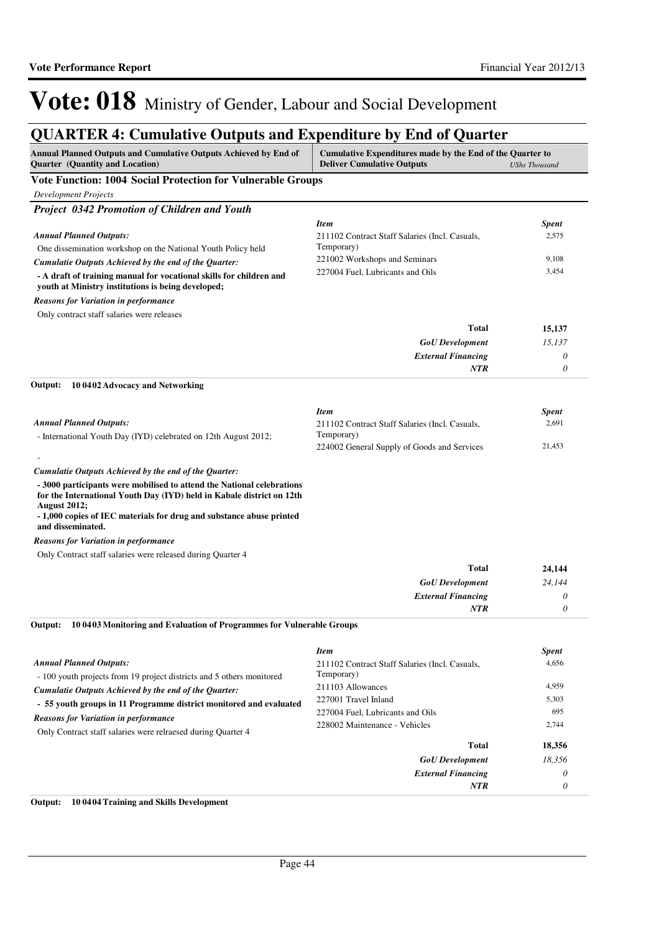# **QUARTER 4: Cumulative Outputs and Expenditure by End of Quarter**

| Annual Planned Outputs and Cumulative Outputs Achieved by End of<br><b>Quarter</b> (Quantity and Location)                                                                                                                                                          | Cumulative Expenditures made by the End of the Quarter to<br><b>Deliver Cumulative Outputs</b> | <b>UShs Thousand</b> |
|---------------------------------------------------------------------------------------------------------------------------------------------------------------------------------------------------------------------------------------------------------------------|------------------------------------------------------------------------------------------------|----------------------|
| Vote Function: 1004 Social Protection for Vulnerable Groups                                                                                                                                                                                                         |                                                                                                |                      |
| <b>Development Projects</b>                                                                                                                                                                                                                                         |                                                                                                |                      |
| Project 0342 Promotion of Children and Youth                                                                                                                                                                                                                        |                                                                                                |                      |
|                                                                                                                                                                                                                                                                     | <b>Item</b>                                                                                    | <b>Spent</b>         |
| <b>Annual Planned Outputs:</b>                                                                                                                                                                                                                                      | 211102 Contract Staff Salaries (Incl. Casuals,                                                 | 2,575                |
| One dissemination workshop on the National Youth Policy held                                                                                                                                                                                                        | Temporary)                                                                                     |                      |
| Cumulatie Outputs Achieved by the end of the Quarter:                                                                                                                                                                                                               | 221002 Workshops and Seminars                                                                  | 9,108                |
| - A draft of training manual for vocational skills for children and<br>youth at Ministry institutions is being developed;                                                                                                                                           | 227004 Fuel. Lubricants and Oils                                                               | 3,454                |
| <b>Reasons for Variation in performance</b>                                                                                                                                                                                                                         |                                                                                                |                      |
| Only contract staff salaries were releases                                                                                                                                                                                                                          |                                                                                                |                      |
|                                                                                                                                                                                                                                                                     | Total                                                                                          | 15,137               |
|                                                                                                                                                                                                                                                                     | <b>GoU</b> Development                                                                         | 15,137               |
|                                                                                                                                                                                                                                                                     | <b>External Financing</b>                                                                      | 0                    |
|                                                                                                                                                                                                                                                                     | <b>NTR</b>                                                                                     | $\theta$             |
| 10 0402 Advocacy and Networking<br>Output:                                                                                                                                                                                                                          |                                                                                                |                      |
|                                                                                                                                                                                                                                                                     | <b>Item</b>                                                                                    | <b>Spent</b>         |
| <b>Annual Planned Outputs:</b>                                                                                                                                                                                                                                      | 211102 Contract Staff Salaries (Incl. Casuals,                                                 | 2,691                |
| - International Youth Day (IYD) celebrated on 12th August 2012;                                                                                                                                                                                                     | Temporary)                                                                                     |                      |
|                                                                                                                                                                                                                                                                     | 224002 General Supply of Goods and Services                                                    | 21,453               |
|                                                                                                                                                                                                                                                                     |                                                                                                |                      |
| Cumulatie Outputs Achieved by the end of the Quarter:                                                                                                                                                                                                               |                                                                                                |                      |
| - 3000 participants were mobilised to attend the National celebrations<br>for the International Youth Day (IYD) held in Kabale district on 12th<br><b>August 2012;</b><br>- 1,000 copies of IEC materials for drug and substance abuse printed<br>and disseminated. |                                                                                                |                      |
| <b>Reasons for Variation in performance</b>                                                                                                                                                                                                                         |                                                                                                |                      |
| Only Contract staff salaries were released during Quarter 4                                                                                                                                                                                                         |                                                                                                |                      |
|                                                                                                                                                                                                                                                                     | Total                                                                                          | 24,144               |
|                                                                                                                                                                                                                                                                     | <b>GoU</b> Development                                                                         | 24,144               |
|                                                                                                                                                                                                                                                                     | <b>External Financing</b>                                                                      | 0                    |
|                                                                                                                                                                                                                                                                     | <b>NTR</b>                                                                                     | 0                    |
| 10 04 03 Monitoring and Evaluation of Programmes for Vulnerable Groups<br>Output:                                                                                                                                                                                   |                                                                                                |                      |
|                                                                                                                                                                                                                                                                     | <b>Item</b>                                                                                    | <b>Spent</b>         |
| <b>Annual Planned Outputs:</b>                                                                                                                                                                                                                                      | 211102 Contract Staff Salaries (Incl. Casuals,                                                 | 4,656                |
| - 100 youth projects from 19 project districts and 5 others monitored                                                                                                                                                                                               | Temporary)                                                                                     |                      |
| Cumulatie Outputs Achieved by the end of the Quarter:                                                                                                                                                                                                               | 211103 Allowances                                                                              | 4,959                |
| - 55 youth groups in 11 Programme district monitored and evaluated                                                                                                                                                                                                  | 227001 Travel Inland                                                                           | 5,303                |
| <b>Reasons for Variation in performance</b>                                                                                                                                                                                                                         | 227004 Fuel, Lubricants and Oils                                                               | 695                  |
| Only Contract staff salaries were relraesed during Quarter 4                                                                                                                                                                                                        | 228002 Maintenance - Vehicles                                                                  | 2,744                |
|                                                                                                                                                                                                                                                                     | Total                                                                                          | 18,356               |
|                                                                                                                                                                                                                                                                     | <b>GoU</b> Development                                                                         | 18,356               |
|                                                                                                                                                                                                                                                                     | <b>External Financing</b>                                                                      | 0                    |
|                                                                                                                                                                                                                                                                     | NTR                                                                                            | 0                    |
|                                                                                                                                                                                                                                                                     |                                                                                                |                      |

### **Output: 10 0404 Training and Skills Development**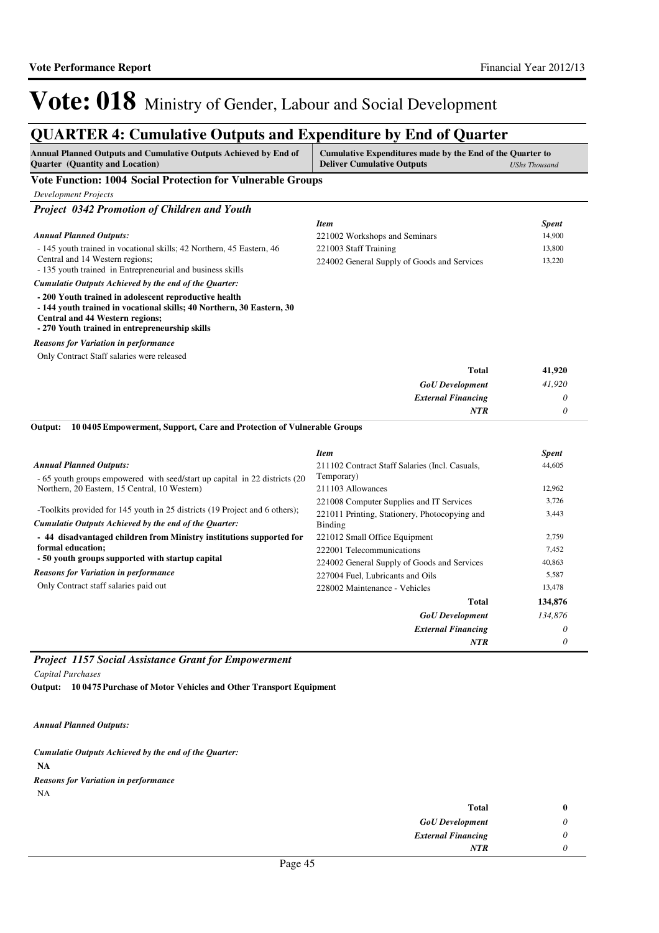### **QUARTER 4: Cumulative Outputs and Expenditure by End of Quarter**

| Annual Planned Outputs and Cumulative Outputs Achieved by End of<br><b>Quarter</b> (Quantity and Location)                                                                                                                 | Cumulative Expenditures made by the End of the Quarter to<br><b>Deliver Cumulative Outputs</b><br><b>UShs Thousand</b> |                 |
|----------------------------------------------------------------------------------------------------------------------------------------------------------------------------------------------------------------------------|------------------------------------------------------------------------------------------------------------------------|-----------------|
| Vote Function: 1004 Social Protection for Vulnerable Groups                                                                                                                                                                |                                                                                                                        |                 |
| <b>Development Projects</b>                                                                                                                                                                                                |                                                                                                                        |                 |
| Project 0342 Promotion of Children and Youth                                                                                                                                                                               |                                                                                                                        |                 |
|                                                                                                                                                                                                                            | <b>Item</b>                                                                                                            | <b>Spent</b>    |
| <b>Annual Planned Outputs:</b>                                                                                                                                                                                             | 221002 Workshops and Seminars                                                                                          | 14,900          |
| - 145 youth trained in vocational skills; 42 Northern, 45 Eastern, 46                                                                                                                                                      | 221003 Staff Training                                                                                                  | 13,800          |
| Central and 14 Western regions;<br>- 135 youth trained in Entrepreneurial and business skills                                                                                                                              | 224002 General Supply of Goods and Services                                                                            | 13,220          |
| Cumulatie Outputs Achieved by the end of the Quarter:                                                                                                                                                                      |                                                                                                                        |                 |
| - 200 Youth trained in adolescent reproductive health<br>- 144 youth trained in vocational skills; 40 Northern, 30 Eastern, 30<br><b>Central and 44 Western regions;</b><br>- 270 Youth trained in entrepreneurship skills |                                                                                                                        |                 |
| <b>Reasons for Variation in performance</b>                                                                                                                                                                                |                                                                                                                        |                 |
| Only Contract Staff salaries were released                                                                                                                                                                                 |                                                                                                                        |                 |
|                                                                                                                                                                                                                            | <b>Total</b>                                                                                                           | 41,920          |
|                                                                                                                                                                                                                            | <b>GoU</b> Development                                                                                                 | 41,920          |
|                                                                                                                                                                                                                            | <b>External Financing</b>                                                                                              | 0               |
|                                                                                                                                                                                                                            | NTR                                                                                                                    | 0               |
| 10 04 05 Empowerment, Support, Care and Protection of Vulnerable Groups<br>Output:                                                                                                                                         | <b>Item</b>                                                                                                            | <b>Spent</b>    |
| <b>Annual Planned Outputs:</b>                                                                                                                                                                                             | 211102 Contract Staff Salaries (Incl. Casuals,                                                                         | 44,605          |
| - 65 youth groups empowered with seed/start up capital in 22 districts (20                                                                                                                                                 | Temporary)                                                                                                             |                 |
| Northern, 20 Eastern, 15 Central, 10 Western)                                                                                                                                                                              | 211103 Allowances                                                                                                      | 12,962          |
|                                                                                                                                                                                                                            | 221008 Computer Supplies and IT Services                                                                               | 3,726           |
| -Toolkits provided for 145 youth in 25 districts (19 Project and 6 others);                                                                                                                                                | 221011 Printing, Stationery, Photocopying and                                                                          | 3,443           |
| Cumulatie Outputs Achieved by the end of the Quarter:                                                                                                                                                                      | <b>Binding</b>                                                                                                         |                 |
| - 44 disadvantaged children from Ministry institutions supported for<br>formal education;                                                                                                                                  | 221012 Small Office Equipment                                                                                          | 2,759           |
| - 50 youth groups supported with startup capital                                                                                                                                                                           | 222001 Telecommunications                                                                                              | 7,452           |
| <b>Reasons for Variation in performance</b>                                                                                                                                                                                | 224002 General Supply of Goods and Services                                                                            | 40,863<br>5,587 |
| Only Contract staff salaries paid out                                                                                                                                                                                      | 227004 Fuel, Lubricants and Oils<br>228002 Maintenance - Vehicles                                                      | 13,478          |
|                                                                                                                                                                                                                            | Total                                                                                                                  | 134,876         |
|                                                                                                                                                                                                                            | <b>GoU</b> Development                                                                                                 | 134,876         |
|                                                                                                                                                                                                                            | <b>External Financing</b>                                                                                              | 0               |
|                                                                                                                                                                                                                            | <b>NTR</b>                                                                                                             | $\theta$        |

### *Project 1157 Social Assistance Grant for Empowerment*

*Capital Purchases*

**10 0475 Purchase of Motor Vehicles and Other Transport Equipment Output:**

*Annual Planned Outputs:*

*Cumulatie Outputs Achieved by the end of the Quarter:*

**NA**

NA *Reasons for Variation in performance*

| Total                     | 0 |
|---------------------------|---|
| <b>GoU</b> Development    | 0 |
| <b>External Financing</b> |   |
| <b>NTR</b>                |   |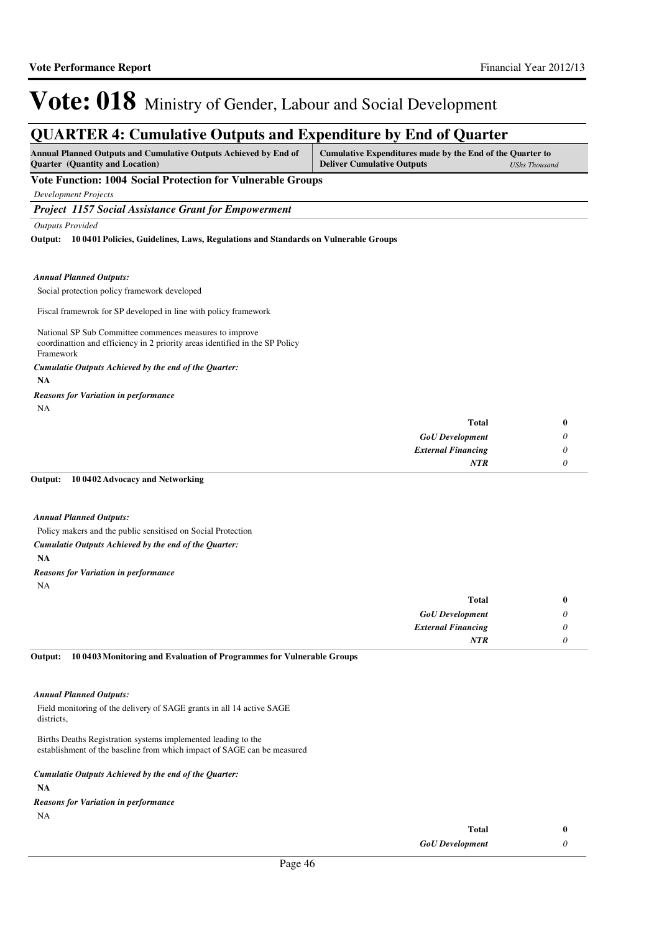### **QUARTER 4: Cumulative Outputs and Expenditure by End of Quarter**

| <b>Annual Planned Outputs and Cumulative Outputs Achieved by End of</b> | Cumulative Expenditures made by the End of the Quarter to |                      |
|-------------------------------------------------------------------------|-----------------------------------------------------------|----------------------|
| <b>Ouarter</b> (Quantity and Location)                                  | <b>Deliver Cumulative Outputs</b>                         | <b>UShs Thousand</b> |

### **Vote Function: 1004 Social Protection for Vulnerable Groups**

*Development Projects*

*Project 1157 Social Assistance Grant for Empowerment*

*Outputs Provided*

**10 0401 Policies, Guidelines, Laws, Regulations and Standards on Vulnerable Groups Output:**

#### *Annual Planned Outputs:*

Social protection policy framework developed

Fiscal framewrok for SP developed in line with policy framework

National SP Sub Committee commences measures to improve coordinattion and efficiency in 2 priority areas identified in the SP Policy Framework

### *Cumulatie Outputs Achieved by the end of the Quarter:*

**NA**

### NA *Reasons for Variation in performance*

| Total                     | 0 |
|---------------------------|---|
| <b>GoU</b> Development    |   |
| <b>External Financing</b> |   |
| NTR                       |   |

#### **10 0402 Advocacy and Networking Output:**

### *Annual Planned Outputs:*

Policy makers and the public sensitised on Social Protection **NA** *Cumulatie Outputs Achieved by the end of the Quarter:*

### NA *Reasons for Variation in performance*

| <b>Total</b>              | $\bf{0}$                  |
|---------------------------|---------------------------|
| <b>GoU</b> Development    | $\boldsymbol{\mathsf{U}}$ |
| <b>External Financing</b> | U                         |
| <b>NTR</b>                |                           |

**10 0403 Monitoring and Evaluation of Programmes for Vulnerable Groups Output:**

#### *Annual Planned Outputs:*

Field monitoring of the delivery of SAGE grants in all 14 active SAGE districts,

Births Deaths Registration systems implemented leading to the establishment of the baseline from which impact of SAGE can be measured

### *Cumulatie Outputs Achieved by the end of the Quarter:*

**NA**

NA *Reasons for Variation in performance*

| Total                  |  |
|------------------------|--|
| <b>GoU</b> Development |  |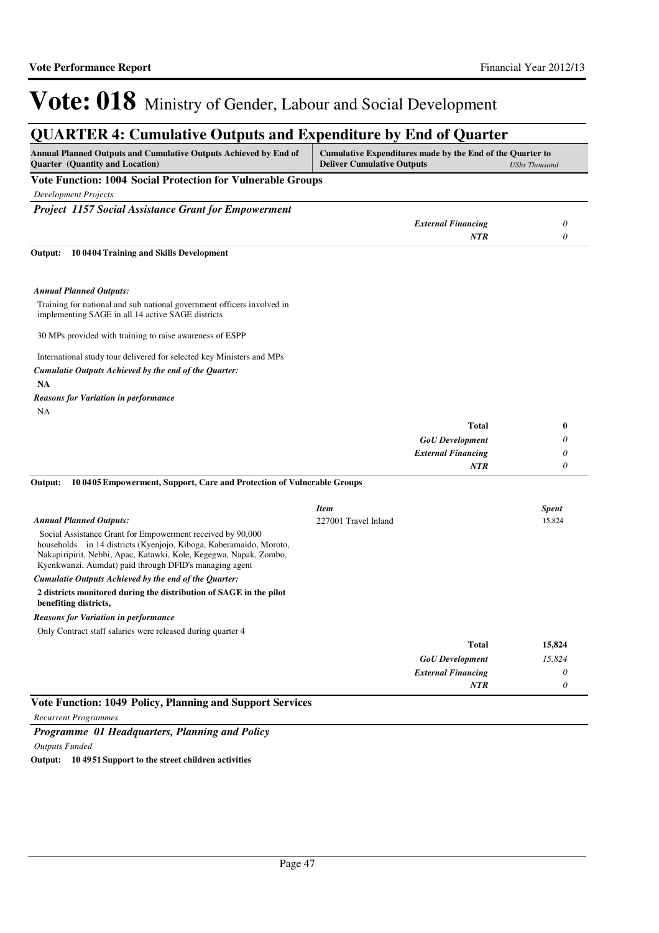### **QUARTER 4: Cumulative Outputs and Expenditure by End of Quarter**

| Annual Planned Outputs and Cumulative Outputs Achieved by End of<br><b>Quarter</b> (Quantity and Location)                                                                                                                                                      | Cumulative Expenditures made by the End of the Quarter to<br><b>Deliver Cumulative Outputs</b><br><b>UShs Thousand</b> |               |
|-----------------------------------------------------------------------------------------------------------------------------------------------------------------------------------------------------------------------------------------------------------------|------------------------------------------------------------------------------------------------------------------------|---------------|
| <b>Vote Function: 1004 Social Protection for Vulnerable Groups</b>                                                                                                                                                                                              |                                                                                                                        |               |
| <b>Development Projects</b>                                                                                                                                                                                                                                     |                                                                                                                        |               |
| <b>Project 1157 Social Assistance Grant for Empowerment</b>                                                                                                                                                                                                     |                                                                                                                        |               |
|                                                                                                                                                                                                                                                                 | <b>External Financing</b>                                                                                              | $\theta$      |
|                                                                                                                                                                                                                                                                 | <b>NTR</b>                                                                                                             | 0             |
| 10 04 04 Training and Skills Development<br>Output:                                                                                                                                                                                                             |                                                                                                                        |               |
| <b>Annual Planned Outputs:</b>                                                                                                                                                                                                                                  |                                                                                                                        |               |
| Training for national and sub national government officers involved in<br>implementing SAGE in all 14 active SAGE districts                                                                                                                                     |                                                                                                                        |               |
| 30 MPs provided with training to raise awareness of ESPP                                                                                                                                                                                                        |                                                                                                                        |               |
| International study tour delivered for selected key Ministers and MPs                                                                                                                                                                                           |                                                                                                                        |               |
| Cumulatie Outputs Achieved by the end of the Quarter:                                                                                                                                                                                                           |                                                                                                                        |               |
| <b>NA</b>                                                                                                                                                                                                                                                       |                                                                                                                        |               |
| <b>Reasons for Variation in performance</b>                                                                                                                                                                                                                     |                                                                                                                        |               |
| NA                                                                                                                                                                                                                                                              |                                                                                                                        |               |
|                                                                                                                                                                                                                                                                 | <b>Total</b>                                                                                                           | $\mathbf{0}$  |
|                                                                                                                                                                                                                                                                 | <b>GoU</b> Development                                                                                                 | 0             |
|                                                                                                                                                                                                                                                                 | <b>External Financing</b><br><b>NTR</b>                                                                                | 0<br>$\theta$ |
| Output:<br>10 04 05 Empowerment, Support, Care and Protection of Vulnerable Groups                                                                                                                                                                              |                                                                                                                        |               |
|                                                                                                                                                                                                                                                                 | <b>Item</b>                                                                                                            | <b>Spent</b>  |
| <b>Annual Planned Outputs:</b>                                                                                                                                                                                                                                  | 227001 Travel Inland                                                                                                   | 15,824        |
| Social Assistance Grant for Empowerment received by 90,000<br>households in 14 districts (Kyenjojo, Kiboga, Kaberamaido, Moroto,<br>Nakapiripirit, Nebbi, Apac, Katawki, Kole, Kegegwa, Napak, Zombo,<br>Kyenkwanzi, Aumdat) paid through DFID's managing agent |                                                                                                                        |               |
| Cumulatie Outputs Achieved by the end of the Quarter:                                                                                                                                                                                                           |                                                                                                                        |               |
| 2 districts monitored during the distribution of SAGE in the pilot<br>benefiting districts,                                                                                                                                                                     |                                                                                                                        |               |
| <b>Reasons for Variation in performance</b>                                                                                                                                                                                                                     |                                                                                                                        |               |
| Only Contract staff salaries were released during quarter 4                                                                                                                                                                                                     |                                                                                                                        |               |
|                                                                                                                                                                                                                                                                 | <b>Total</b>                                                                                                           | 15,824        |
|                                                                                                                                                                                                                                                                 | <b>GoU</b> Development                                                                                                 | 15,824        |
|                                                                                                                                                                                                                                                                 | <b>External Financing</b>                                                                                              | $\theta$      |
|                                                                                                                                                                                                                                                                 | <b>NTR</b>                                                                                                             | $\theta$      |

### **Vote Function: 1049 Policy, Planning and Support Services**

*Recurrent Programmes*

*Programme 01 Headquarters, Planning and Policy*

*Outputs Funded*

**Output: 10 4951 Support to the street children activities**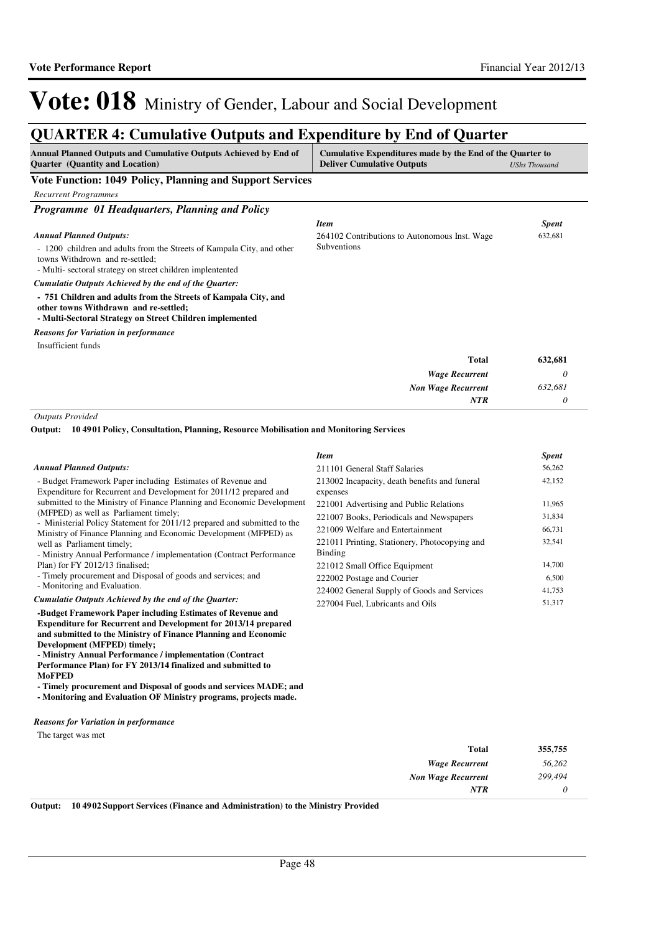*56,262 299,494 0*

*NTR*

**355,755**

# Vote: 018 Ministry of Gender, Labour and Social Development

## **QUARTER 4: Cumulative Outputs and Expenditure by End of Quarter**

| Annual Planned Outputs and Cumulative Outputs Achieved by End of<br><b>Quarter</b> (Quantity and Location)                                                             | Cumulative Expenditures made by the End of the Quarter to<br><b>Deliver Cumulative Outputs</b> | <b>UShs Thousand</b> |
|------------------------------------------------------------------------------------------------------------------------------------------------------------------------|------------------------------------------------------------------------------------------------|----------------------|
| Vote Function: 1049 Policy, Planning and Support Services                                                                                                              |                                                                                                |                      |
| <b>Recurrent Programmes</b>                                                                                                                                            |                                                                                                |                      |
| Programme 01 Headquarters, Planning and Policy                                                                                                                         |                                                                                                |                      |
|                                                                                                                                                                        | <b>Item</b>                                                                                    | <b>Spent</b>         |
| <b>Annual Planned Outputs:</b>                                                                                                                                         | 264102 Contributions to Autonomous Inst. Wage                                                  | 632,681              |
| - 1200 children and adults from the Streets of Kampala City, and other<br>towns Withdrown and re-settled;<br>- Multi-sectoral strategy on street children implentented | Subventions                                                                                    |                      |
| Cumulatie Outputs Achieved by the end of the Quarter:                                                                                                                  |                                                                                                |                      |
| - 751 Children and adults from the Streets of Kampala City, and<br>other towns Withdrawn and re-settled;<br>- Multi-Sectoral Strategy on Street Children implemented   |                                                                                                |                      |
| <b>Reasons for Variation in performance</b>                                                                                                                            |                                                                                                |                      |
| Insufficient funds                                                                                                                                                     |                                                                                                |                      |
|                                                                                                                                                                        | <b>Total</b>                                                                                   | 632,681              |
|                                                                                                                                                                        | <b>Wage Recurrent</b>                                                                          | 0                    |
|                                                                                                                                                                        | <b>Non Wage Recurrent</b>                                                                      | 632,681              |
|                                                                                                                                                                        | NTR                                                                                            | 0                    |
| <b>Outputs Provided</b>                                                                                                                                                |                                                                                                |                      |

**Development (MFPED) timely;**

**MoFPED**

**10 4901 Policy, Consultation, Planning, Resource Mobilisation and Monitoring Services Output:**

|                                                                                                                                              | Item                                                      | <b>Spent</b> |
|----------------------------------------------------------------------------------------------------------------------------------------------|-----------------------------------------------------------|--------------|
| <b>Annual Planned Outputs:</b>                                                                                                               | 211101 General Staff Salaries                             | 56,262       |
| - Budget Framework Paper including Estimates of Revenue and<br>Expenditure for Recurrent and Development for 2011/12 prepared and            | 213002 Incapacity, death benefits and funeral<br>expenses | 42,152       |
| submitted to the Ministry of Finance Planning and Economic Development                                                                       | 221001 Advertising and Public Relations                   | 11,965       |
| (MFPED) as well as Parliament timely;                                                                                                        | 221007 Books, Periodicals and Newspapers                  | 31,834       |
| - Ministerial Policy Statement for 2011/12 prepared and submitted to the<br>Ministry of Finance Planning and Economic Development (MFPED) as | 221009 Welfare and Entertainment                          | 66,731       |
| well as Parliament timely;<br>- Ministry Annual Performance / implementation (Contract Performance)                                          | 221011 Printing, Stationery, Photocopying and<br>Binding  | 32,541       |
| Plan) for FY 2012/13 finalised;                                                                                                              | 221012 Small Office Equipment                             | 14,700       |
| - Timely procurement and Disposal of goods and services; and                                                                                 | 222002 Postage and Courier                                | 6,500        |
| - Monitoring and Evaluation.                                                                                                                 | 224002 General Supply of Goods and Services               | 41,753       |
| Cumulatie Outputs Achieved by the end of the Ouarter:                                                                                        | 227004 Fuel. Lubricants and Oils                          | 51,317       |
| -Budget Framework Paper including Estimates of Revenue and                                                                                   |                                                           |              |

*Wage Recurrent Non Wage Recurrent* **Total** The target was met *Reasons for Variation in performance*

**Output: 10 4902 Support Services (Finance and Administration) to the Ministry Provided**

**Expenditure for Recurrent and Development for 2013/14 prepared and submitted to the Ministry of Finance Planning and Economic** 

**- Timely procurement and Disposal of goods and services MADE; and - Monitoring and Evaluation OF Ministry programs, projects made.**

**- Ministry Annual Performance / implementation (Contract Performance Plan) for FY 2013/14 finalized and submitted to**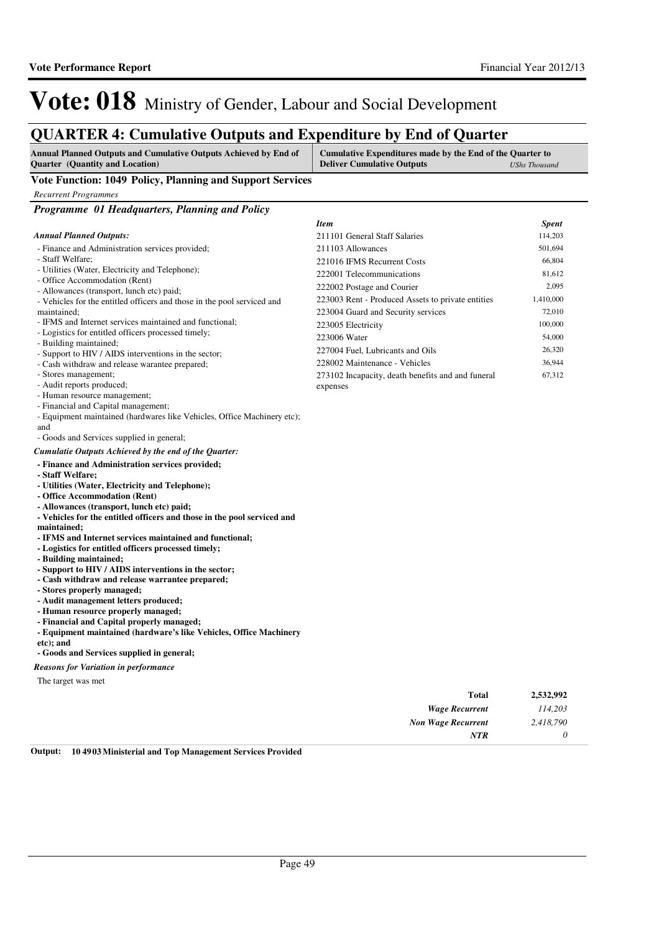67,312

227004 Fuel, Lubricants and Oils 26,320 228002 Maintenance - Vehicles 36,944

273102 Incapacity, death benefits and and funeral

# Vote: 018 Ministry of Gender, Labour and Social Development

### **QUARTER 4: Cumulative Outputs and Expenditure by End of Quarter**

| $\mathbf{x}$ -----                                                                                         |                                                                                                |                      |
|------------------------------------------------------------------------------------------------------------|------------------------------------------------------------------------------------------------|----------------------|
| Annual Planned Outputs and Cumulative Outputs Achieved by End of<br><b>Ouarter</b> (Quantity and Location) | Cumulative Expenditures made by the End of the Quarter to<br><b>Deliver Cumulative Outputs</b> | <b>UShs Thousand</b> |
| Vote Function: 1049 Policy, Planning and Support Services                                                  |                                                                                                |                      |
| <b>Recurrent Programmes</b>                                                                                |                                                                                                |                      |
| <b>Programme 01 Headquarters, Planning and Policy</b>                                                      |                                                                                                |                      |
|                                                                                                            | <b>Item</b>                                                                                    | <b>Spent</b>         |
| <b>Annual Planned Outputs:</b>                                                                             | 211101 General Staff Salaries                                                                  | 114,203              |
| - Finance and Administration services provided;                                                            | 211103 Allowances                                                                              | 501,694              |
| - Staff Welfare:                                                                                           | 221016 IFMS Recurrent Costs                                                                    | 66,804               |
| - Utilities (Water, Electricity and Telephone);                                                            | 222001 Telecommunications                                                                      | 81,612               |
| - Office Accommodation (Rent)<br>- Allowances (transport, lunch etc) paid;                                 | 222002 Postage and Courier                                                                     | 2,095                |
| - Vehicles for the entitled officers and those in the pool serviced and                                    | 223003 Rent - Produced Assets to private entities                                              | 1,410,000            |
| maintained:                                                                                                | 223004 Guard and Security services                                                             | 72,010               |
| - IFMS and Internet services maintained and functional:                                                    | 223005 Electricity                                                                             | 100,000              |
| - Logistics for entitled officers processed timely;                                                        | 223006 Water                                                                                   | 54,000               |

expenses

- Building maintained;

- Support to HIV / AIDS interventions in the sector;

- Cash withdraw and release warantee prepared;

- Stores management;

- Audit reports produced;

- Human resource management;

- Financial and Capital management;

- Equipment maintained (hardwares like Vehicles, Office Machinery etc);

and

- Goods and Services supplied in general;

#### *Cumulatie Outputs Achieved by the end of the Quarter:*

**- Finance and Administration services provided;**

```
- Staff Welfare;
```
**- Utilities (Water, Electricity and Telephone);**

- **Office Accommodation (Rent)**
- **Allowances (transport, lunch etc) paid;**
- **Vehicles for the entitled officers and those in the pool serviced and**
- **maintained;**
- **IFMS and Internet services maintained and functional;**
- **Logistics for entitled officers processed timely;**
- **Building maintained;**
- **Support to HIV / AIDS interventions in the sector;**
- **Cash withdraw and release warrantee prepared;**
- **Stores properly managed;**
- **Audit management letters produced;**
- **Human resource properly managed;**
- **Financial and Capital properly managed;**

**- Equipment maintained (hardware's like Vehicles, Office Machinery** 

**etc); and**

**- Goods and Services supplied in general;**

*Reasons for Variation in performance*

The target was met

| <b>Total</b>              | 2,532,992 |
|---------------------------|-----------|
| <b>Wage Recurrent</b>     | 114,203   |
| <b>Non Wage Recurrent</b> | 2,418,790 |
| <b>NTR</b>                |           |

**Output: 10 4903 Ministerial and Top Management Services Provided**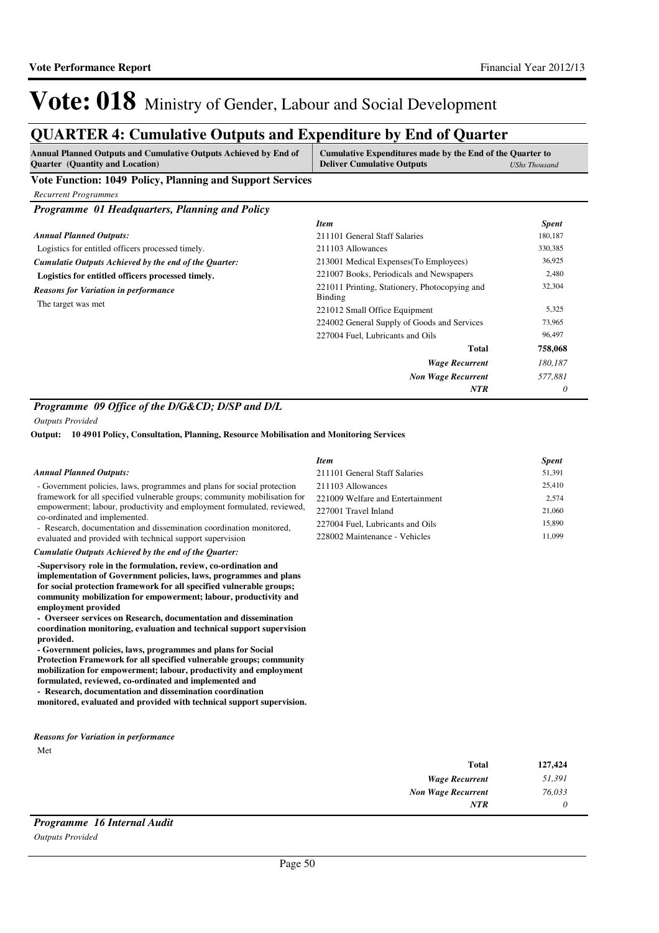## **QUARTER 4: Cumulative Outputs and Expenditure by End of Quarter**

| <b>Annual Planned Outputs and Cumulative Outputs Achieved by End of</b><br><b>Ouarter</b> (Quantity and Location) | Cumulative Expenditures made by the End of the Quarter to<br><b>Deliver Cumulative Outputs</b><br><b>UShs Thousand</b> |
|-------------------------------------------------------------------------------------------------------------------|------------------------------------------------------------------------------------------------------------------------|
| <b>TT</b> / <b>TT</b><br><b>TM</b><br>1010 D U                                                                    |                                                                                                                        |

**Vote Function: 1049 Policy, Planning and Support Services**

*Recurrent Programmes*

*Programme 01 Headquarters, Planning and Policy*

|                                                       | <b>Item</b>                                              | <b>Spent</b> |
|-------------------------------------------------------|----------------------------------------------------------|--------------|
| <b>Annual Planned Outputs:</b>                        | 211101 General Staff Salaries                            | 180,187      |
| Logistics for entitled officers processed timely.     | 211103 Allowances                                        | 330,385      |
| Cumulatie Outputs Achieved by the end of the Ouarter: | 213001 Medical Expenses (To Employees)                   | 36,925       |
| Logistics for entitled officers processed timely.     | 221007 Books, Periodicals and Newspapers                 | 2,480        |
| <b>Reasons for Variation in performance</b>           | 221011 Printing, Stationery, Photocopying and<br>Binding | 32,304       |
| The target was met.                                   | 221012 Small Office Equipment                            | 5,325        |
|                                                       | 224002 General Supply of Goods and Services              | 73,965       |
|                                                       | 227004 Fuel, Lubricants and Oils                         | 96,497       |
|                                                       | Total                                                    | 758,068      |
|                                                       | <b>Wage Recurrent</b>                                    | 180.187      |
|                                                       | <b>Non Wage Recurrent</b>                                | 577.881      |
|                                                       | <b>NTR</b>                                               | 0            |

### *Programme 09 Office of the D/G&CD; D/SP and D/L*

*Outputs Provided*

**10 4901 Policy, Consultation, Planning, Resource Mobilisation and Monitoring Services Output:**

|                                                                                                                                                                                                                                                                                                                                                                                                                                                                                                                                                                                                                                                                                                                                         | <b>Item</b>                      | <b>Spent</b> |
|-----------------------------------------------------------------------------------------------------------------------------------------------------------------------------------------------------------------------------------------------------------------------------------------------------------------------------------------------------------------------------------------------------------------------------------------------------------------------------------------------------------------------------------------------------------------------------------------------------------------------------------------------------------------------------------------------------------------------------------------|----------------------------------|--------------|
| <b>Annual Planned Outputs:</b>                                                                                                                                                                                                                                                                                                                                                                                                                                                                                                                                                                                                                                                                                                          | 211101 General Staff Salaries    | 51,391       |
| - Government policies, laws, programmes and plans for social protection                                                                                                                                                                                                                                                                                                                                                                                                                                                                                                                                                                                                                                                                 | 211103 Allowances                | 25,410       |
| framework for all specified vulnerable groups; community mobilisation for                                                                                                                                                                                                                                                                                                                                                                                                                                                                                                                                                                                                                                                               | 221009 Welfare and Entertainment | 2,574        |
| empowerment; labour, productivity and employment formulated, reviewed,                                                                                                                                                                                                                                                                                                                                                                                                                                                                                                                                                                                                                                                                  | 227001 Travel Inland             | 21,060       |
| co-ordinated and implemented.<br>- Research, documentation and dissemination coordination monitored,                                                                                                                                                                                                                                                                                                                                                                                                                                                                                                                                                                                                                                    | 227004 Fuel, Lubricants and Oils | 15,890       |
| evaluated and provided with technical support supervision                                                                                                                                                                                                                                                                                                                                                                                                                                                                                                                                                                                                                                                                               | 228002 Maintenance - Vehicles    | 11,099       |
| Cumulatie Outputs Achieved by the end of the Quarter:                                                                                                                                                                                                                                                                                                                                                                                                                                                                                                                                                                                                                                                                                   |                                  |              |
| -Supervisory role in the formulation, review, co-ordination and<br>implementation of Government policies, laws, programmes and plans<br>for social protection framework for all specified vulnerable groups;<br>community mobilization for empowerment; labour, productivity and<br>employment provided<br>- Overseer services on Research, documentation and dissemination<br>coordination monitoring, evaluation and technical support supervision<br>provided.<br>- Government policies, laws, programmes and plans for Social<br>Protection Framework for all specified vulnerable groups; community<br>mobilization for empowerment; labour, productivity and employment<br>formulated, reviewed, co-ordinated and implemented and |                                  |              |

Met *Reasons for Variation in performance*

**- Research, documentation and dissemination coordination** 

**monitored, evaluated and provided with technical support supervision.**

| 127,424 | <b>Total</b>              |
|---------|---------------------------|
| 51,391  | <b>Wage Recurrent</b>     |
| 76,033  | <b>Non Wage Recurrent</b> |
|         | <b>NTR</b>                |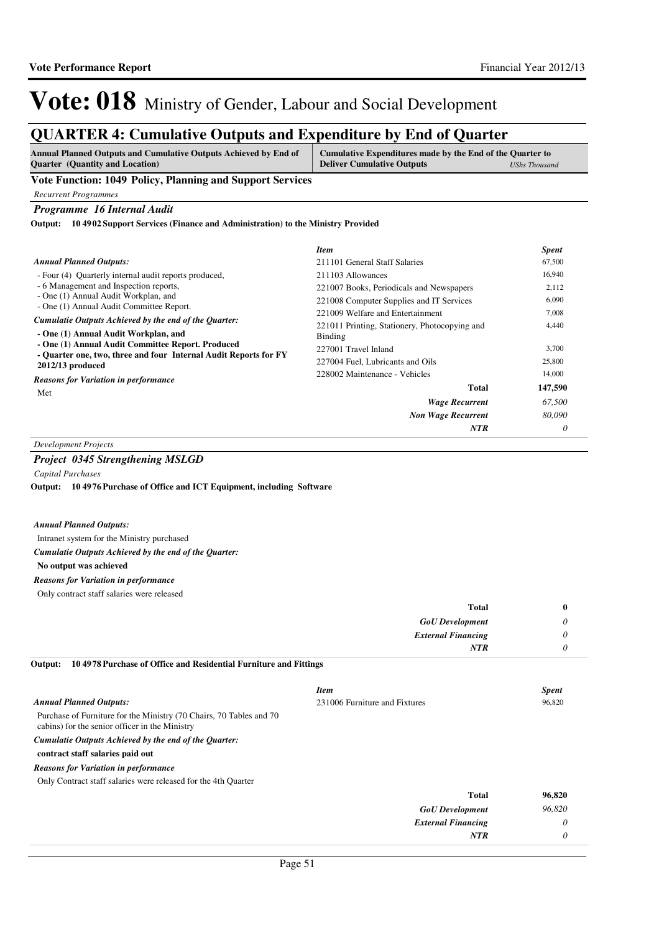### **QUARTER 4: Cumulative Outputs and Expenditure by End of Quarter**

| <b>Annual Planned Outputs and Cumulative Outputs Achieved by End of</b> | Cumulative Expenditures made by the End of the Quarter to |               |
|-------------------------------------------------------------------------|-----------------------------------------------------------|---------------|
| <b>Quarter</b> (Quantity and Location)                                  | <b>Deliver Cumulative Outputs</b>                         | UShs Thousand |

**Vote Function: 1049 Policy, Planning and Support Services**

*Recurrent Programmes*

*Programme 16 Internal Audit*

**10 4902 Support Services (Finance and Administration) to the Ministry Provided Output:**

|                                                                                               | <b>Item</b>                                              | <b>Spent</b> |
|-----------------------------------------------------------------------------------------------|----------------------------------------------------------|--------------|
| <b>Annual Planned Outputs:</b>                                                                | 211101 General Staff Salaries                            | 67,500       |
| - Four (4) Ouarterly internal audit reports produced,                                         | 211103 Allowances                                        | 16,940       |
| - 6 Management and Inspection reports,                                                        | 221007 Books, Periodicals and Newspapers                 | 2,112        |
| - One (1) Annual Audit Workplan, and<br>- One (1) Annual Audit Committee Report.              | 221008 Computer Supplies and IT Services                 | 6,090        |
|                                                                                               | 221009 Welfare and Entertainment                         | 7,008        |
| Cumulatie Outputs Achieved by the end of the Quarter:<br>- One (1) Annual Audit Workplan, and | 221011 Printing, Stationery, Photocopying and<br>Binding | 4,440        |
| - One (1) Annual Audit Committee Report. Produced                                             | 227001 Travel Inland                                     | 3,700        |
| - Quarter one, two, three and four Internal Audit Reports for FY<br>2012/13 produced          | 227004 Fuel, Lubricants and Oils                         | 25,800       |
| <b>Reasons for Variation in performance</b>                                                   | 228002 Maintenance - Vehicles                            | 14,000       |
| Met                                                                                           | Total                                                    | 147,590      |
|                                                                                               | <b>Wage Recurrent</b>                                    | 67.500       |
|                                                                                               | <b>Non Wage Recurrent</b>                                | 80,090       |
|                                                                                               | <b>NTR</b>                                               | 0            |

### *Development Projects*

### *Project 0345 Strengthening MSLGD*

*Capital Purchases*

**10 4976 Purchase of Office and ICT Equipment, including Software Output:**

#### *Annual Planned Outputs:*

Intranet system for the Ministry purchased

*Cumulatie Outputs Achieved by the end of the Quarter:*

**No output was achieved**

#### *Reasons for Variation in performance*

Only contract staff salaries were released

| Total                     | 0        |
|---------------------------|----------|
| <b>GoU</b> Development    | $\theta$ |
| <b>External Financing</b> | $\theta$ |
| <b>NTR</b>                | $\theta$ |

**10 4978 Purchase of Office and Residential Furniture and Fittings Output:**

|                                                                                                                       | <b>Item</b>                   | <b>Spent</b> |
|-----------------------------------------------------------------------------------------------------------------------|-------------------------------|--------------|
| <b>Annual Planned Outputs:</b>                                                                                        | 231006 Furniture and Fixtures | 96,820       |
| Purchase of Furniture for the Ministry (70 Chairs, 70 Tables and 70<br>cabins) for the senior officer in the Ministry |                               |              |
| Cumulatie Outputs Achieved by the end of the Quarter:                                                                 |                               |              |
| contract staff salaries paid out                                                                                      |                               |              |
| <b>Reasons for Variation in performance</b>                                                                           |                               |              |
| Only Contract staff salaries were released for the 4th Quarter                                                        |                               |              |
|                                                                                                                       | <b>Total</b>                  | 96,820       |
|                                                                                                                       | <b>GoU</b> Development        | 96,820       |
|                                                                                                                       | <b>External Financing</b>     | 0            |
|                                                                                                                       | NTR                           | $\theta$     |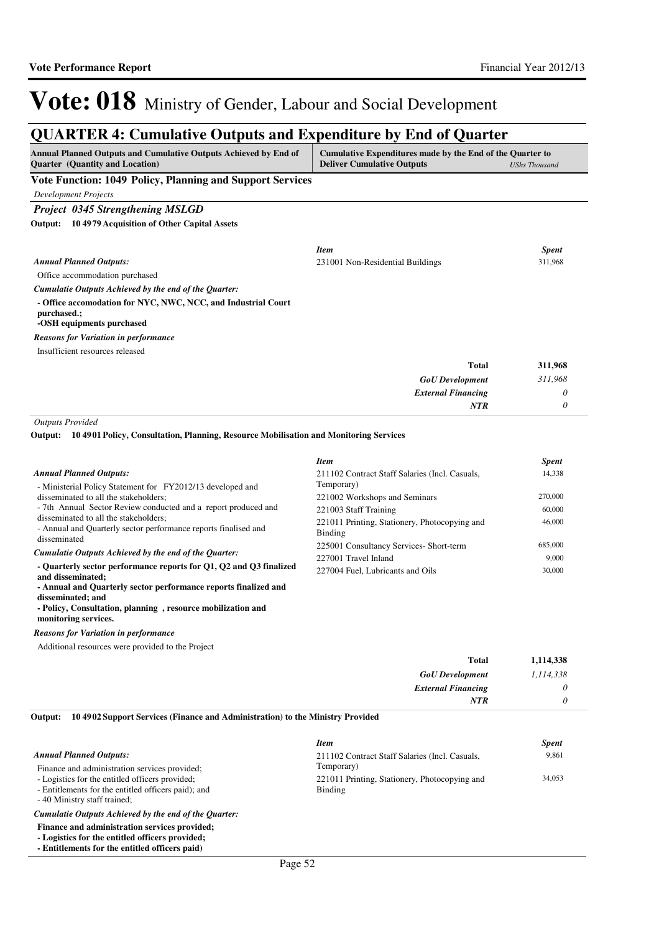### **QUARTER 4: Cumulative Outputs and Expenditure by End of Quarter**

| <b>Annual Planned Outputs and Cumulative Outputs Achieved by End of</b><br>Quarter (Quantity and Location) | Cumulative Expenditures made by the End of the Quarter to<br><b>Deliver Cumulative Outputs</b> | <b>UShs Thousand</b> |
|------------------------------------------------------------------------------------------------------------|------------------------------------------------------------------------------------------------|----------------------|
| Vote Function: 1049 Policy, Planning and Support Services                                                  |                                                                                                |                      |
| <b>Development Projects</b>                                                                                |                                                                                                |                      |
| Project 0345 Strengthening MSLGD                                                                           |                                                                                                |                      |
| 104979 Acquisition of Other Capital Assets<br>Output:                                                      |                                                                                                |                      |
|                                                                                                            | <b>Item</b>                                                                                    | <b>Spent</b>         |
| <b>Annual Planned Outputs:</b>                                                                             | 231001 Non-Residential Buildings                                                               | 311.968              |
| Office accommodation purchased                                                                             |                                                                                                |                      |
| Cumulatie Outputs Achieved by the end of the Quarter:                                                      |                                                                                                |                      |
| - Office accomodation for NYC, NWC, NCC, and Industrial Court<br>purchased.;<br>-OSH equipments purchased  |                                                                                                |                      |
| <b>Reasons for Variation in performance</b>                                                                |                                                                                                |                      |
| Insufficient resources released                                                                            |                                                                                                |                      |
|                                                                                                            | <b>Total</b>                                                                                   | 311,968              |
|                                                                                                            | <b>GoU</b> Development                                                                         | 311,968              |
|                                                                                                            | <b>External Financing</b>                                                                      | 0                    |
|                                                                                                            | <b>NTR</b>                                                                                     | 0                    |

*Outputs Provided*

**10 4901 Policy, Consultation, Planning, Resource Mobilisation and Monitoring Services Output:**

|                                                                                                          | <b>Item</b>                                              | <i>Spent</i> |
|----------------------------------------------------------------------------------------------------------|----------------------------------------------------------|--------------|
| <b>Annual Planned Outputs:</b>                                                                           | 211102 Contract Staff Salaries (Incl. Casuals,           | 14,338       |
| - Ministerial Policy Statement for FY2012/13 developed and                                               | Temporary)                                               |              |
| disseminated to all the stakeholders;                                                                    | 221002 Workshops and Seminars                            | 270,000      |
| - 7th Annual Sector Review conducted and a report produced and                                           | 221003 Staff Training                                    | 60,000       |
| disseminated to all the stakeholders;<br>- Annual and Quarterly sector performance reports finalised and | 221011 Printing, Stationery, Photocopying and<br>Binding | 46,000       |
| disseminated                                                                                             | 225001 Consultancy Services- Short-term                  | 685,000      |
| Cumulatie Outputs Achieved by the end of the Quarter:                                                    | 227001 Travel Inland                                     | 9.000        |
| - Quarterly sector performance reports for Q1, Q2 and Q3 finalized<br>and disseminated;                  | 227004 Fuel, Lubricants and Oils                         | 30,000       |
| - Annual and Quarterly sector performance reports finalized and                                          |                                                          |              |

**disseminated; and - Policy, Consultation, planning , resource mobilization and monitoring services.**

*Reasons for Variation in performance*

Additional resources were provided to the Project

| 1,114,338 | <b>Total</b>              |
|-----------|---------------------------|
| 1,114,338 | <b>GoU</b> Development    |
|           | <b>External Financing</b> |
|           | <b>NTR</b>                |
|           |                           |

#### **10 4902 Support Services (Finance and Administration) to the Ministry Provided Output:**

|                                                       | <b>Item</b>                                    | <b>Spent</b> |
|-------------------------------------------------------|------------------------------------------------|--------------|
| <b>Annual Planned Outputs:</b>                        | 211102 Contract Staff Salaries (Incl. Casuals, | 9,861        |
| Finance and administration services provided;         | Temporary)                                     |              |
| - Logistics for the entitled officers provided;       | 221011 Printing, Stationery, Photocopying and  | 34,053       |
| - Entitlements for the entitled officers paid); and   | Binding                                        |              |
| - 40 Ministry staff trained;                          |                                                |              |
| Cumulatie Outputs Achieved by the end of the Quarter: |                                                |              |

- **Finance and administration services provided; - Logistics for the entitled officers provided;**
- **Entitlements for the entitled officers paid)**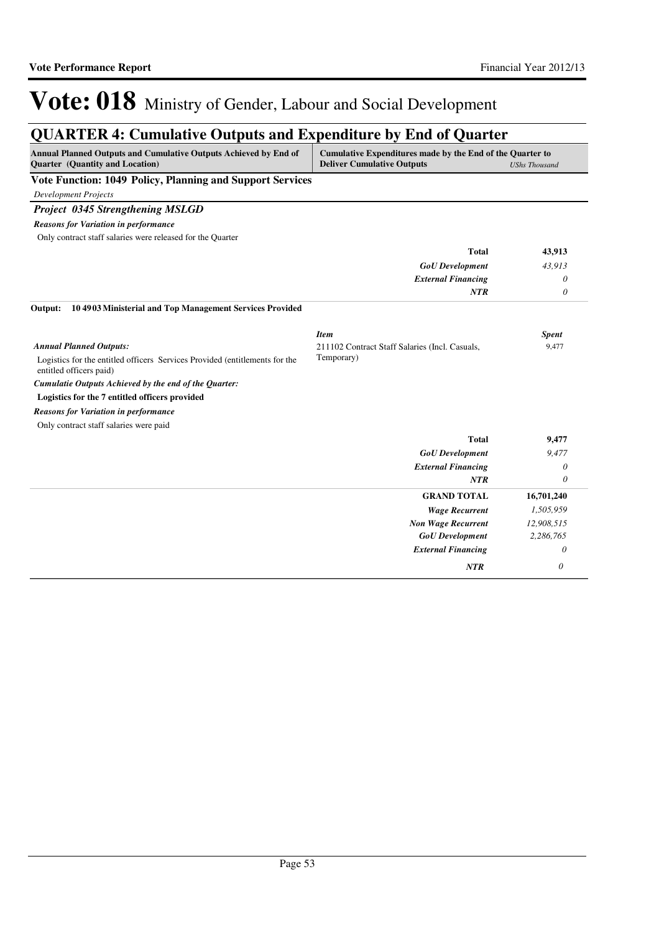# **QUARTER 4: Cumulative Outputs and Expenditure by End of Quarter**

| Annual Planned Outputs and Cumulative Outputs Achieved by End of<br>Quarter (Quantity and Location)    | Cumulative Expenditures made by the End of the Quarter to<br><b>Deliver Cumulative Outputs</b> | <b>UShs Thousand</b> |
|--------------------------------------------------------------------------------------------------------|------------------------------------------------------------------------------------------------|----------------------|
| Vote Function: 1049 Policy, Planning and Support Services                                              |                                                                                                |                      |
| <b>Development Projects</b>                                                                            |                                                                                                |                      |
| <b>Project 0345 Strengthening MSLGD</b>                                                                |                                                                                                |                      |
| <b>Reasons for Variation in performance</b>                                                            |                                                                                                |                      |
| Only contract staff salaries were released for the Quarter                                             |                                                                                                |                      |
|                                                                                                        | <b>Total</b>                                                                                   | 43,913               |
|                                                                                                        | <b>GoU</b> Development                                                                         | 43,913               |
|                                                                                                        | <b>External Financing</b>                                                                      | 0                    |
|                                                                                                        | <b>NTR</b>                                                                                     | $\theta$             |
| 104903 Ministerial and Top Management Services Provided<br>Output:                                     |                                                                                                |                      |
|                                                                                                        | <b>Item</b>                                                                                    | <b>Spent</b>         |
| <b>Annual Planned Outputs:</b>                                                                         | 211102 Contract Staff Salaries (Incl. Casuals,                                                 | 9,477                |
| Logistics for the entitled officers Services Provided (entitlements for the<br>entitled officers paid) | Temporary)                                                                                     |                      |
| Cumulatie Outputs Achieved by the end of the Quarter:                                                  |                                                                                                |                      |
| Logistics for the 7 entitled officers provided                                                         |                                                                                                |                      |
| <b>Reasons for Variation in performance</b>                                                            |                                                                                                |                      |
| Only contract staff salaries were paid                                                                 |                                                                                                |                      |
|                                                                                                        | <b>Total</b>                                                                                   | 9,477                |
|                                                                                                        | <b>GoU</b> Development                                                                         | 9,477                |
|                                                                                                        | <b>External Financing</b>                                                                      | $\theta$             |
|                                                                                                        | <b>NTR</b>                                                                                     | $\theta$             |
|                                                                                                        | <b>GRAND TOTAL</b>                                                                             | 16,701,240           |
|                                                                                                        | <b>Wage Recurrent</b>                                                                          | 1,505,959            |
|                                                                                                        | <b>Non Wage Recurrent</b>                                                                      | 12,908,515           |
|                                                                                                        | <b>GoU</b> Development                                                                         | 2,286,765            |
|                                                                                                        | <b>External Financing</b>                                                                      | 0                    |
|                                                                                                        | NTR                                                                                            | $\theta$             |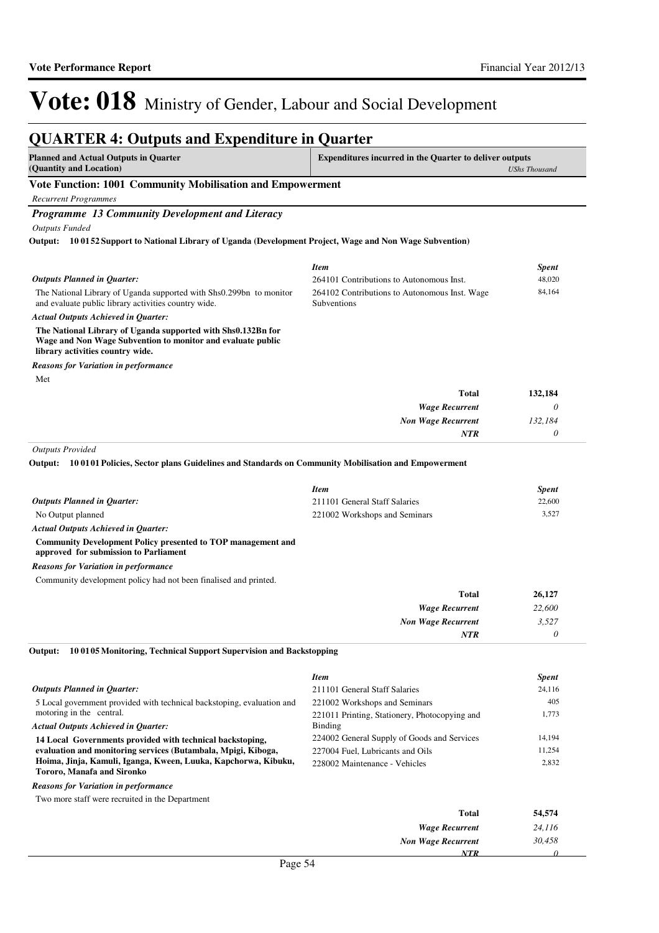#### **QUARTER 4: Outputs and Expenditure in Quarter Planned and Actual Outputs in Quarter (Quantity and Location) Expenditures incurred in the Quarter to deliver outputs**  *UShs Thousand* **Vote Function: 1001 Community Mobilisation and Empowerment** *Recurrent Programmes Programme 13 Community Development and Literacy Outputs Funded* The National Library of Uganda supported with Shs0.299bn to monitor and evaluate public library activities country wide. **The National Library of Uganda supported with Shs0.132Bn for Wage and Non Wage Subvention to monitor and evaluate public library activities country wide. 10 0152 Support to National Library of Uganda (Development Project, Wage and Non Wage Subvention) Output:** *Wage Recurrent Non Wage Recurrent* **Total** *0 132,184 0* **132,184** *Actual Outputs Achieved in Quarter: Outputs Planned in Quarter: NTR* Met *Reasons for Variation in performance Item Spent* 264101 Contributions to Autonomous Inst. 48,020 264102 Contributions to Autonomous Inst. Wage Subventions 84,164 *Outputs Provided* No Output planned **Community Development Policy presented to TOP management and approved for submission to Parliament 10 0101 Policies, Sector plans Guidelines and Standards on Community Mobilisation and Empowerment Output:** *Actual Outputs Achieved in Quarter: Outputs Planned in Quarter: Reasons for Variation in performance Item Spent* 211101 General Staff Salaries 22,600 221002 Workshops and Seminars 3,527

Community development policy had not been finalised and printed.

| <b>Total</b>              | 26,127 |
|---------------------------|--------|
| <b>Wage Recurrent</b>     | 22,600 |
| <b>Non Wage Recurrent</b> | 3,527  |
| <b>NTR</b>                | 0      |

**10 0105 Monitoring, Technical Support Supervision and Backstopping Output:**

|                                                                                              | <b>Item</b>                                   | <b>Spent</b> |
|----------------------------------------------------------------------------------------------|-----------------------------------------------|--------------|
| <b>Outputs Planned in Quarter:</b>                                                           | 211101 General Staff Salaries                 | 24,116       |
| 5 Local government provided with technical backstoping, evaluation and                       | 221002 Workshops and Seminars                 | 405          |
| motoring in the central.                                                                     | 221011 Printing, Stationery, Photocopying and | 1,773        |
| <b>Actual Outputs Achieved in Ouarter:</b>                                                   | <b>Binding</b>                                |              |
| 14 Local Governments provided with technical backstoping,                                    | 224002 General Supply of Goods and Services   | 14,194       |
| evaluation and monitoring services (Butambala, Mpigi, Kiboga,                                | 227004 Fuel, Lubricants and Oils              | 11.254       |
| Hoima, Jinja, Kamuli, Iganga, Kween, Luuka, Kapchorwa, Kibuku,<br>Tororo, Manafa and Sironko | 228002 Maintenance - Vehicles                 | 2.832        |
| <b>Reasons for Variation in performance</b>                                                  |                                               |              |
| Two more staff were recruited in the Department                                              |                                               |              |
|                                                                                              | Total                                         | 54.574       |

| 54,574 | Total                     |  |
|--------|---------------------------|--|
| 24,116 | <b>Wage Recurrent</b>     |  |
| 30,458 | <b>Non Wage Recurrent</b> |  |
|        | NTR                       |  |
|        | $ \cdot$<br>$\sim$        |  |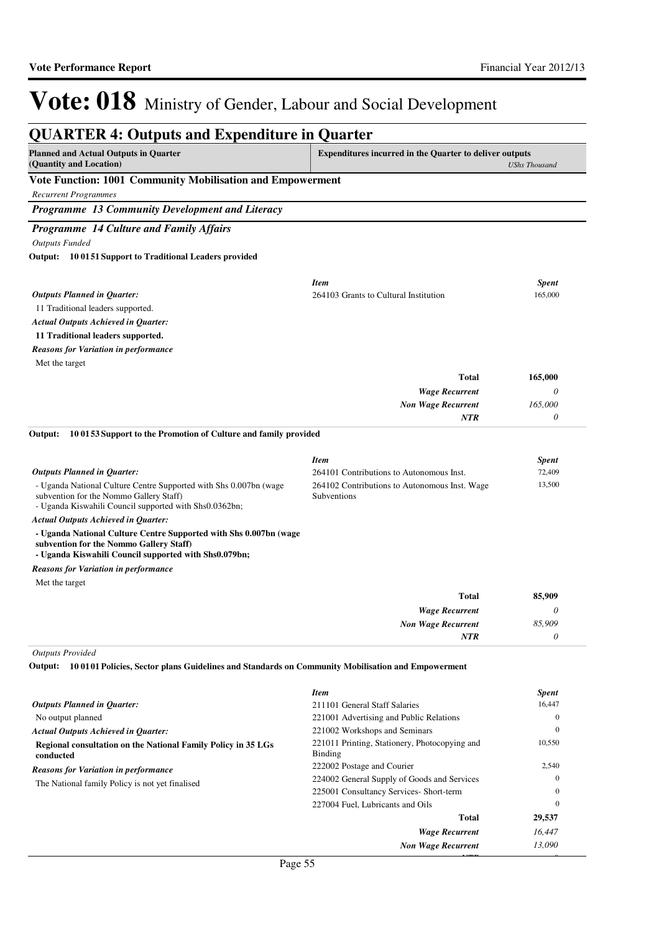*0*

*NTR*

# Vote: 018 Ministry of Gender, Labour and Social Development

#### **QUARTER 4: Outputs and Expenditure in Quarter Planned and Actual Outputs in Quarter (Quantity and Location) Expenditures incurred in the Quarter to deliver outputs**  *UShs Thousand* **Vote Function: 1001 Community Mobilisation and Empowerment** *Recurrent Programmes Programme 13 Community Development and Literacy Programme 14 Culture and Family Affairs Outputs Funded* 11 Traditional leaders supported. **11 Traditional leaders supported. 10 0151 Support to Traditional Leaders provided Output:** *Wage Recurrent Non Wage Recurrent* **Total** *0 165,000 0* **165,000** *Actual Outputs Achieved in Quarter: Outputs Planned in Quarter: NTR* Met the target *Reasons for Variation in performance Item Spent* 264103 Grants to Cultural Institution 165,000 - Uganda National Culture Centre Supported with Shs 0.007bn (wage subvention for the Nommo Gallery Staff) - Uganda Kiswahili Council supported with Shs0.0362bn; **- Uganda National Culture Centre Supported with Shs 0.007bn (wage subvention for the Nommo Gallery Staff) - Uganda Kiswahili Council supported with Shs0.079bn; 10 0153 Support to the Promotion of Culture and family provided Output:** *Wage Recurrent Non Wage Recurrent* **Total** *0 85,909 0* **85,909** *Actual Outputs Achieved in Quarter: Outputs Planned in Quarter: NTR* Met the target *Reasons for Variation in performance Item Spent* 264101 Contributions to Autonomous Inst. 72,409 264102 Contributions to Autonomous Inst. Wage Subventions 13,500 *Outputs Provided* **10 0101 Policies, Sector plans Guidelines and Standards on Community Mobilisation and Empowerment Output:** *Outputs Planned in Quarter: Item Spent* 211101 General Staff Salaries 16,447

| Outputs Planned in Quarter:                                                | 211101 General Staff Salaries                            | 16.447       |
|----------------------------------------------------------------------------|----------------------------------------------------------|--------------|
| No output planned                                                          | 221001 Advertising and Public Relations                  | $\mathbf{0}$ |
| <b>Actual Outputs Achieved in Ouarter:</b>                                 | 221002 Workshops and Seminars                            | $\mathbf{0}$ |
| Regional consultation on the National Family Policy in 35 LGs<br>conducted | 221011 Printing, Stationery, Photocopying and<br>Binding | 10,550       |
| <b>Reasons for Variation in performance</b>                                | 222002 Postage and Courier                               | 2,540        |
| The National family Policy is not yet finalised                            | 224002 General Supply of Goods and Services              | $\theta$     |
|                                                                            | 225001 Consultancy Services- Short-term                  | $\theta$     |
|                                                                            | 227004 Fuel, Lubricants and Oils                         | $\theta$     |
|                                                                            | <b>Total</b>                                             | 29,537       |
|                                                                            | <b>Wage Recurrent</b>                                    | 16,447       |
|                                                                            | <b>Non Wage Recurrent</b>                                | 13.090       |
|                                                                            |                                                          |              |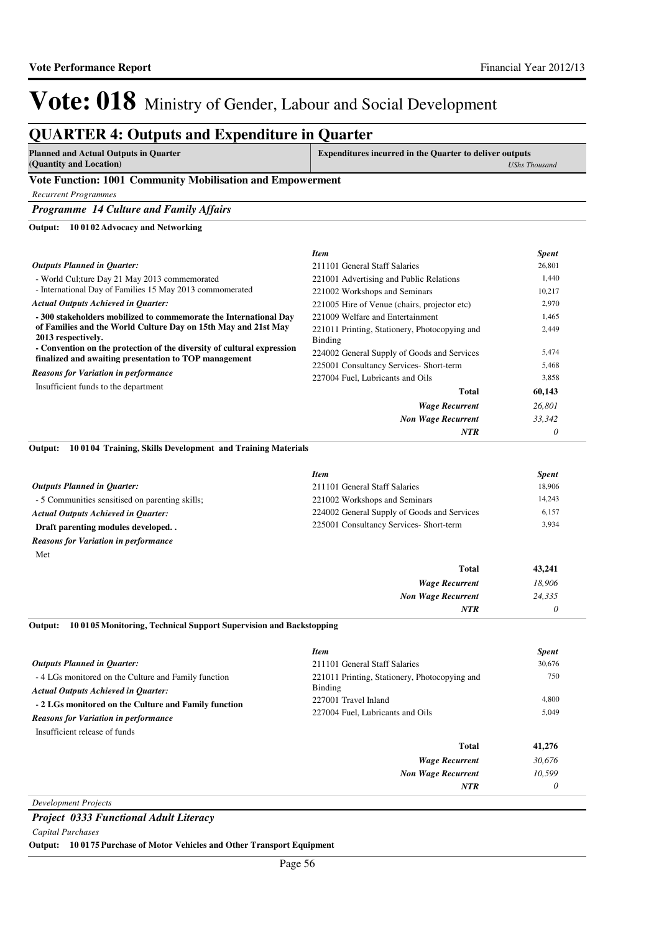#### **QUARTER 4: Outputs and Expenditure in Quarter Planned and Actual Outputs in Quarter (Quantity and Location) Expenditures incurred in the Quarter to deliver outputs**  *UShs Thousand* **Vote Function: 1001 Community Mobilisation and Empowerment** *Recurrent Programmes Programme 14 Culture and Family Affairs* - World Cul;ture Day 21 May 2013 commemorated - International Day of Families 15 May 2013 commomerated **- 300 stakeholders mobilized to commemorate the International Day of Families and the World Culture Day on 15th May and 21st May 2013 respectively. - Convention on the protection of the diversity of cultural expression finalized and awaiting presentation to TOP management 10 0102 Advocacy and Networking Output:** *Wage Recurrent Non Wage Recurrent* **Total** *26,801 33,342 0* **60,143** *Actual Outputs Achieved in Quarter: Outputs Planned in Quarter: NTR* Insufficient funds to the department *Reasons for Variation in performance Item Spent* 211101 General Staff Salaries 26,801 221001 Advertising and Public Relations 1,440 221002 Workshops and Seminars 10,217 221005 Hire of Venue (chairs, projector etc) 2,970 221009 Welfare and Entertainment 1,465 221011 Printing, Stationery, Photocopying and Binding 2,449 224002 General Supply of Goods and Services 5,474 225001 Consultancy Services- Short-term 5,468 227004 Fuel, Lubricants and Oils 3,858 **10 0104 Training, Skills Development and Training Materials Output:**

|                                                 | Item                                        | <b>Spent</b> |
|-------------------------------------------------|---------------------------------------------|--------------|
| <b>Outputs Planned in Ouarter:</b>              | 211101 General Staff Salaries               | 18,906       |
| - 5 Communities sensitised on parenting skills; | 221002 Workshops and Seminars               | 14.243       |
| <b>Actual Outputs Achieved in Ouarter:</b>      | 224002 General Supply of Goods and Services | 6,157        |
| Draft parenting modules developed               | 225001 Consultancy Services- Short-term     | 3,934        |
| <b>Reasons for Variation in performance</b>     |                                             |              |
| Met                                             |                                             |              |

| Total                     | 43,241 |
|---------------------------|--------|
| <b>Wage Recurrent</b>     | 18,906 |
| <b>Non Wage Recurrent</b> | 24,335 |
| <b>NTR</b>                |        |

#### **10 0105 Monitoring, Technical Support Supervision and Backstopping Output:**

|                                                                                                   | <b>Item</b>                                              | <b>Spent</b> |
|---------------------------------------------------------------------------------------------------|----------------------------------------------------------|--------------|
| <b>Outputs Planned in Ouarter:</b>                                                                | 211101 General Staff Salaries                            | 30.676       |
| -4 LGs monitored on the Culture and Family function<br><b>Actual Outputs Achieved in Ouarter:</b> | 221011 Printing, Stationery, Photocopying and<br>Binding | 750          |
| - 2 LGs monitored on the Culture and Family function                                              | 227001 Travel Inland                                     | 4,800        |
| <b>Reasons for Variation in performance</b>                                                       | 227004 Fuel, Lubricants and Oils                         | 5,049        |
| Insufficient release of funds                                                                     |                                                          |              |
|                                                                                                   | Total                                                    | 41,276       |
|                                                                                                   | <b>Wage Recurrent</b>                                    | 30,676       |
|                                                                                                   | <b>Non Wage Recurrent</b>                                | 10.599       |
|                                                                                                   | <b>NTR</b>                                               | 0            |
|                                                                                                   |                                                          |              |

*Development Projects*

*Project 0333 Functional Adult Literacy*

*Capital Purchases*

**Output: 10 0175 Purchase of Motor Vehicles and Other Transport Equipment**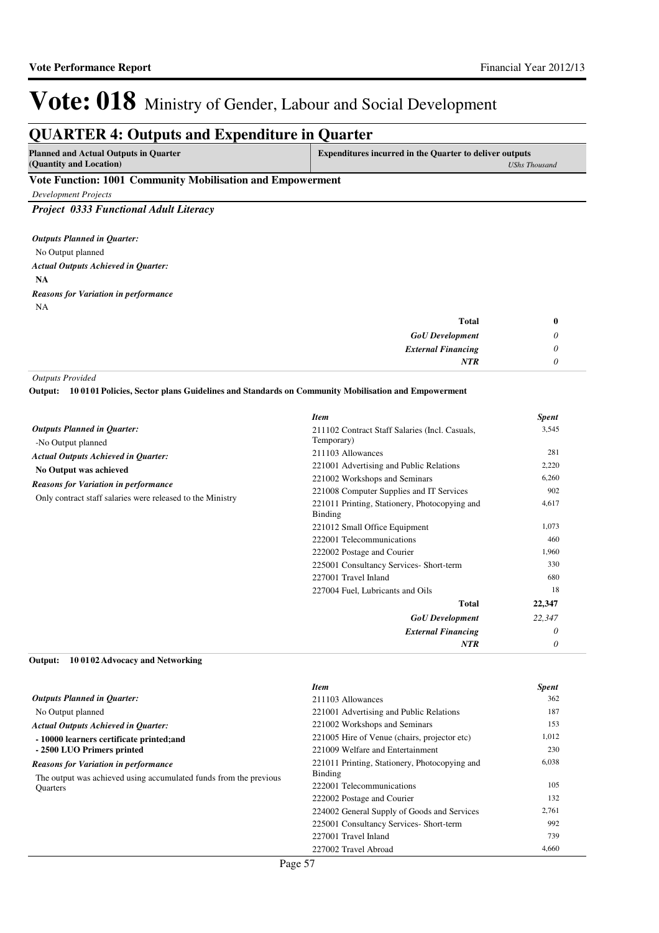### **QUARTER 4: Outputs and Expenditure in Quarter**

**Planned and Actual Outputs in Quarter (Quantity and Location)**

**Expenditures incurred in the Quarter to deliver outputs** 

### *UShs Thousand*

### **Vote Function: 1001 Community Mobilisation and Empowerment**

*Development Projects*

*Project 0333 Functional Adult Literacy*

No Output planned **NA** *Actual Outputs Achieved in Quarter: Outputs Planned in Quarter:* NA *Reasons for Variation in performance*

| <b>Total</b>              | v |
|---------------------------|---|
| <b>GoU</b> Development    |   |
| <b>External Financing</b> |   |
| <b>NTR</b>                |   |

*Outputs Provided*

**10 0101 Policies, Sector plans Guidelines and Standards on Community Mobilisation and Empowerment Output:**

|                                                                       | <b>Item</b>                                              | <b>Spent</b> |
|-----------------------------------------------------------------------|----------------------------------------------------------|--------------|
| <b>Outputs Planned in Quarter:</b>                                    | 211102 Contract Staff Salaries (Incl. Casuals,           | 3,545        |
| -No Output planned                                                    | Temporary)                                               |              |
| <b>Actual Outputs Achieved in Quarter:</b>                            | 211103 Allowances                                        | 281          |
| No Output was achieved<br><b>Reasons for Variation in performance</b> | 221001 Advertising and Public Relations                  | 2,220        |
|                                                                       | 221002 Workshops and Seminars                            | 6,260        |
| Only contract staff salaries were released to the Ministry            | 221008 Computer Supplies and IT Services                 | 902          |
|                                                                       | 221011 Printing, Stationery, Photocopying and<br>Binding | 4,617        |
|                                                                       | 221012 Small Office Equipment                            | 1,073        |
|                                                                       | 222001 Telecommunications                                | 460          |
|                                                                       | 222002 Postage and Courier                               | 1,960        |
|                                                                       | 225001 Consultancy Services- Short-term                  | 330          |
|                                                                       | 227001 Travel Inland                                     | 680          |
|                                                                       | 227004 Fuel, Lubricants and Oils                         | 18           |
|                                                                       | Total                                                    | 22,347       |
|                                                                       | <b>GoU</b> Development                                   | 22,347       |
|                                                                       | <b>External Financing</b>                                | $\theta$     |
|                                                                       | NTR                                                      | 0            |

#### **10 0102 Advocacy and Networking Output:**

|                                                                                      | <b>Item</b>                                                     | <b>Spent</b> |
|--------------------------------------------------------------------------------------|-----------------------------------------------------------------|--------------|
| <b>Outputs Planned in Quarter:</b>                                                   | 211103 Allowances                                               | 362          |
| No Output planned                                                                    | 221001 Advertising and Public Relations                         | 187          |
| <b>Actual Outputs Achieved in Ouarter:</b>                                           | 221002 Workshops and Seminars                                   | 153          |
| -10000 learners certificate printed; and                                             | 221005 Hire of Venue (chairs, projector etc)                    | 1,012        |
| - 2500 LUO Primers printed                                                           | 221009 Welfare and Entertainment                                | 230          |
| <b>Reasons for Variation in performance</b>                                          | 221011 Printing, Stationery, Photocopying and<br><b>Binding</b> | 6,038        |
| The output was achieved using accumulated funds from the previous<br><b>Ouarters</b> | 222001 Telecommunications                                       | 105          |
|                                                                                      | 222002 Postage and Courier                                      | 132          |
|                                                                                      | 224002 General Supply of Goods and Services                     | 2,761        |
|                                                                                      | 225001 Consultancy Services- Short-term                         | 992          |
|                                                                                      | 227001 Travel Inland                                            | 739          |
|                                                                                      | 227002 Travel Abroad                                            | 4,660        |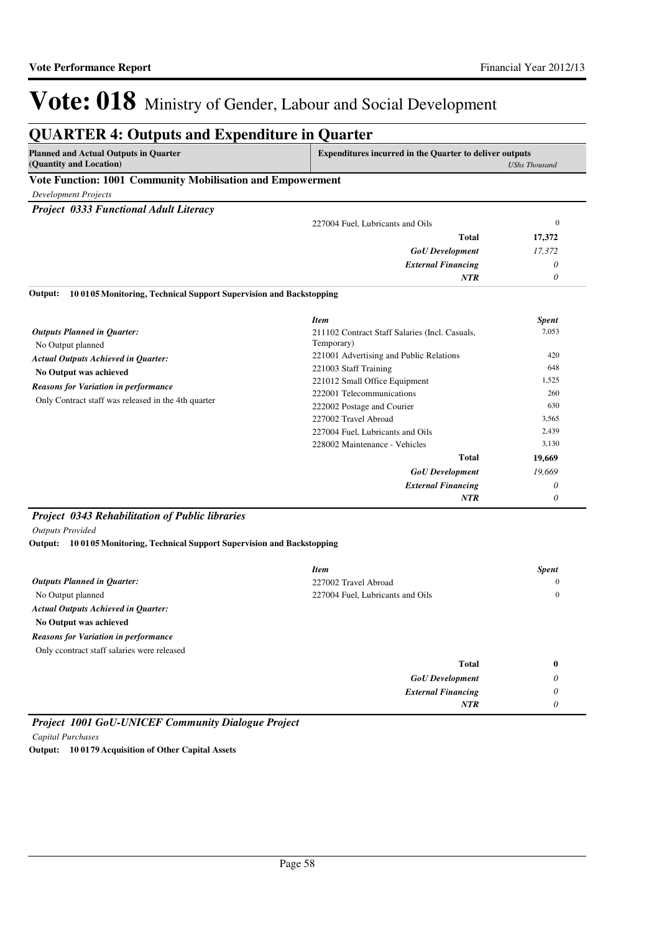*0*

*NTR*

# Vote: 018 Ministry of Gender, Labour and Social Development

### **QUARTER 4: Outputs and Expenditure in Quarter**

| <b>Planned and Actual Outputs in Quarter</b> |
|----------------------------------------------|
| (Quantity and Location)                      |

**Expenditures incurred in the Quarter to deliver outputs**  *UShs Thousand*

### **Vote Function: 1001 Community Mobilisation and Empowerment**

*Development Projects*

*Project 0333 Functional Adult Literacy*

| Total<br>17,372                  |  |
|----------------------------------|--|
| 17,372<br><b>GoU</b> Development |  |
| <b>External Financing</b>        |  |
| <b>NTR</b>                       |  |

**10 0105 Monitoring, Technical Support Supervision and Backstopping Output:**

|                                                                                                    | <b>Item</b>                                    | <b>Spent</b> |
|----------------------------------------------------------------------------------------------------|------------------------------------------------|--------------|
| <b>Outputs Planned in Quarter:</b>                                                                 | 211102 Contract Staff Salaries (Incl. Casuals, | 7,053        |
| No Output planned                                                                                  | Temporary)                                     |              |
| <b>Actual Outputs Achieved in Quarter:</b><br>No Output was achieved                               | 221001 Advertising and Public Relations        | 420          |
|                                                                                                    | 221003 Staff Training                          | 648          |
| <b>Reasons for Variation in performance</b><br>Only Contract staff was released in the 4th quarter | 221012 Small Office Equipment                  | 1,525        |
|                                                                                                    | 222001 Telecommunications                      | 260          |
|                                                                                                    | 222002 Postage and Courier                     | 630          |
|                                                                                                    | 227002 Travel Abroad                           | 3,565        |
|                                                                                                    | 227004 Fuel, Lubricants and Oils               | 2,439        |
|                                                                                                    | 228002 Maintenance - Vehicles                  | 3,130        |
|                                                                                                    | <b>Total</b>                                   | 19,669       |
|                                                                                                    | <b>GoU</b> Development                         | 19,669       |
|                                                                                                    | <b>External Financing</b>                      | 0            |
|                                                                                                    | <b>NTR</b>                                     | 0            |

### *Project 0343 Rehabilitation of Public libraries*

*Outputs Provided*

**10 0105 Monitoring, Technical Support Supervision and Backstopping Output:**

|                                             | <b>Item</b>                      | <b>Spent</b> |
|---------------------------------------------|----------------------------------|--------------|
| <b>Outputs Planned in Quarter:</b>          | 227002 Travel Abroad             | $\mathbf{0}$ |
| No Output planned                           | 227004 Fuel, Lubricants and Oils | $\mathbf{0}$ |
| <b>Actual Outputs Achieved in Quarter:</b>  |                                  |              |
| No Output was achieved                      |                                  |              |
| <b>Reasons for Variation in performance</b> |                                  |              |
| Only ccontract staff salaries were released |                                  |              |
|                                             | <b>Total</b>                     | $\bf{0}$     |
|                                             | <b>GoU</b> Development           | 0            |
|                                             | <b>External Financing</b>        | 0            |

*Project 1001 GoU-UNICEF Community Dialogue Project Capital Purchases* **Output: 10 0179 Acquisition of Other Capital Assets**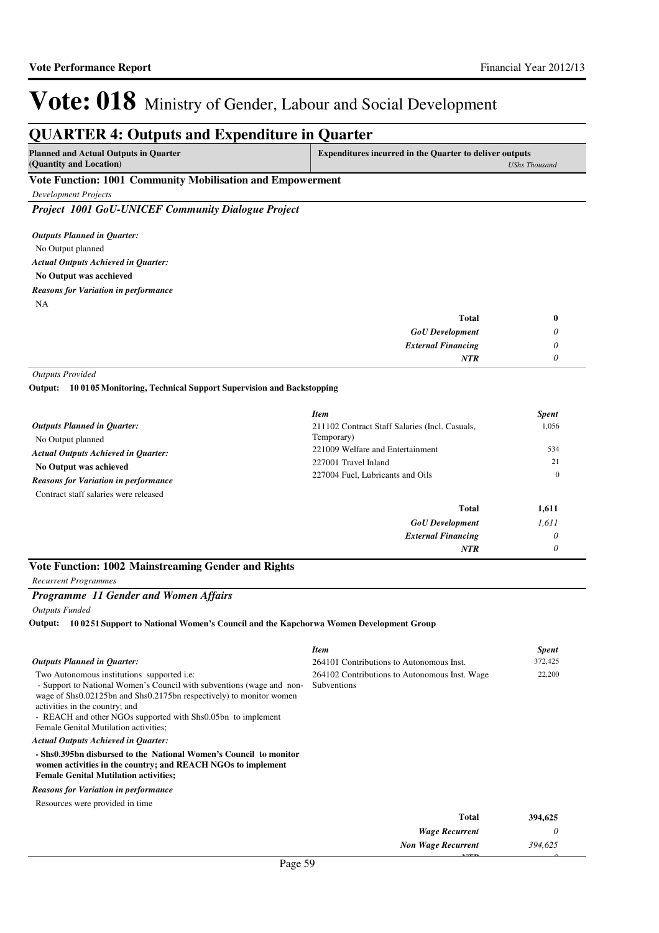*0*

*NTR*

# Vote: 018 Ministry of Gender, Labour and Social Development

### **QUARTER 4: Outputs and Expenditure in Quarter**

| <b>Planned and Actual Outputs in Quarter</b> | <b>Expenditures incurred in the Quarter to deliver outputs</b> |
|----------------------------------------------|----------------------------------------------------------------|
| (Quantity and Location)                      | UShs Thousand                                                  |

### **Vote Function: 1001 Community Mobilisation and Empowerment**

*Development Projects*

*Project 1001 GoU-UNICEF Community Dialogue Project*

No Output planned **No Output was acchieved** *Actual Outputs Achieved in Quarter: Outputs Planned in Quarter:* NA *Reasons for Variation in performance*

| <b>Total</b>              |  |
|---------------------------|--|
| <b>GoU</b> Development    |  |
| <b>External Financing</b> |  |
| <b>NTR</b>                |  |

*Outputs Provided*

**10 0105 Monitoring, Technical Support Supervision and Backstopping Output:**

|                                             | <b>Item</b>                                    | <b>Spent</b> |
|---------------------------------------------|------------------------------------------------|--------------|
| <b>Outputs Planned in Quarter:</b>          | 211102 Contract Staff Salaries (Incl. Casuals, | 1,056        |
| No Output planned                           | Temporary)                                     |              |
| <b>Actual Outputs Achieved in Quarter:</b>  | 221009 Welfare and Entertainment               | 534          |
| No Output was achieved                      | 227001 Travel Inland                           | 21           |
| <b>Reasons for Variation in performance</b> | 227004 Fuel, Lubricants and Oils               | $\mathbf{0}$ |
| Contract staff salaries were released       |                                                |              |
|                                             | <b>Total</b>                                   | 1,611        |
|                                             | <b>GoU</b> Development                         | 1,611        |
|                                             | <b>External Financing</b>                      | $\theta$     |
|                                             | <b>NTR</b>                                     | 0            |

### **Vote Function: 1002 Mainstreaming Gender and Rights**

*Recurrent Programmes*

### *Programme 11 Gender and Women Affairs*

*Outputs Funded*

**10 0251 Support to National Women's Council and the Kapchorwa Women Development Group Output:**

|                                                                                                                                                                                                                                                                                                                                              | <b>Item</b>                                                  | <b>Spent</b> |
|----------------------------------------------------------------------------------------------------------------------------------------------------------------------------------------------------------------------------------------------------------------------------------------------------------------------------------------------|--------------------------------------------------------------|--------------|
| <b>Outputs Planned in Quarter:</b>                                                                                                                                                                                                                                                                                                           | 264101 Contributions to Autonomous Inst.                     | 372,425      |
| Two Autonomous institutions supported <i>i.e:</i><br>- Support to National Women's Council with subventions (wage and non-<br>wage of Shs0.02125bn and Shs0.2175bn respectively) to monitor women<br>activities in the country; and<br>- REACH and other NGOs supported with Shs0.05bn to implement<br>Female Genital Mutilation activities; | 264102 Contributions to Autonomous Inst. Wage<br>Subventions | 22,200       |
| <b>Actual Outputs Achieved in Quarter:</b>                                                                                                                                                                                                                                                                                                   |                                                              |              |
| - Shs0.395bn disbursed to the National Women's Council to monitor<br>women activities in the country; and REACH NGOs to implement<br><b>Female Genital Mutilation activities:</b>                                                                                                                                                            |                                                              |              |
| <b>Reasons for Variation in performance</b>                                                                                                                                                                                                                                                                                                  |                                                              |              |
| Resources were provided in time                                                                                                                                                                                                                                                                                                              |                                                              |              |
|                                                                                                                                                                                                                                                                                                                                              | Total                                                        | 394,625      |
|                                                                                                                                                                                                                                                                                                                                              | <b>Wage Recurrent</b>                                        | 0            |
|                                                                                                                                                                                                                                                                                                                                              | <b>Non Wage Recurrent</b>                                    | 394.625      |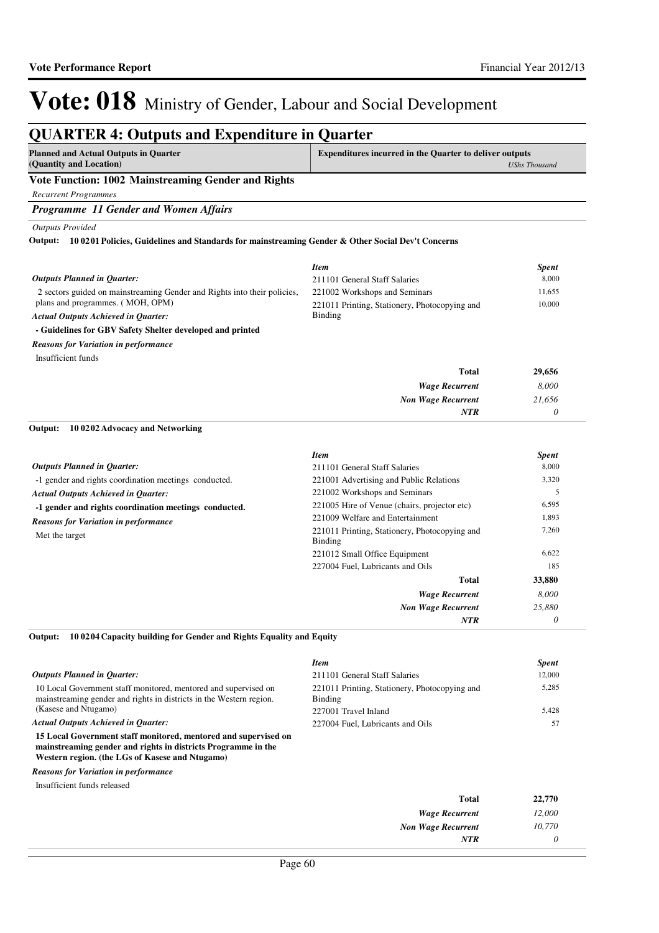#### **QUARTER 4: Outputs and Expenditure in Quarter Planned and Actual Outputs in Quarter (Quantity and Location) Expenditures incurred in the Quarter to deliver outputs**  *UShs Thousand* **Vote Function: 1002 Mainstreaming Gender and Rights** *Recurrent Programmes Programme 11 Gender and Women Affairs Outputs Provided* 2 sectors guided on mainstreaming Gender and Rights into their policies, plans and programmes. ( MOH, OPM) **- Guidelines for GBV Safety Shelter developed and printed 10 0201 Policies, Guidelines and Standards for mainstreaming Gender & Other Social Dev't Concerns Output:** *Wage Recurrent Non Wage Recurrent* **Total** *8,000 21,656 0* **29,656** *Actual Outputs Achieved in Quarter: Outputs Planned in Quarter: NTR* Insufficient funds *Reasons for Variation in performance Item Spent* 211101 General Staff Salaries 8,000 221002 Workshops and Seminars 11,655 221011 Printing, Stationery, Photocopying and Binding 10,000 -1 gender and rights coordination meetings conducted. **-1 gender and rights coordination meetings conducted. 10 0202 Advocacy and Networking** *Wage Recurrent Non Wage Recurrent* **Total** *8,000 25,880 0* **33,880** *Actual Outputs Achieved in Quarter: Outputs Planned in Quarter:* **Output:** *NTR* Met the target *Reasons for Variation in performance Item Spent* 211101 General Staff Salaries 8,000 221001 Advertising and Public Relations 3,320 221002 Workshops and Seminars 5 221005 Hire of Venue (chairs, projector etc) 6,595 221009 Welfare and Entertainment 1,893 221011 Printing, Stationery, Photocopying and Binding 7,260 221012 Small Office Equipment 6,622 227004 Fuel, Lubricants and Oils 185

#### **10 0204 Capacity building for Gender and Rights Equality and Equity Output:**

|                                                                                                                                                                                     | <b>Item</b>                                              | <b>Spent</b> |
|-------------------------------------------------------------------------------------------------------------------------------------------------------------------------------------|----------------------------------------------------------|--------------|
| <b>Outputs Planned in Ouarter:</b>                                                                                                                                                  | 211101 General Staff Salaries                            | 12,000       |
| 10 Local Government staff monitored, mentored and supervised on<br>mainstreaming gender and rights in districts in the Western region.                                              | 221011 Printing, Stationery, Photocopying and<br>Binding | 5,285        |
| (Kasese and Ntugamo)                                                                                                                                                                | 227001 Travel Inland                                     | 5,428        |
| <b>Actual Outputs Achieved in Ouarter:</b>                                                                                                                                          | 227004 Fuel. Lubricants and Oils                         |              |
| 15 Local Government staff monitored, mentored and supervised on<br>mainstreaming gender and rights in districts Programme in the<br>Western region. (the LGs of Kasese and Ntugamo) |                                                          |              |

*Reasons for Variation in performance*

Insufficient funds released

| 22,770 | <b>Total</b>              |
|--------|---------------------------|
| 12,000 | <b>Wage Recurrent</b>     |
| 10,770 | <b>Non Wage Recurrent</b> |
|        | <b>NTR</b>                |
|        |                           |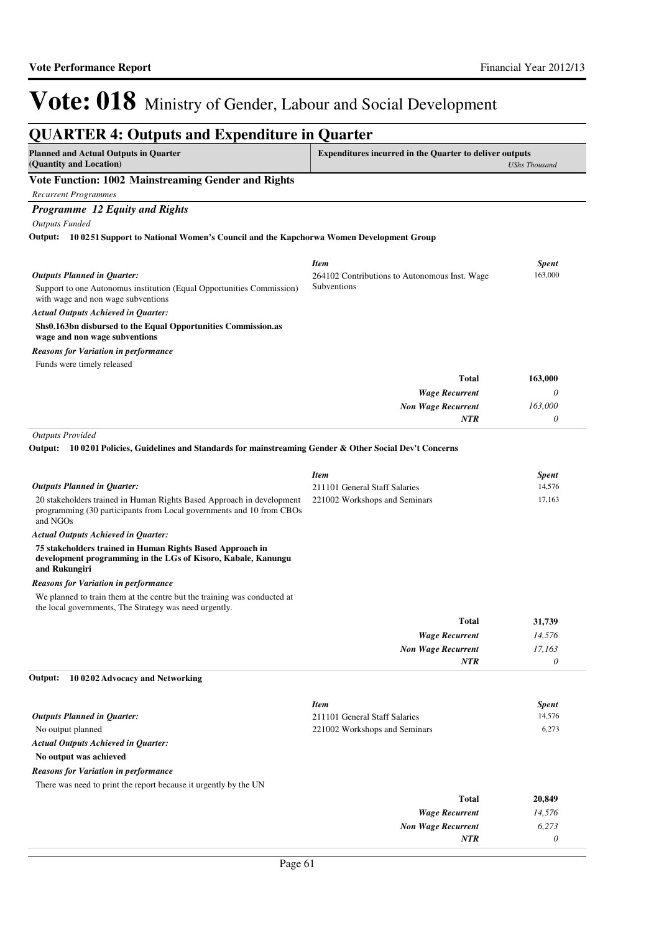*0*

*NTR*

# Vote: 018 Ministry of Gender, Labour and Social Development

| <b>QUARTER 4: Outputs and Expenditure in Quarter</b>                                                                                                      |                                                                |                        |
|-----------------------------------------------------------------------------------------------------------------------------------------------------------|----------------------------------------------------------------|------------------------|
| <b>Planned and Actual Outputs in Quarter</b><br>(Quantity and Location)                                                                                   | <b>Expenditures incurred in the Quarter to deliver outputs</b> | <b>UShs Thousand</b>   |
| Vote Function: 1002 Mainstreaming Gender and Rights                                                                                                       |                                                                |                        |
| <b>Recurrent Programmes</b>                                                                                                                               |                                                                |                        |
| Programme 12 Equity and Rights                                                                                                                            |                                                                |                        |
| <b>Outputs Funded</b>                                                                                                                                     |                                                                |                        |
| 10 0251 Support to National Women's Council and the Kapchorwa Women Development Group<br>Output:                                                          |                                                                |                        |
|                                                                                                                                                           | <b>Item</b>                                                    | <b>Spent</b>           |
| <b>Outputs Planned in Quarter:</b>                                                                                                                        | 264102 Contributions to Autonomous Inst. Wage                  | 163,000                |
| Support to one Autonomus institution (Equal Opportunities Commission)<br>with wage and non wage subventions                                               | Subventions                                                    |                        |
| <b>Actual Outputs Achieved in Quarter:</b>                                                                                                                |                                                                |                        |
| Shs0.163bn disbursed to the Equal Opportunities Commission.as<br>wage and non wage subventions                                                            |                                                                |                        |
| <b>Reasons for Variation in performance</b>                                                                                                               |                                                                |                        |
| Funds were timely released                                                                                                                                |                                                                |                        |
|                                                                                                                                                           | <b>Total</b>                                                   | 163,000                |
|                                                                                                                                                           | <b>Wage Recurrent</b>                                          | 0                      |
|                                                                                                                                                           | <b>Non Wage Recurrent</b>                                      | 163,000                |
|                                                                                                                                                           | <b>NTR</b>                                                     | 0                      |
| <b>Outputs Provided</b><br>10 0201 Policies, Guidelines and Standards for mainstreaming Gender & Other Social Dev't Concerns<br>Output:                   | <b>Item</b>                                                    | <b>Spent</b>           |
| <b>Outputs Planned in Quarter:</b>                                                                                                                        | 211101 General Staff Salaries                                  | 14,576                 |
| 20 stakeholders trained in Human Rights Based Approach in development<br>programming (30 participants from Local governments and 10 from CBOs<br>and NGOs | 221002 Workshops and Seminars                                  | 17,163                 |
| <b>Actual Outputs Achieved in Quarter:</b>                                                                                                                |                                                                |                        |
| 75 stakeholders trained in Human Rights Based Approach in<br>development programming in the LGs of Kisoro, Kabale, Kanungu<br>and Rukungiri               |                                                                |                        |
| <b>Reasons for Variation in performance</b>                                                                                                               |                                                                |                        |
| We planned to train them at the centre but the training was conducted at<br>the local governments, The Strategy was need urgently.                        |                                                                |                        |
|                                                                                                                                                           | Total                                                          | 31,739                 |
|                                                                                                                                                           | <b>Wage Recurrent</b>                                          | 14,576                 |
|                                                                                                                                                           | <b>Non Wage Recurrent</b>                                      | 17,163                 |
|                                                                                                                                                           | NTR                                                            | $\theta$               |
| 100202 Advocacy and Networking<br>Output:                                                                                                                 |                                                                |                        |
|                                                                                                                                                           | <b>Item</b>                                                    |                        |
| <b>Outputs Planned in Quarter:</b>                                                                                                                        | 211101 General Staff Salaries                                  | <b>Spent</b><br>14,576 |
| No output planned                                                                                                                                         | 221002 Workshops and Seminars                                  | 6,273                  |
| <b>Actual Outputs Achieved in Quarter:</b>                                                                                                                |                                                                |                        |
| No output was achieved                                                                                                                                    |                                                                |                        |
| <b>Reasons for Variation in performance</b>                                                                                                               |                                                                |                        |
| There was need to print the report because it urgently by the UN                                                                                          |                                                                |                        |
|                                                                                                                                                           | <b>Total</b>                                                   | 20,849                 |
|                                                                                                                                                           | <b>Wage Recurrent</b>                                          | 14,576                 |
|                                                                                                                                                           | <b>Non Wage Recurrent</b>                                      | 6,273                  |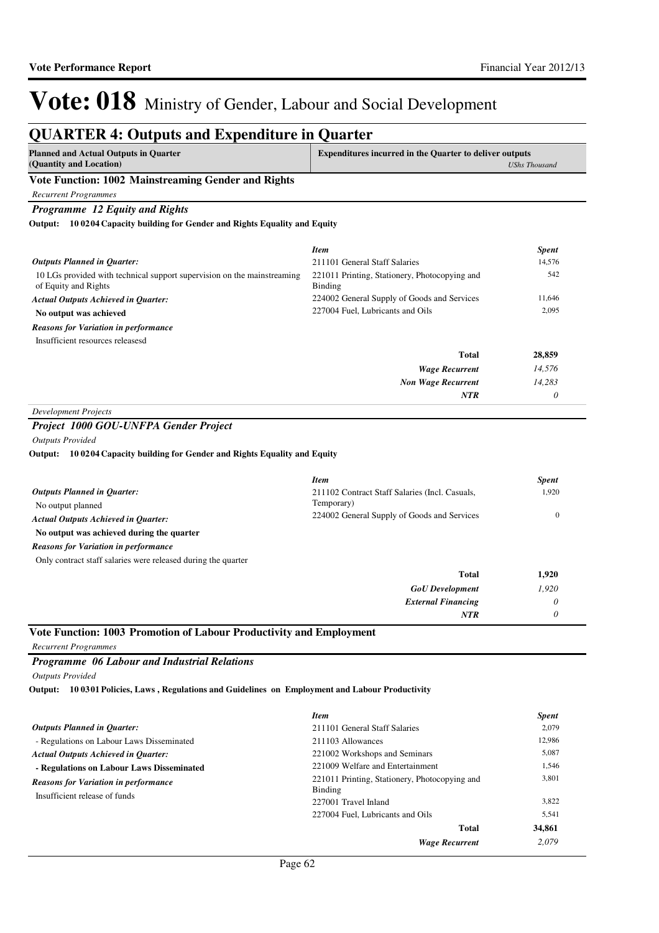### **QUARTER 4: Outputs and Expenditure in Quarter**

| <b>Planned and Actual Outputs in Quarter</b><br>(Quantity and Location)                         | <b>Expenditures incurred in the Quarter to deliver outputs</b> | <b>UShs Thousand</b> |
|-------------------------------------------------------------------------------------------------|----------------------------------------------------------------|----------------------|
| Vote Function: 1002 Mainstreaming Gender and Rights                                             |                                                                |                      |
| <b>Recurrent Programmes</b>                                                                     |                                                                |                      |
| <b>Programme</b> 12 Equity and Rights                                                           |                                                                |                      |
| 100204 Capacity building for Gender and Rights Equality and Equity<br>Output:                   |                                                                |                      |
|                                                                                                 | <b>Item</b>                                                    | <b>Spent</b>         |
| <b>Outputs Planned in Ouarter:</b>                                                              | 211101 General Staff Salaries                                  | 14.576               |
| 10 LGs provided with technical support supervision on the mainstreaming<br>of Equity and Rights | 221011 Printing, Stationery, Photocopying and<br>Binding       | 542                  |
| <b>Actual Outputs Achieved in Quarter:</b>                                                      | 224002 General Supply of Goods and Services                    | 11,646               |
| No output was achieved                                                                          | 227004 Fuel, Lubricants and Oils                               | 2,095                |
| <b>Reasons for Variation in performance</b>                                                     |                                                                |                      |
| Insufficient resources releasesd                                                                |                                                                |                      |
|                                                                                                 | <b>Total</b>                                                   | 28,859               |
|                                                                                                 | <b>Wage Recurrent</b>                                          | 14,576               |
|                                                                                                 | <b>Non Wage Recurrent</b>                                      | 14,283               |
|                                                                                                 | <b>NTR</b>                                                     | 0                    |

*Project 1000 GOU-UNFPA Gender Project Outputs Provided*

**10 0204 Capacity building for Gender and Rights Equality and Equity Output:**

|                                                               | <b>Item</b>                                                  | <b>Spent</b> |
|---------------------------------------------------------------|--------------------------------------------------------------|--------------|
| <b>Outputs Planned in Quarter:</b><br>No output planned       | 211102 Contract Staff Salaries (Incl. Casuals,<br>Temporary) | 1,920        |
| <b>Actual Outputs Achieved in Quarter:</b>                    | 224002 General Supply of Goods and Services                  | $\Omega$     |
| No output was achieved during the quarter                     |                                                              |              |
| <b>Reasons for Variation in performance</b>                   |                                                              |              |
| Only contract staff salaries were released during the quarter |                                                              |              |
|                                                               | Total                                                        | 1,920        |
|                                                               | <b>GoU</b> Development                                       | 1,920        |
|                                                               | <b>External Financing</b>                                    | 0            |
|                                                               | NTR                                                          | $\theta$     |

**Vote Function: 1003 Promotion of Labour Productivity and Employment**

*Recurrent Programmes*

*Programme 06 Labour and Industrial Relations*

*Outputs Provided*

**10 0301 Policies, Laws , Regulations and Guidelines on Employment and Labour Productivity Output:**

|                                                                              | <b>Item</b>                                              | <b>Spent</b> |
|------------------------------------------------------------------------------|----------------------------------------------------------|--------------|
| <b>Outputs Planned in Ouarter:</b>                                           | 211101 General Staff Salaries                            | 2,079        |
| - Regulations on Labour Laws Disseminated                                    | 211103 Allowances                                        | 12.986       |
| <b>Actual Outputs Achieved in Ouarter:</b>                                   | 221002 Workshops and Seminars                            | 5,087        |
| - Regulations on Labour Laws Disseminated                                    | 221009 Welfare and Entertainment                         | 1,546        |
| <b>Reasons for Variation in performance</b><br>Insufficient release of funds | 221011 Printing, Stationery, Photocopying and<br>Binding | 3,801        |
|                                                                              | 227001 Travel Inland                                     | 3,822        |
|                                                                              | 227004 Fuel, Lubricants and Oils                         | 5,541        |
|                                                                              | Total                                                    | 34,861       |
|                                                                              | <b>Wage Recurrent</b>                                    | 2.079        |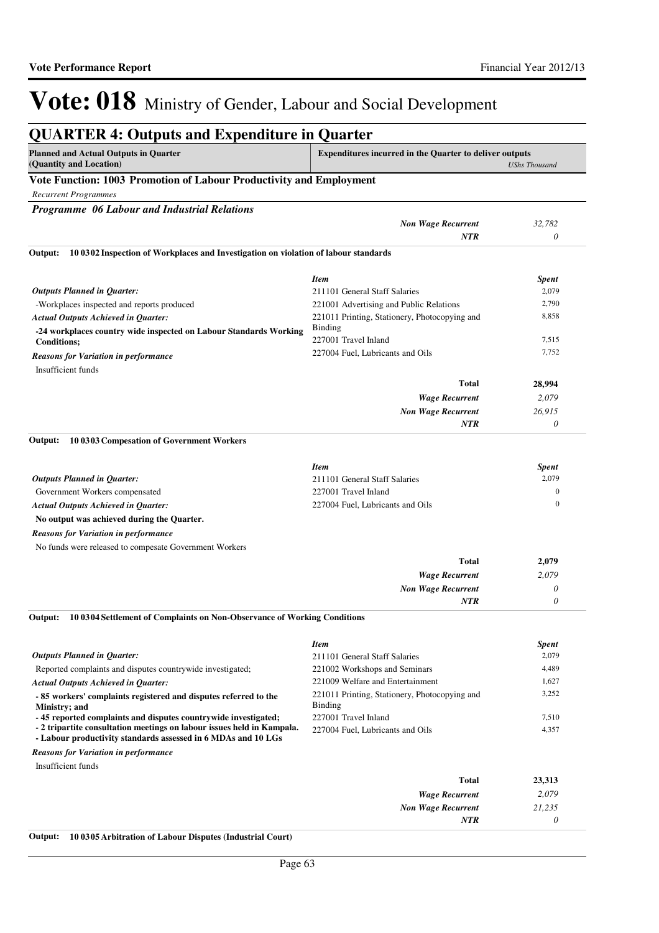| <b>Planned and Actual Outputs in Quarter</b><br>(Quantity and Location)                                                                                          | Expenditures incurred in the Quarter to deliver outputs                                                  | <b>UShs Thousand</b>                                  |  |  |
|------------------------------------------------------------------------------------------------------------------------------------------------------------------|----------------------------------------------------------------------------------------------------------|-------------------------------------------------------|--|--|
| Vote Function: 1003 Promotion of Labour Productivity and Employment                                                                                              |                                                                                                          |                                                       |  |  |
| <b>Recurrent Programmes</b>                                                                                                                                      |                                                                                                          |                                                       |  |  |
| Programme 06 Labour and Industrial Relations                                                                                                                     |                                                                                                          |                                                       |  |  |
|                                                                                                                                                                  | <b>Non Wage Recurrent</b>                                                                                | 32,782                                                |  |  |
|                                                                                                                                                                  | <b>NTR</b>                                                                                               | 0                                                     |  |  |
| 10 0302 Inspection of Workplaces and Investigation on violation of labour standards<br>Output:                                                                   |                                                                                                          |                                                       |  |  |
|                                                                                                                                                                  |                                                                                                          |                                                       |  |  |
|                                                                                                                                                                  | <b>Item</b>                                                                                              | <b>Spent</b>                                          |  |  |
| <b>Outputs Planned in Quarter:</b>                                                                                                                               | 211101 General Staff Salaries                                                                            | 2,079                                                 |  |  |
| -Workplaces inspected and reports produced                                                                                                                       | 221001 Advertising and Public Relations                                                                  | 2,790                                                 |  |  |
| <b>Actual Outputs Achieved in Quarter:</b>                                                                                                                       | 221011 Printing, Stationery, Photocopying and                                                            | 8,858                                                 |  |  |
| -24 workplaces country wide inspected on Labour Standards Working                                                                                                | <b>Binding</b>                                                                                           |                                                       |  |  |
| <b>Conditions;</b>                                                                                                                                               | 227001 Travel Inland                                                                                     | 7,515                                                 |  |  |
| <b>Reasons for Variation in performance</b>                                                                                                                      | 227004 Fuel, Lubricants and Oils                                                                         | 7,752                                                 |  |  |
| Insufficient funds                                                                                                                                               |                                                                                                          |                                                       |  |  |
|                                                                                                                                                                  | <b>Total</b>                                                                                             | 28,994                                                |  |  |
|                                                                                                                                                                  | <b>Wage Recurrent</b>                                                                                    | 2,079                                                 |  |  |
|                                                                                                                                                                  | <b>Non Wage Recurrent</b>                                                                                | 26,915                                                |  |  |
|                                                                                                                                                                  | NTR                                                                                                      | 0                                                     |  |  |
| <b>Outputs Planned in Quarter:</b><br>Government Workers compensated<br><b>Actual Outputs Achieved in Quarter:</b><br>No output was achieved during the Quarter. | <b>Item</b><br>211101 General Staff Salaries<br>227001 Travel Inland<br>227004 Fuel, Lubricants and Oils | <b>Spent</b><br>2,079<br>$\mathbf{0}$<br>$\mathbf{0}$ |  |  |
| <b>Reasons for Variation in performance</b>                                                                                                                      |                                                                                                          |                                                       |  |  |
| No funds were released to compesate Government Workers                                                                                                           |                                                                                                          |                                                       |  |  |
|                                                                                                                                                                  | <b>Total</b>                                                                                             | 2,079                                                 |  |  |
|                                                                                                                                                                  | <b>Wage Recurrent</b>                                                                                    | 2,079                                                 |  |  |
|                                                                                                                                                                  | <b>Non Wage Recurrent</b>                                                                                | 0                                                     |  |  |
|                                                                                                                                                                  | <b>NTR</b>                                                                                               | 0                                                     |  |  |
| 10 0304 Settlement of Complaints on Non-Observance of Working Conditions<br>Output:                                                                              |                                                                                                          |                                                       |  |  |
|                                                                                                                                                                  | <b>Item</b>                                                                                              | <b>Spent</b>                                          |  |  |
| <b>Outputs Planned in Quarter:</b>                                                                                                                               | 211101 General Staff Salaries                                                                            | 2,079                                                 |  |  |
| Reported complaints and disputes countrywide investigated;                                                                                                       | 221002 Workshops and Seminars                                                                            | 4,489                                                 |  |  |
| <b>Actual Outputs Achieved in Quarter:</b>                                                                                                                       | 221009 Welfare and Entertainment                                                                         | 1,627                                                 |  |  |
| -85 workers' complaints registered and disputes referred to the<br>Ministry; and                                                                                 | 221011 Printing, Stationery, Photocopying and<br>Binding                                                 | 3,252                                                 |  |  |
| -45 reported complaints and disputes countrywide investigated;                                                                                                   | 227001 Travel Inland                                                                                     | 7,510                                                 |  |  |
| - 2 tripartite consultation meetings on labour issues held in Kampala.<br>- Labour productivity standards assessed in 6 MDAs and 10 LGs                          | 227004 Fuel, Lubricants and Oils                                                                         | 4,357                                                 |  |  |
| <b>Reasons for Variation in performance</b>                                                                                                                      |                                                                                                          |                                                       |  |  |
| Insufficient funds                                                                                                                                               |                                                                                                          |                                                       |  |  |
|                                                                                                                                                                  | <b>Total</b>                                                                                             | 23,313                                                |  |  |
|                                                                                                                                                                  | <b>Wage Recurrent</b>                                                                                    | 2,079                                                 |  |  |

**Output: 10 0305 Arbitration of Labour Disputes (Industrial Court)**

*Non Wage Recurrent*

*NTR*

*21,235 0*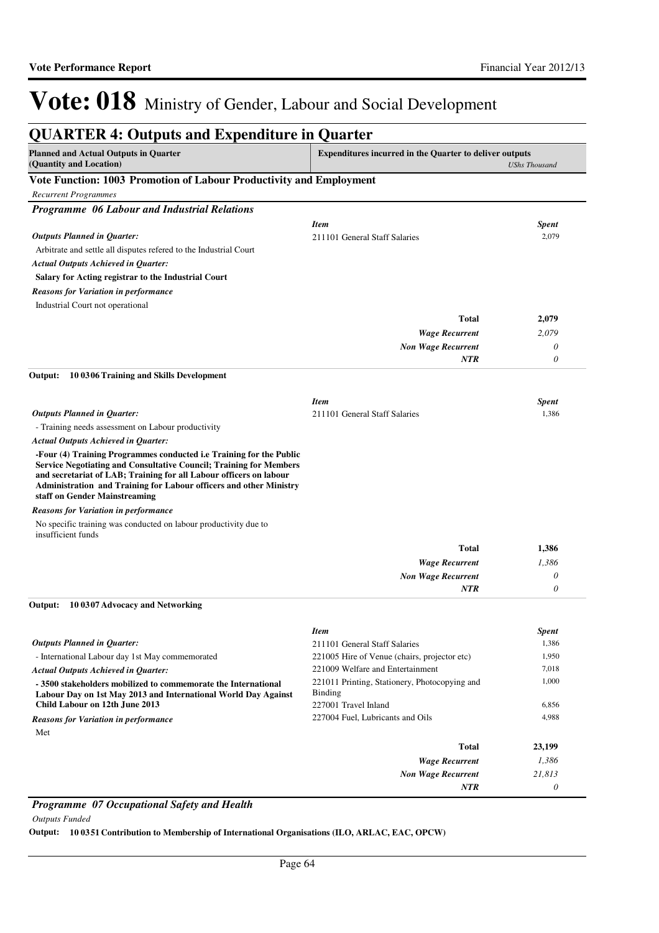| <b>QUARTER 4: Outputs and Expenditure in Quarter</b>                                                                                                                                                                                                                                                                          |                                                                                         |                      |
|-------------------------------------------------------------------------------------------------------------------------------------------------------------------------------------------------------------------------------------------------------------------------------------------------------------------------------|-----------------------------------------------------------------------------------------|----------------------|
| <b>Planned and Actual Outputs in Quarter</b><br>(Quantity and Location)                                                                                                                                                                                                                                                       | <b>Expenditures incurred in the Quarter to deliver outputs</b>                          | <b>UShs Thousand</b> |
| Vote Function: 1003 Promotion of Labour Productivity and Employment                                                                                                                                                                                                                                                           |                                                                                         |                      |
| <b>Recurrent Programmes</b>                                                                                                                                                                                                                                                                                                   |                                                                                         |                      |
| Programme 06 Labour and Industrial Relations                                                                                                                                                                                                                                                                                  |                                                                                         |                      |
|                                                                                                                                                                                                                                                                                                                               | <b>Item</b>                                                                             | Spent                |
| <b>Outputs Planned in Quarter:</b>                                                                                                                                                                                                                                                                                            | 211101 General Staff Salaries                                                           | 2,079                |
| Arbitrate and settle all disputes refered to the Industrial Court                                                                                                                                                                                                                                                             |                                                                                         |                      |
| <b>Actual Outputs Achieved in Quarter:</b>                                                                                                                                                                                                                                                                                    |                                                                                         |                      |
| Salary for Acting registrar to the Industrial Court                                                                                                                                                                                                                                                                           |                                                                                         |                      |
| <b>Reasons for Variation in performance</b>                                                                                                                                                                                                                                                                                   |                                                                                         |                      |
| Industrial Court not operational                                                                                                                                                                                                                                                                                              |                                                                                         |                      |
|                                                                                                                                                                                                                                                                                                                               | <b>Total</b>                                                                            | 2,079                |
|                                                                                                                                                                                                                                                                                                                               | <b>Wage Recurrent</b>                                                                   | 2,079                |
|                                                                                                                                                                                                                                                                                                                               | <b>Non Wage Recurrent</b>                                                               | 0                    |
|                                                                                                                                                                                                                                                                                                                               | NTR                                                                                     | $\theta$             |
| Output:<br>10 0306 Training and Skills Development                                                                                                                                                                                                                                                                            |                                                                                         |                      |
|                                                                                                                                                                                                                                                                                                                               | <b>Item</b>                                                                             | <b>Spent</b>         |
| <b>Outputs Planned in Quarter:</b>                                                                                                                                                                                                                                                                                            | 211101 General Staff Salaries                                                           | 1,386                |
| - Training needs assessment on Labour productivity                                                                                                                                                                                                                                                                            |                                                                                         |                      |
| <b>Actual Outputs Achieved in Quarter:</b>                                                                                                                                                                                                                                                                                    |                                                                                         |                      |
| -Four (4) Training Programmes conducted i.e Training for the Public<br><b>Service Negotiating and Consultative Council; Training for Members</b><br>and secretariat of LAB; Training for all Labour officers on labour<br>Administration and Training for Labour officers and other Ministry<br>staff on Gender Mainstreaming |                                                                                         |                      |
| <b>Reasons for Variation in performance</b>                                                                                                                                                                                                                                                                                   |                                                                                         |                      |
| No specific training was conducted on labour productivity due to<br>insufficient funds                                                                                                                                                                                                                                        |                                                                                         |                      |
|                                                                                                                                                                                                                                                                                                                               | <b>Total</b>                                                                            | 1,386                |
|                                                                                                                                                                                                                                                                                                                               | <b>Wage Recurrent</b>                                                                   | 1,386                |
|                                                                                                                                                                                                                                                                                                                               | <b>Non Wage Recurrent</b>                                                               | 0                    |
|                                                                                                                                                                                                                                                                                                                               | <b>NTR</b>                                                                              | 0                    |
| 10 0307 Advocacy and Networking<br>Output:                                                                                                                                                                                                                                                                                    |                                                                                         |                      |
|                                                                                                                                                                                                                                                                                                                               | <b>Item</b>                                                                             | Spent                |
| <b>Outputs Planned in Ouarter:</b>                                                                                                                                                                                                                                                                                            | 211101 General Staff Salaries                                                           | 1,386                |
| - International Labour day 1st May commemorated                                                                                                                                                                                                                                                                               | 221005 Hire of Venue (chairs, projector etc)                                            | 1,950                |
| <b>Actual Outputs Achieved in Ouarter:</b>                                                                                                                                                                                                                                                                                    | 221009 Welfare and Entertainment                                                        | 7,018                |
| -3500 stakeholders mobilized to commemorate the International<br>Labour Day on 1st May 2013 and International World Day Against<br>Child Labour on 12th June 2013                                                                                                                                                             | 221011 Printing, Stationery, Photocopying and<br><b>Binding</b><br>227001 Travel Inland | 1,000<br>6,856       |
| <b>Reasons for Variation in performance</b>                                                                                                                                                                                                                                                                                   | 227004 Fuel, Lubricants and Oils                                                        | 4,988                |
|                                                                                                                                                                                                                                                                                                                               |                                                                                         |                      |
| Met                                                                                                                                                                                                                                                                                                                           | <b>Total</b>                                                                            | 23,199               |
|                                                                                                                                                                                                                                                                                                                               | <b>Wage Recurrent</b>                                                                   | 1,386                |
|                                                                                                                                                                                                                                                                                                                               | <b>Non Wage Recurrent</b>                                                               | 21,813               |
|                                                                                                                                                                                                                                                                                                                               | NTR                                                                                     | 0                    |

*Programme 07 Occupational Safety and Health Outputs Funded*

**Output: 10 0351 Contribution to Membership of International Organisations (ILO, ARLAC, EAC, OPCW)**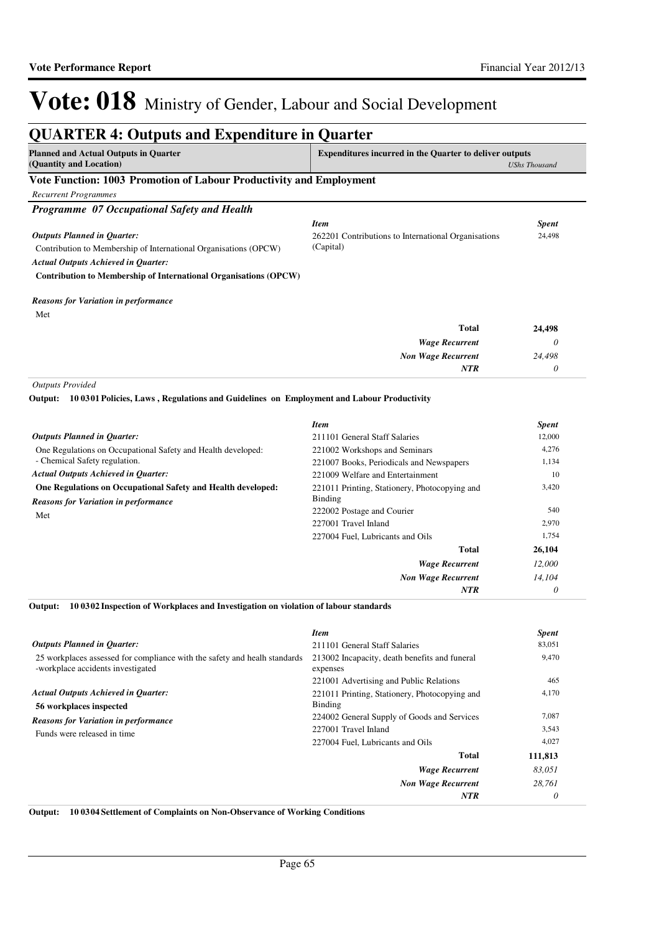*0*

*NTR*

# Vote: 018 Ministry of Gender, Labour and Social Development

#### **QUARTER 4: Outputs and Expenditure in Quarter Planned and Actual Outputs in Quarter (Quantity and Location) Expenditures incurred in the Quarter to deliver outputs**  *UShs Thousand* **Vote Function: 1003 Promotion of Labour Productivity and Employment** *Recurrent Programmes Programme 07 Occupational Safety and Health* Contribution to Membership of International Organisations (OPCW) **Contribution to Membership of International Organisations (OPCW)** *Wage Recurrent Non Wage Recurrent* **Total** *0 24,498 0* **24,498** *Actual Outputs Achieved in Quarter: Outputs Planned in Quarter: NTR* Met *Reasons for Variation in performance Item Spent* 262201 Contributions to International Organisations (Capital) 24,498 *Outputs Provided* One Regulations on Occupational Safety and Health developed: - Chemical Safety regulation. **One Regulations on Occupational Safety and Health developed: 10 0301 Policies, Laws , Regulations and Guidelines on Employment and Labour Productivity Output:** *Wage Recurrent Non Wage Recurrent* **Total** *12,000 14,104* **26,104** *Actual Outputs Achieved in Quarter: Outputs Planned in Quarter:* Met *Reasons for Variation in performance Item Spent* 211101 General Staff Salaries 12,000 221002 Workshops and Seminars 4,276 221007 Books, Periodicals and Newspapers 1,134 221009 Welfare and Entertainment 10 221011 Printing, Stationery, Photocopying and Binding 3,420 222002 Postage and Courier 540 227001 Travel Inland 2,970 227004 Fuel, Lubricants and Oils 1,754

**10 0302 Inspection of Workplaces and Investigation on violation of labour standards Output:**

|                                                                                                                | <b>Item</b>                                               | <b>Spent</b> |
|----------------------------------------------------------------------------------------------------------------|-----------------------------------------------------------|--------------|
| <b>Outputs Planned in Ouarter:</b>                                                                             | 211101 General Staff Salaries                             | 83,051       |
| 25 workplaces assessed for compliance with the safety and healh standards<br>-workplace accidents investigated | 213002 Incapacity, death benefits and funeral<br>expenses | 9,470        |
|                                                                                                                | 221001 Advertising and Public Relations                   | 465          |
| <b>Actual Outputs Achieved in Quarter:</b><br>56 workplaces inspected                                          | 221011 Printing, Stationery, Photocopying and<br>Binding  | 4,170        |
| <b>Reasons for Variation in performance</b>                                                                    | 224002 General Supply of Goods and Services               | 7,087        |
| Funds were released in time                                                                                    | 227001 Travel Inland                                      | 3,543        |
|                                                                                                                | 227004 Fuel, Lubricants and Oils                          | 4,027        |
|                                                                                                                | <b>Total</b>                                              | 111,813      |
|                                                                                                                | <b>Wage Recurrent</b>                                     | 83,051       |
|                                                                                                                | <b>Non Wage Recurrent</b>                                 | 28.761       |
|                                                                                                                | <b>NTR</b>                                                | 0            |

**Output: 10 0304 Settlement of Complaints on Non-Observance of Working Conditions**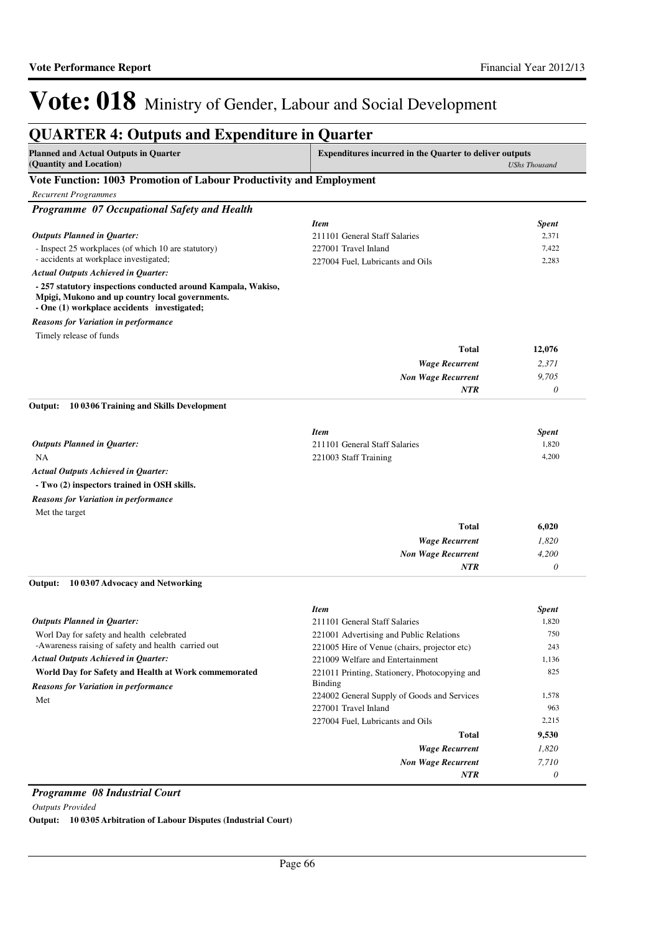| <b>Planned and Actual Outputs in Quarter</b><br>(Quantity and Location)                                                                                         | Expenditures incurred in the Quarter to deliver outputs | <b>UShs Thousand</b> |
|-----------------------------------------------------------------------------------------------------------------------------------------------------------------|---------------------------------------------------------|----------------------|
| Vote Function: 1003 Promotion of Labour Productivity and Employment                                                                                             |                                                         |                      |
| <b>Recurrent Programmes</b>                                                                                                                                     |                                                         |                      |
| Programme 07 Occupational Safety and Health                                                                                                                     |                                                         |                      |
|                                                                                                                                                                 | <b>Item</b>                                             | <b>Spent</b>         |
| <b>Outputs Planned in Quarter:</b>                                                                                                                              | 211101 General Staff Salaries                           | 2,371                |
| - Inspect 25 workplaces (of which 10 are statutory)                                                                                                             | 227001 Travel Inland                                    | 7,422                |
| - accidents at workplace investigated;                                                                                                                          | 227004 Fuel, Lubricants and Oils                        | 2,283                |
| <b>Actual Outputs Achieved in Quarter:</b>                                                                                                                      |                                                         |                      |
| - 257 statutory inspections conducted around Kampala, Wakiso,<br>Mpigi, Mukono and up country local governments.<br>- One (1) workplace accidents investigated; |                                                         |                      |
| <b>Reasons for Variation in performance</b>                                                                                                                     |                                                         |                      |
| Timely release of funds                                                                                                                                         |                                                         |                      |
|                                                                                                                                                                 | Total                                                   | 12,076               |
|                                                                                                                                                                 | <b>Wage Recurrent</b>                                   | 2,371                |
|                                                                                                                                                                 | <b>Non Wage Recurrent</b>                               | 9,705                |
|                                                                                                                                                                 | <b>NTR</b>                                              | 0                    |
| Output:<br>10 0306 Training and Skills Development                                                                                                              |                                                         |                      |
|                                                                                                                                                                 | <b>Item</b>                                             | <b>Spent</b>         |
| <b>Outputs Planned in Quarter:</b>                                                                                                                              | 211101 General Staff Salaries                           | 1,820                |
| NA                                                                                                                                                              | 221003 Staff Training                                   | 4,200                |
| <b>Actual Outputs Achieved in Quarter:</b>                                                                                                                      |                                                         |                      |
| - Two (2) inspectors trained in OSH skills.                                                                                                                     |                                                         |                      |
| <b>Reasons for Variation in performance</b>                                                                                                                     |                                                         |                      |
| Met the target                                                                                                                                                  |                                                         |                      |
|                                                                                                                                                                 | <b>Total</b>                                            | 6,020                |
|                                                                                                                                                                 | <b>Wage Recurrent</b>                                   | 1,820                |
|                                                                                                                                                                 | <b>Non Wage Recurrent</b>                               | 4,200                |
|                                                                                                                                                                 | <b>NTR</b>                                              | 0                    |
| Output:<br>10 0307 Advocacy and Networking                                                                                                                      |                                                         |                      |
|                                                                                                                                                                 | <b>Item</b>                                             | <b>Spent</b>         |
| <b>Outputs Planned in Ouarter:</b>                                                                                                                              | 211101 General Staff Salaries                           | 1,820                |
| Worl Day for safety and health celebrated                                                                                                                       | 221001 Advertising and Public Relations                 | 750                  |
| -Awareness raising of safety and health carried out                                                                                                             | 221005 Hire of Venue (chairs, projector etc)            | 243                  |
| <b>Actual Outputs Achieved in Quarter:</b>                                                                                                                      | 221009 Welfare and Entertainment                        | 1,136                |
| World Day for Safety and Health at Work commemorated                                                                                                            | 221011 Printing, Stationery, Photocopying and           | 825                  |
| <b>Reasons for Variation in performance</b>                                                                                                                     | <b>Binding</b>                                          |                      |
| Met                                                                                                                                                             | 224002 General Supply of Goods and Services             | 1,578                |
|                                                                                                                                                                 | 227001 Travel Inland                                    | 963                  |
|                                                                                                                                                                 | 227004 Fuel, Lubricants and Oils                        | 2,215                |
|                                                                                                                                                                 | <b>Total</b>                                            | 9,530                |
|                                                                                                                                                                 | <b>Wage Recurrent</b>                                   | 1,820                |
|                                                                                                                                                                 | <b>Non Wage Recurrent</b>                               | 7,710                |
|                                                                                                                                                                 | <b>NTR</b>                                              | 0                    |

### *Programme 08 Industrial Court*

*Outputs Provided*

**Output: 10 0305 Arbitration of Labour Disputes (Industrial Court)**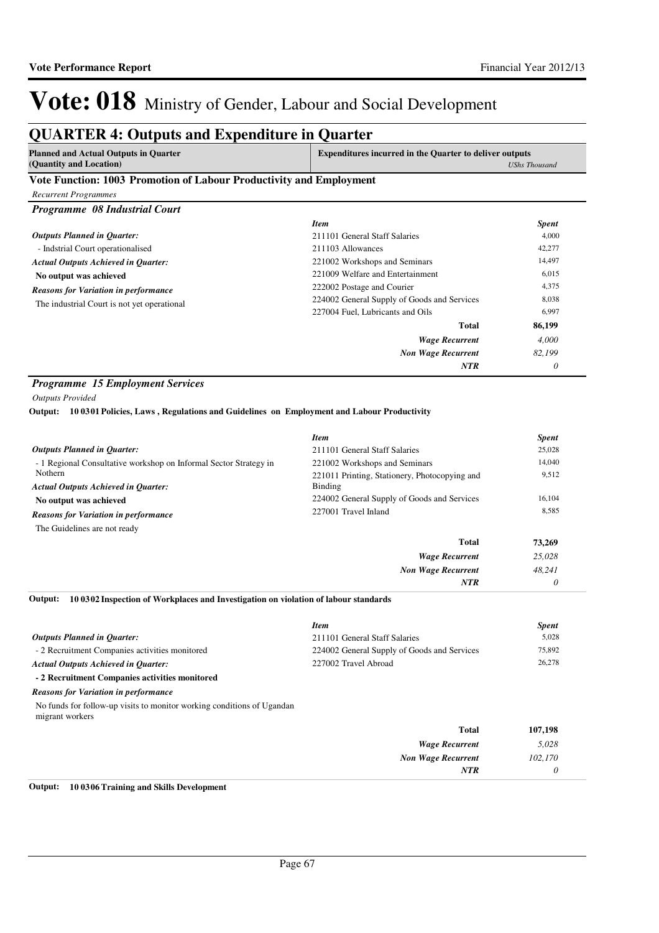## **QUARTER 4: Outputs and Expenditure in Quarter**

|                         | <b>Planned and Actual Outputs in Quarter</b> |  | <b>Expenditures incurred in the Quarter to deliver outputs</b> |  |  |  |               |  |
|-------------------------|----------------------------------------------|--|----------------------------------------------------------------|--|--|--|---------------|--|
| (Quantity and Location) |                                              |  |                                                                |  |  |  | UShs Thousand |  |
| <b>**</b> *             | 1000 m                                       |  |                                                                |  |  |  |               |  |

### **Vote Function: 1003 Promotion of Labour Productivity and Employment**

| <b>Recurrent Programmes</b>                 |                                             |              |
|---------------------------------------------|---------------------------------------------|--------------|
| Programme 08 Industrial Court               |                                             |              |
|                                             | <b>Item</b>                                 | <b>Spent</b> |
| <b>Outputs Planned in Quarter:</b>          | 211101 General Staff Salaries               | 4,000        |
| - Indstrial Court operationalised           | 211103 Allowances                           | 42,277       |
| <b>Actual Outputs Achieved in Quarter:</b>  | 221002 Workshops and Seminars               | 14,497       |
| No output was achieved                      | 221009 Welfare and Entertainment            | 6,015        |
| <b>Reasons for Variation in performance</b> | 222002 Postage and Courier                  | 4,375        |
| The industrial Court is not yet operational | 224002 General Supply of Goods and Services | 8,038        |
|                                             | 227004 Fuel, Lubricants and Oils            | 6,997        |
|                                             | Total                                       | 86,199       |
|                                             | <b>Wage Recurrent</b>                       | 4,000        |
|                                             | <b>Non Wage Recurrent</b>                   | 82.199       |
|                                             | <b>NTR</b>                                  | 0            |

### *Programme 15 Employment Services*

*Outputs Provided*

**10 0301 Policies, Laws , Regulations and Guidelines on Employment and Labour Productivity Output:**

|                                                                   | <b>Item</b>                                   | <b>Spent</b> |
|-------------------------------------------------------------------|-----------------------------------------------|--------------|
| <b>Outputs Planned in Ouarter:</b>                                | 211101 General Staff Salaries                 | 25,028       |
| - 1 Regional Consultative workshop on Informal Sector Strategy in | 221002 Workshops and Seminars                 | 14,040       |
| Nothern                                                           | 221011 Printing, Stationery, Photocopying and | 9,512        |
| <b>Actual Outputs Achieved in Ouarter:</b>                        | Binding                                       |              |
| No output was achieved                                            | 224002 General Supply of Goods and Services   | 16,104       |
| <b>Reasons for Variation in performance</b>                       | 227001 Travel Inland                          | 8,585        |
| The Guidelines are not ready                                      |                                               |              |
|                                                                   | <b>Total</b>                                  | 73,269       |
|                                                                   | <b>Wage Recurrent</b>                         | 25,028       |
|                                                                   | <b>Non Wage Recurrent</b>                     | 48.241       |
|                                                                   | <b>NTR</b>                                    | 0            |

**10 0302 Inspection of Workplaces and Investigation on violation of labour standards Output:**

|                                                                                           | <b>Item</b>                                 | <b>Spent</b> |
|-------------------------------------------------------------------------------------------|---------------------------------------------|--------------|
| <b>Outputs Planned in Ouarter:</b>                                                        | 211101 General Staff Salaries               | 5,028        |
| - 2 Recruitment Companies activities monitored                                            | 224002 General Supply of Goods and Services | 75,892       |
| <b>Actual Outputs Achieved in Ouarter:</b>                                                | 227002 Travel Abroad                        | 26,278       |
| - 2 Recruitment Companies activities monitored                                            |                                             |              |
| <b>Reasons for Variation in performance</b>                                               |                                             |              |
| No funds for follow-up visits to monitor working conditions of Ugandan<br>migrant workers |                                             |              |

| 107,198 | Total                     |
|---------|---------------------------|
| 5,028   | <b>Wage Recurrent</b>     |
| 102,170 | <b>Non Wage Recurrent</b> |
|         | <b>NTR</b>                |
|         |                           |

**Output: 10 0306 Training and Skills Development**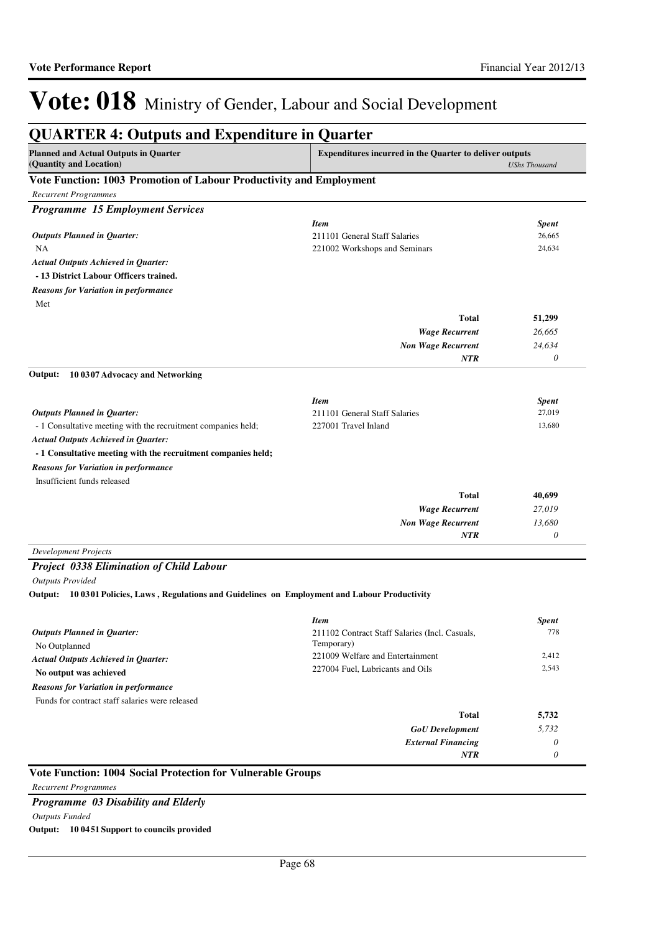| <b>QUARTER 4: Outputs and Expenditure in Quarter</b>                                             |                                                                                        |                           |  |
|--------------------------------------------------------------------------------------------------|----------------------------------------------------------------------------------------|---------------------------|--|
| <b>Planned and Actual Outputs in Quarter</b><br>(Quantity and Location)                          | <b>Expenditures incurred in the Quarter to deliver outputs</b><br><b>UShs Thousand</b> |                           |  |
| Vote Function: 1003 Promotion of Labour Productivity and Employment                              |                                                                                        |                           |  |
| <b>Recurrent Programmes</b>                                                                      |                                                                                        |                           |  |
| <b>Programme 15 Employment Services</b>                                                          |                                                                                        |                           |  |
|                                                                                                  | <b>Item</b>                                                                            | <b>Spent</b>              |  |
| <b>Outputs Planned in Quarter:</b>                                                               | 211101 General Staff Salaries                                                          | 26,665                    |  |
| <b>NA</b>                                                                                        | 221002 Workshops and Seminars                                                          | 24,634                    |  |
| <b>Actual Outputs Achieved in Quarter:</b>                                                       |                                                                                        |                           |  |
| - 13 District Labour Officers trained.                                                           |                                                                                        |                           |  |
| <b>Reasons for Variation in performance</b>                                                      |                                                                                        |                           |  |
| Met                                                                                              |                                                                                        |                           |  |
|                                                                                                  | <b>Total</b>                                                                           | 51,299                    |  |
|                                                                                                  | <b>Wage Recurrent</b>                                                                  | 26,665                    |  |
|                                                                                                  | <b>Non Wage Recurrent</b>                                                              | 24,634                    |  |
|                                                                                                  | <b>NTR</b>                                                                             | $\boldsymbol{\theta}$     |  |
| 10 0307 Advocacy and Networking<br>Output:                                                       |                                                                                        |                           |  |
|                                                                                                  |                                                                                        |                           |  |
|                                                                                                  | <b>Item</b>                                                                            | <b>Spent</b>              |  |
| <b>Outputs Planned in Quarter:</b>                                                               | 211101 General Staff Salaries                                                          | 27,019                    |  |
| - 1 Consultative meeting with the recruitment companies held;                                    | 227001 Travel Inland                                                                   | 13,680                    |  |
| <b>Actual Outputs Achieved in Quarter:</b>                                                       |                                                                                        |                           |  |
| - 1 Consultative meeting with the recruitment companies held;                                    |                                                                                        |                           |  |
| <b>Reasons for Variation in performance</b>                                                      |                                                                                        |                           |  |
| Insufficient funds released                                                                      |                                                                                        |                           |  |
|                                                                                                  | <b>Total</b>                                                                           | 40,699                    |  |
|                                                                                                  | <b>Wage Recurrent</b>                                                                  | 27,019                    |  |
|                                                                                                  | <b>Non Wage Recurrent</b>                                                              | 13,680                    |  |
|                                                                                                  | <b>NTR</b>                                                                             | $\boldsymbol{\mathit{0}}$ |  |
| <b>Development Projects</b>                                                                      |                                                                                        |                           |  |
| <b>Project 0338 Elimination of Child Labour</b>                                                  |                                                                                        |                           |  |
| <b>Outputs Provided</b>                                                                          |                                                                                        |                           |  |
| Output: 10 0301 Policies, Laws, Regulations and Guidelines on Employment and Labour Productivity |                                                                                        |                           |  |
|                                                                                                  | <b>Item</b>                                                                            | <b>Spent</b>              |  |
| <b>Outputs Planned in Quarter:</b>                                                               | 211102 Contract Staff Salaries (Incl. Casuals,                                         | 778                       |  |
| No Outplanned                                                                                    | Temporary)                                                                             |                           |  |
| <b>Actual Outputs Achieved in Quarter:</b>                                                       | 221009 Welfare and Entertainment                                                       | 2,412                     |  |
| No output was achieved                                                                           | 227004 Fuel, Lubricants and Oils                                                       | 2,543                     |  |
| <b>Reasons for Variation in performance</b>                                                      |                                                                                        |                           |  |
| Funds for contract staff salaries were released                                                  |                                                                                        |                           |  |
|                                                                                                  |                                                                                        |                           |  |

| 5,732 | Total                     |
|-------|---------------------------|
| 5,732 | <b>GoU</b> Development    |
|       | <b>External Financing</b> |
|       | <b>NTR</b>                |
|       |                           |

### **Vote Function: 1004 Social Protection for Vulnerable Groups**

*Recurrent Programmes Programme 03 Disability and Elderly Outputs Funded* **Output: 10 0451 Support to councils provided**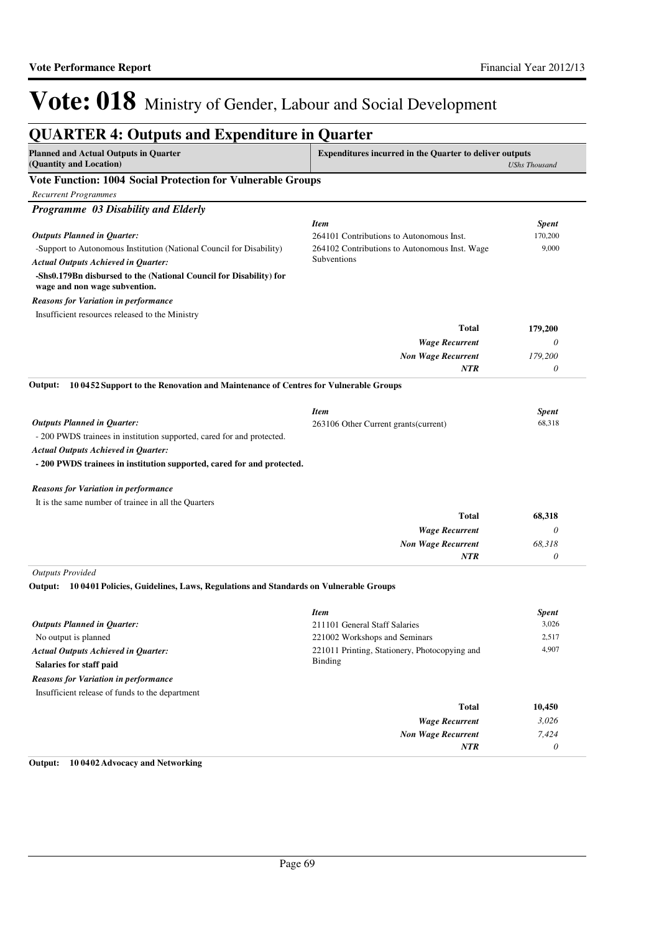| <b>Planned and Actual Outputs in Quarter</b><br>(Quantity and Location)                             | Expenditures incurred in the Quarter to deliver outputs | <b>UShs Thousand</b> |
|-----------------------------------------------------------------------------------------------------|---------------------------------------------------------|----------------------|
| <b>Vote Function: 1004 Social Protection for Vulnerable Groups</b>                                  |                                                         |                      |
| <b>Recurrent Programmes</b>                                                                         |                                                         |                      |
| Programme 03 Disability and Elderly                                                                 |                                                         |                      |
|                                                                                                     | <b>Item</b>                                             | <b>Spent</b>         |
| <b>Outputs Planned in Quarter:</b>                                                                  | 264101 Contributions to Autonomous Inst.                | 170,200              |
| -Support to Autonomous Institution (National Council for Disability)                                | 264102 Contributions to Autonomous Inst. Wage           | 9,000                |
| <b>Actual Outputs Achieved in Quarter:</b>                                                          | Subventions                                             |                      |
| -Shs0.179Bn disbursed to the (National Council for Disability) for<br>wage and non wage subvention. |                                                         |                      |
| Reasons for Variation in performance                                                                |                                                         |                      |
| Insufficient resources released to the Ministry                                                     |                                                         |                      |
|                                                                                                     | <b>Total</b>                                            | 179,200              |
|                                                                                                     | <b>Wage Recurrent</b>                                   | $\theta$             |
|                                                                                                     | <b>Non Wage Recurrent</b>                               | 179,200              |
|                                                                                                     | NTR                                                     | $\theta$             |
| 10 0452 Support to the Renovation and Maintenance of Centres for Vulnerable Groups<br>Output:       |                                                         |                      |
|                                                                                                     | <b>Item</b>                                             | <b>Spent</b>         |
| <b>Outputs Planned in Quarter:</b>                                                                  | 263106 Other Current grants (current)                   | 68,318               |
| - 200 PWDS trainees in institution supported, cared for and protected.                              |                                                         |                      |
| Actual Outputs Achieved in Quarter:                                                                 |                                                         |                      |
| - 200 PWDS trainees in institution supported, cared for and protected.                              |                                                         |                      |
| Reasons for Variation in performance                                                                |                                                         |                      |
| It is the same number of trainee in all the Quarters                                                |                                                         |                      |
|                                                                                                     | <b>Total</b>                                            | 68,318               |
|                                                                                                     | <b>Wage Recurrent</b>                                   | $\theta$             |
|                                                                                                     | <b>Non Wage Recurrent</b>                               | 68,318               |
|                                                                                                     | NTR                                                     | $\theta$             |
| <b>Outputs Provided</b>                                                                             |                                                         |                      |
| 10 0401 Policies, Guidelines, Laws, Regulations and Standards on Vulnerable Groups<br>Output:       |                                                         |                      |
|                                                                                                     | <b>Item</b>                                             | <b>Spent</b>         |
| <b>Outputs Planned in Quarter:</b>                                                                  | 211101 General Staff Salaries                           | 3,026                |
| No output is planned                                                                                | 221002 Workshops and Seminars                           | 2,517                |
| <b>Actual Outputs Achieved in Quarter:</b>                                                          | 221011 Printing, Stationery, Photocopying and           | 4,907                |
| Salaries for staff paid                                                                             | <b>Binding</b>                                          |                      |
| <b>Reasons for Variation in performance</b>                                                         |                                                         |                      |
| Insufficient release of funds to the department                                                     |                                                         |                      |
|                                                                                                     | <b>Total</b>                                            | 10,450               |
|                                                                                                     | <b>Wage Recurrent</b>                                   | 3,026                |
|                                                                                                     | <b>Non Wage Recurrent</b>                               | 7,424                |
|                                                                                                     | NTR                                                     | 0                    |

### **Output: 10 0402 Advocacy and Networking**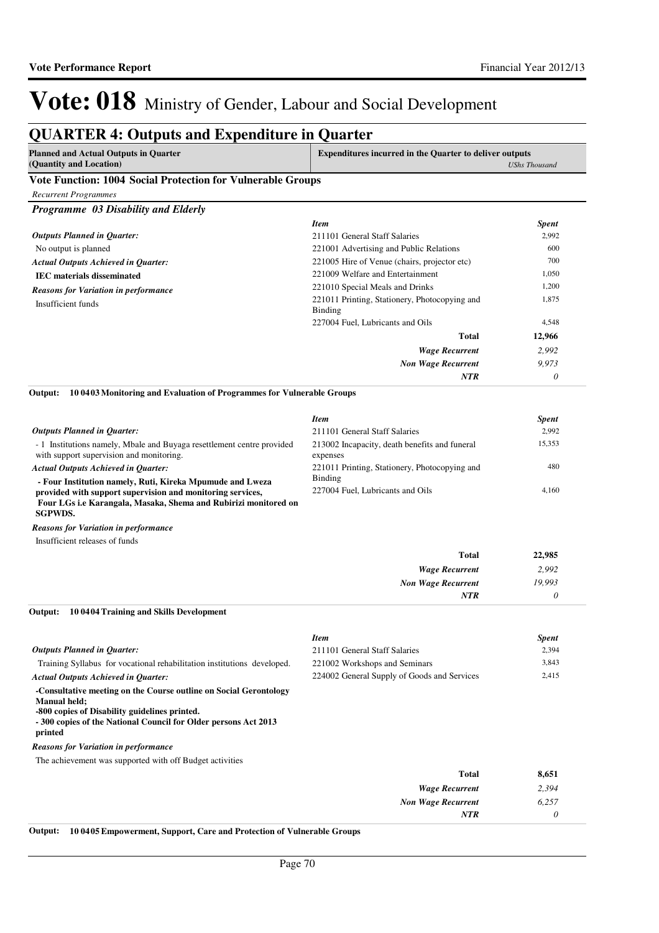# **QUARTER 4: Outputs and Expenditure in Quarter**

| Planned and Actual Outputs in Quarter | <b>Expenditures incurred in the Quarter to deliver outputs</b> |  |
|---------------------------------------|----------------------------------------------------------------|--|
| (Quantity and Location)               | UShs Thousand                                                  |  |
| .<br>$\overline{a}$                   |                                                                |  |

### **Vote Function: 1004 Social Protection for Vulnerable Groups**

| Programme 03 Disability and Elderly         |                                                          |              |
|---------------------------------------------|----------------------------------------------------------|--------------|
|                                             | <b>Item</b>                                              | <b>Spent</b> |
| <b>Outputs Planned in Quarter:</b>          | 211101 General Staff Salaries                            | 2,992        |
| No output is planned                        | 221001 Advertising and Public Relations                  | 600          |
| <b>Actual Outputs Achieved in Ouarter:</b>  | 221005 Hire of Venue (chairs, projector etc)             | 700          |
| <b>IEC</b> materials disseminated           | 221009 Welfare and Entertainment                         | 1,050        |
| <b>Reasons for Variation in performance</b> | 221010 Special Meals and Drinks                          | 1,200        |
| Insufficient funds                          | 221011 Printing, Stationery, Photocopying and<br>Binding | 1,875        |
|                                             | 227004 Fuel, Lubricants and Oils                         | 4,548        |
|                                             | Total                                                    | 12,966       |
|                                             | <b>Wage Recurrent</b>                                    | 2.992        |
|                                             | <b>Non Wage Recurrent</b>                                | 9.973        |
|                                             | <b>NTR</b>                                               | 0            |

**10 0403 Monitoring and Evaluation of Programmes for Vulnerable Groups Output:**

|                                                                                                                                                                                            | <b>Item</b>                                               | <b>Spent</b> |
|--------------------------------------------------------------------------------------------------------------------------------------------------------------------------------------------|-----------------------------------------------------------|--------------|
| <b>Outputs Planned in Ouarter:</b>                                                                                                                                                         | 211101 General Staff Salaries                             | 2.992        |
| - 1 Institutions namely, Mbale and Buyaga resettlement centre provided<br>with support supervision and monitoring.                                                                         | 213002 Incapacity, death benefits and funeral<br>expenses | 15,353       |
| <b>Actual Outputs Achieved in Ouarter:</b>                                                                                                                                                 | 221011 Printing, Stationery, Photocopying and             | 480          |
| - Four Institution namely, Ruti, Kireka Mpumude and Lweza<br>provided with support supervision and monitoring services,<br>Four LGs i.e Karangala, Masaka, Shema and Rubirizi monitored on | Binding<br>227004 Fuel, Lubricants and Oils               | 4.160        |
| <b>SGPWDS.</b>                                                                                                                                                                             |                                                           |              |

Insufficient releases of funds *Reasons for Variation in performance*

| <b>Total</b>              | 22,985 |
|---------------------------|--------|
| <b>Wage Recurrent</b>     | 2,992  |
| <b>Non Wage Recurrent</b> | 19,993 |
| <b>NTR</b>                | 0      |

**10 0404 Training and Skills Development Output:**

|                                                                                                                                                                                                                 | <b>Item</b>                                 | <b>Spent</b> |
|-----------------------------------------------------------------------------------------------------------------------------------------------------------------------------------------------------------------|---------------------------------------------|--------------|
| <b>Outputs Planned in Ouarter:</b>                                                                                                                                                                              | 211101 General Staff Salaries               | 2,394        |
| Training Syllabus for vocational rehabilitation institutions developed.                                                                                                                                         | 221002 Workshops and Seminars               | 3,843        |
| <b>Actual Outputs Achieved in Ouarter:</b>                                                                                                                                                                      | 224002 General Supply of Goods and Services | 2,415        |
| -Consultative meeting on the Course outline on Social Gerontology<br>Manual held;<br>-800 copies of Disability guidelines printed.<br>-300 copies of the National Council for Older persons Act 2013<br>printed |                                             |              |
| <b>Reasons for Variation in performance</b>                                                                                                                                                                     |                                             |              |
| The achievement was supported with off Budget activities                                                                                                                                                        |                                             |              |
|                                                                                                                                                                                                                 | <b>Total</b>                                | 8,651        |
|                                                                                                                                                                                                                 | <b>Wage Recurrent</b>                       | 2.394        |

**Output: 10 0405 Empowerment, Support, Care and Protection of Vulnerable Groups**

*Non Wage Recurrent*

*NTR*

*6,257 0*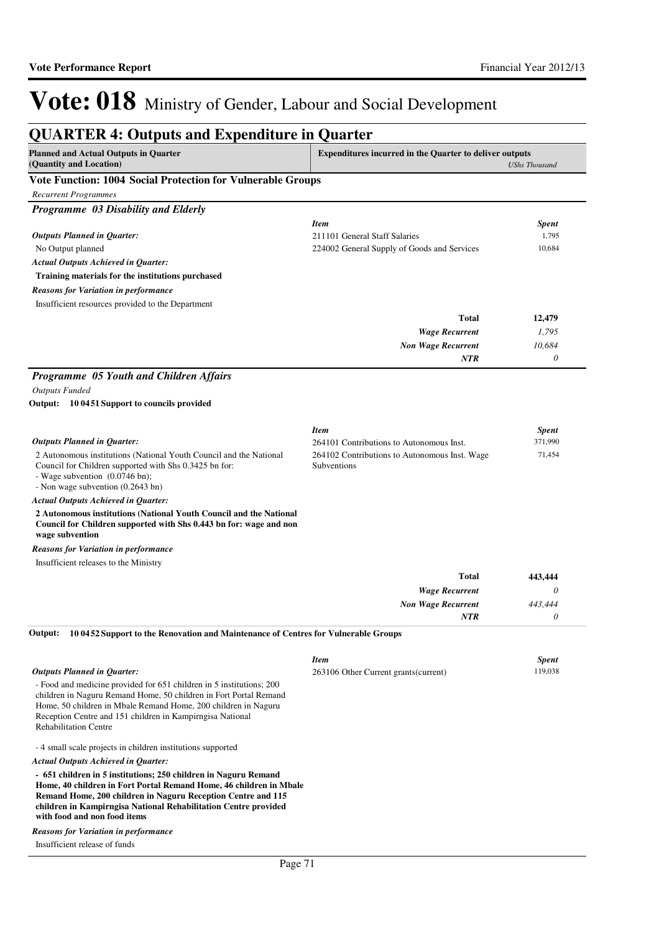| <b>QUARTER 4: Outputs and Expenditure in Quarter</b>                                                                                                                                                                                  |                                                                |                      |
|---------------------------------------------------------------------------------------------------------------------------------------------------------------------------------------------------------------------------------------|----------------------------------------------------------------|----------------------|
| <b>Planned and Actual Outputs in Quarter</b><br>(Quantity and Location)                                                                                                                                                               | <b>Expenditures incurred in the Quarter to deliver outputs</b> | <b>UShs Thousand</b> |
| Vote Function: 1004 Social Protection for Vulnerable Groups                                                                                                                                                                           |                                                                |                      |
| <b>Recurrent Programmes</b>                                                                                                                                                                                                           |                                                                |                      |
| Programme 03 Disability and Elderly                                                                                                                                                                                                   |                                                                |                      |
|                                                                                                                                                                                                                                       | <b>Item</b>                                                    | <b>Spent</b>         |
| <b>Outputs Planned in Quarter:</b>                                                                                                                                                                                                    | 211101 General Staff Salaries                                  | 1,795                |
| No Output planned                                                                                                                                                                                                                     | 224002 General Supply of Goods and Services                    | 10,684               |
| <b>Actual Outputs Achieved in Quarter:</b>                                                                                                                                                                                            |                                                                |                      |
| Training materials for the institutions purchased                                                                                                                                                                                     |                                                                |                      |
| <b>Reasons for Variation in performance</b>                                                                                                                                                                                           |                                                                |                      |
| Insufficient resources provided to the Department                                                                                                                                                                                     |                                                                |                      |
|                                                                                                                                                                                                                                       | <b>Total</b>                                                   | 12,479               |
|                                                                                                                                                                                                                                       | <b>Wage Recurrent</b>                                          | 1,795                |
|                                                                                                                                                                                                                                       | <b>Non Wage Recurrent</b>                                      | 10,684               |
|                                                                                                                                                                                                                                       | NTR                                                            | $\theta$             |
| Programme 05 Youth and Children Affairs                                                                                                                                                                                               |                                                                |                      |
| <b>Outputs Funded</b>                                                                                                                                                                                                                 |                                                                |                      |
| Output: 10 0451 Support to councils provided                                                                                                                                                                                          |                                                                |                      |
|                                                                                                                                                                                                                                       |                                                                |                      |
|                                                                                                                                                                                                                                       | <b>Item</b>                                                    | <b>Spent</b>         |
| <b>Outputs Planned in Quarter:</b>                                                                                                                                                                                                    | 264101 Contributions to Autonomous Inst.                       | 371,990              |
| 2 Autonomous institutions (National Youth Council and the National                                                                                                                                                                    | 264102 Contributions to Autonomous Inst. Wage                  | 71,454               |
| Council for Children supported with Shs 0.3425 bn for:                                                                                                                                                                                | Subventions                                                    |                      |
| - Wage subvention (0.0746 bn);                                                                                                                                                                                                        |                                                                |                      |
| - Non wage subvention (0.2643 bn)                                                                                                                                                                                                     |                                                                |                      |
| Actual Outputs Achieved in Quarter:<br>2 Autonomous institutions (National Youth Council and the National                                                                                                                             |                                                                |                      |
| Council for Children supported with Shs 0.443 bn for: wage and non<br>wage subvention                                                                                                                                                 |                                                                |                      |
| <b>Reasons for Variation in performance</b>                                                                                                                                                                                           |                                                                |                      |
| Insufficient releases to the Ministry                                                                                                                                                                                                 |                                                                |                      |
|                                                                                                                                                                                                                                       | <b>Total</b>                                                   | 443,444              |
|                                                                                                                                                                                                                                       | <b>Wage Recurrent</b>                                          | $\theta$             |
|                                                                                                                                                                                                                                       | <b>Non Wage Recurrent</b>                                      | 443,444              |
|                                                                                                                                                                                                                                       | <b>NTR</b>                                                     | $\theta$             |
| 10 0452 Support to the Renovation and Maintenance of Centres for Vulnerable Groups<br>Output:                                                                                                                                         |                                                                |                      |
|                                                                                                                                                                                                                                       | <b>Item</b>                                                    | <b>Spent</b>         |
| <b>Outputs Planned in Quarter:</b>                                                                                                                                                                                                    | 263106 Other Current grants (current)                          | 119,038              |
| - Food and medicine provided for 651 children in 5 institutions; 200                                                                                                                                                                  |                                                                |                      |
| children in Naguru Remand Home, 50 children in Fort Portal Remand                                                                                                                                                                     |                                                                |                      |
| Home, 50 children in Mbale Remand Home, 200 children in Naguru<br>Reception Centre and 151 children in Kampirngisa National                                                                                                           |                                                                |                      |
| <b>Rehabilitation Centre</b>                                                                                                                                                                                                          |                                                                |                      |
| -4 small scale projects in children institutions supported                                                                                                                                                                            |                                                                |                      |
| <b>Actual Outputs Achieved in Quarter:</b>                                                                                                                                                                                            |                                                                |                      |
| - 651 children in 5 institutions; 250 children in Naguru Remand                                                                                                                                                                       |                                                                |                      |
| Home, 40 children in Fort Portal Remand Home, 46 children in Mbale<br>Remand Home, 200 children in Naguru Reception Centre and 115<br>children in Kampirngisa National Rehabilitation Centre provided<br>with food and non food items |                                                                |                      |
| Reasons for Variation in performance                                                                                                                                                                                                  |                                                                |                      |
| Insufficient release of funds                                                                                                                                                                                                         |                                                                |                      |
|                                                                                                                                                                                                                                       |                                                                |                      |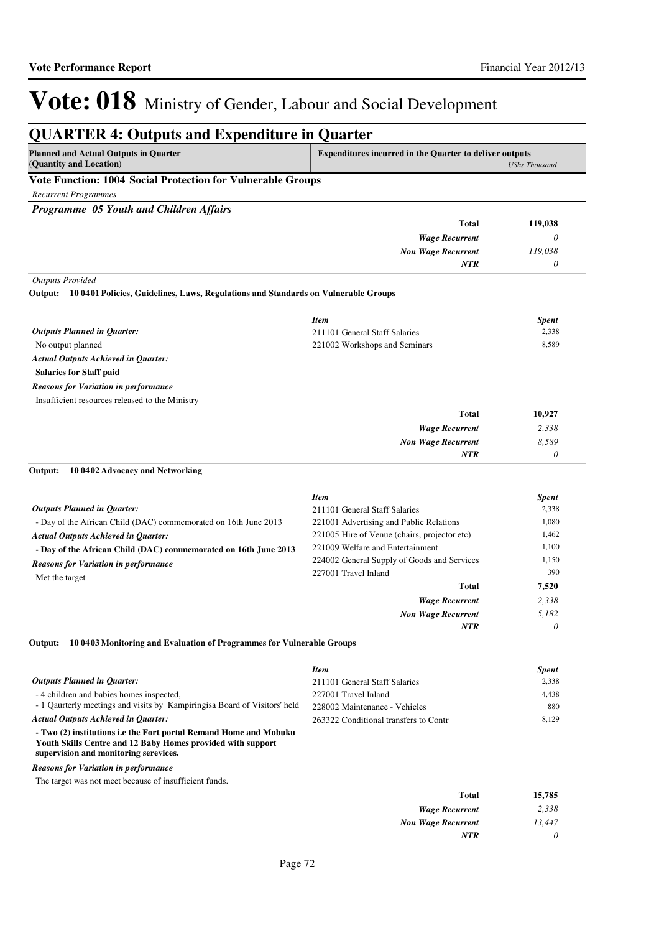#### **QUARTER 4: Outputs and Expenditure in Quarter Planned and Actual Outputs in Quarter (Quantity and Location) Expenditures incurred in the Quarter to deliver outputs**  *UShs Thousand* **Vote Function: 1004 Social Protection for Vulnerable Groups** *Recurrent Programmes Programme 05 Youth and Children Affairs Wage Recurrent Non Wage Recurrent* **Total** *0 119,038 0* **119,038** *NTR Outputs Provided* No output planned **Salaries for Staff paid 10 0401 Policies, Guidelines, Laws, Regulations and Standards on Vulnerable Groups Output:** *Wage Recurrent Non Wage Recurrent* **Total** *2,338 8,589 0* **10,927** *Actual Outputs Achieved in Quarter: Outputs Planned in Quarter: NTR* Insufficient resources released to the Ministry *Reasons for Variation in performance Item Spent* 211101 General Staff Salaries 2,338 221002 Workshops and Seminars 8,589 - Day of the African Child (DAC) commemorated on 16th June 2013 **- Day of the African Child (DAC) commemorated on 16th June 2013 10 0402 Advocacy and Networking Output:** *Wage Recurrent Non Wage Recurrent* **Total** *2,338 5,182 0* **7,520** *Actual Outputs Achieved in Quarter: Outputs Planned in Quarter: NTR* Met the target *Reasons for Variation in performance Item Spent* 211101 General Staff Salaries 2,338 221001 Advertising and Public Relations 1,080 221005 Hire of Venue (chairs, projector etc) 1,462 221009 Welfare and Entertainment 1,100 224002 General Supply of Goods and Services 1,150 227001 Travel Inland 390 - 4 children and babies homes inspected, - 1 Qaurterly meetings and visits by Kampiringisa Board of Visitors' held **- Two (2) institutions i.e the Fort portal Remand Home and Mobuku Youth Skills Centre and 12 Baby Homes provided with support supervision and monitoring serevices. 10 0403 Monitoring and Evaluation of Programmes for Vulnerable Groups** *Actual Outputs Achieved in Quarter: Outputs Planned in Quarter:* **Output:** The target was not meet because of insufficient funds. *Reasons for Variation in performance Item Spent* 211101 General Staff Salaries 2,338 227001 Travel Inland 4,438 228002 Maintenance - Vehicles 880 263322 Conditional transfers to Contr 8,129

| 15,785 | Total                     |
|--------|---------------------------|
| 2,338  | <b>Wage Recurrent</b>     |
| 13,447 | <b>Non Wage Recurrent</b> |
|        | NTR                       |
|        |                           |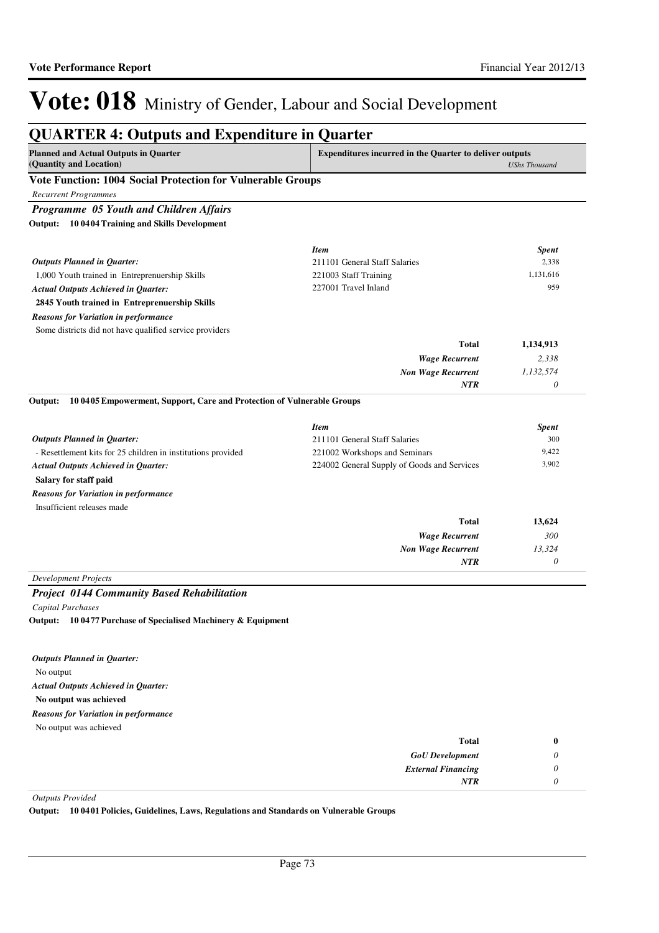| <b>Planned and Actual Outputs in Quarter</b><br>(Quantity and Location)           | <b>Expenditures incurred in the Quarter to deliver outputs</b> | <b>UShs Thousand</b> |
|-----------------------------------------------------------------------------------|----------------------------------------------------------------|----------------------|
| Vote Function: 1004 Social Protection for Vulnerable Groups                       |                                                                |                      |
| <b>Recurrent Programmes</b>                                                       |                                                                |                      |
| Programme 05 Youth and Children Affairs                                           |                                                                |                      |
| 10 04 04 Training and Skills Development<br>Output:                               |                                                                |                      |
|                                                                                   | <b>Item</b>                                                    | <b>Spent</b>         |
| <b>Outputs Planned in Quarter:</b>                                                | 211101 General Staff Salaries                                  | 2,338                |
| 1,000 Youth trained in Entreprenuership Skills                                    | 221003 Staff Training                                          | 1,131,616            |
| <b>Actual Outputs Achieved in Quarter:</b>                                        | 227001 Travel Inland                                           | 959                  |
| 2845 Youth trained in Entreprenuership Skills                                     |                                                                |                      |
| <b>Reasons for Variation in performance</b>                                       |                                                                |                      |
| Some districts did not have qualified service providers                           |                                                                |                      |
|                                                                                   | Total                                                          | 1,134,913            |
|                                                                                   | <b>Wage Recurrent</b>                                          | 2,338                |
|                                                                                   | <b>Non Wage Recurrent</b>                                      | 1,132,574            |
|                                                                                   | <b>NTR</b>                                                     | 0                    |
| 10 0405 Empowerment, Support, Care and Protection of Vulnerable Groups<br>Output: |                                                                |                      |
|                                                                                   | <b>Item</b>                                                    | <b>Spent</b>         |
| <b>Outputs Planned in Quarter:</b>                                                | 211101 General Staff Salaries                                  | 300                  |
| - Resettlement kits for 25 children in institutions provided                      | 221002 Workshops and Seminars                                  | 9,422                |
| <b>Actual Outputs Achieved in Quarter:</b>                                        | 224002 General Supply of Goods and Services                    | 3,902                |
| Salary for staff paid                                                             |                                                                |                      |
| <b>Reasons for Variation in performance</b>                                       |                                                                |                      |
| Insufficient releases made                                                        |                                                                |                      |
|                                                                                   | <b>Total</b>                                                   | 13,624               |
|                                                                                   | <b>Wage Recurrent</b>                                          | 300                  |
|                                                                                   | <b>Non Wage Recurrent</b>                                      | 13,324               |
|                                                                                   | NTR                                                            | 0                    |
| <b>Development Projects</b>                                                       |                                                                |                      |
| <b>Project 0144 Community Based Rehabilitation</b>                                |                                                                |                      |
| Capital Purchases                                                                 |                                                                |                      |
| 10 0477 Purchase of Specialised Machinery & Equipment<br>Output:                  |                                                                |                      |
|                                                                                   |                                                                |                      |
| <b>Outputs Planned in Quarter:</b>                                                |                                                                |                      |
| No output                                                                         |                                                                |                      |
| <b>Actual Outputs Achieved in Quarter:</b>                                        |                                                                |                      |
| No output was achieved                                                            |                                                                |                      |
| Reasons for Variation in performance                                              |                                                                |                      |
| No output was achieved                                                            |                                                                |                      |

| <b>Total</b>              | $\bf{0}$ |
|---------------------------|----------|
| <b>GoU</b> Development    | U        |
| <b>External Financing</b> | 0        |
| <b>NTR</b>                |          |

*Outputs Provided*

**Output: 10 0401 Policies, Guidelines, Laws, Regulations and Standards on Vulnerable Groups**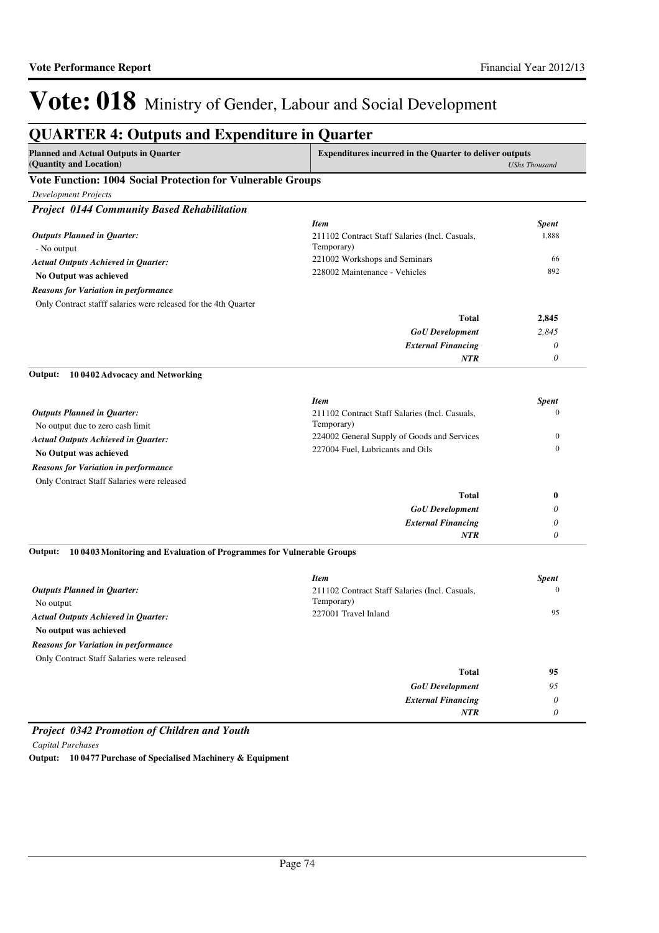| <b>Planned and Actual Outputs in Quarter</b><br>(Quantity and Location)          | <b>Expenditures incurred in the Quarter to deliver outputs</b><br><b>UShs Thousand</b> |                           |
|----------------------------------------------------------------------------------|----------------------------------------------------------------------------------------|---------------------------|
| Vote Function: 1004 Social Protection for Vulnerable Groups                      |                                                                                        |                           |
| Development Projects                                                             |                                                                                        |                           |
| <b>Project 0144 Community Based Rehabilitation</b>                               |                                                                                        |                           |
|                                                                                  | <b>Item</b>                                                                            | <b>Spent</b>              |
| <b>Outputs Planned in Quarter:</b><br>- No output                                | 211102 Contract Staff Salaries (Incl. Casuals,<br>Temporary)                           | 1,888                     |
| <b>Actual Outputs Achieved in Quarter:</b>                                       | 221002 Workshops and Seminars                                                          | 66                        |
| No Output was achieved                                                           | 228002 Maintenance - Vehicles                                                          | 892                       |
| <b>Reasons for Variation in performance</b>                                      |                                                                                        |                           |
| Only Contract stafff salaries were released for the 4th Quarter                  |                                                                                        |                           |
|                                                                                  | <b>Total</b>                                                                           | 2,845                     |
|                                                                                  | <b>GoU</b> Development                                                                 | 2,845                     |
|                                                                                  | <b>External Financing</b>                                                              | 0                         |
|                                                                                  | <b>NTR</b>                                                                             | 0                         |
| 10 0402 Advocacy and Networking<br>Output:                                       |                                                                                        |                           |
|                                                                                  | <b>Item</b>                                                                            | <b>Spent</b>              |
| <b>Outputs Planned in Quarter:</b>                                               | 211102 Contract Staff Salaries (Incl. Casuals,                                         | $\mathbf{0}$              |
| No output due to zero cash limit                                                 | Temporary)                                                                             |                           |
| <b>Actual Outputs Achieved in Quarter:</b>                                       | 224002 General Supply of Goods and Services                                            | $\mathbf{0}$              |
| No Output was achieved                                                           | 227004 Fuel, Lubricants and Oils                                                       | $\mathbf{0}$              |
| <b>Reasons for Variation in performance</b>                                      |                                                                                        |                           |
| Only Contract Staff Salaries were released                                       |                                                                                        |                           |
|                                                                                  | <b>Total</b>                                                                           | $\bf{0}$                  |
|                                                                                  | <b>GoU</b> Development                                                                 | 0                         |
|                                                                                  | <b>External Financing</b>                                                              | 0                         |
|                                                                                  | NTR                                                                                    | 0                         |
| Output:<br>10 0403 Monitoring and Evaluation of Programmes for Vulnerable Groups |                                                                                        |                           |
|                                                                                  | <b>Item</b>                                                                            | <b>Spent</b>              |
| <b>Outputs Planned in Quarter:</b><br>No output                                  | 211102 Contract Staff Salaries (Incl. Casuals,<br>Temporary)                           | $\Omega$                  |
| <b>Actual Outputs Achieved in Quarter:</b>                                       | 227001 Travel Inland                                                                   | 95                        |
| No output was achieved                                                           |                                                                                        |                           |
| <b>Reasons for Variation in performance</b>                                      |                                                                                        |                           |
| Only Contract Staff Salaries were released                                       |                                                                                        |                           |
|                                                                                  | <b>Total</b>                                                                           | 95                        |
|                                                                                  | <b>GoU</b> Development                                                                 | 95                        |
|                                                                                  | <b>External Financing</b>                                                              | 0                         |
|                                                                                  | NTR                                                                                    | $\boldsymbol{\mathit{0}}$ |

*Project 0342 Promotion of Children and Youth Capital Purchases* **Output: 10 0477 Purchase of Specialised Machinery & Equipment**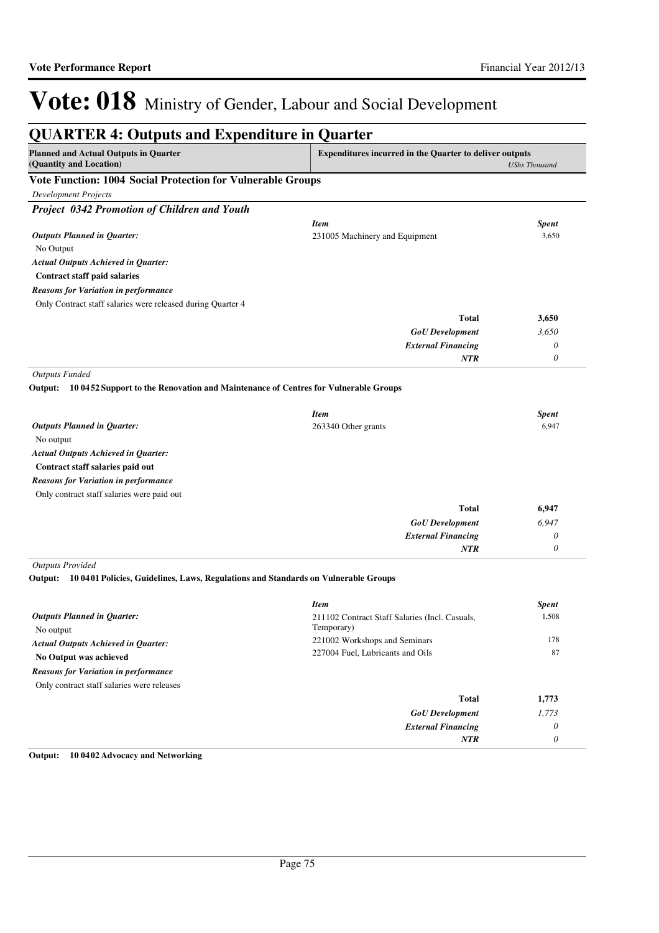| <b>Planned and Actual Outputs in Quarter</b><br>(Quantity and Location)                       | <b>Expenditures incurred in the Quarter to deliver outputs</b> | <b>UShs Thousand</b>  |
|-----------------------------------------------------------------------------------------------|----------------------------------------------------------------|-----------------------|
| <b>Vote Function: 1004 Social Protection for Vulnerable Groups</b>                            |                                                                |                       |
| <b>Development Projects</b>                                                                   |                                                                |                       |
| Project 0342 Promotion of Children and Youth                                                  |                                                                |                       |
|                                                                                               | <b>Item</b>                                                    | <b>Spent</b>          |
| <b>Outputs Planned in Quarter:</b>                                                            | 231005 Machinery and Equipment                                 | 3,650                 |
| No Output                                                                                     |                                                                |                       |
| <b>Actual Outputs Achieved in Quarter:</b>                                                    |                                                                |                       |
| <b>Contract staff paid salaries</b>                                                           |                                                                |                       |
| <b>Reasons for Variation in performance</b>                                                   |                                                                |                       |
| Only Contract staff salaries were released during Quarter 4                                   |                                                                |                       |
|                                                                                               | <b>Total</b>                                                   | 3,650                 |
|                                                                                               | <b>GoU</b> Development                                         | 3,650                 |
|                                                                                               | <b>External Financing</b>                                      | 0                     |
|                                                                                               | <b>NTR</b>                                                     | 0                     |
| Output:<br>10 0452 Support to the Renovation and Maintenance of Centres for Vulnerable Groups |                                                                |                       |
| <b>Outputs Planned in Quarter:</b>                                                            | <b>Item</b><br>263340 Other grants                             | <b>Spent</b><br>6,947 |
| No output                                                                                     |                                                                |                       |
| <b>Actual Outputs Achieved in Quarter:</b>                                                    |                                                                |                       |
| Contract staff salaries paid out                                                              |                                                                |                       |
| <b>Reasons for Variation in performance</b>                                                   |                                                                |                       |
| Only contract staff salaries were paid out                                                    |                                                                |                       |
|                                                                                               | <b>Total</b>                                                   | 6,947                 |
|                                                                                               | <b>GoU</b> Development                                         | 6,947                 |
|                                                                                               | <b>External Financing</b>                                      | 0                     |
|                                                                                               | <b>NTR</b>                                                     | 0                     |
| <b>Outputs Provided</b>                                                                       |                                                                |                       |
| Output:<br>10 0401 Policies, Guidelines, Laws, Regulations and Standards on Vulnerable Groups |                                                                |                       |
|                                                                                               | <b>Item</b>                                                    | <b>Spent</b>          |
| <b>Outputs Planned in Quarter:</b>                                                            | 211102 Contract Staff Salaries (Incl. Casuals,                 | 1,508                 |
| No output                                                                                     | Temporary)                                                     |                       |
| <b>Actual Outputs Achieved in Quarter:</b>                                                    | 221002 Workshops and Seminars                                  | 178                   |
| No Output was achieved                                                                        | 227004 Fuel, Lubricants and Oils                               | 87                    |
| <b>Reasons for Variation in performance</b>                                                   |                                                                |                       |
| Only contract staff salaries were releases                                                    |                                                                |                       |
|                                                                                               | <b>Total</b>                                                   | 1,773                 |
|                                                                                               | <b>GoU</b> Development                                         | 1,773                 |
|                                                                                               | <b>External Financing</b>                                      | $\theta$              |
|                                                                                               | <b>NTR</b>                                                     | 0                     |

#### **Output: 10 0402 Advocacy and Networking**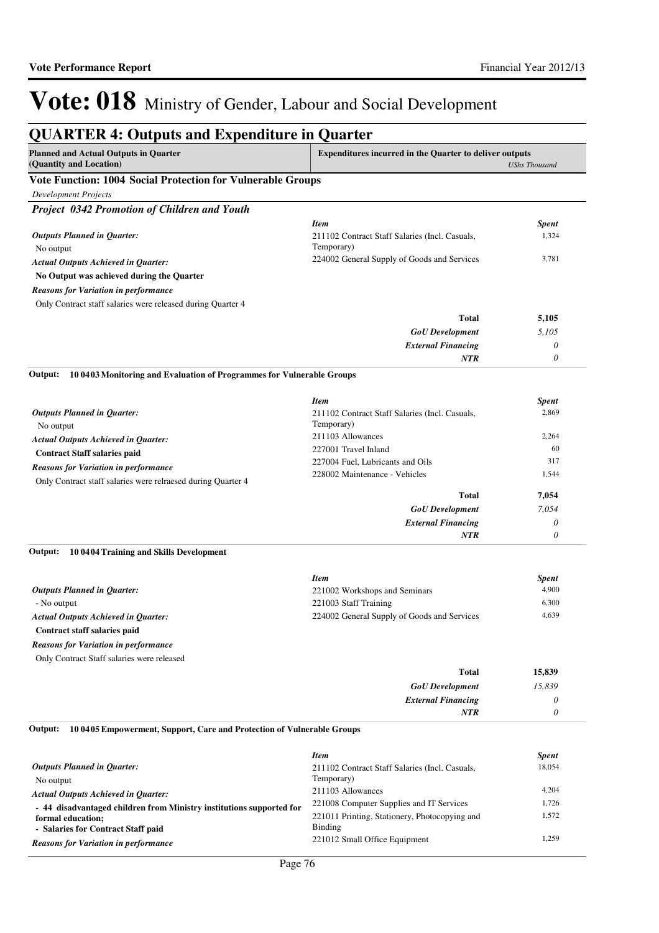| <b>QUARTER 4: Outputs and Expenditure in Quarter</b>                                      |                                                                |                      |
|-------------------------------------------------------------------------------------------|----------------------------------------------------------------|----------------------|
| <b>Planned and Actual Outputs in Quarter</b><br>(Quantity and Location)                   | <b>Expenditures incurred in the Quarter to deliver outputs</b> | <b>UShs Thousand</b> |
| Vote Function: 1004 Social Protection for Vulnerable Groups                               |                                                                |                      |
| <b>Development Projects</b>                                                               |                                                                |                      |
| Project 0342 Promotion of Children and Youth                                              |                                                                |                      |
|                                                                                           | <b>Item</b>                                                    | <b>Spent</b>         |
| <b>Outputs Planned in Quarter:</b>                                                        | 211102 Contract Staff Salaries (Incl. Casuals,                 | 1,324                |
| No output                                                                                 | Temporary)                                                     |                      |
| <b>Actual Outputs Achieved in Quarter:</b>                                                | 224002 General Supply of Goods and Services                    | 3,781                |
| No Output was achieved during the Quarter                                                 |                                                                |                      |
| <b>Reasons for Variation in performance</b>                                               |                                                                |                      |
| Only Contract staff salaries were released during Quarter 4                               |                                                                |                      |
|                                                                                           | <b>Total</b>                                                   | 5,105                |
|                                                                                           |                                                                |                      |
|                                                                                           | <b>GoU</b> Development                                         | 5,105                |
|                                                                                           | <b>External Financing</b>                                      | 0                    |
|                                                                                           | <b>NTR</b>                                                     | 0                    |
| 10 0403 Monitoring and Evaluation of Programmes for Vulnerable Groups<br>Output:          |                                                                |                      |
|                                                                                           | <b>Item</b>                                                    | <b>Spent</b>         |
| <b>Outputs Planned in Quarter:</b><br>No output                                           | 211102 Contract Staff Salaries (Incl. Casuals,<br>Temporary)   | 2,869                |
| <b>Actual Outputs Achieved in Quarter:</b>                                                | 211103 Allowances                                              | 2,264                |
| <b>Contract Staff salaries paid</b>                                                       | 227001 Travel Inland                                           | 60                   |
| <b>Reasons for Variation in performance</b>                                               | 227004 Fuel, Lubricants and Oils                               | 317                  |
| Only Contract staff salaries were relraesed during Quarter 4                              | 228002 Maintenance - Vehicles                                  | 1,544                |
|                                                                                           | <b>Total</b>                                                   | 7,054                |
|                                                                                           | <b>GoU</b> Development                                         | 7,054                |
|                                                                                           | <b>External Financing</b>                                      | 0                    |
|                                                                                           | NTR                                                            | 0                    |
| Output:<br>10 0404 Training and Skills Development                                        |                                                                |                      |
|                                                                                           | <b>Item</b>                                                    | <b>Spent</b>         |
| <b>Outputs Planned in Quarter:</b>                                                        | 221002 Workshops and Seminars                                  | 4,900                |
| - No output                                                                               | 221003 Staff Training                                          | 6,300                |
| <b>Actual Outputs Achieved in Quarter:</b>                                                | 224002 General Supply of Goods and Services                    | 4,639                |
| Contract staff salaries paid                                                              |                                                                |                      |
|                                                                                           |                                                                |                      |
| <b>Reasons for Variation in performance</b><br>Only Contract Staff salaries were released |                                                                |                      |
|                                                                                           | <b>Total</b>                                                   | 15,839               |
|                                                                                           | <b>GoU</b> Development                                         | 15,839               |
|                                                                                           |                                                                | 0                    |
|                                                                                           | <b>External Financing</b><br>NTR                               | 0                    |
| 10 0405 Empowerment, Support, Care and Protection of Vulnerable Groups<br>Output:         |                                                                |                      |
|                                                                                           |                                                                |                      |
|                                                                                           | <b>Item</b>                                                    | <b>Spent</b>         |
| <b>Outputs Planned in Quarter:</b>                                                        | 211102 Contract Staff Salaries (Incl. Casuals,<br>Temporary)   | 18,054               |
| No output                                                                                 | 211103 Allowances                                              | 4,204                |
| <b>Actual Outputs Achieved in Quarter:</b>                                                | 221008 Computer Supplies and IT Services                       | 1,726                |
| - 44 disadvantaged children from Ministry institutions supported for                      | 221011 Printing, Stationery, Photocopying and                  | 1,572                |
| formal education;<br>- Salaries for Contract Staff paid                                   | Binding                                                        |                      |
| Reasons for Variation in performance                                                      | 221012 Small Office Equipment                                  | 1,259                |

*Reasons for Variation in performance*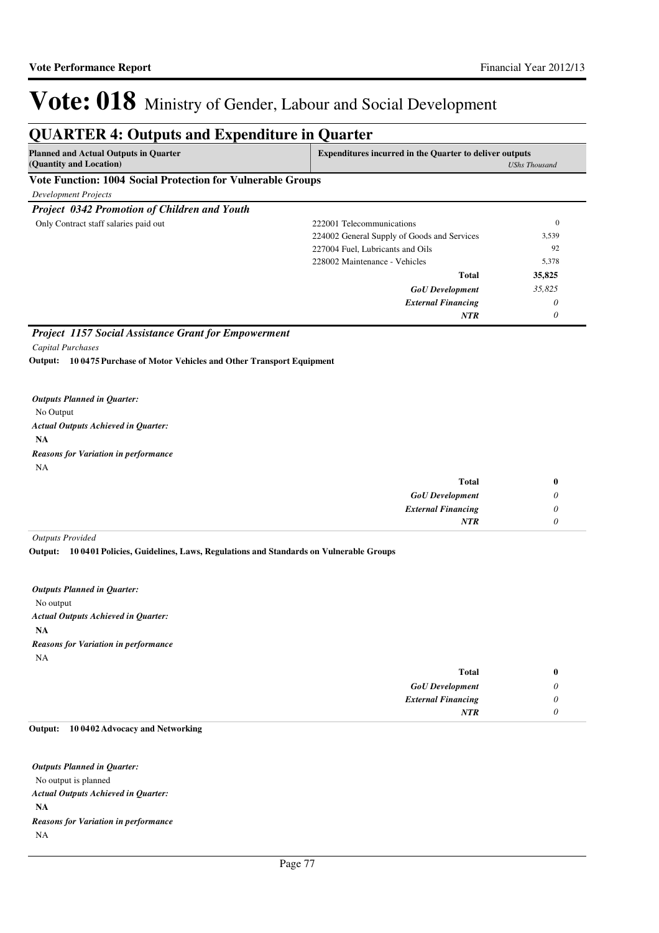| <b>Planned and Actual Outputs in Quarter</b><br>(Quantity and Location) |                                             | <b>Expenditures incurred in the Quarter to deliver outputs</b><br><b>UShs Thousand</b> |  |
|-------------------------------------------------------------------------|---------------------------------------------|----------------------------------------------------------------------------------------|--|
| <b>Vote Function: 1004 Social Protection for Vulnerable Groups</b>      |                                             |                                                                                        |  |
| Development Projects                                                    |                                             |                                                                                        |  |
| Project 0342 Promotion of Children and Youth                            |                                             |                                                                                        |  |
| Only Contract staff salaries paid out                                   | 222001 Telecommunications                   | $\mathbf{0}$                                                                           |  |
|                                                                         | 224002 General Supply of Goods and Services | 3,539                                                                                  |  |
|                                                                         | 227004 Fuel, Lubricants and Oils            | 92                                                                                     |  |
|                                                                         | 228002 Maintenance - Vehicles               | 5,378                                                                                  |  |
|                                                                         | <b>Total</b>                                | 35,825                                                                                 |  |
|                                                                         | <b>GoU</b> Development                      | 35,825                                                                                 |  |
|                                                                         | <b>External Financing</b>                   | $\theta$                                                                               |  |
|                                                                         | <b>NTR</b>                                  | 0                                                                                      |  |

**10 0475 Purchase of Motor Vehicles and Other Transport Equipment Output:**

No Output **NA** *Actual Outputs Achieved in Quarter: Outputs Planned in Quarter:* NA *Reasons for Variation in performance*

| <b>Total</b>              |  |
|---------------------------|--|
| <b>GoU</b> Development    |  |
| <b>External Financing</b> |  |
| <b>NTR</b>                |  |

*Outputs Provided*

**10 0401 Policies, Guidelines, Laws, Regulations and Standards on Vulnerable Groups Output:**

No output **NA** *Actual Outputs Achieved in Quarter: Outputs Planned in Quarter:* NA *Reasons for Variation in performance*

| <b>Total</b>              |  |
|---------------------------|--|
| <b>GoU</b> Development    |  |
| <b>External Financing</b> |  |
| <b>NTR</b>                |  |

#### **10 0402 Advocacy and Networking Output:**

No output is planned **NA** *Actual Outputs Achieved in Quarter: Outputs Planned in Quarter:* NA *Reasons for Variation in performance*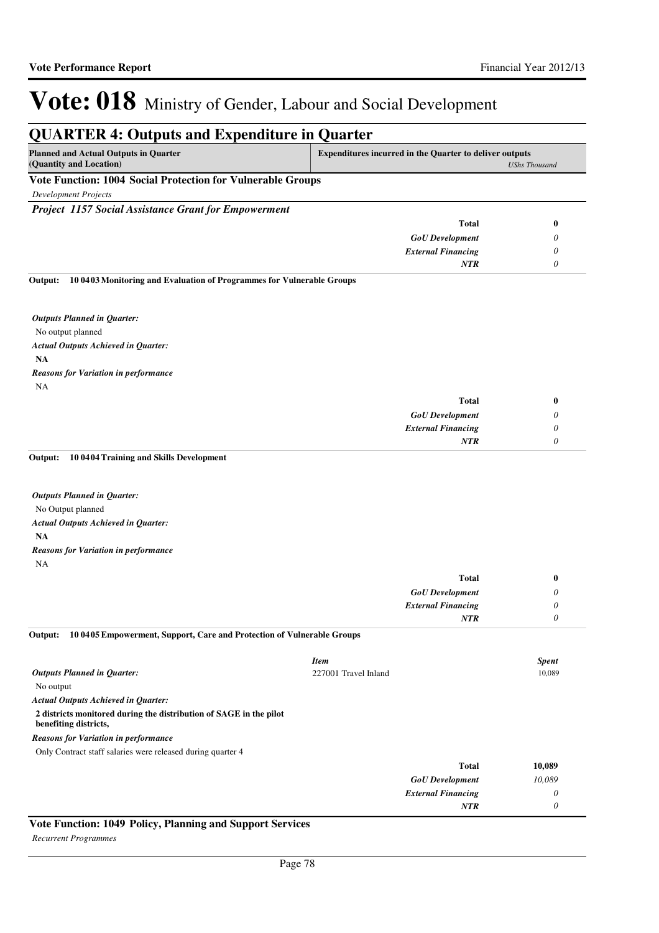**QUARTER 4: Outputs and Expenditure in Quarter**

#### **Planned and Actual Outputs in Quarter (Quantity and Location) Expenditures incurred in the Quarter to deliver outputs**  *UShs Thousand* **Vote Function: 1004 Social Protection for Vulnerable Groups** *Development Projects Project 1157 Social Assistance Grant for Empowerment GoU Development External Financing* **Total** *0 0 0* **0** *NTR* No output planned **NA 10 0403 Monitoring and Evaluation of Programmes for Vulnerable Groups Output:** *GoU Development External Financing* **Total** *0 0 0* **0** *Actual Outputs Achieved in Quarter: Outputs Planned in Quarter: NTR* NA *Reasons for Variation in performance* No Output planned **NA 10 0404 Training and Skills Development** *GoU Development External Financing* **Total** *0 0 0* **0** *Actual Outputs Achieved in Quarter: Outputs Planned in Quarter:* **Output:** *NTR* NA *Reasons for Variation in performance* No output **2 districts monitored during the distribution of SAGE in the pilot benefiting districts, 10 0405 Empowerment, Support, Care and Protection of Vulnerable Groups** *GoU Development External Financing* **Total** *10,089 0 0* **10,089** *Actual Outputs Achieved in Quarter: Outputs Planned in Quarter:* **Output:** *NTR* Only Contract staff salaries were released during quarter 4 *Reasons for Variation in performance Item Spent* 227001 Travel Inland 10,089

#### **Vote Function: 1049 Policy, Planning and Support Services**

*Recurrent Programmes*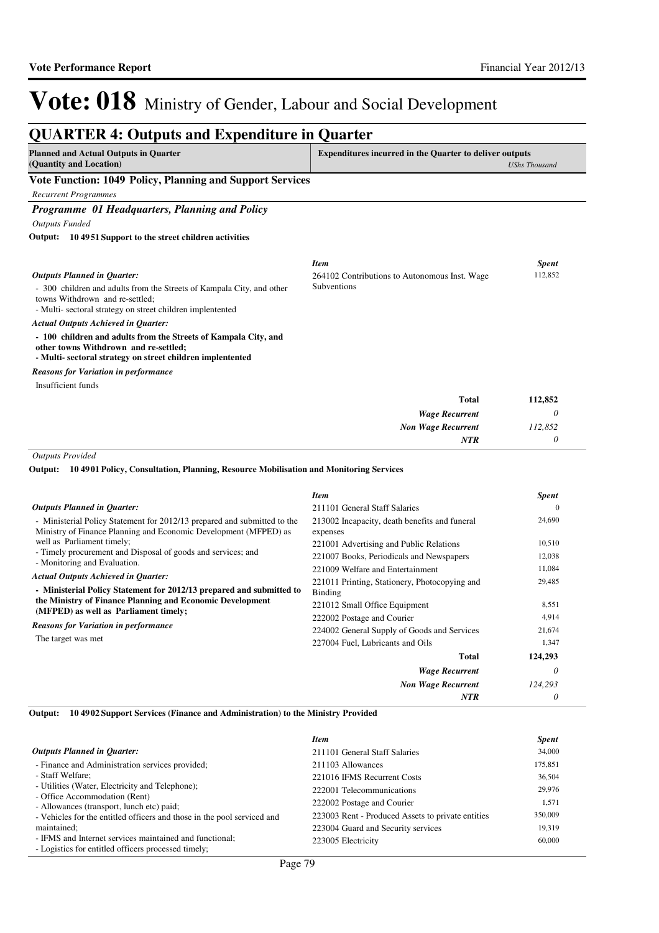#### **QUARTER 4: Outputs and Expenditure in Quarter Planned and Actual Outputs in Quarter (Quantity and Location) Expenditures incurred in the Quarter to deliver outputs**  *UShs Thousand* **Vote Function: 1049 Policy, Planning and Support Services** *Recurrent Programmes Programme 01 Headquarters, Planning and Policy Outputs Funded* - 300 children and adults from the Streets of Kampala City, and other towns Withdrown and re-settled; - Multi- sectoral strategy on street children implentented **- 100 children and adults from the Streets of Kampala City, and other towns Withdrown and re-settled; - Multi- sectoral strategy on street children implentented 10 4951 Support to the street children activities Output:** *Wage Recurrent Non Wage Recurrent* **Total** *0 112,852 0* **112,852** *Actual Outputs Achieved in Quarter: Outputs Planned in Quarter: NTR* Insufficient funds *Reasons for Variation in performance Item Spent* 264102 Contributions to Autonomous Inst. Wage Subventions 112,852 *Outputs Provided* **10 4901 Policy, Consultation, Planning, Resource Mobilisation and Monitoring Services Output:**

|                                                                                                                                                                                                                                                                                               | Item                                                                      | <b>Spent</b>    |
|-----------------------------------------------------------------------------------------------------------------------------------------------------------------------------------------------------------------------------------------------------------------------------------------------|---------------------------------------------------------------------------|-----------------|
| <b>Outputs Planned in Quarter:</b>                                                                                                                                                                                                                                                            | 211101 General Staff Salaries                                             | $_{0}$          |
| - Ministerial Policy Statement for 2012/13 prepared and submitted to the<br>Ministry of Finance Planning and Economic Development (MFPED) as                                                                                                                                                  | 213002 Incapacity, death benefits and funeral<br>expenses                 | 24,690          |
| well as Parliament timely;                                                                                                                                                                                                                                                                    | 221001 Advertising and Public Relations                                   | 10,510          |
| - Timely procurement and Disposal of goods and services; and                                                                                                                                                                                                                                  | 221007 Books, Periodicals and Newspapers                                  | 12,038          |
| - Monitoring and Evaluation.                                                                                                                                                                                                                                                                  | 221009 Welfare and Entertainment                                          | 11,084          |
| <b>Actual Outputs Achieved in Quarter:</b><br>- Ministerial Policy Statement for 2012/13 prepared and submitted to<br>the Ministry of Finance Planning and Economic Development<br>(MFPED) as well as Parliament timely;<br><b>Reasons for Variation in performance</b><br>The target was met | 221011 Printing, Stationery, Photocopying and<br>Binding                  | 29,485          |
|                                                                                                                                                                                                                                                                                               | 221012 Small Office Equipment                                             | 8,551           |
|                                                                                                                                                                                                                                                                                               | 222002 Postage and Courier<br>224002 General Supply of Goods and Services | 4,914<br>21,674 |
|                                                                                                                                                                                                                                                                                               | 227004 Fuel, Lubricants and Oils                                          | 1,347           |
|                                                                                                                                                                                                                                                                                               | <b>Total</b>                                                              | 124,293         |
|                                                                                                                                                                                                                                                                                               | <b>Wage Recurrent</b>                                                     | 0               |
|                                                                                                                                                                                                                                                                                               | <b>Non Wage Recurrent</b>                                                 | 124,293         |
|                                                                                                                                                                                                                                                                                               | <b>NTR</b>                                                                | 0               |

**10 4902 Support Services (Finance and Administration) to the Ministry Provided Output:**

|                                                                                                                | <b>Item</b>                                       | <b>Spent</b> |
|----------------------------------------------------------------------------------------------------------------|---------------------------------------------------|--------------|
| <b>Outputs Planned in Quarter:</b>                                                                             | 211101 General Staff Salaries                     | 34,000       |
| - Finance and Administration services provided;                                                                | 211103 Allowances                                 | 175,851      |
| - Staff Welfare;                                                                                               | 221016 IFMS Recurrent Costs                       | 36.504       |
| - Utilities (Water, Electricity and Telephone);                                                                | 222001 Telecommunications                         | 29,976       |
| - Office Accommodation (Rent)<br>- Allowances (transport, lunch etc) paid;                                     | 222002 Postage and Courier                        | 1,571        |
| - Vehicles for the entitled officers and those in the pool serviced and                                        | 223003 Rent - Produced Assets to private entities | 350,009      |
| maintained;                                                                                                    | 223004 Guard and Security services                | 19.319       |
| - IFMS and Internet services maintained and functional;<br>- Logistics for entitled officers processed timely; | 223005 Electricity                                | 60,000       |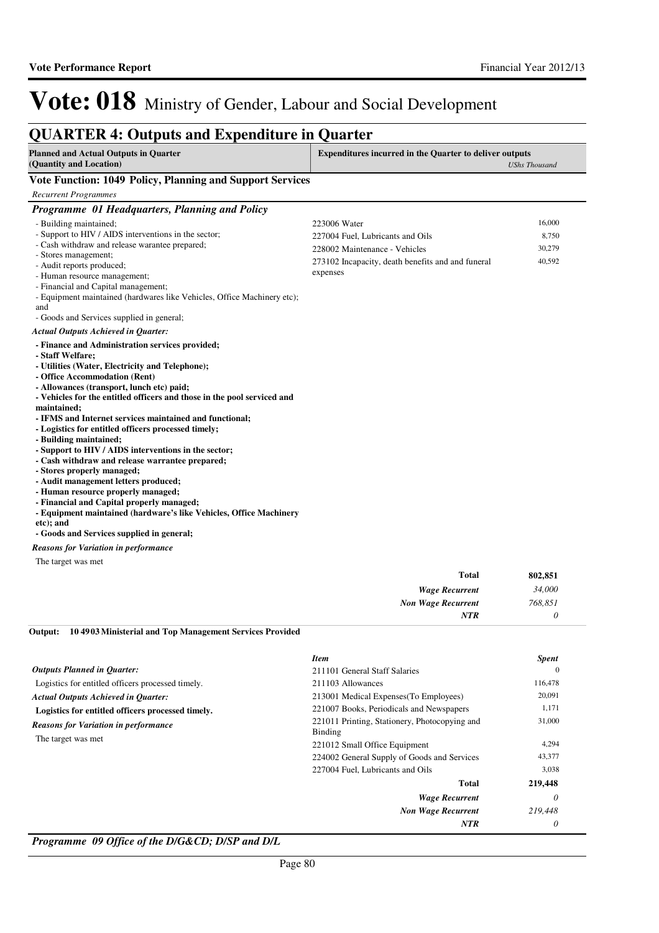### **QUARTER 4: Outputs and Expenditure in Quarter**

| Planned and Actual Outputs in Quarter | <b>Expenditures incurred in the Quarter to deliver outputs</b> |
|---------------------------------------|----------------------------------------------------------------|
| (Quantity and Location)               | UShs Thousand                                                  |
|                                       |                                                                |

#### **Vote Function: 1049 Policy, Planning and Support Services**

| <b>Recurrent Programmes</b>                                                                                                                                                                                                                                                                                                                                                                                                                                                                                                                                                                         |                                                                                                                                                    |                                     |
|-----------------------------------------------------------------------------------------------------------------------------------------------------------------------------------------------------------------------------------------------------------------------------------------------------------------------------------------------------------------------------------------------------------------------------------------------------------------------------------------------------------------------------------------------------------------------------------------------------|----------------------------------------------------------------------------------------------------------------------------------------------------|-------------------------------------|
| Programme 01 Headquarters, Planning and Policy                                                                                                                                                                                                                                                                                                                                                                                                                                                                                                                                                      |                                                                                                                                                    |                                     |
| - Building maintained:<br>- Support to HIV / AIDS interventions in the sector;<br>- Cash withdraw and release warantee prepared;<br>- Stores management;<br>- Audit reports produced;<br>- Human resource management;<br>- Financial and Capital management;<br>- Equipment maintained (hardwares like Vehicles, Office Machinery etc);                                                                                                                                                                                                                                                             | 223006 Water<br>227004 Fuel, Lubricants and Oils<br>228002 Maintenance - Vehicles<br>273102 Incapacity, death benefits and and funeral<br>expenses | 16,000<br>8,750<br>30,279<br>40,592 |
| and<br>- Goods and Services supplied in general;                                                                                                                                                                                                                                                                                                                                                                                                                                                                                                                                                    |                                                                                                                                                    |                                     |
| <b>Actual Outputs Achieved in Quarter:</b><br>- Finance and Administration services provided;<br>- Staff Welfare:<br>- Utilities (Water, Electricity and Telephone);<br>- Office Accommodation (Rent)<br>- Allowances (transport, lunch etc) paid;<br>- Vehicles for the entitled officers and those in the pool serviced and<br>maintained;<br>- IFMS and Internet services maintained and functional;<br>- Logistics for entitled officers processed timely;<br>- Building maintained;<br>- Support to HIV / AIDS interventions in the sector;<br>- Cash withdraw and release warrantee prepared; |                                                                                                                                                    |                                     |
| - Stores properly managed;<br>- Audit management letters produced;<br>- Human resource properly managed;<br>- Financial and Capital properly managed;<br>- Equipment maintained (hardware's like Vehicles, Office Machinery<br>etc); and<br>- Goods and Services supplied in general;                                                                                                                                                                                                                                                                                                               |                                                                                                                                                    |                                     |

#### *Reasons for Variation in performance*

The target was met

| 802,851 | <b>Total</b>              |  |
|---------|---------------------------|--|
| 34,000  | <b>Wage Recurrent</b>     |  |
| 768,851 | <b>Non Wage Recurrent</b> |  |
|         | <b>NTR</b>                |  |
|         |                           |  |

#### **10 4903 Ministerial and Top Management Services Provided Output:**

|                                                   | <b>Item</b>                                              | <b>Spent</b> |
|---------------------------------------------------|----------------------------------------------------------|--------------|
| <b>Outputs Planned in Quarter:</b>                | 211101 General Staff Salaries                            | $\Omega$     |
| Logistics for entitled officers processed timely. | 211103 Allowances                                        | 116,478      |
| <b>Actual Outputs Achieved in Quarter:</b>        | 213001 Medical Expenses (To Employees)                   | 20,091       |
| Logistics for entitled officers processed timely. | 221007 Books, Periodicals and Newspapers                 | 1,171        |
| <b>Reasons for Variation in performance</b>       | 221011 Printing, Stationery, Photocopying and<br>Binding | 31,000       |
| The target was met.                               | 221012 Small Office Equipment                            | 4,294        |
|                                                   | 224002 General Supply of Goods and Services              | 43,377       |
|                                                   | 227004 Fuel, Lubricants and Oils                         | 3,038        |
|                                                   | Total                                                    | 219,448      |
|                                                   | <b>Wage Recurrent</b>                                    | $\theta$     |
|                                                   | <b>Non Wage Recurrent</b>                                | 219,448      |
|                                                   | <b>NTR</b>                                               | 0            |

*Programme 09 Office of the D/G&CD; D/SP and D/L*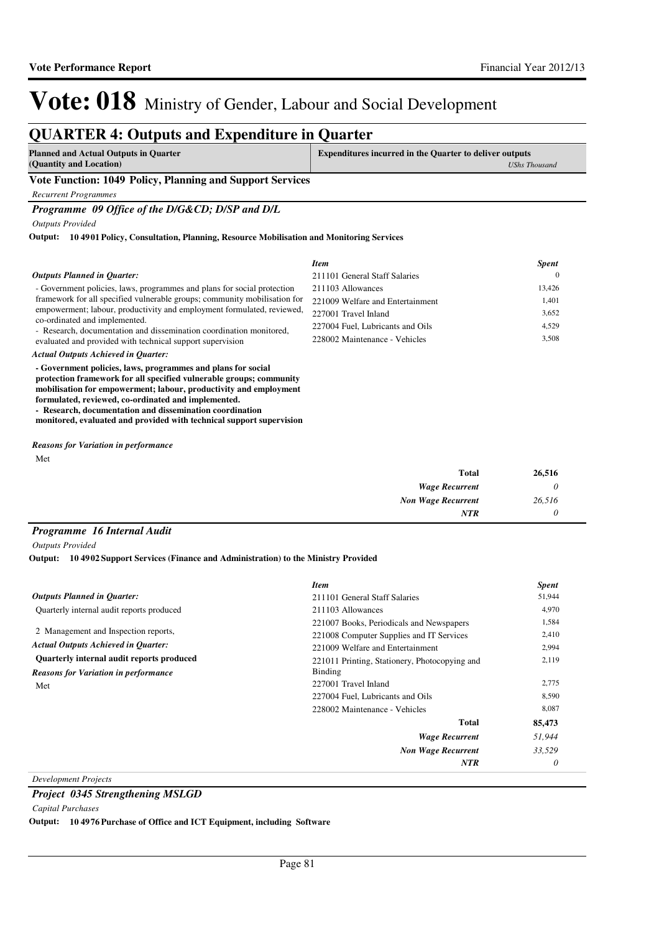### **QUARTER 4: Outputs and Expenditure in Quarter**

| Planned and Actual Outputs in Quarter | <b>Expenditures incurred in the Quarter to deliver outputs</b> |
|---------------------------------------|----------------------------------------------------------------|
| (Quantity and Location)               | UShs Thousand                                                  |
|                                       |                                                                |

#### **Vote Function: 1049 Policy, Planning and Support Services**

*Recurrent Programmes*

*Programme 09 Office of the D/G&CD; D/SP and D/L*

*Outputs Provided*

**10 4901 Policy, Consultation, Planning, Resource Mobilisation and Monitoring Services Output:**

|                                                                                                                                                     | <b>Item</b>                      | <b>Spent</b> |
|-----------------------------------------------------------------------------------------------------------------------------------------------------|----------------------------------|--------------|
| <b>Outputs Planned in Quarter:</b>                                                                                                                  | 211101 General Staff Salaries    | $\Omega$     |
| - Government policies, laws, programmes and plans for social protection                                                                             | 211103 Allowances                | 13,426       |
| framework for all specified vulnerable groups; community mobilisation for<br>empowerment; labour, productivity and employment formulated, reviewed, | 221009 Welfare and Entertainment | 1,401        |
|                                                                                                                                                     | 227001 Travel Inland             | 3,652        |
| co-ordinated and implemented.<br>- Research, documentation and dissemination coordination monitored,                                                | 227004 Fuel, Lubricants and Oils | 4.529        |
| evaluated and provided with technical support supervision                                                                                           | 228002 Maintenance - Vehicles    | 3.508        |
| <b>Actual Outputs Achieved in Ouarter:</b>                                                                                                          |                                  |              |
| - Government policies, laws, programmes and plans for social                                                                                        |                                  |              |

**protection framework for all specified vulnerable groups; community mobilisation for empowerment; labour, productivity and employment formulated, reviewed, co-ordinated and implemented. - Research, documentation and dissemination coordination** 

**monitored, evaluated and provided with technical support supervision**

Met *Reasons for Variation in performance*

| <b>Total</b>              | 26,516 |
|---------------------------|--------|
| <b>Wage Recurrent</b>     |        |
| <b>Non Wage Recurrent</b> | 26,516 |
| <b>NTR</b>                |        |

#### *Programme 16 Internal Audit*

*Outputs Provided*

**10 4902 Support Services (Finance and Administration) to the Ministry Provided Output:**

|                                             | <b>Item</b>                                   | <b>Spent</b> |
|---------------------------------------------|-----------------------------------------------|--------------|
| <b>Outputs Planned in Ouarter:</b>          | 211101 General Staff Salaries                 | 51,944       |
| Quarterly internal audit reports produced   | 211103 Allowances                             | 4,970        |
|                                             | 221007 Books, Periodicals and Newspapers      | 1,584        |
| 2 Management and Inspection reports,        | 221008 Computer Supplies and IT Services      | 2,410        |
| <b>Actual Outputs Achieved in Ouarter:</b>  | 221009 Welfare and Entertainment              | 2,994        |
| Quarterly internal audit reports produced   | 221011 Printing, Stationery, Photocopying and | 2,119        |
| <b>Reasons for Variation in performance</b> | <b>Binding</b>                                |              |
| Met                                         | 227001 Travel Inland                          | 2,775        |
|                                             | 227004 Fuel, Lubricants and Oils              | 8,590        |
|                                             | 228002 Maintenance - Vehicles                 | 8,087        |
|                                             | <b>Total</b>                                  | 85,473       |
|                                             | <b>Wage Recurrent</b>                         | 51,944       |
|                                             | <b>Non Wage Recurrent</b>                     | 33,529       |
|                                             | <b>NTR</b>                                    | 0            |

*Development Projects*

#### *Project 0345 Strengthening MSLGD*

*Capital Purchases*

**Output: 10 4976 Purchase of Office and ICT Equipment, including Software**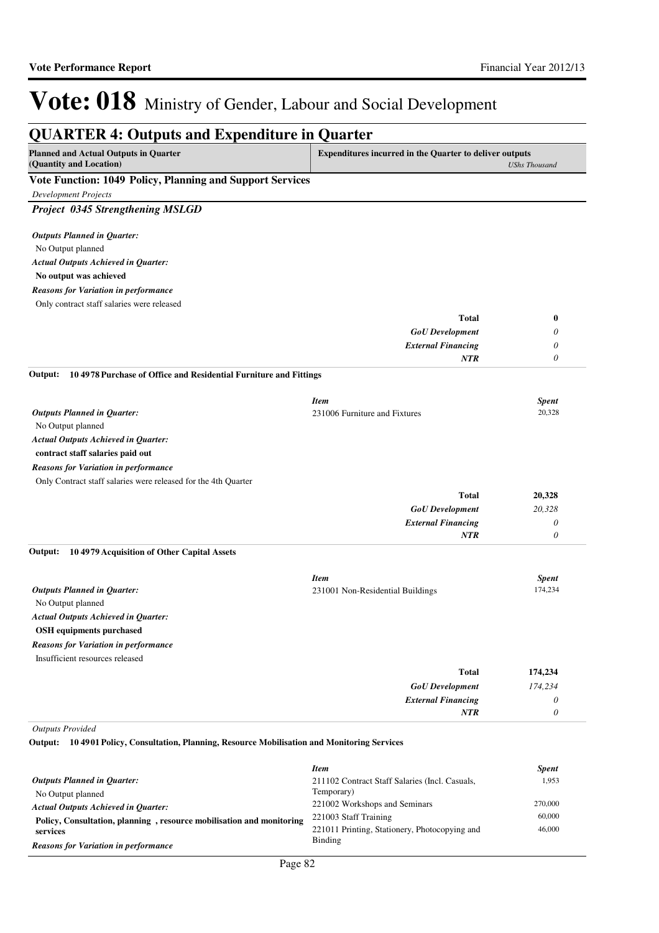| <b>Planned and Actual Outputs in Quarter</b><br>(Quantity and Location)                                                 | <b>Expenditures incurred in the Quarter to deliver outputs</b> | <b>UShs Thousand</b> |
|-------------------------------------------------------------------------------------------------------------------------|----------------------------------------------------------------|----------------------|
| Vote Function: 1049 Policy, Planning and Support Services                                                               |                                                                |                      |
| <b>Development Projects</b>                                                                                             |                                                                |                      |
| Project 0345 Strengthening MSLGD                                                                                        |                                                                |                      |
| <b>Outputs Planned in Quarter:</b>                                                                                      |                                                                |                      |
| No Output planned                                                                                                       |                                                                |                      |
| <b>Actual Outputs Achieved in Quarter:</b>                                                                              |                                                                |                      |
| No output was achieved                                                                                                  |                                                                |                      |
| <b>Reasons for Variation in performance</b>                                                                             |                                                                |                      |
| Only contract staff salaries were released                                                                              |                                                                |                      |
|                                                                                                                         | Total                                                          | $\bf{0}$             |
|                                                                                                                         | <b>GoU</b> Development                                         | 0                    |
|                                                                                                                         | <b>External Financing</b>                                      | 0                    |
|                                                                                                                         | <b>NTR</b>                                                     | $\theta$             |
| 104978 Purchase of Office and Residential Furniture and Fittings<br>Output:                                             |                                                                |                      |
|                                                                                                                         | <b>Item</b>                                                    | <b>Spent</b>         |
| <b>Outputs Planned in Quarter:</b>                                                                                      | 231006 Furniture and Fixtures                                  | 20,328               |
| No Output planned                                                                                                       |                                                                |                      |
| <b>Actual Outputs Achieved in Quarter:</b>                                                                              |                                                                |                      |
| contract staff salaries paid out                                                                                        |                                                                |                      |
| <b>Reasons for Variation in performance</b>                                                                             |                                                                |                      |
| Only Contract staff salaries were released for the 4th Quarter                                                          |                                                                |                      |
|                                                                                                                         | <b>Total</b>                                                   | 20,328               |
|                                                                                                                         | <b>GoU</b> Development                                         | 20,328               |
|                                                                                                                         | <b>External Financing</b>                                      | $\theta$             |
|                                                                                                                         | <b>NTR</b>                                                     | $\theta$             |
| Output:<br>104979 Acquisition of Other Capital Assets                                                                   |                                                                |                      |
|                                                                                                                         | <b>Item</b>                                                    | <b>Spent</b>         |
| <b>Outputs Planned in Quarter:</b>                                                                                      | 231001 Non-Residential Buildings                               | 174,234              |
| No Output planned                                                                                                       |                                                                |                      |
| <b>Actual Outputs Achieved in Quarter:</b>                                                                              |                                                                |                      |
| <b>OSH</b> equipments purchased                                                                                         |                                                                |                      |
| <b>Reasons for Variation in performance</b>                                                                             |                                                                |                      |
| Insufficient resources released                                                                                         |                                                                |                      |
|                                                                                                                         | Total                                                          | 174,234              |
|                                                                                                                         | <b>GoU</b> Development                                         | 174,234              |
|                                                                                                                         | <b>External Financing</b>                                      | $\theta$             |
|                                                                                                                         | <b>NTR</b>                                                     | $\theta$             |
| <b>Outputs Provided</b><br>Output: 104901 Policy, Consultation, Planning, Resource Mobilisation and Monitoring Services |                                                                |                      |
|                                                                                                                         | <b>Item</b>                                                    | <b>Spent</b>         |
| <b>Outputs Planned in Quarter:</b>                                                                                      | 211102 Contract Staff Salaries (Incl. Casuals,                 | 1,953                |
| No Output planned                                                                                                       | Temporary)                                                     |                      |
| <b>Actual Outputs Achieved in Quarter:</b>                                                                              | 221002 Workshops and Seminars                                  | 270,000              |
| Policy Consultation planning resource mobilisation and monitoring                                                       | 221003 Staff Training                                          | 60,000               |

Binding

221011 Printing, Stationery, Photocopying and

46,000

**Policy, Consultation, planning , resource mobilisation and monitoring** 

**services**

*Reasons for Variation in performance*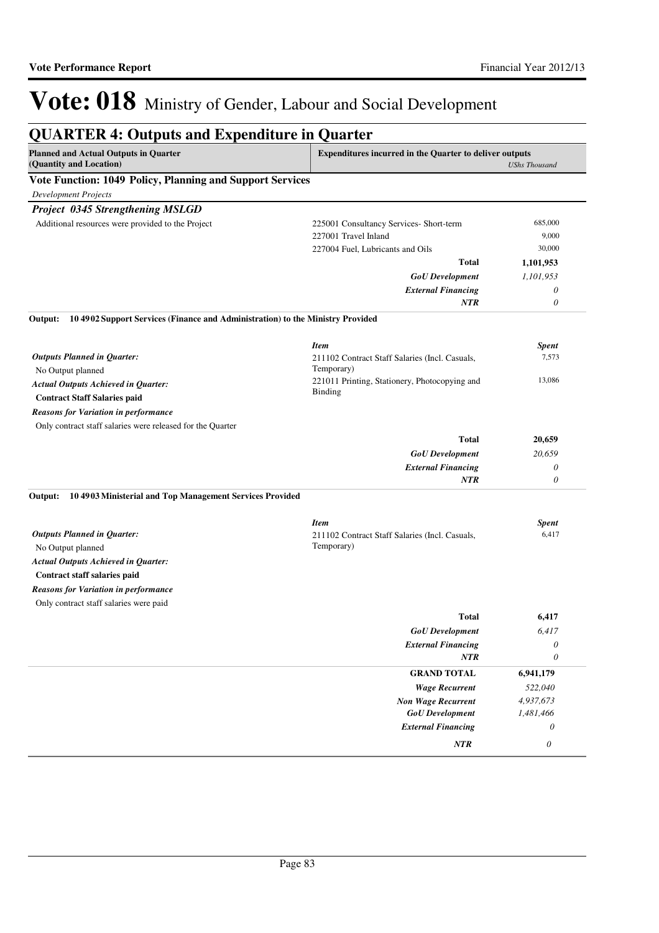#### **QUARTER 4: Outputs and Expenditure in Quarter Planned and Actual Outputs in Quarter (Quantity and Location) Expenditures incurred in the Quarter to deliver outputs**  *UShs Thousand* **Vote Function: 1049 Policy, Planning and Support Services** *Development Projects Project 0345 Strengthening MSLGD GoU Development External Financing* **Total** *1,101,953 0 0* **1,101,953** *NTR* Additional resources were provided to the Project 225001 Consultancy Services- Short-term 685,000 227001 Travel Inland 9,000 227004 Fuel, Lubricants and Oils 30,000 No Output planned **Contract Staff Salaries paid 10 4902 Support Services (Finance and Administration) to the Ministry Provided** *GoU Development External Financing* **Total** *20,659 0 0* **20,659** *Actual Outputs Achieved in Quarter: Outputs Planned in Quarter:* **Output:** *NTR* Only contract staff salaries were released for the Quarter *Reasons for Variation in performance Item Spent* 211102 Contract Staff Salaries (Incl. Casuals, Temporary) 7,573 221011 Printing, Stationery, Photocopying and Binding 13,086 No Output planned **Contract staff salaries paid 10 4903 Ministerial and Top Management Services Provided Output:** *GoU Development External Financing* **Total** *6,417 0 0* **6,417** *Actual Outputs Achieved in Quarter: Outputs Planned in Quarter: NTR* Only contract staff salaries were paid *Reasons for Variation in performance Item Spent* 211102 Contract Staff Salaries (Incl. Casuals, Temporary) 6,417 *Wage Recurrent Non Wage Recurrent* **GRAND TOTAL** *522,040 4,937,673* **6,941,179** *GoU Development External Financing 1,481,466 0 NTR 0*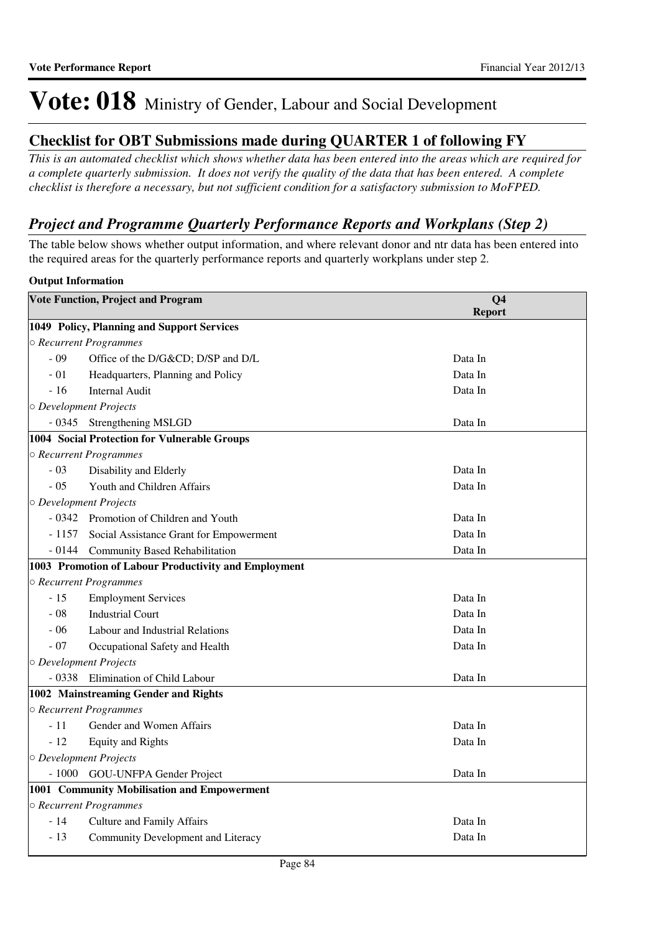### **Checklist for OBT Submissions made during QUARTER 1 of following FY**

*This is an automated checklist which shows whether data has been entered into the areas which are required for a complete quarterly submission. It does not verify the quality of the data that has been entered. A complete checklist is therefore a necessary, but not sufficient condition for a satisfactory submission to MoFPED.*

### *Project and Programme Quarterly Performance Reports and Workplans (Step 2)*

The table below shows whether output information, and where relevant donor and ntr data has been entered into the required areas for the quarterly performance reports and quarterly workplans under step 2.

#### **Output Information**

|          | <b>Vote Function, Project and Program</b>            | Q <sub>4</sub> |  |
|----------|------------------------------------------------------|----------------|--|
|          |                                                      | <b>Report</b>  |  |
|          | 1049 Policy, Planning and Support Services           |                |  |
|          | ○ Recurrent Programmes                               |                |  |
| $-09$    | Office of the D/G&CD D/SP and D/L                    | Data In        |  |
| $-01$    | Headquarters, Planning and Policy                    | Data In        |  |
| $-16$    | <b>Internal Audit</b>                                | Data In        |  |
|          | O Development Projects                               |                |  |
|          | - 0345 Strengthening MSLGD                           | Data In        |  |
|          | 1004 Social Protection for Vulnerable Groups         |                |  |
|          | O Recurrent Programmes                               |                |  |
| $-03$    | Disability and Elderly                               | Data In        |  |
| $-05$    | Youth and Children Affairs                           | Data In        |  |
|          | O Development Projects                               |                |  |
|          | - 0342 Promotion of Children and Youth               | Data In        |  |
|          | - 1157 Social Assistance Grant for Empowerment       | Data In        |  |
|          | - 0144 Community Based Rehabilitation                | Data In        |  |
|          | 1003 Promotion of Labour Productivity and Employment |                |  |
|          | ○ Recurrent Programmes                               |                |  |
| $-15$    | <b>Employment Services</b>                           | Data In        |  |
| $-08$    | <b>Industrial Court</b>                              | Data In        |  |
| $-06$    | Labour and Industrial Relations                      | Data In        |  |
| $-07$    | Occupational Safety and Health                       | Data In        |  |
|          | O Development Projects                               |                |  |
| $-0.338$ | Elimination of Child Labour                          | Data In        |  |
|          | 1002 Mainstreaming Gender and Rights                 |                |  |
|          | O Recurrent Programmes                               |                |  |
| $-11$    | Gender and Women Affairs                             | Data In        |  |
| $-12$    | <b>Equity and Rights</b>                             | Data In        |  |
|          | O Development Projects                               |                |  |
|          | - 1000 GOU-UNFPA Gender Project                      | Data In        |  |
|          | 1001 Community Mobilisation and Empowerment          |                |  |
|          | ○ Recurrent Programmes                               |                |  |
| $-14$    | <b>Culture and Family Affairs</b>                    | Data In        |  |
| $-13$    | Community Development and Literacy                   | Data In        |  |
|          |                                                      |                |  |